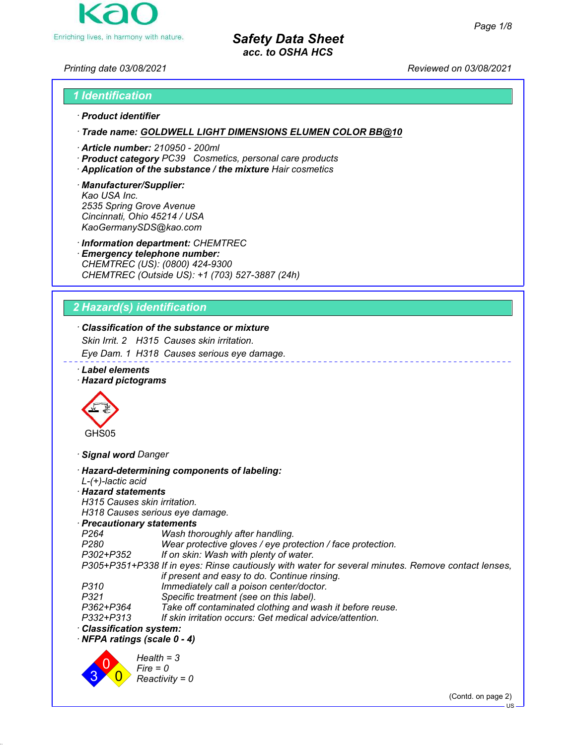

### *Printing date 03/08/2021 Reviewed on 03/08/2021*

### *1 Identification*

#### *ꞏ Product identifier*

*ꞏ Trade name: GOLDWELL LIGHT DIMENSIONS ELUMEN COLOR BB@10*

- *ꞏ Article number: 210950 200ml*
- *ꞏ Product category PC39 Cosmetics, personal care products*
- *ꞏ Application of the substance / the mixture Hair cosmetics*

#### *ꞏ Manufacturer/Supplier: Kao USA Inc. 2535 Spring Grove Avenue Cincinnati, Ohio 45214 / USA KaoGermanySDS@kao.com*

*ꞏ Information department: CHEMTREC*

*ꞏ Emergency telephone number: CHEMTREC (US): (0800) 424-9300 CHEMTREC (Outside US): +1 (703) 527-3887 (24h)*

# *2 Hazard(s) identification*

# *ꞏ Classification of the substance or mixture*

*Skin Irrit. 2 H315 Causes skin irritation.*

*Eye Dam. 1 H318 Causes serious eye damage.*

*ꞏ Label elements*

### *ꞏ Hazard pictograms*



*ꞏ Signal word Danger*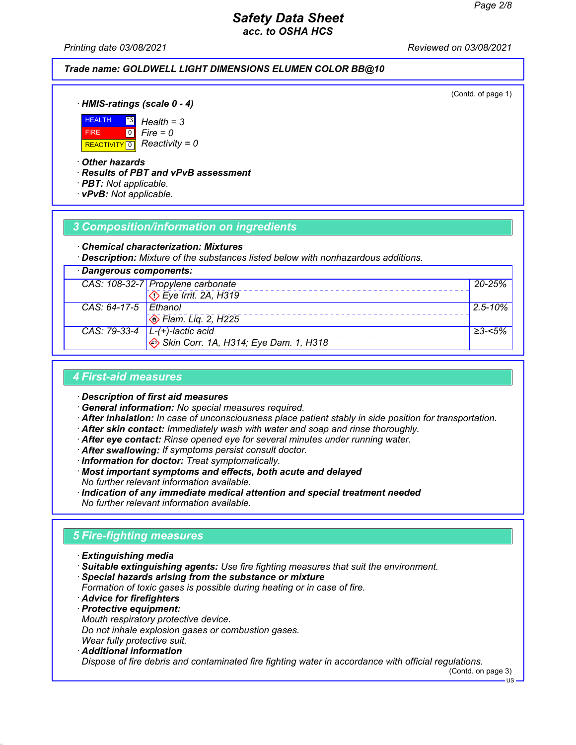*Printing date 03/08/2021 Reviewed on 03/08/2021*

### *Trade name: GOLDWELL LIGHT DIMENSIONS ELUMEN COLOR BB@10*

(Contd. of page 1)

*ꞏ HMIS-ratings (scale 0 - 4)*



*Fire = 0*

*ꞏ Other hazards*

*ꞏ Results of PBT and vPvB assessment*

- *ꞏ PBT: Not applicable.*
- *ꞏ vPvB: Not applicable.*

### *3 Composition/information on ingredients*

#### *ꞏ Chemical characterization: Mixtures*

*ꞏ Description: Mixture of the substances listed below with nonhazardous additions.*

| · Dangerous components: |                                                         |              |
|-------------------------|---------------------------------------------------------|--------------|
|                         | CAS: 108-32-7 Propylene carbonate                       | 20-25%       |
|                         | $\overline{\langle}$ Eye Irrit. 2A, H319                |              |
| CAS: 64-17-5 Ethanol    |                                                         | $2.5 - 10\%$ |
|                         | $\otimes$ Flam. Lig. 2, H225                            |              |
|                         | CAS: 79-33-4 $\vert$ L-(+)-lactic acid                  | ≥3-<5%       |
|                         | $\leftrightarrow$ Skin Corr. 1A, H314; Eye Dam. 1, H318 |              |

### *4 First-aid measures*

*ꞏ Description of first aid measures*

- *ꞏ General information: No special measures required.*
- *ꞏ After inhalation: In case of unconsciousness place patient stably in side position for transportation.*
- *ꞏ After skin contact: Immediately wash with water and soap and rinse thoroughly.*
- *ꞏ After eye contact: Rinse opened eye for several minutes under running water.*
- *ꞏ After swallowing: If symptoms persist consult doctor.*
- *ꞏ Information for doctor: Treat symptomatically.*
- *ꞏ Most important symptoms and effects, both acute and delayed No further relevant information available.*
- *ꞏ Indication of any immediate medical attention and special treatment needed No further relevant information available.*

# *5 Fire-fighting measures*

- *ꞏ Extinguishing media*
- *ꞏ Suitable extinguishing agents: Use fire fighting measures that suit the environment.*
- *ꞏ Special hazards arising from the substance or mixture*
- *Formation of toxic gases is possible during heating or in case of fire.*
- *ꞏ Advice for firefighters*
- *ꞏ Protective equipment: Mouth respiratory protective device. Do not inhale explosion gases or combustion gases.*
- *Wear fully protective suit.*
- *ꞏ Additional information Dispose of fire debris and contaminated fire fighting water in accordance with official regulations.*

(Contd. on page 3)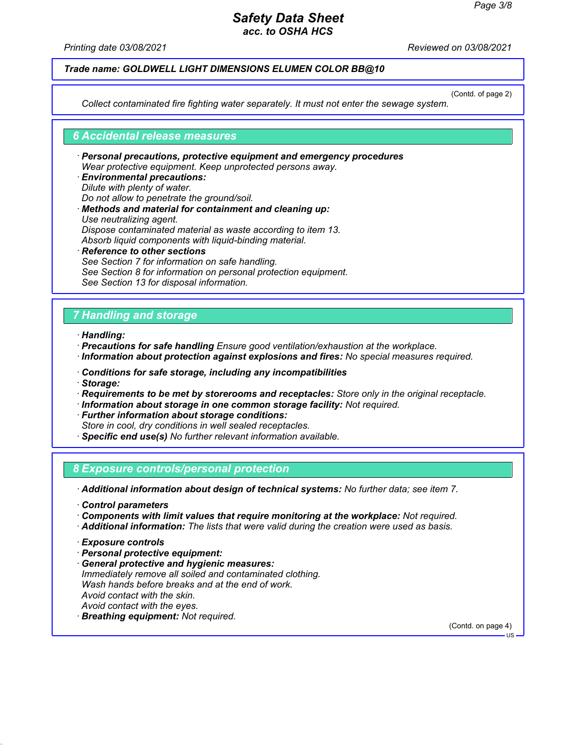*Printing date 03/08/2021 Reviewed on 03/08/2021*

### *Trade name: GOLDWELL LIGHT DIMENSIONS ELUMEN COLOR BB@10*

(Contd. of page 2)

*Collect contaminated fire fighting water separately. It must not enter the sewage system.*

#### *6 Accidental release measures*

- *ꞏ Personal precautions, protective equipment and emergency procedures Wear protective equipment. Keep unprotected persons away.*
- *ꞏ Environmental precautions: Dilute with plenty of water. Do not allow to penetrate the ground/soil. ꞏ Methods and material for containment and cleaning up: Use neutralizing agent. Dispose contaminated material as waste according to item 13. Absorb liquid components with liquid-binding material.*
- *ꞏ Reference to other sections See Section 7 for information on safe handling. See Section 8 for information on personal protection equipment. See Section 13 for disposal information.*

### *7 Handling and storage*

- *ꞏ Handling:*
- *ꞏ Precautions for safe handling Ensure good ventilation/exhaustion at the workplace. ꞏ Information about protection against explosions and fires: No special measures required.*
- *ꞏ Conditions for safe storage, including any incompatibilities*
- *ꞏ Storage:*
- *ꞏ Requirements to be met by storerooms and receptacles: Store only in the original receptacle.*
- *ꞏ Information about storage in one common storage facility: Not required.*
- *ꞏ Further information about storage conditions:*
- *Store in cool, dry conditions in well sealed receptacles.*
- *ꞏ Specific end use(s) No further relevant information available.*

### *8 Exposure controls/personal protection*

*ꞏ Additional information about design of technical systems: No further data; see item 7.*

- *ꞏ Control parameters*
- *ꞏ Components with limit values that require monitoring at the workplace: Not required.*
- *ꞏ Additional information: The lists that were valid during the creation were used as basis.*

- *ꞏ Personal protective equipment:*
- *ꞏ General protective and hygienic measures: Immediately remove all soiled and contaminated clothing. Wash hands before breaks and at the end of work. Avoid contact with the skin. Avoid contact with the eyes. ꞏ Breathing equipment: Not required.*

(Contd. on page 4)

*ꞏ Exposure controls*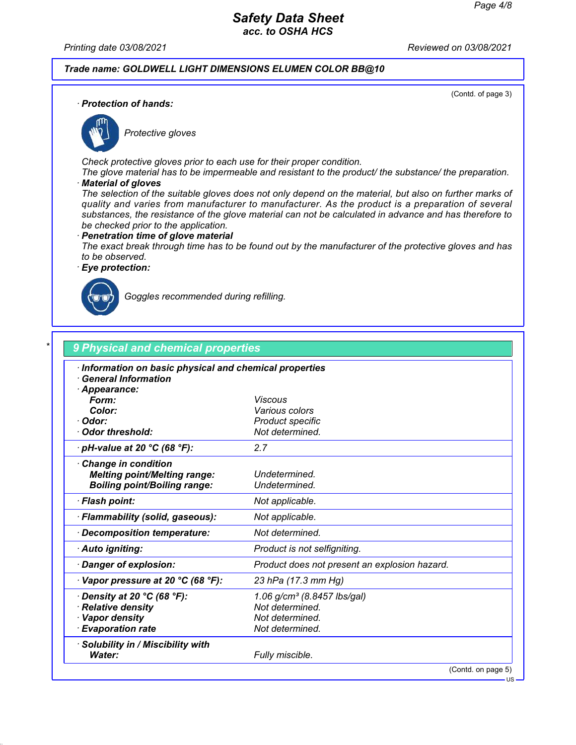*Printing date 03/08/2021 Reviewed on 03/08/2021*

### *Trade name: GOLDWELL LIGHT DIMENSIONS ELUMEN COLOR BB@10*

(Contd. of page 3)

*ꞏ Protection of hands:*



*Protective gloves*

*Check protective gloves prior to each use for their proper condition.*

*The glove material has to be impermeable and resistant to the product/ the substance/ the preparation. ꞏ Material of gloves*

*The selection of the suitable gloves does not only depend on the material, but also on further marks of quality and varies from manufacturer to manufacturer. As the product is a preparation of several substances, the resistance of the glove material can not be calculated in advance and has therefore to be checked prior to the application.*

#### *ꞏ Penetration time of glove material*

*The exact break through time has to be found out by the manufacturer of the protective gloves and has to be observed.*

*ꞏ Eye protection:*



*Goggles recommended during refilling.*

| · Information on basic physical and chemical properties<br><b>General Information</b> |                                               |
|---------------------------------------------------------------------------------------|-----------------------------------------------|
| · Appearance:                                                                         |                                               |
| Form:                                                                                 | Viscous                                       |
| Color:                                                                                | Various colors                                |
| · Odor:                                                                               | Product specific                              |
| Odor threshold:                                                                       | Not determined.                               |
| $\cdot$ pH-value at 20 °C (68 °F):                                                    | 2.7                                           |
| Change in condition                                                                   |                                               |
| <b>Melting point/Melting range:</b>                                                   | Undetermined.                                 |
| <b>Boiling point/Boiling range:</b>                                                   | Undetermined.                                 |
| · Flash point:                                                                        | Not applicable.                               |
| · Flammability (solid, gaseous):                                                      | Not applicable.                               |
| · Decomposition temperature:                                                          | Not determined.                               |
| · Auto igniting:                                                                      | Product is not selfigniting.                  |
| · Danger of explosion:                                                                | Product does not present an explosion hazard. |
| $\cdot$ Vapor pressure at 20 °C (68 °F):                                              | 23 hPa (17.3 mm Hg)                           |
| $\cdot$ Density at 20 °C (68 °F):                                                     | 1.06 g/cm <sup>3</sup> (8.8457 lbs/gal)       |
| · Relative density                                                                    | Not determined.                               |
| · Vapor density                                                                       | Not determined.                               |
| · Evaporation rate                                                                    | Not determined.                               |
| · Solubility in / Miscibility with                                                    |                                               |
| Water:                                                                                | Fully miscible.                               |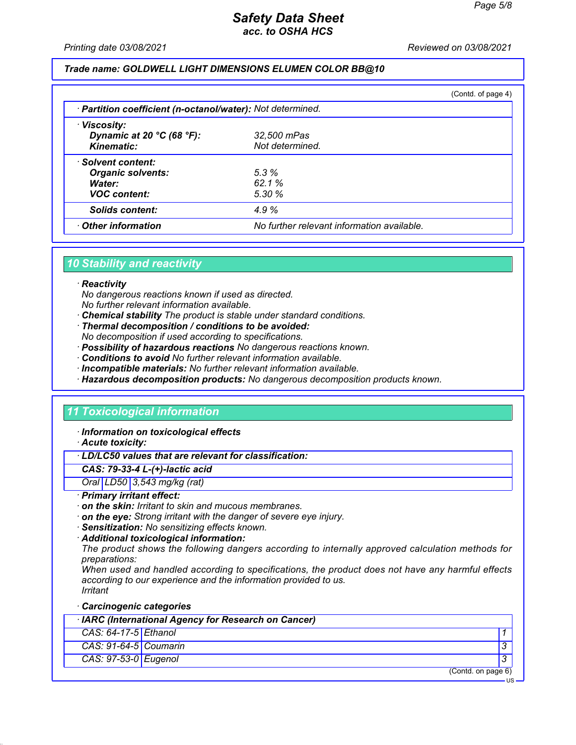US

# *Safety Data Sheet acc. to OSHA HCS*

*Printing date 03/08/2021 Reviewed on 03/08/2021*

### *Trade name: GOLDWELL LIGHT DIMENSIONS ELUMEN COLOR BB@10*

|                                                            |                                            | (Contd. of page 4) |
|------------------------------------------------------------|--------------------------------------------|--------------------|
| · Partition coefficient (n-octanol/water): Not determined. |                                            |                    |
| · Viscosity:                                               |                                            |                    |
| Dynamic at 20 $°C$ (68 $°F$ ):                             | 32,500 mPas                                |                    |
| Kinematic:                                                 | Not determined.                            |                    |
| · Solvent content:                                         |                                            |                    |
| <b>Organic solvents:</b>                                   | 5.3%                                       |                    |
| Water:                                                     | 62.1%                                      |                    |
| <b>VOC content:</b>                                        | 5.30%                                      |                    |
| <b>Solids content:</b>                                     | 4.9%                                       |                    |
| Other information                                          | No further relevant information available. |                    |

### *10 Stability and reactivity*

#### *ꞏ Reactivity*

*No dangerous reactions known if used as directed.*

- *No further relevant information available.*
- *ꞏ Chemical stability The product is stable under standard conditions.*
- *ꞏ Thermal decomposition / conditions to be avoided:*
- *No decomposition if used according to specifications.*
- *ꞏ Possibility of hazardous reactions No dangerous reactions known.*
- *ꞏ Conditions to avoid No further relevant information available.*
- *ꞏ Incompatible materials: No further relevant information available.*
- *ꞏ Hazardous decomposition products: No dangerous decomposition products known.*

### *11 Toxicological information*

*ꞏ Information on toxicological effects*

*ꞏ Acute toxicity:*

### *ꞏ LD/LC50 values that are relevant for classification:*

#### *CAS: 79-33-4 L-(+)-lactic acid*

*Oral LD50 3,543 mg/kg (rat)*

#### *ꞏ Primary irritant effect:*

- *ꞏ on the skin: Irritant to skin and mucous membranes.*
- *ꞏ on the eye: Strong irritant with the danger of severe eye injury.*
- *ꞏ Sensitization: No sensitizing effects known.*
- *ꞏ Additional toxicological information:*

*The product shows the following dangers according to internally approved calculation methods for preparations:*

*When used and handled according to specifications, the product does not have any harmful effects according to our experience and the information provided to us. Irritant*

*ꞏ Carcinogenic categories*

|                         | · IARC (International Agency for Research on Cancer) |                    |
|-------------------------|------------------------------------------------------|--------------------|
| $CAS: 64-17-5$ Ethanol  |                                                      |                    |
| $CAS: 91-64-5$ Coumarin |                                                      |                    |
| CAS: 97-53-0 Eugenol    |                                                      |                    |
|                         |                                                      | (Contd. on page 6) |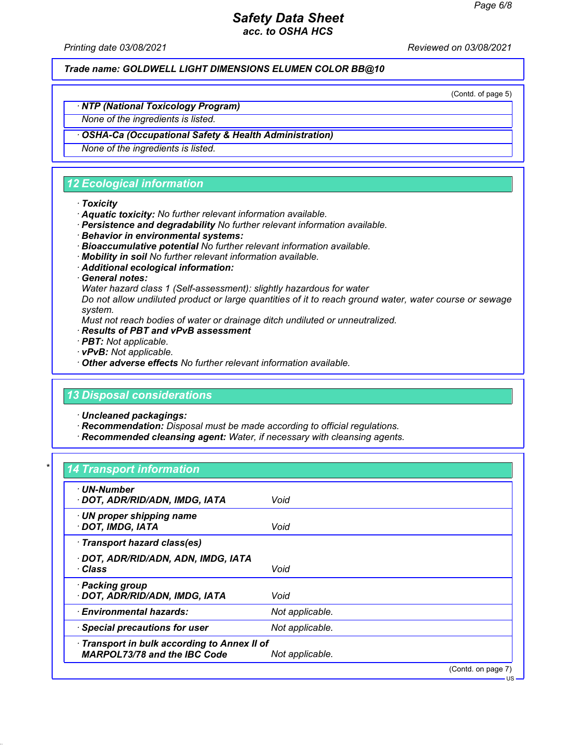*Printing date 03/08/2021 Reviewed on 03/08/2021*

*Trade name: GOLDWELL LIGHT DIMENSIONS ELUMEN COLOR BB@10*

(Contd. of page 5)

US

# *ꞏ NTP (National Toxicology Program)*

*None of the ingredients is listed.*

### *ꞏ OSHA-Ca (Occupational Safety & Health Administration)*

*None of the ingredients is listed.*

# *12 Ecological information*

#### *ꞏ Toxicity*

- *ꞏ Aquatic toxicity: No further relevant information available.*
- *ꞏ Persistence and degradability No further relevant information available.*
- *ꞏ Behavior in environmental systems:*
- *ꞏ Bioaccumulative potential No further relevant information available.*
- *ꞏ Mobility in soil No further relevant information available.*
- *ꞏ Additional ecological information:*
- *ꞏ General notes:*

*Water hazard class 1 (Self-assessment): slightly hazardous for water*

*Do not allow undiluted product or large quantities of it to reach ground water, water course or sewage system.*

*Must not reach bodies of water or drainage ditch undiluted or unneutralized.*

- *ꞏ Results of PBT and vPvB assessment*
- *ꞏ PBT: Not applicable.*
- *ꞏ vPvB: Not applicable.*
- *ꞏ Other adverse effects No further relevant information available.*

### *13 Disposal considerations*

*ꞏ Uncleaned packagings:*

- *ꞏ Recommendation: Disposal must be made according to official regulations.*
- *ꞏ Recommended cleansing agent: Water, if necessary with cleansing agents.*

### *\* 14 Transport information*

| · UN-Number<br>· DOT, ADR/RID/ADN, IMDG, IATA                                       | Void            |                    |
|-------------------------------------------------------------------------------------|-----------------|--------------------|
| $\cdot$ UN proper shipping name<br>DOT, IMDG, IATA                                  | Void            |                    |
| · Transport hazard class(es)                                                        |                 |                    |
| · DOT, ADR/RID/ADN, ADN, IMDG, IATA<br>∙ Class                                      | Void            |                    |
| · Packing group<br>· DOT, ADR/RID/ADN, IMDG, IATA                                   | Void            |                    |
| $\cdot$ Environmental hazards:                                                      | Not applicable. |                    |
| · Special precautions for user                                                      | Not applicable. |                    |
| · Transport in bulk according to Annex II of<br><b>MARPOL73/78 and the IBC Code</b> | Not applicable. |                    |
|                                                                                     |                 | (Contd. on page 7) |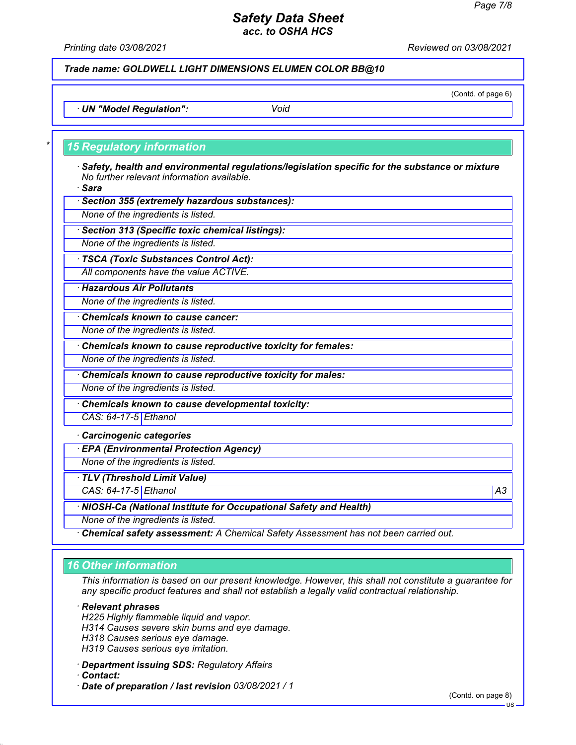*Printing date 03/08/2021 Reviewed on 03/08/2021*

*Trade name: GOLDWELL LIGHT DIMENSIONS ELUMEN COLOR BB@10*

(Contd. of page 6)

*ꞏ UN "Model Regulation": Void*

### *\* 15 Regulatory information*

*ꞏ Safety, health and environmental regulations/legislation specific for the substance or mixture No further relevant information available.*

*ꞏ Sara*

*ꞏ Section 355 (extremely hazardous substances):*

*None of the ingredients is listed.*

*ꞏ Section 313 (Specific toxic chemical listings):*

*None of the ingredients is listed.*

*ꞏ TSCA (Toxic Substances Control Act):*

*All components have the value ACTIVE.*

*ꞏ Hazardous Air Pollutants*

*None of the ingredients is listed.*

*ꞏ Chemicals known to cause cancer:*

*None of the ingredients is listed.*

*ꞏ Chemicals known to cause reproductive toxicity for females:*

*None of the ingredients is listed.*

*ꞏ Chemicals known to cause reproductive toxicity for males:*

*None of the ingredients is listed.*

*ꞏ Chemicals known to cause developmental toxicity:*

*CAS: 64-17-5 Ethanol*

*ꞏ Carcinogenic categories*

*ꞏ EPA (Environmental Protection Agency)*

*None of the ingredients is listed.*

*ꞏ TLV (Threshold Limit Value)*

*CAS: 64-17-5 Ethanol A3*

*ꞏ NIOSH-Ca (National Institute for Occupational Safety and Health)*

*None of the ingredients is listed.*

*ꞏ Chemical safety assessment: A Chemical Safety Assessment has not been carried out.*

### *16 Other information*

*This information is based on our present knowledge. However, this shall not constitute a guarantee for any specific product features and shall not establish a legally valid contractual relationship.*

*ꞏ Relevant phrases*

*H225 Highly flammable liquid and vapor.*

*H314 Causes severe skin burns and eye damage.*

*H318 Causes serious eye damage.*

*H319 Causes serious eye irritation.*

*ꞏ Department issuing SDS: Regulatory Affairs*

*ꞏ Contact:*

*ꞏ Date of preparation / last revision 03/08/2021 / 1*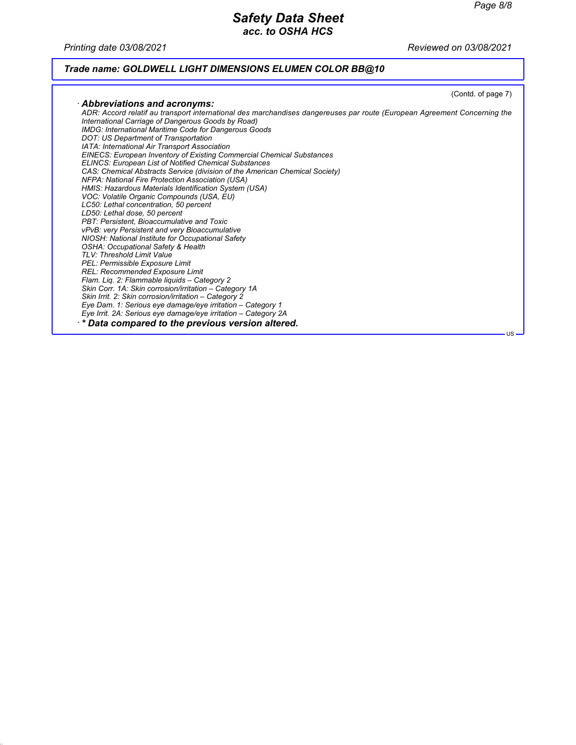*Printing date 03/08/2021 Reviewed on 03/08/2021*

# *Trade name: GOLDWELL LIGHT DIMENSIONS ELUMEN COLOR BB@10*

|                                                                                                                                                                                                                                         | (Contd. of page 7) |
|-----------------------------------------------------------------------------------------------------------------------------------------------------------------------------------------------------------------------------------------|--------------------|
| $\cdot$ Abbreviations and acronyms:                                                                                                                                                                                                     |                    |
| ADR: Accord relatif au transport international des marchandises dangereuses par route (European Agreement Concerning the<br>International Carriage of Dangerous Goods by Road)<br>IMDG: International Maritime Code for Dangerous Goods |                    |
| DOT: US Department of Transportation                                                                                                                                                                                                    |                    |
| IATA: International Air Transport Association                                                                                                                                                                                           |                    |
| <b>EINECS: European Inventory of Existing Commercial Chemical Substances</b>                                                                                                                                                            |                    |
| <b>ELINCS: European List of Notified Chemical Substances</b>                                                                                                                                                                            |                    |
| CAS: Chemical Abstracts Service (division of the American Chemical Society)                                                                                                                                                             |                    |
| NFPA: National Fire Protection Association (USA)                                                                                                                                                                                        |                    |
| HMIS: Hazardous Materials Identification System (USA)                                                                                                                                                                                   |                    |
| VOC: Volatile Organic Compounds (USA, EU)                                                                                                                                                                                               |                    |
| LC50: Lethal concentration, 50 percent                                                                                                                                                                                                  |                    |
| LD50: Lethal dose, 50 percent                                                                                                                                                                                                           |                    |
| PBT: Persistent, Bioaccumulative and Toxic                                                                                                                                                                                              |                    |
| vPvB: very Persistent and very Bioaccumulative                                                                                                                                                                                          |                    |
| NIOSH: National Institute for Occupational Safety                                                                                                                                                                                       |                    |
| <b>OSHA: Occupational Safety &amp; Health</b>                                                                                                                                                                                           |                    |
| TLV: Threshold Limit Value                                                                                                                                                                                                              |                    |
| PEL: Permissible Exposure Limit                                                                                                                                                                                                         |                    |
| REL: Recommended Exposure Limit                                                                                                                                                                                                         |                    |
| Flam. Lig. 2: Flammable liguids - Category 2                                                                                                                                                                                            |                    |
| Skin Corr. 1A: Skin corrosion/irritation - Category 1A                                                                                                                                                                                  |                    |
| Skin Irrit. 2: Skin corrosion/irritation - Category 2                                                                                                                                                                                   |                    |
| Eye Dam. 1: Serious eye damage/eye irritation - Category 1                                                                                                                                                                              |                    |
| Eye Irrit. 2A: Serious eye damage/eye irritation – Category 2A                                                                                                                                                                          |                    |
| ** Data compared to the previous version altered.                                                                                                                                                                                       |                    |
|                                                                                                                                                                                                                                         | $US -$             |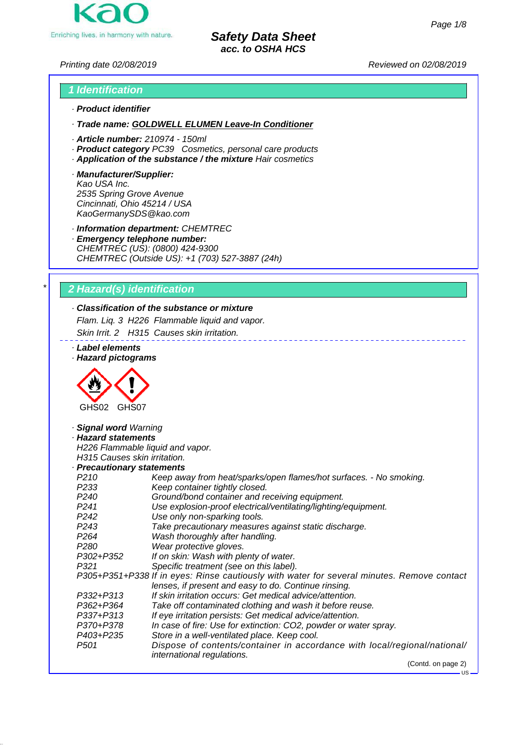

*Printing date 02/08/2019 Reviewed on 02/08/2019*

# *1 Identification · Product identifier*

*· Trade name: GOLDWELL ELUMEN Leave-In Conditioner*

- *· Article number: 210974 150ml*
- *· Product category PC39 Cosmetics, personal care products*
- *· Application of the substance / the mixture Hair cosmetics*
- *· Manufacturer/Supplier: Kao USA Inc. 2535 Spring Grove Avenue Cincinnati, Ohio 45214 / USA KaoGermanySDS@kao.com*

*· Information department: CHEMTREC*

*· Emergency telephone number: CHEMTREC (US): (0800) 424-9300 CHEMTREC (Outside US): +1 (703) 527-3887 (24h)*

### *\* 2 Hazard(s) identification*

## *· Classification of the substance or mixture*

*Flam. Liq. 3 H226 Flammable liquid and vapor. Skin Irrit. 2 H315 Causes skin irritation.*

*· Label elements*

*· Hazard pictograms*



# *· Signal word Warning · Hazard statements*

*H226 Flammable liquid and vapor. H315 Causes skin irritation.*

*· Precautionary statements*

- *P210 Keep away from heat/sparks/open flames/hot surfaces. No smoking. P233 Keep container tightly closed.*
- *P240 Ground/bond container and receiving equipment.*
- *P241 Use explosion-proof electrical/ventilating/lighting/equipment.*
- *P242 Use only non-sparking tools.*
	- *P243 Take precautionary measures against static discharge.*
	- *P264 Wash thoroughly after handling.*
	- *P280 Wear protective gloves.*
	- *P302+P352 If on skin: Wash with plenty of water.*
	- *P321 Specific treatment (see on this label).*
	- *P305+P351+P338 If in eyes: Rinse cautiously with water for several minutes. Remove contact lenses, if present and easy to do. Continue rinsing. P332+P313 If skin irritation occurs: Get medical advice/attention. P362+P364 Take off contaminated clothing and wash it before reuse.*
		-
	- *P337+P313 If eye irritation persists: Get medical advice/attention.*
	- *P370+P378 In case of fire: Use for extinction: CO2, powder or water spray.*
	- *P403+P235 Store in a well-ventilated place. Keep cool.*
	- *P501 Dispose of contents/container in accordance with local/regional/national/ international regulations.*

(Contd. on page 2)

US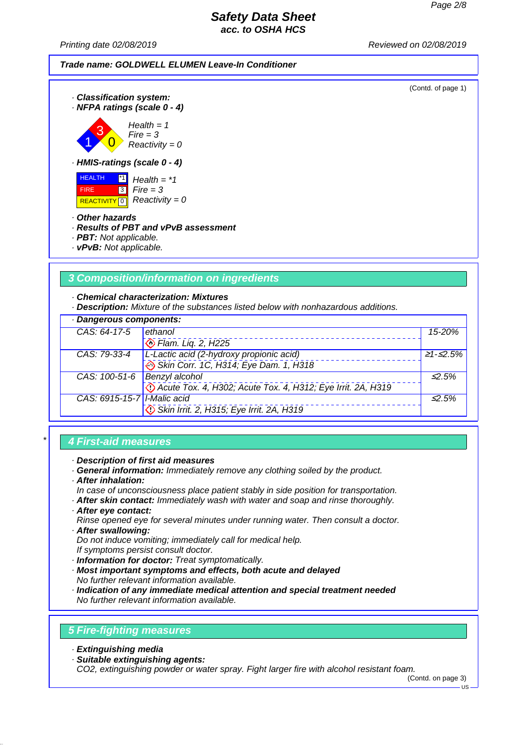*Printing date 02/08/2019 Reviewed on 02/08/2019*



## *\* 4 First-aid measures*

#### *· Description of first aid measures*

*· General information: Immediately remove any clothing soiled by the product.*

 *Skin Irrit. 2, H315; Eye Irrit. 2A, H319*

- *· After inhalation:*
- *In case of unconsciousness place patient stably in side position for transportation.*
- *· After skin contact: Immediately wash with water and soap and rinse thoroughly.*
- *· After eye contact:*
- *Rinse opened eye for several minutes under running water. Then consult a doctor.*
- *· After swallowing: Do not induce vomiting; immediately call for medical help.*
- *If symptoms persist consult doctor.*
- *· Information for doctor: Treat symptomatically.*
- *· Most important symptoms and effects, both acute and delayed No further relevant information available.*
- *· Indication of any immediate medical attention and special treatment needed No further relevant information available.*

### *5 Fire-fighting measures*

- *· Extinguishing media*
- *· Suitable extinguishing agents:*

*CO2, extinguishing powder or water spray. Fight larger fire with alcohol resistant foam.*

(Contd. on page 3)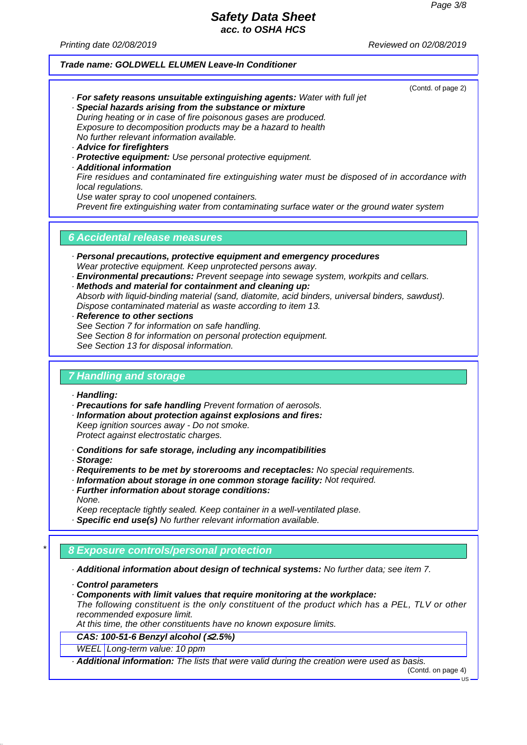(Contd. of page 2)

## *Safety Data Sheet acc. to OSHA HCS*

*Printing date 02/08/2019 Reviewed on 02/08/2019*

#### *Trade name: GOLDWELL ELUMEN Leave-In Conditioner*

*· For safety reasons unsuitable extinguishing agents: Water with full jet · Special hazards arising from the substance or mixture*

*During heating or in case of fire poisonous gases are produced. Exposure to decomposition products may be a hazard to health No further relevant information available.*

- *· Advice for firefighters*
- *· Protective equipment: Use personal protective equipment.*
- *· Additional information*

*Fire residues and contaminated fire extinguishing water must be disposed of in accordance with local regulations.*

*Use water spray to cool unopened containers.*

*Prevent fire extinguishing water from contaminating surface water or the ground water system*

### *6 Accidental release measures*

- *· Personal precautions, protective equipment and emergency procedures Wear protective equipment. Keep unprotected persons away.*
- *· Environmental precautions: Prevent seepage into sewage system, workpits and cellars.*
- *· Methods and material for containment and cleaning up: Absorb with liquid-binding material (sand, diatomite, acid binders, universal binders, sawdust). Dispose contaminated material as waste according to item 13.*
- *· Reference to other sections See Section 7 for information on safe handling. See Section 8 for information on personal protection equipment. See Section 13 for disposal information.*

#### *7 Handling and storage*

*· Handling:*

- *· Precautions for safe handling Prevent formation of aerosols.*
- *· Information about protection against explosions and fires:*

*Keep ignition sources away - Do not smoke. Protect against electrostatic charges.*

*· Conditions for safe storage, including any incompatibilities*

*· Storage:*

*· Requirements to be met by storerooms and receptacles: No special requirements.*

- *· Information about storage in one common storage facility: Not required.*
- *· Further information about storage conditions: None.*

*Keep receptacle tightly sealed. Keep container in a well-ventilated plase.*

*· Specific end use(s) No further relevant information available.*

### *\* 8 Exposure controls/personal protection*

*· Additional information about design of technical systems: No further data; see item 7.*

- *· Control parameters*
- *· Components with limit values that require monitoring at the workplace:*

*The following constituent is the only constituent of the product which has a PEL, TLV or other recommended exposure limit.*

*At this time, the other constituents have no known exposure limits.*

*CAS: 100-51-6 Benzyl alcohol (*≤*2.5%)*

#### *WEEL Long-term value: 10 ppm*

*· Additional information: The lists that were valid during the creation were used as basis.*

(Contd. on page 4)

US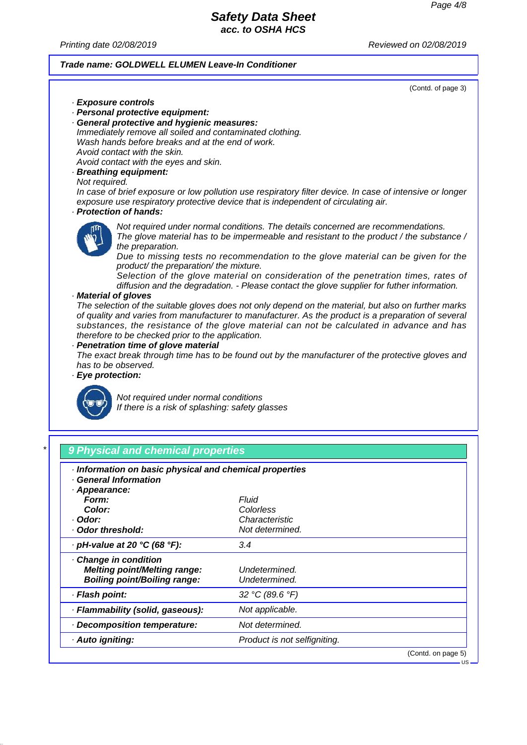*Printing date 02/08/2019 Reviewed on 02/08/2019*

#### *Trade name: GOLDWELL ELUMEN Leave-In Conditioner*

(Contd. of page 3)

US

*· Exposure controls · Personal protective equipment: · General protective and hygienic measures: Immediately remove all soiled and contaminated clothing. Wash hands before breaks and at the end of work. Avoid contact with the skin. Avoid contact with the eyes and skin. · Breathing equipment: Not required. In case of brief exposure or low pollution use respiratory filter device. In case of intensive or longer exposure use respiratory protective device that is independent of circulating air. · Protection of hands: Not required under normal conditions. The details concerned are recommendations. The glove material has to be impermeable and resistant to the product / the substance / the preparation. Due to missing tests no recommendation to the glove material can be given for the product/ the preparation/ the mixture. Selection of the glove material on consideration of the penetration times, rates of diffusion and the degradation. - Please contact the glove supplier for futher information. · Material of gloves The selection of the suitable gloves does not only depend on the material, but also on further marks of quality and varies from manufacturer to manufacturer. As the product is a preparation of several substances, the resistance of the glove material can not be calculated in advance and has therefore to be checked prior to the application. · Penetration time of glove material The exact break through time has to be found out by the manufacturer of the protective gloves and has to be observed. · Eye protection:*



*Not required under normal conditions If there is a risk of splashing: safety glasses*

|  |  |  |  | <b>SET 3 9 Physical and chemical properties</b> |  |  |
|--|--|--|--|-------------------------------------------------|--|--|
|--|--|--|--|-------------------------------------------------|--|--|

| Information on basic physical and chemical properties<br><b>General Information</b>                 |                                |                    |
|-----------------------------------------------------------------------------------------------------|--------------------------------|--------------------|
| · Appearance:                                                                                       |                                |                    |
| Form:                                                                                               | Fluid                          |                    |
| Color:                                                                                              | Colorless                      |                    |
| · Odor:                                                                                             | Characteristic                 |                    |
| · Odor threshold:                                                                                   | Not determined.                |                    |
| $\cdot$ pH-value at 20 °C (68 °F):                                                                  | 3.4                            |                    |
| · Change in condition<br><b>Melting point/Melting range:</b><br><b>Boiling point/Boiling range:</b> | Undetermined.<br>Undetermined. |                    |
| · Flash point:                                                                                      | 32 °C (89.6 °F)                |                    |
| · Flammability (solid, gaseous):                                                                    | Not applicable.                |                    |
| · Decomposition temperature:                                                                        | Not determined.                |                    |
| · Auto igniting:                                                                                    | Product is not selfigniting.   |                    |
|                                                                                                     |                                | (Contd. on page 5) |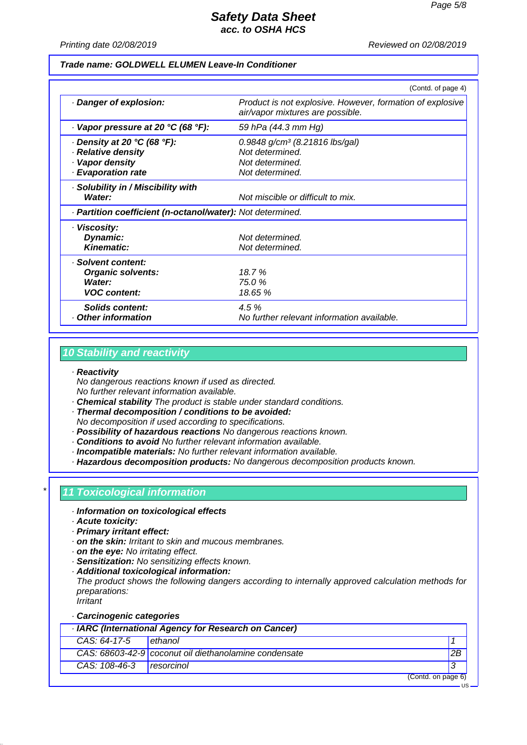US

# *Safety Data Sheet acc. to OSHA HCS*

*Printing date 02/08/2019 Reviewed on 02/08/2019*

#### *Trade name: GOLDWELL ELUMEN Leave-In Conditioner*

|                                                                                                  | (Contd. of page 4)                                                                                    |
|--------------------------------------------------------------------------------------------------|-------------------------------------------------------------------------------------------------------|
| Danger of explosion:                                                                             | Product is not explosive. However, formation of explosive<br>air/vapor mixtures are possible.         |
| $\cdot$ Vapor pressure at 20 °C (68 °F):                                                         | 59 hPa (44.3 mm Hg)                                                                                   |
| $\cdot$ Density at 20 °C (68 °F):<br>· Relative density<br>· Vapor density<br>· Evaporation rate | $0.9848$ g/cm <sup>3</sup> (8.21816 lbs/gal)<br>Not determined.<br>Not determined.<br>Not determined. |
| · Solubility in / Miscibility with<br>Water:                                                     | Not miscible or difficult to mix.                                                                     |
| · Partition coefficient (n-octanol/water): Not determined.                                       |                                                                                                       |
| · Viscosity:<br>Dynamic:<br><b>Kinematic:</b>                                                    | Not determined.<br>Not determined.                                                                    |
| · Solvent content:<br><b>Organic solvents:</b><br>Water:<br><b>VOC content:</b>                  | 18.7%<br>75.0%<br>18.65 %                                                                             |
| Solids content:<br>Other information                                                             | 4.5%<br>No further relevant information available.                                                    |

### *10 Stability and reactivity*

#### *· Reactivity*

*No dangerous reactions known if used as directed. No further relevant information available.*

- *· Chemical stability The product is stable under standard conditions.*
- *· Thermal decomposition / conditions to be avoided:*
- *No decomposition if used according to specifications.*
- *· Possibility of hazardous reactions No dangerous reactions known.*
- *· Conditions to avoid No further relevant information available.*
- *· Incompatible materials: No further relevant information available.*
- *· Hazardous decomposition products: No dangerous decomposition products known.*

### *\* 11 Toxicological information*

- *· Information on toxicological effects*
- *· Acute toxicity:*
- *· Primary irritant effect:*
- *· on the skin: Irritant to skin and mucous membranes.*
- *· on the eye: No irritating effect.*
- *· Sensitization: No sensitizing effects known.*
- *· Additional toxicological information:*

*The product shows the following dangers according to internally approved calculation methods for preparations:*

*Irritant*

### *· Carcinogenic categories*

|               | · IARC (International Agency for Research on Cancer)  |    |
|---------------|-------------------------------------------------------|----|
| CAS: 64-17-5  | Lethanol                                              |    |
|               | CAS: 68603-42-9 coconut oil diethanolamine condensate | 2B |
| CAS: 108-46-3 | <i>I resorcinol</i>                                   |    |
|               | (Contd. on page 6)                                    |    |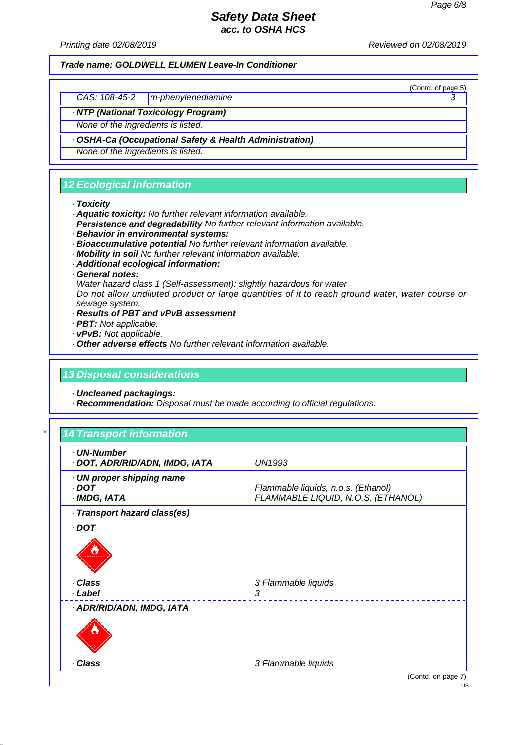(Contd. of page 5)

# *Safety Data Sheet acc. to OSHA HCS*

*Printing date 02/08/2019 Reviewed on 02/08/2019*

*Trade name: GOLDWELL ELUMEN Leave-In Conditioner*

*CAS: 108-45-2 m-phenylenediamine 3* 

*· NTP (National Toxicology Program)*

*None of the ingredients is listed.*

*· OSHA-Ca (Occupational Safety & Health Administration)*

*None of the ingredients is listed.*

# *12 Ecological information*

#### *· Toxicity*

- *· Aquatic toxicity: No further relevant information available.*
- *· Persistence and degradability No further relevant information available.*
- *· Behavior in environmental systems:*
- *· Bioaccumulative potential No further relevant information available.*
- *· Mobility in soil No further relevant information available.*
- *· Additional ecological information:*
- *· General notes:*

*Water hazard class 1 (Self-assessment): slightly hazardous for water*

*Do not allow undiluted product or large quantities of it to reach ground water, water course or sewage system.*

- *· Results of PBT and vPvB assessment*
- *· PBT: Not applicable.*
- *· vPvB: Not applicable.*
- *· Other adverse effects No further relevant information available.*

### *13 Disposal considerations*

*· Uncleaned packagings:*

*· Recommendation: Disposal must be made according to official regulations.*

| · UN-Number<br>· DOT, ADR/RID/ADN, IMDG, IATA | <b>UN1993</b>                                                             |
|-----------------------------------------------|---------------------------------------------------------------------------|
| · UN proper shipping name                     |                                                                           |
| . DOT<br>· IMDG, IATA                         | Flammable liquids, n.o.s. (Ethanol)<br>FLAMMABLE LIQUID, N.O.S. (ETHANOL) |
|                                               |                                                                           |
| · Transport hazard class(es)                  |                                                                           |
| $\cdot$ DOT                                   |                                                                           |
| · Class<br>· Label                            | 3 Flammable liquids<br>3                                                  |
| · ADR/RID/ADN, IMDG, IATA                     |                                                                           |
|                                               |                                                                           |
| · Class                                       | 3 Flammable liquids                                                       |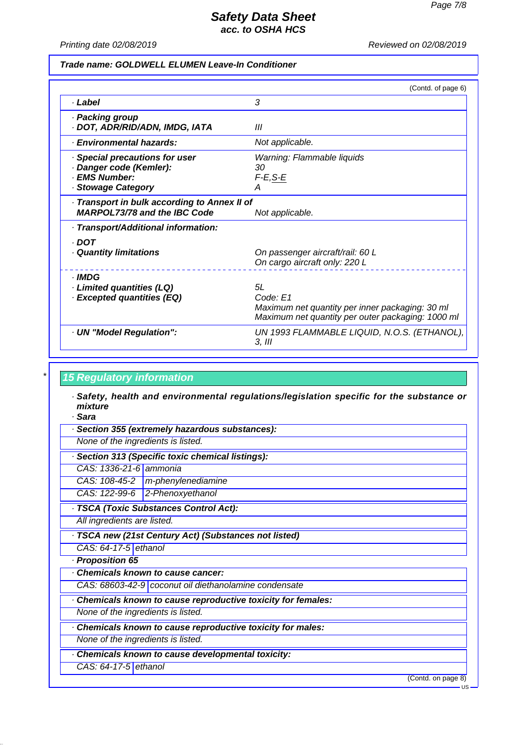*Printing date 02/08/2019 Reviewed on 02/08/2019*

#### *Trade name: GOLDWELL ELUMEN Leave-In Conditioner*

|                                                                                                  | (Contd. of page 6)                                                                                                     |
|--------------------------------------------------------------------------------------------------|------------------------------------------------------------------------------------------------------------------------|
| · Label                                                                                          | 3                                                                                                                      |
| · Packing group<br>· DOT, ADR/RID/ADN, IMDG, IATA                                                | Ш                                                                                                                      |
| · Environmental hazards:                                                                         | Not applicable.                                                                                                        |
| · Special precautions for user<br>· Danger code (Kemler):<br>· EMS Number:<br>· Stowage Category | Warning: Flammable liquids<br>30<br>$F-E, S-E$<br>А                                                                    |
| · Transport in bulk according to Annex II of<br><b>MARPOL73/78 and the IBC Code</b>              | Not applicable.                                                                                                        |
| · Transport/Additional information:                                                              |                                                                                                                        |
| · DOT<br>Quantity limitations                                                                    | On passenger aircraft/rail: 60 L<br>On cargo aircraft only: 220 L                                                      |
| · IMDG<br>· Limited quantities (LQ)<br>· Excepted quantities (EQ)                                | 5L<br>Code: E1<br>Maximum net quantity per inner packaging: 30 ml<br>Maximum net quantity per outer packaging: 1000 ml |
| · UN "Model Regulation":                                                                         | UN 1993 FLAMMABLE LIQUID, N.O.S. (ETHANOL),<br>3. III                                                                  |

### *\* 15 Regulatory information*

- *· Safety, health and environmental regulations/legislation specific for the substance or mixture*
- *· Sara*
- *· Section 355 (extremely hazardous substances):*
- *None of the ingredients is listed.*
- *· Section 313 (Specific toxic chemical listings):*
- *CAS: 1336-21-6 ammonia*
- *CAS: 108-45-2 m-phenylenediamine*
- *CAS: 122-99-6 2-Phenoxyethanol*
- *· TSCA (Toxic Substances Control Act):*

*All ingredients are listed.*

*· TSCA new (21st Century Act) (Substances not listed)*

*CAS: 64-17-5 ethanol*

- *· Proposition 65*
- *· Chemicals known to cause cancer:*
- *CAS: 68603-42-9 coconut oil diethanolamine condensate*
- *· Chemicals known to cause reproductive toxicity for females:*

*None of the ingredients is listed.*

*· Chemicals known to cause reproductive toxicity for males:*

*None of the ingredients is listed.*

- *· Chemicals known to cause developmental toxicity:*
- *CAS: 64-17-5 ethanol*

(Contd. on page 8)

 $H<sup>S</sup>$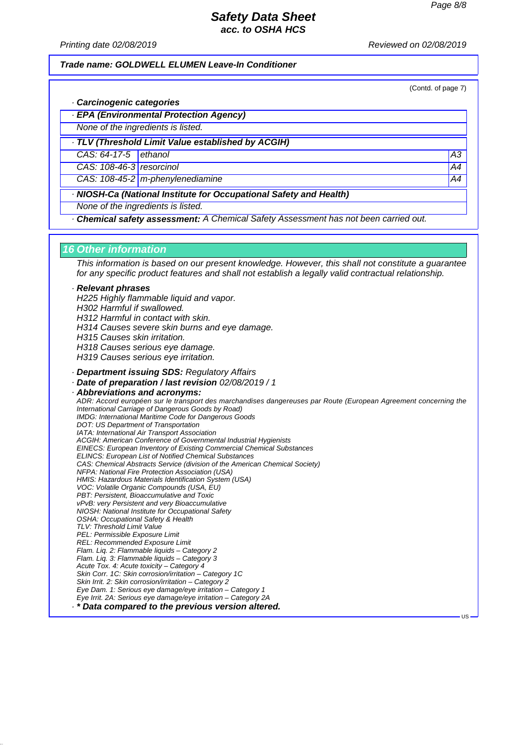*Printing date 02/08/2019 Reviewed on 02/08/2019*

*Trade name: GOLDWELL ELUMEN Leave-In Conditioner*

(Contd. of page 7)

US

- *· Carcinogenic categories*
- *· EPA (Environmental Protection Agency)*

*None of the ingredients is listed.*

*· TLV (Threshold Limit Value established by ACGIH)*

*CAS: 64-17-5 ethanol* **A3** 

*CAS: 108-46-3 resorcinol* A4

*CAS: 108-45-2 m-phenylenediamine* A4

*· NIOSH-Ca (National Institute for Occupational Safety and Health)*

*None of the ingredients is listed.*

*· Chemical safety assessment: A Chemical Safety Assessment has not been carried out.*

### *16 Other information*

*This information is based on our present knowledge. However, this shall not constitute a guarantee for any specific product features and shall not establish a legally valid contractual relationship.*

#### *· Relevant phrases*

*H225 Highly flammable liquid and vapor. H302 Harmful if swallowed. H312 Harmful in contact with skin. H314 Causes severe skin burns and eye damage. H315 Causes skin irritation. H318 Causes serious eye damage. H319 Causes serious eye irritation. · Department issuing SDS: Regulatory Affairs*

*· Date of preparation / last revision 02/08/2019 / 1*

*· Abbreviations and acronyms: ADR: Accord européen sur le transport des marchandises dangereuses par Route (European Agreement concerning the International Carriage of Dangerous Goods by Road) IMDG: International Maritime Code for Dangerous Goods DOT: US Department of Transportation IATA: International Air Transport Association ACGIH: American Conference of Governmental Industrial Hygienists EINECS: European Inventory of Existing Commercial Chemical Substances ELINCS: European List of Notified Chemical Substances CAS: Chemical Abstracts Service (division of the American Chemical Society) NFPA: National Fire Protection Association (USA) HMIS: Hazardous Materials Identification System (USA) VOC: Volatile Organic Compounds (USA, EU) PBT: Persistent, Bioaccumulative and Toxic vPvB: very Persistent and very Bioaccumulative NIOSH: National Institute for Occupational Safety OSHA: Occupational Safety & Health TLV: Threshold Limit Value PEL: Permissible Exposure Limit REL: Recommended Exposure Limit Flam. Liq. 2: Flammable liquids – Category 2 Flam. Liq. 3: Flammable liquids – Category 3 Acute Tox. 4: Acute toxicity – Category 4 Skin Corr. 1C: Skin corrosion/irritation – Category 1C Skin Irrit. 2: Skin corrosion/irritation – Category 2 Eye Dam. 1: Serious eye damage/eye irritation – Category 1 Eye Irrit. 2A: Serious eye damage/eye irritation – Category 2A*

*· \* Data compared to the previous version altered.*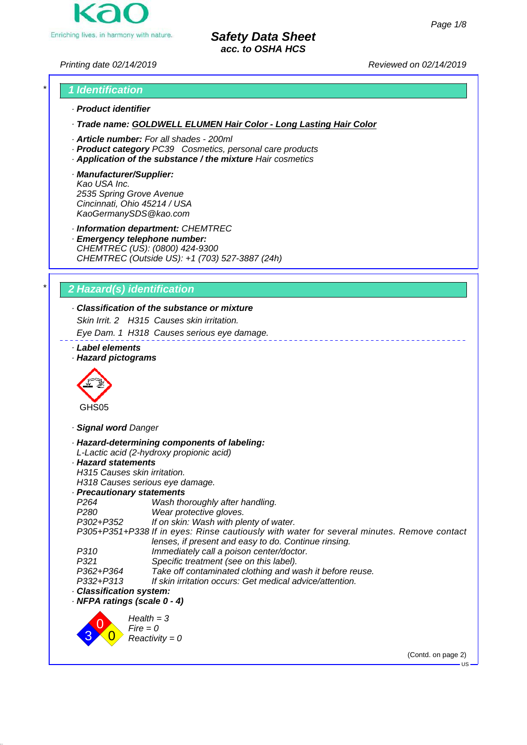

*Printing date 02/14/2019 Reviewed on 02/14/2019*

# *\* 1 Identification · Product identifier*

*· Trade name: GOLDWELL ELUMEN Hair Color - Long Lasting Hair Color*

- *· Article number: For all shades 200ml*
- *· Product category PC39 Cosmetics, personal care products*
- *· Application of the substance / the mixture Hair cosmetics*
- *· Manufacturer/Supplier: Kao USA Inc. 2535 Spring Grove Avenue Cincinnati, Ohio 45214 / USA KaoGermanySDS@kao.com*

*· Information department: CHEMTREC*

*· Emergency telephone number: CHEMTREC (US): (0800) 424-9300 CHEMTREC (Outside US): +1 (703) 527-3887 (24h)*

# *\* 2 Hazard(s) identification*

# *· Classification of the substance or mixture*

*Skin Irrit. 2 H315 Causes skin irritation.*

*Eye Dam. 1 H318 Causes serious eye damage.*

- *· Label elements*
- *· Hazard pictograms*



*· Signal word Danger*

|                              | · Hazard-determining components of labeling:                                                                                                       |                            |
|------------------------------|----------------------------------------------------------------------------------------------------------------------------------------------------|----------------------------|
|                              | L-Lactic acid (2-hydroxy propionic acid)                                                                                                           |                            |
| · Hazard statements          |                                                                                                                                                    |                            |
| H315 Causes skin irritation. |                                                                                                                                                    |                            |
|                              | H318 Causes serious eye damage.                                                                                                                    |                            |
| · Precautionary statements   |                                                                                                                                                    |                            |
| P264                         | Wash thoroughly after handling.                                                                                                                    |                            |
| P280                         | Wear protective gloves.                                                                                                                            |                            |
| P302+P352                    | If on skin: Wash with plenty of water.                                                                                                             |                            |
|                              | P305+P351+P338 If in eyes: Rinse cautiously with water for several minutes. Remove contact<br>lenses, if present and easy to do. Continue rinsing. |                            |
|                              |                                                                                                                                                    |                            |
| P310                         | Immediately call a poison center/doctor.                                                                                                           |                            |
| P321                         | Specific treatment (see on this label).                                                                                                            |                            |
| P362+P364                    | Take off contaminated clothing and wash it before reuse.                                                                                           |                            |
| P332+P313                    | If skin irritation occurs: Get medical advice/attention.                                                                                           |                            |
| · Classification system:     |                                                                                                                                                    |                            |
| · NFPA ratings (scale 0 - 4) |                                                                                                                                                    |                            |
|                              | $Health = 3$<br>$Fire = 0$                                                                                                                         |                            |
|                              | $Reactivity = 0$                                                                                                                                   |                            |
|                              |                                                                                                                                                    | (Contd. on page 2)<br>– US |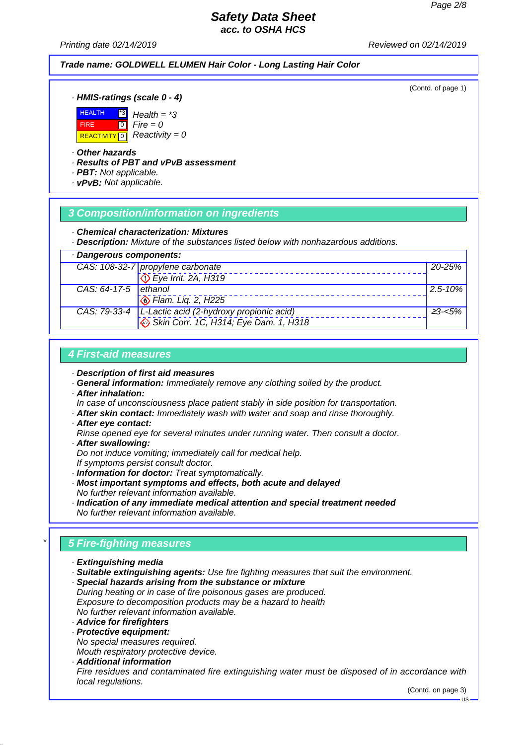*Printing date 02/14/2019 Reviewed on 02/14/2019*

### *Trade name: GOLDWELL ELUMEN Hair Color - Long Lasting Hair Color*

(Contd. of page 1)

*· HMIS-ratings (scale 0 - 4)*



*· Other hazards*

*· Results of PBT and vPvB assessment*

*Health = \*3*  $Fire = 0$ *Reactivity = 0*

*· PBT: Not applicable.*

*· vPvB: Not applicable.*

### *3 Composition/information on ingredients*

*· Chemical characterization: Mixtures*

*· Description: Mixture of the substances listed below with nonhazardous additions.*

| Dangerous components: |                                                         |              |
|-----------------------|---------------------------------------------------------|--------------|
|                       | CAS: 108-32-7 propylene carbonate                       | $20 - 25\%$  |
|                       | $\overline{\text{Q}}$ Eye Irrit. 2A, H319               |              |
| CAS: 64-17-5 ethanol  |                                                         | $2.5 - 10\%$ |
|                       | Ham. Liq. 2, H225                                       |              |
|                       | CAS: 79-33-4   L-Lactic acid (2-hydroxy propionic acid) | ≥3-<5%       |
|                       | $\leftrightarrow$ Skin Corr. 1C, H314; Eye Dam. 1, H318 |              |

### *4 First-aid measures*

- *· Description of first aid measures*
- *· General information: Immediately remove any clothing soiled by the product.*
- *· After inhalation:*
- *In case of unconsciousness place patient stably in side position for transportation.*
- *· After skin contact: Immediately wash with water and soap and rinse thoroughly.*
- *· After eye contact:*
- *Rinse opened eye for several minutes under running water. Then consult a doctor. · After swallowing:*

*Do not induce vomiting; immediately call for medical help. If symptoms persist consult doctor.*

- *· Information for doctor: Treat symptomatically.*
- *· Most important symptoms and effects, both acute and delayed No further relevant information available.*
- *· Indication of any immediate medical attention and special treatment needed No further relevant information available.*

# *\* 5 Fire-fighting measures*

- *· Extinguishing media*
- *· Suitable extinguishing agents: Use fire fighting measures that suit the environment.*
- *· Special hazards arising from the substance or mixture During heating or in case of fire poisonous gases are produced. Exposure to decomposition products may be a hazard to health No further relevant information available.*
- *· Advice for firefighters*
- *· Protective equipment:*

*No special measures required.*

- *Mouth respiratory protective device.*
- *· Additional information Fire residues and contaminated fire extinguishing water must be disposed of in accordance with local regulations.*

(Contd. on page 3)

 $-18$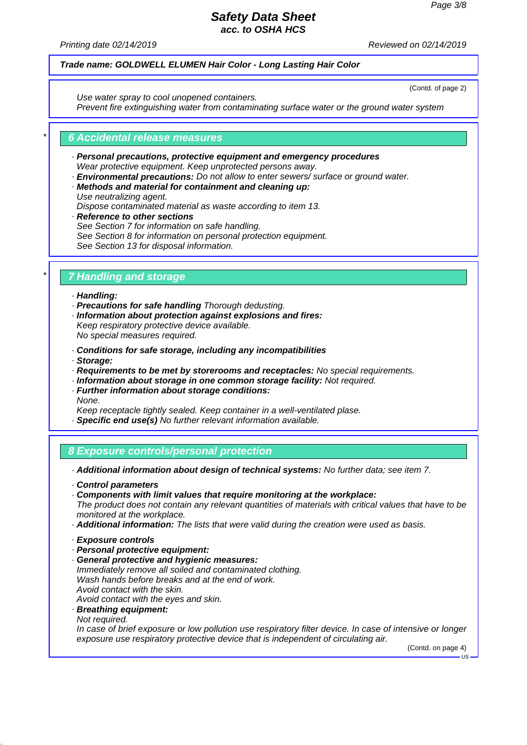*Printing date 02/14/2019 Reviewed on 02/14/2019*

### *Trade name: GOLDWELL ELUMEN Hair Color - Long Lasting Hair Color*

(Contd. of page 2)

*Use water spray to cool unopened containers. Prevent fire extinguishing water from contaminating surface water or the ground water system*

### *\* 6 Accidental release measures*

- *· Personal precautions, protective equipment and emergency procedures Wear protective equipment. Keep unprotected persons away.*
- *· Environmental precautions: Do not allow to enter sewers/ surface or ground water.*
- *· Methods and material for containment and cleaning up: Use neutralizing agent.*

*Dispose contaminated material as waste according to item 13.*

*· Reference to other sections See Section 7 for information on safe handling. See Section 8 for information on personal protection equipment. See Section 13 for disposal information.*

### *\* 7 Handling and storage*

- *· Handling:*
- *· Precautions for safe handling Thorough dedusting.*
- *· Information about protection against explosions and fires: Keep respiratory protective device available. No special measures required.*
- *· Conditions for safe storage, including any incompatibilities*
- *· Storage:*
- *· Requirements to be met by storerooms and receptacles: No special requirements.*
- *· Information about storage in one common storage facility: Not required.*
- *· Further information about storage conditions: None.*

*Keep receptacle tightly sealed. Keep container in a well-ventilated plase.*

*· Specific end use(s) No further relevant information available.*

### *8 Exposure controls/personal protection*

*· Additional information about design of technical systems: No further data; see item 7.*

*· Control parameters*

*· Components with limit values that require monitoring at the workplace: The product does not contain any relevant quantities of materials with critical values that have to be monitored at the workplace.*

*· Additional information: The lists that were valid during the creation were used as basis.*

- *· Exposure controls*
- *· Personal protective equipment:*
- *· General protective and hygienic measures: Immediately remove all soiled and contaminated clothing. Wash hands before breaks and at the end of work. Avoid contact with the skin. Avoid contact with the eyes and skin.*
- *· Breathing equipment:*
- *Not required.*

*In case of brief exposure or low pollution use respiratory filter device. In case of intensive or longer exposure use respiratory protective device that is independent of circulating air.*

(Contd. on page 4)  $H<sub>S</sub>$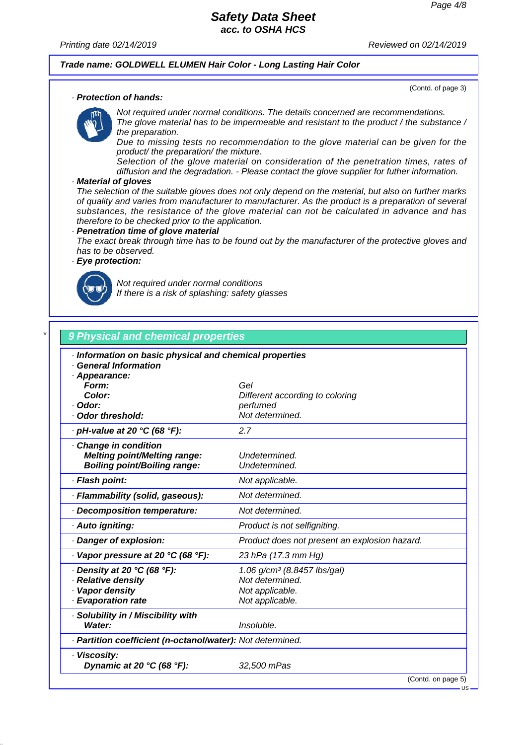*Printing date 02/14/2019 Reviewed on 02/14/2019*

### *Trade name: GOLDWELL ELUMEN Hair Color - Long Lasting Hair Color*

(Contd. of page 3)

#### *· Protection of hands:*

*Not required under normal conditions. The details concerned are recommendations. The glove material has to be impermeable and resistant to the product / the substance / the preparation.*

*Due to missing tests no recommendation to the glove material can be given for the product/ the preparation/ the mixture.*

*Selection of the glove material on consideration of the penetration times, rates of diffusion and the degradation. - Please contact the glove supplier for futher information.*

#### *· Material of gloves*

*The selection of the suitable gloves does not only depend on the material, but also on further marks of quality and varies from manufacturer to manufacturer. As the product is a preparation of several substances, the resistance of the glove material can not be calculated in advance and has therefore to be checked prior to the application.*

#### *· Penetration time of glove material*

*The exact break through time has to be found out by the manufacturer of the protective gloves and has to be observed.*

### *· Eye protection:*



*Not required under normal conditions If there is a risk of splashing: safety glasses*

# *\* 9 Physical and chemical properties*

| · Appearance:<br>Form:<br>Color:<br>· Odor:<br>Odor threshold:                                    | Gel<br>Different according to coloring<br>perfumed<br>Not determined.                            |
|---------------------------------------------------------------------------------------------------|--------------------------------------------------------------------------------------------------|
| · pH-value at 20 °C (68 °F):                                                                      | 2.7                                                                                              |
| Change in condition<br><b>Melting point/Melting range:</b><br><b>Boiling point/Boiling range:</b> | Undetermined.<br>Undetermined.                                                                   |
| · Flash point:                                                                                    | Not applicable.                                                                                  |
| · Flammability (solid, gaseous):                                                                  | Not determined.                                                                                  |
| Decomposition temperature:                                                                        | Not determined.                                                                                  |
| · Auto igniting:                                                                                  | Product is not selfigniting.                                                                     |
| Danger of explosion:                                                                              | Product does not present an explosion hazard.                                                    |
| $\cdot$ Vapor pressure at 20 °C (68 °F):                                                          | 23 hPa (17.3 mm Hg)                                                                              |
| $\cdot$ Density at 20 °C (68 °F):<br>· Relative density<br>· Vapor density<br>· Evaporation rate  | 1.06 g/cm <sup>3</sup> (8.8457 lbs/gal)<br>Not determined.<br>Not applicable.<br>Not applicable. |
| · Solubility in / Miscibility with<br>Water:                                                      | Insoluble.                                                                                       |
| · Partition coefficient (n-octanol/water): Not determined.                                        |                                                                                                  |
| · Viscosity:<br>Dynamic at 20 $°C$ (68 $°F$ ):                                                    | 32,500 mPas<br>(Contd. on page 5)                                                                |

US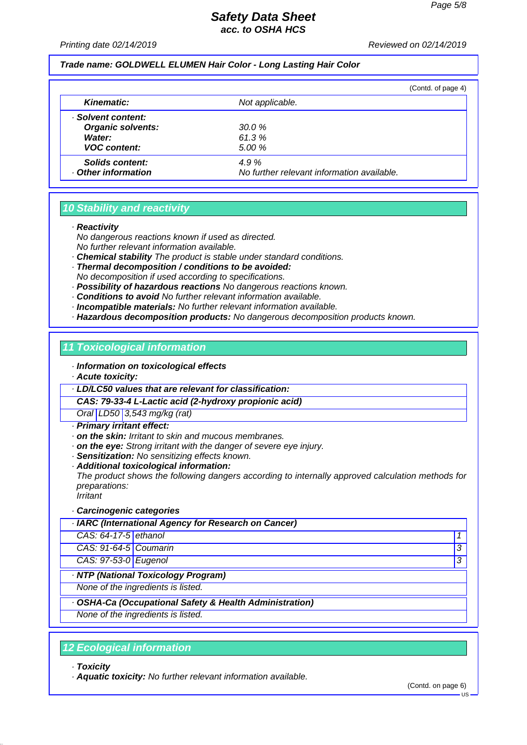#### *Printing date 02/14/2019 Reviewed on 02/14/2019*

#### *Trade name: GOLDWELL ELUMEN Hair Color - Long Lasting Hair Color*

|                                      |                                                    | (Contd. of page 4) |
|--------------------------------------|----------------------------------------------------|--------------------|
| Kinematic:                           | Not applicable.                                    |                    |
| · Solvent content:                   |                                                    |                    |
| <b>Organic solvents:</b>             | 30.0%                                              |                    |
| Water:                               | 61.3%                                              |                    |
| <b>VOC content:</b>                  | 5.00 %                                             |                    |
| Solids content:<br>Other information | 4.9%<br>No further relevant information available. |                    |

### *10 Stability and reactivity*

*· Reactivity*

*No dangerous reactions known if used as directed.*

- *No further relevant information available.*
- *· Chemical stability The product is stable under standard conditions.*
- *· Thermal decomposition / conditions to be avoided: No decomposition if used according to specifications.*
- *· Possibility of hazardous reactions No dangerous reactions known.*
- *· Conditions to avoid No further relevant information available.*
- *· Incompatible materials: No further relevant information available.*
- *· Hazardous decomposition products: No dangerous decomposition products known.*

### *11 Toxicological information*

- *· Information on toxicological effects*
- *· Acute toxicity:*

*· LD/LC50 values that are relevant for classification:*

*CAS: 79-33-4 L-Lactic acid (2-hydroxy propionic acid)*

*Oral LD50 3,543 mg/kg (rat)*

- *· Primary irritant effect:*
- *· on the skin: Irritant to skin and mucous membranes.*
- *· on the eye: Strong irritant with the danger of severe eye injury.*
- *· Sensitization: No sensitizing effects known.*
- *· Additional toxicological information:*

*The product shows the following dangers according to internally approved calculation methods for preparations:*

*Irritant*

#### *· Carcinogenic categories*

|                       | · IARC (International Agency for Research on Cancer) |   |
|-----------------------|------------------------------------------------------|---|
| CAS: 64-17-5 ethanol  |                                                      |   |
| CAS: 91-64-5 Coumarin |                                                      |   |
| CAS: 97-53-0 Eugenol  |                                                      | 3 |
|                       | · NTP (National Toxicology Program)                  |   |
|                       | None of the ingredients is listed.                   |   |

*· OSHA-Ca (Occupational Safety & Health Administration)*

*None of the ingredients is listed.*

### *12 Ecological information*

*· Toxicity*

*· Aquatic toxicity: No further relevant information available.*

(Contd. on page 6)

US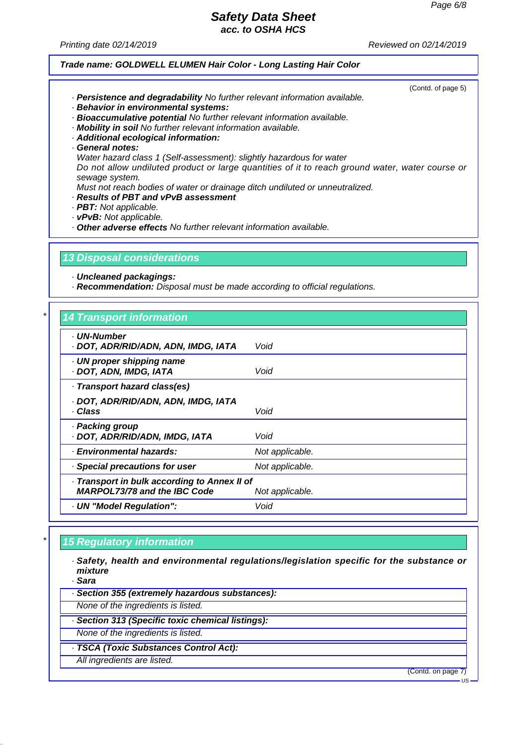(Contd. of page 5)

# *Safety Data Sheet*

*acc. to OSHA HCS*

*Printing date 02/14/2019 Reviewed on 02/14/2019*

### *Trade name: GOLDWELL ELUMEN Hair Color - Long Lasting Hair Color*

*· Persistence and degradability No further relevant information available.*

- *· Behavior in environmental systems:*
- *· Bioaccumulative potential No further relevant information available.*
- *· Mobility in soil No further relevant information available.*
- *· Additional ecological information:*

*· General notes:*

*Water hazard class 1 (Self-assessment): slightly hazardous for water*

*Do not allow undiluted product or large quantities of it to reach ground water, water course or sewage system.*

*Must not reach bodies of water or drainage ditch undiluted or unneutralized.*

- *· Results of PBT and vPvB assessment*
- *· PBT: Not applicable.*
- *· vPvB: Not applicable.*

*· Other adverse effects No further relevant information available.*

### *13 Disposal considerations*

*· Uncleaned packagings:*

*· Recommendation: Disposal must be made according to official regulations.*

| · UN-Number<br>· DOT, ADR/RID/ADN, ADN, IMDG, IATA                                  | Void            |
|-------------------------------------------------------------------------------------|-----------------|
| · UN proper shipping name<br>· DOT, ADN, IMDG, IATA                                 | Void            |
| · Transport hazard class(es)                                                        |                 |
| · DOT, ADR/RID/ADN, ADN, IMDG, IATA<br>· Class                                      | Void            |
| · Packing group<br>· DOT, ADR/RID/ADN, IMDG, IATA                                   | Void            |
| <b>Environmental hazards:</b>                                                       | Not applicable. |
| Special precautions for user                                                        | Not applicable. |
| · Transport in bulk according to Annex II of<br><b>MARPOL73/78 and the IBC Code</b> | Not applicable. |
| · UN "Model Regulation":                                                            | Void            |

### *\* 15 Regulatory information*

*· Safety, health and environmental regulations/legislation specific for the substance or mixture*

*· Sara*

*· Section 355 (extremely hazardous substances):*

*None of the ingredients is listed.*

- *· Section 313 (Specific toxic chemical listings):*
- *None of the ingredients is listed.*
- *· TSCA (Toxic Substances Control Act):*
	- *All ingredients are listed.*

(Contd. on page 7)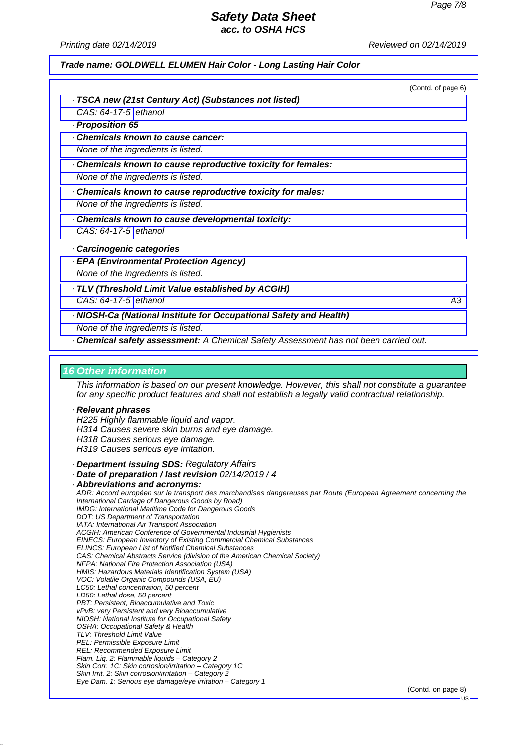*Printing date 02/14/2019 Reviewed on 02/14/2019*

# *Trade name: GOLDWELL ELUMEN Hair Color - Long Lasting Hair Color*

| LITIU II VUIVI                                                                                                                                                                                                                                                                                                                                                |
|---------------------------------------------------------------------------------------------------------------------------------------------------------------------------------------------------------------------------------------------------------------------------------------------------------------------------------------------------------------|
| (Contd. of page 6)                                                                                                                                                                                                                                                                                                                                            |
| · TSCA new (21st Century Act) (Substances not listed)                                                                                                                                                                                                                                                                                                         |
| CAS: 64-17-5 ethanol                                                                                                                                                                                                                                                                                                                                          |
| · Proposition 65                                                                                                                                                                                                                                                                                                                                              |
| Chemicals known to cause cancer:                                                                                                                                                                                                                                                                                                                              |
| None of the ingredients is listed.                                                                                                                                                                                                                                                                                                                            |
| Chemicals known to cause reproductive toxicity for females:                                                                                                                                                                                                                                                                                                   |
| None of the ingredients is listed.                                                                                                                                                                                                                                                                                                                            |
| Chemicals known to cause reproductive toxicity for males:                                                                                                                                                                                                                                                                                                     |
| None of the ingredients is listed.                                                                                                                                                                                                                                                                                                                            |
| Chemicals known to cause developmental toxicity:                                                                                                                                                                                                                                                                                                              |
| CAS: 64-17-5 ethanol                                                                                                                                                                                                                                                                                                                                          |
| Carcinogenic categories                                                                                                                                                                                                                                                                                                                                       |
| · EPA (Environmental Protection Agency)                                                                                                                                                                                                                                                                                                                       |
| None of the ingredients is listed.                                                                                                                                                                                                                                                                                                                            |
| · TLV (Threshold Limit Value established by ACGIH)                                                                                                                                                                                                                                                                                                            |
| CAS: 64-17-5 ethanol<br>А3                                                                                                                                                                                                                                                                                                                                    |
| · NIOSH-Ca (National Institute for Occupational Safety and Health)                                                                                                                                                                                                                                                                                            |
| None of the ingredients is listed.                                                                                                                                                                                                                                                                                                                            |
| · Chemical safety assessment: A Chemical Safety Assessment has not been carried out.                                                                                                                                                                                                                                                                          |
|                                                                                                                                                                                                                                                                                                                                                               |
| <b>16 Other information</b>                                                                                                                                                                                                                                                                                                                                   |
| This information is based on our present knowledge. However, this shall not constitute a guarantee<br>for any specific product features and shall not establish a legally valid contractual relationship.                                                                                                                                                     |
| · Relevant phrases<br>H225 Highly flammable liquid and vapor.<br>H314 Causes severe skin burns and eye damage.<br>H318 Causes serious eye damage.<br>H319 Causes serious eye irritation.<br>· Department issuing SDS: Regulatory Affairs                                                                                                                      |
| Date of preparation / last revision 02/14/2019 / 4<br>· Abbreviations and acronyms:<br>ADR: Accord européen sur le transport des marchandises dangereuses par Route (European Agreement concerning the<br>International Carriage of Dangerous Goods by Road)<br>IMDG: International Maritime Code for Dangerous Goods<br>DOT: US Department of Transportation |

*IATA: International Air Transport Association ACGIH: American Conference of Governmental Industrial Hygienists EINECS: European Inventory of Existing Commercial Chemical Substances ELINCS: European List of Notified Chemical Substances CAS: Chemical Abstracts Service (division of the American Chemical Society) NFPA: National Fire Protection Association (USA) HMIS: Hazardous Materials Identification System (USA) VOC: Volatile Organic Compounds (USA, EU) LC50: Lethal concentration, 50 percent LD50: Lethal dose, 50 percent PBT: Persistent, Bioaccumulative and Toxic vPvB: very Persistent and very Bioaccumulative NIOSH: National Institute for Occupational Safety OSHA: Occupational Safety & Health TLV: Threshold Limit Value PEL: Permissible Exposure Limit REL: Recommended Exposure Limit Flam. Liq. 2: Flammable liquids – Category 2 Skin Corr. 1C: Skin corrosion/irritation – Category 1C Skin Irrit. 2: Skin corrosion/irritation – Category 2 Eye Dam. 1: Serious eye damage/eye irritation – Category 1*

(Contd. on page 8)

**US**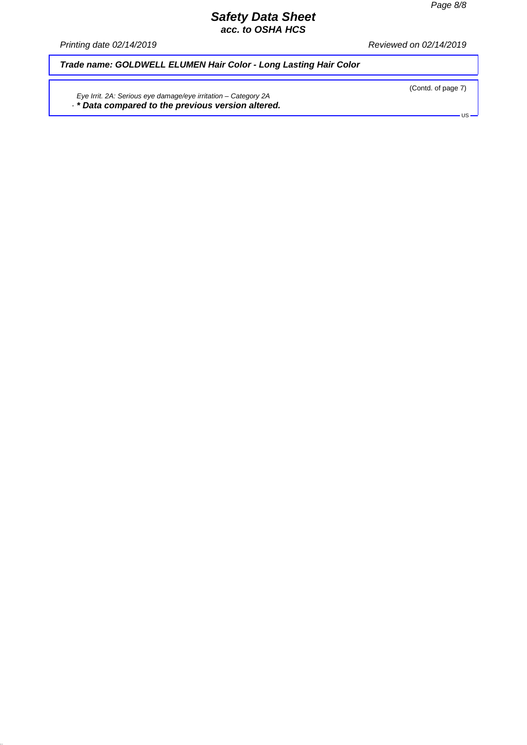*Printing date 02/14/2019 Reviewed on 02/14/2019*

*Trade name: GOLDWELL ELUMEN Hair Color - Long Lasting Hair Color*

*Eye Irrit. 2A: Serious eye damage/eye irritation – Category 2A · \* Data compared to the previous version altered.*  (Contd. of page 7)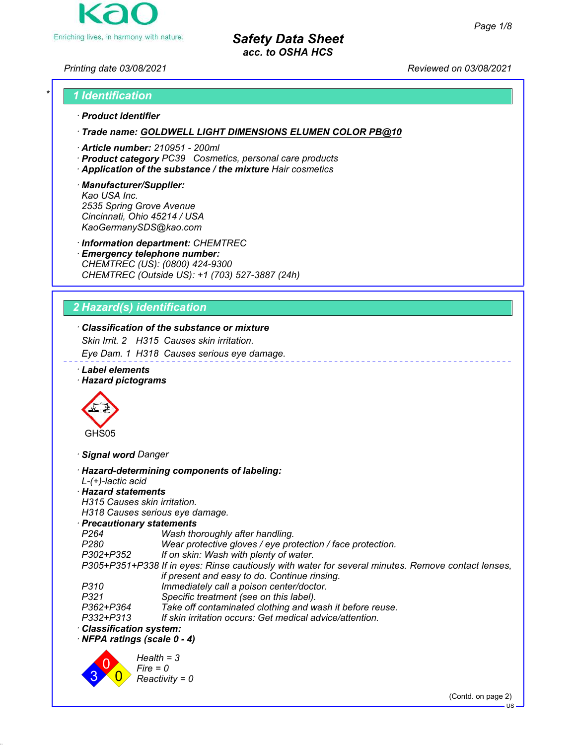

*Printing date 03/08/2021 Reviewed on 03/08/2021*

# *\* 1 Identification*

### *ꞏ Product identifier*

*ꞏ Trade name: GOLDWELL LIGHT DIMENSIONS ELUMEN COLOR PB@10*

- *ꞏ Article number: 210951 200ml*
- *ꞏ Product category PC39 Cosmetics, personal care products*
- *ꞏ Application of the substance / the mixture Hair cosmetics*

#### *ꞏ Manufacturer/Supplier: Kao USA Inc. 2535 Spring Grove Avenue Cincinnati, Ohio 45214 / USA KaoGermanySDS@kao.com*

*ꞏ Information department: CHEMTREC*

*ꞏ Emergency telephone number: CHEMTREC (US): (0800) 424-9300 CHEMTREC (Outside US): +1 (703) 527-3887 (24h)*

# *2 Hazard(s) identification*

# *ꞏ Classification of the substance or mixture*

*Skin Irrit. 2 H315 Causes skin irritation.*

*Eye Dam. 1 H318 Causes serious eye damage.*

*ꞏ Label elements*

### *ꞏ Hazard pictograms*



*ꞏ Signal word Danger*

| · Hazard-determining components of labeling:                                                       | $L-(+)$ -lactic acid |
|----------------------------------------------------------------------------------------------------|----------------------|
| · Hazard statements                                                                                |                      |
| H315 Causes skin irritation.                                                                       |                      |
| H318 Causes serious eye damage.                                                                    |                      |
| $\cdot$ Precautionary statements                                                                   |                      |
| Wash thoroughly after handling.                                                                    | P264                 |
| Wear protective gloves / eye protection / face protection.                                         | P280                 |
| If on skin: Wash with plenty of water.<br>P302+P352                                                |                      |
| P305+P351+P338 If in eyes: Rinse cautiously with water for several minutes. Remove contact lenses, |                      |
| if present and easy to do. Continue rinsing.                                                       |                      |
| Immediately call a poison center/doctor.                                                           | P310                 |
| Specific treatment (see on this label).                                                            | P321                 |
| Take off contaminated clothing and wash it before reuse.                                           | P362+P364            |
| If skin irritation occurs: Get medical advice/attention.                                           | P332+P313            |
| · Classification system:                                                                           |                      |
| $\cdot$ NFPA ratings (scale 0 - 4)                                                                 |                      |
| $Health = 3$<br>$Fire = 0$<br>$Reactivity = 0$                                                     |                      |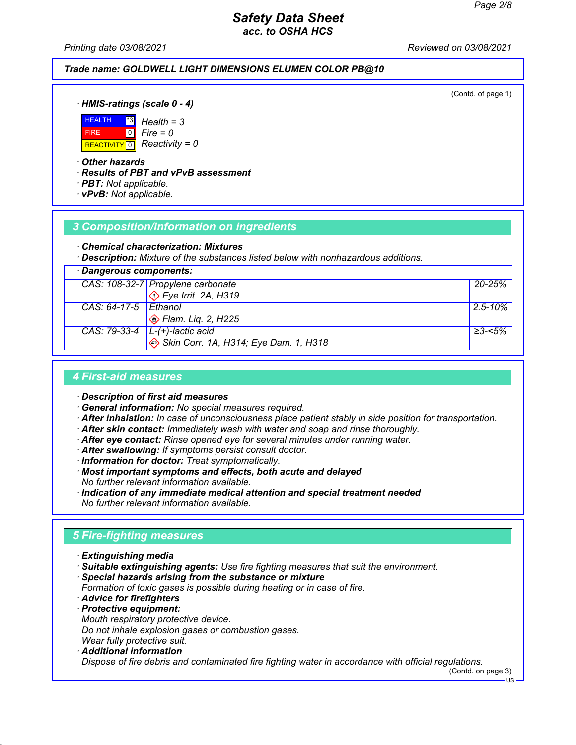*Printing date 03/08/2021 Reviewed on 03/08/2021*

### *Trade name: GOLDWELL LIGHT DIMENSIONS ELUMEN COLOR PB@10*

(Contd. of page 1)

*ꞏ HMIS-ratings (scale 0 - 4)*



*Fire = 0*

*ꞏ Other hazards*

*ꞏ Results of PBT and vPvB assessment*

- *ꞏ PBT: Not applicable.*
- *ꞏ vPvB: Not applicable.*

### *3 Composition/information on ingredients*

#### *ꞏ Chemical characterization: Mixtures*

*ꞏ Description: Mixture of the substances listed below with nonhazardous additions.*

| · Dangerous components: |                                                         |              |
|-------------------------|---------------------------------------------------------|--------------|
|                         | CAS: 108-32-7 Propylene carbonate                       | 20-25%       |
|                         | $\overline{\text{O}}$ Eye Irrit. 2A, H319               |              |
| CAS: 64-17-5 Ethanol    |                                                         | $2.5 - 10\%$ |
|                         | $\otimes$ Flam. Lig. 2, H225                            |              |
|                         | CAS: $79-33-4$ $L-(+)$ -lactic acid                     | ≥3-<5%       |
|                         | $\leftrightarrow$ Skin Corr. 1A, H314; Eye Dam. 1, H318 |              |

### *4 First-aid measures*

*ꞏ Description of first aid measures*

- *ꞏ General information: No special measures required.*
- *ꞏ After inhalation: In case of unconsciousness place patient stably in side position for transportation.*
- *ꞏ After skin contact: Immediately wash with water and soap and rinse thoroughly.*
- *ꞏ After eye contact: Rinse opened eye for several minutes under running water.*
- *ꞏ After swallowing: If symptoms persist consult doctor.*
- *ꞏ Information for doctor: Treat symptomatically.*
- *ꞏ Most important symptoms and effects, both acute and delayed No further relevant information available.*
- *ꞏ Indication of any immediate medical attention and special treatment needed No further relevant information available.*

# *5 Fire-fighting measures*

- *ꞏ Extinguishing media*
- *ꞏ Suitable extinguishing agents: Use fire fighting measures that suit the environment.*
- *ꞏ Special hazards arising from the substance or mixture*
- *Formation of toxic gases is possible during heating or in case of fire.*
- *ꞏ Advice for firefighters*
- *ꞏ Protective equipment: Mouth respiratory protective device.*
- *Do not inhale explosion gases or combustion gases.*
- *Wear fully protective suit. ꞏ Additional information*
- *Dispose of fire debris and contaminated fire fighting water in accordance with official regulations.*

(Contd. on page 3)

US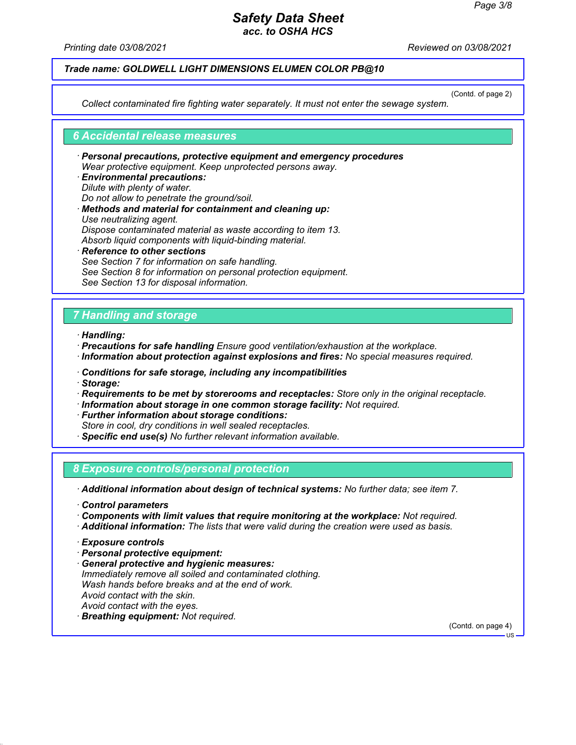*Printing date 03/08/2021 Reviewed on 03/08/2021*

### *Trade name: GOLDWELL LIGHT DIMENSIONS ELUMEN COLOR PB@10*

(Contd. of page 2)

*Collect contaminated fire fighting water separately. It must not enter the sewage system.*

#### *6 Accidental release measures*

- *ꞏ Personal precautions, protective equipment and emergency procedures Wear protective equipment. Keep unprotected persons away.*
- *ꞏ Environmental precautions: Dilute with plenty of water. Do not allow to penetrate the ground/soil. ꞏ Methods and material for containment and cleaning up: Use neutralizing agent. Dispose contaminated material as waste according to item 13. Absorb liquid components with liquid-binding material. ꞏ Reference to other sections*
- *See Section 7 for information on safe handling. See Section 8 for information on personal protection equipment. See Section 13 for disposal information.*

### *7 Handling and storage*

- *ꞏ Handling:*
- *ꞏ Precautions for safe handling Ensure good ventilation/exhaustion at the workplace. ꞏ Information about protection against explosions and fires: No special measures required.*
- *ꞏ Conditions for safe storage, including any incompatibilities*
- *ꞏ Storage:*
- *ꞏ Requirements to be met by storerooms and receptacles: Store only in the original receptacle.*
- *ꞏ Information about storage in one common storage facility: Not required.*
- *ꞏ Further information about storage conditions:*
- *Store in cool, dry conditions in well sealed receptacles.*
- *ꞏ Specific end use(s) No further relevant information available.*

### *8 Exposure controls/personal protection*

*ꞏ Additional information about design of technical systems: No further data; see item 7.*

- *ꞏ Control parameters*
- *ꞏ Components with limit values that require monitoring at the workplace: Not required.*
- *ꞏ Additional information: The lists that were valid during the creation were used as basis.*

- *ꞏ Personal protective equipment:*
- *ꞏ General protective and hygienic measures: Immediately remove all soiled and contaminated clothing. Wash hands before breaks and at the end of work. Avoid contact with the skin. Avoid contact with the eyes. ꞏ Breathing equipment: Not required.*

(Contd. on page 4)

*ꞏ Exposure controls*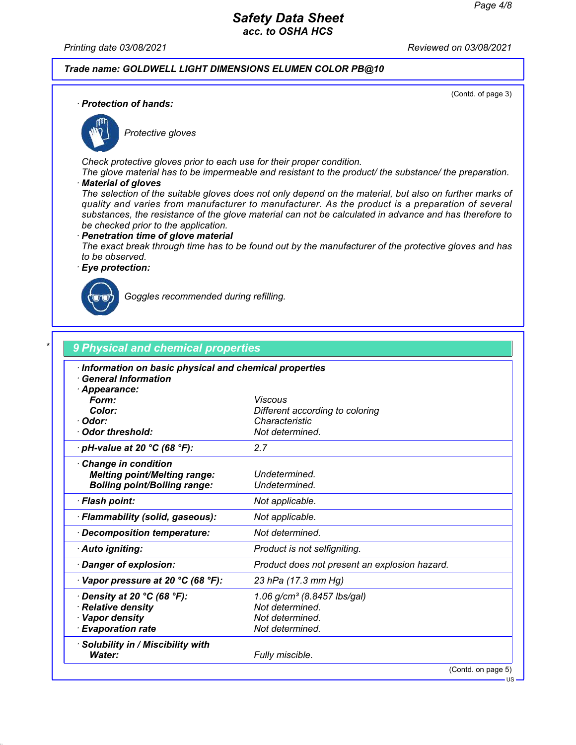*Printing date 03/08/2021 Reviewed on 03/08/2021*

*Trade name: GOLDWELL LIGHT DIMENSIONS ELUMEN COLOR PB@10*

(Contd. of page 3)

*ꞏ Protection of hands:*



*Protective gloves*

*Check protective gloves prior to each use for their proper condition.*

*The glove material has to be impermeable and resistant to the product/ the substance/ the preparation. ꞏ Material of gloves*

*The selection of the suitable gloves does not only depend on the material, but also on further marks of quality and varies from manufacturer to manufacturer. As the product is a preparation of several substances, the resistance of the glove material can not be calculated in advance and has therefore to be checked prior to the application.*

#### *ꞏ Penetration time of glove material*

*The exact break through time has to be found out by the manufacturer of the protective gloves and has to be observed.*

*ꞏ Eye protection:*



*Goggles recommended during refilling.*

| <b>Viscous</b><br>Different according to coloring<br>Characteristic<br>Not determined.<br>2.7<br>Undetermined.<br>Undetermined.<br>Not applicable. |
|----------------------------------------------------------------------------------------------------------------------------------------------------|
|                                                                                                                                                    |
|                                                                                                                                                    |
|                                                                                                                                                    |
|                                                                                                                                                    |
|                                                                                                                                                    |
|                                                                                                                                                    |
|                                                                                                                                                    |
|                                                                                                                                                    |
|                                                                                                                                                    |
|                                                                                                                                                    |
| Not applicable.                                                                                                                                    |
| Not determined.                                                                                                                                    |
| Product is not selfigniting.                                                                                                                       |
| Product does not present an explosion hazard.                                                                                                      |
| 23 hPa (17.3 mm Hg)                                                                                                                                |
| 1.06 g/cm <sup>3</sup> (8.8457 lbs/gal)                                                                                                            |
| Not determined.                                                                                                                                    |
| Not determined.                                                                                                                                    |
| Not determined.                                                                                                                                    |
|                                                                                                                                                    |
| Fully miscible.                                                                                                                                    |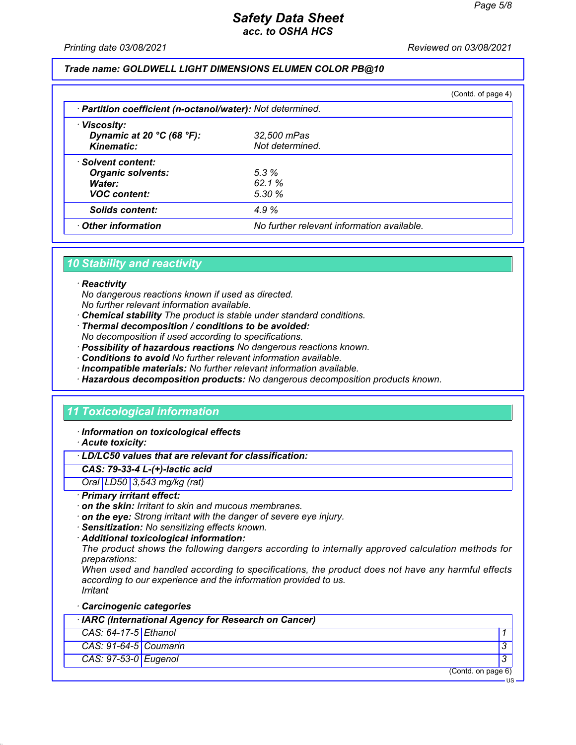US

# *Safety Data Sheet acc. to OSHA HCS*

*Printing date 03/08/2021 Reviewed on 03/08/2021*

### *Trade name: GOLDWELL LIGHT DIMENSIONS ELUMEN COLOR PB@10*

|                                                            |                                            | (Contd. of page 4) |
|------------------------------------------------------------|--------------------------------------------|--------------------|
| · Partition coefficient (n-octanol/water): Not determined. |                                            |                    |
| · Viscosity:                                               |                                            |                    |
| Dynamic at 20 $^{\circ}$ C (68 $^{\circ}$ F):              | 32,500 mPas                                |                    |
| Kinematic:                                                 | Not determined.                            |                    |
| · Solvent content:                                         |                                            |                    |
| <b>Organic solvents:</b>                                   | 5.3%                                       |                    |
| Water:                                                     | 62.1%                                      |                    |
| <b>VOC content:</b>                                        | 5.30%                                      |                    |
| <b>Solids content:</b>                                     | 4.9%                                       |                    |
| Other information                                          | No further relevant information available. |                    |

## *10 Stability and reactivity*

#### *ꞏ Reactivity*

*No dangerous reactions known if used as directed.*

- *No further relevant information available.*
- *ꞏ Chemical stability The product is stable under standard conditions.*
- *ꞏ Thermal decomposition / conditions to be avoided:*
- *No decomposition if used according to specifications.*
- *ꞏ Possibility of hazardous reactions No dangerous reactions known.*
- *ꞏ Conditions to avoid No further relevant information available.*
- *ꞏ Incompatible materials: No further relevant information available.*
- *ꞏ Hazardous decomposition products: No dangerous decomposition products known.*

### *11 Toxicological information*

*ꞏ Information on toxicological effects*

*ꞏ Acute toxicity:*

### *ꞏ LD/LC50 values that are relevant for classification:*

#### *CAS: 79-33-4 L-(+)-lactic acid*

*Oral LD50 3,543 mg/kg (rat)*

#### *ꞏ Primary irritant effect:*

- *ꞏ on the skin: Irritant to skin and mucous membranes.*
- *ꞏ on the eye: Strong irritant with the danger of severe eye injury.*
- *ꞏ Sensitization: No sensitizing effects known.*
- *ꞏ Additional toxicological information:*

*The product shows the following dangers according to internally approved calculation methods for preparations:*

*When used and handled according to specifications, the product does not have any harmful effects according to our experience and the information provided to us. Irritant*

*ꞏ Carcinogenic categories*

| · IARC (International Agency for Research on Cancer) |  |                    |  |
|------------------------------------------------------|--|--------------------|--|
| $CAS: 64-17-5$ Ethanol                               |  |                    |  |
| $CAS: 91-64-5$ Coumarin                              |  |                    |  |
| CAS: 97-53-0 Eugenol                                 |  |                    |  |
|                                                      |  | (Contd. on page 6) |  |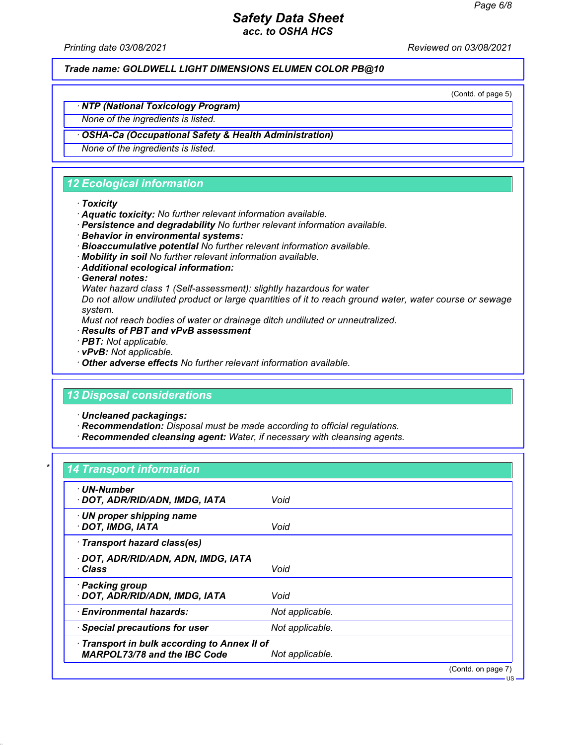*Printing date 03/08/2021 Reviewed on 03/08/2021*

*Trade name: GOLDWELL LIGHT DIMENSIONS ELUMEN COLOR PB@10*

(Contd. of page 5)

US

# *ꞏ NTP (National Toxicology Program)*

*None of the ingredients is listed.*

### *ꞏ OSHA-Ca (Occupational Safety & Health Administration)*

*None of the ingredients is listed.*

# *12 Ecological information*

#### *ꞏ Toxicity*

- *ꞏ Aquatic toxicity: No further relevant information available.*
- *ꞏ Persistence and degradability No further relevant information available.*
- *ꞏ Behavior in environmental systems:*
- *ꞏ Bioaccumulative potential No further relevant information available.*
- *ꞏ Mobility in soil No further relevant information available.*
- *ꞏ Additional ecological information:*
- *ꞏ General notes:*

*Water hazard class 1 (Self-assessment): slightly hazardous for water*

*Do not allow undiluted product or large quantities of it to reach ground water, water course or sewage system.*

*Must not reach bodies of water or drainage ditch undiluted or unneutralized.*

- *ꞏ Results of PBT and vPvB assessment*
- *ꞏ PBT: Not applicable.*
- *ꞏ vPvB: Not applicable.*
- *ꞏ Other adverse effects No further relevant information available.*

### *13 Disposal considerations*

*ꞏ Uncleaned packagings:*

- *ꞏ Recommendation: Disposal must be made according to official regulations.*
- *ꞏ Recommended cleansing agent: Water, if necessary with cleansing agents.*

### *\* 14 Transport information*

| · UN-Number<br>· DOT, ADR/RID/ADN, IMDG, IATA                                       | Void            |                    |
|-------------------------------------------------------------------------------------|-----------------|--------------------|
| $\cdot$ UN proper shipping name<br>DOT, IMDG, IATA                                  | Void            |                    |
| · Transport hazard class(es)                                                        |                 |                    |
| · DOT, ADR/RID/ADN, ADN, IMDG, IATA<br>∙ Class                                      | Void            |                    |
| · Packing group<br>· DOT, ADR/RID/ADN, IMDG, IATA                                   | Void            |                    |
| $\cdot$ Environmental hazards:                                                      | Not applicable. |                    |
| · Special precautions for user                                                      | Not applicable. |                    |
| · Transport in bulk according to Annex II of<br><b>MARPOL73/78 and the IBC Code</b> | Not applicable. |                    |
|                                                                                     |                 | (Contd. on page 7) |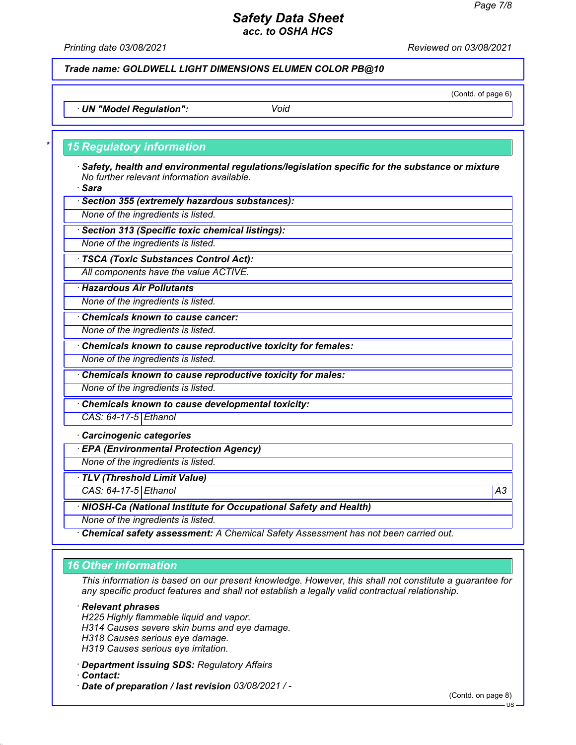*Printing date 03/08/2021 Reviewed on 03/08/2021*

*Trade name: GOLDWELL LIGHT DIMENSIONS ELUMEN COLOR PB@10*

(Contd. of page 6)

*ꞏ UN "Model Regulation": Void*

### *\* 15 Regulatory information*

*ꞏ Safety, health and environmental regulations/legislation specific for the substance or mixture No further relevant information available.*

*ꞏ Sara*

*ꞏ Section 355 (extremely hazardous substances):*

*None of the ingredients is listed.*

*ꞏ Section 313 (Specific toxic chemical listings):*

*None of the ingredients is listed.*

*ꞏ TSCA (Toxic Substances Control Act):*

*All components have the value ACTIVE.*

*ꞏ Hazardous Air Pollutants*

*None of the ingredients is listed.*

*ꞏ Chemicals known to cause cancer:*

*None of the ingredients is listed.*

*ꞏ Chemicals known to cause reproductive toxicity for females:*

*None of the ingredients is listed.*

*ꞏ Chemicals known to cause reproductive toxicity for males:*

*None of the ingredients is listed.*

*ꞏ Chemicals known to cause developmental toxicity:*

*CAS: 64-17-5 Ethanol*

*ꞏ Carcinogenic categories*

*ꞏ EPA (Environmental Protection Agency)*

*None of the ingredients is listed.*

*ꞏ TLV (Threshold Limit Value)*

*CAS: 64-17-5 Ethanol A3*

*ꞏ NIOSH-Ca (National Institute for Occupational Safety and Health)*

*None of the ingredients is listed.*

*ꞏ Chemical safety assessment: A Chemical Safety Assessment has not been carried out.*

### *16 Other information*

*This information is based on our present knowledge. However, this shall not constitute a guarantee for any specific product features and shall not establish a legally valid contractual relationship.*

*ꞏ Relevant phrases*

*H225 Highly flammable liquid and vapor.*

*H314 Causes severe skin burns and eye damage.*

*H318 Causes serious eye damage.*

*H319 Causes serious eye irritation.*

*ꞏ Department issuing SDS: Regulatory Affairs*

*ꞏ Contact:*

*ꞏ Date of preparation / last revision 03/08/2021 / -*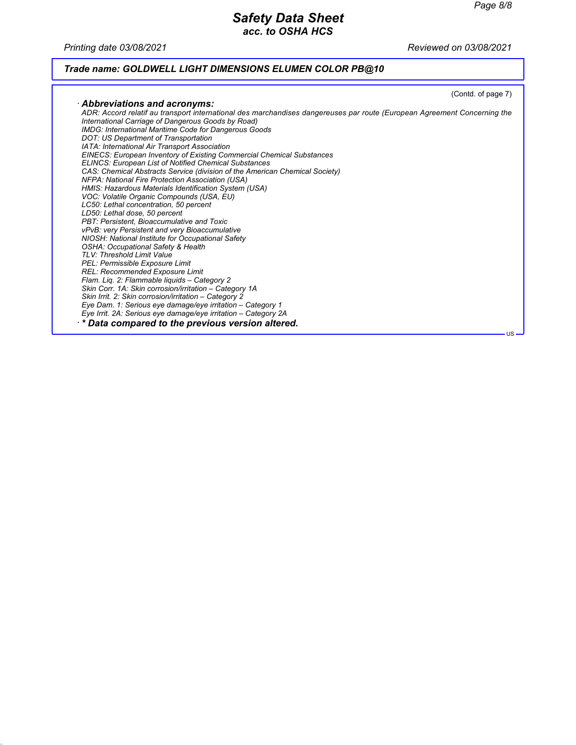*Printing date 03/08/2021 Reviewed on 03/08/2021*

# *Trade name: GOLDWELL LIGHT DIMENSIONS ELUMEN COLOR PB@10*

|                                                                                                                                                                                                                                                                                                                                                                                                                                                                                                                                                                                                                                                                                                                                                                                                                                                                                                                                                                                                                                                                                                                                                                                                                                                                | (Contd. of page 7) |
|----------------------------------------------------------------------------------------------------------------------------------------------------------------------------------------------------------------------------------------------------------------------------------------------------------------------------------------------------------------------------------------------------------------------------------------------------------------------------------------------------------------------------------------------------------------------------------------------------------------------------------------------------------------------------------------------------------------------------------------------------------------------------------------------------------------------------------------------------------------------------------------------------------------------------------------------------------------------------------------------------------------------------------------------------------------------------------------------------------------------------------------------------------------------------------------------------------------------------------------------------------------|--------------------|
|                                                                                                                                                                                                                                                                                                                                                                                                                                                                                                                                                                                                                                                                                                                                                                                                                                                                                                                                                                                                                                                                                                                                                                                                                                                                |                    |
| Abbreviations and acronyms:<br>ADR: Accord relatif au transport international des marchandises dangereuses par route (European Agreement Concerning the<br>International Carriage of Dangerous Goods by Road)<br><b>IMDG: International Maritime Code for Dangerous Goods</b><br>DOT: US Department of Transportation<br>IATA: International Air Transport Association<br><b>EINECS: European Inventory of Existing Commercial Chemical Substances</b><br><b>ELINCS: European List of Notified Chemical Substances</b><br>CAS: Chemical Abstracts Service (division of the American Chemical Society)<br>NFPA: National Fire Protection Association (USA)<br>HMIS: Hazardous Materials Identification System (USA)<br>VOC: Volatile Organic Compounds (USA, EU)<br>LC50: Lethal concentration, 50 percent<br>LD50: Lethal dose, 50 percent<br>PBT: Persistent, Bioaccumulative and Toxic<br>vPvB: very Persistent and very Bioaccumulative<br>NIOSH: National Institute for Occupational Safety<br><b>OSHA: Occupational Safety &amp; Health</b><br>TLV: Threshold Limit Value<br>PEL: Permissible Exposure Limit<br>REL: Recommended Exposure Limit<br>Flam. Lig. 2: Flammable liguids - Category 2<br>Skin Corr. 1A: Skin corrosion/irritation - Category 1A |                    |
| Skin Irrit. 2: Skin corrosion/irritation - Category 2                                                                                                                                                                                                                                                                                                                                                                                                                                                                                                                                                                                                                                                                                                                                                                                                                                                                                                                                                                                                                                                                                                                                                                                                          |                    |
| Eye Dam. 1: Serious eye damage/eye irritation - Category 1                                                                                                                                                                                                                                                                                                                                                                                                                                                                                                                                                                                                                                                                                                                                                                                                                                                                                                                                                                                                                                                                                                                                                                                                     |                    |
| Eye Irrit. 2A: Serious eye damage/eye irritation – Category 2A                                                                                                                                                                                                                                                                                                                                                                                                                                                                                                                                                                                                                                                                                                                                                                                                                                                                                                                                                                                                                                                                                                                                                                                                 |                    |
| $\cdot$ * Data compared to the previous version altered.                                                                                                                                                                                                                                                                                                                                                                                                                                                                                                                                                                                                                                                                                                                                                                                                                                                                                                                                                                                                                                                                                                                                                                                                       | $US -$             |
|                                                                                                                                                                                                                                                                                                                                                                                                                                                                                                                                                                                                                                                                                                                                                                                                                                                                                                                                                                                                                                                                                                                                                                                                                                                                |                    |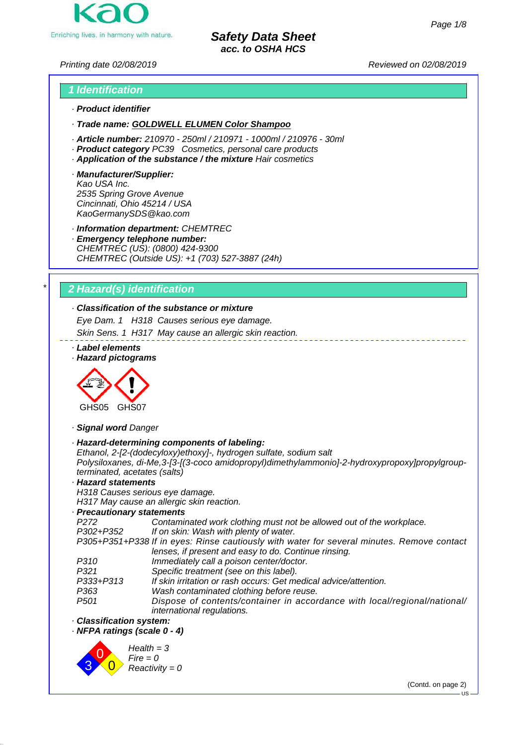

*Printing date 02/08/2019 Reviewed on 02/08/2019*

# *1 Identification · Product identifier*

*· Trade name: GOLDWELL ELUMEN Color Shampoo*

- *· Article number: 210970 250ml / 210971 1000ml / 210976 30ml*
- *· Product category PC39 Cosmetics, personal care products*
- *· Application of the substance / the mixture Hair cosmetics*
- *· Manufacturer/Supplier: Kao USA Inc. 2535 Spring Grove Avenue Cincinnati, Ohio 45214 / USA KaoGermanySDS@kao.com*

*· Information department: CHEMTREC*

*· Emergency telephone number: CHEMTREC (US): (0800) 424-9300 CHEMTREC (Outside US): +1 (703) 527-3887 (24h)*

# *\* 2 Hazard(s) identification*

### *· Classification of the substance or mixture*

*Eye Dam. 1 H318 Causes serious eye damage.*

*Skin Sens. 1 H317 May cause an allergic skin reaction.*

*· Label elements*

*· Hazard pictograms*



*· Signal word Danger*

*· Hazard-determining components of labeling:*

*Ethanol, 2-[2-(dodecyloxy)ethoxy]-, hydrogen sulfate, sodium salt Polysiloxanes, di-Me,3-[3-[(3-coco amidopropyl)dimethylammonio]-2-hydroxypropoxy]propylgroupterminated, acetates (salts)*

*· Hazard statements H318 Causes serious eye damage.*

*H317 May cause an allergic skin reaction.*

### *· Precautionary statements*

*P272 Contaminated work clothing must not be allowed out of the workplace.*

*P302+P352 If on skin: Wash with plenty of water.*

*P305+P351+P338 If in eyes: Rinse cautiously with water for several minutes. Remove contact lenses, if present and easy to do. Continue rinsing.*

- *P310 Immediately call a poison center/doctor.*
- *P321 Specific treatment (see on this label).*
- *P333+P313 If skin irritation or rash occurs: Get medical advice/attention.*
- *P363 Wash contaminated clothing before reuse.*
- *P501 Dispose of contents/container in accordance with local/regional/national/ international regulations.*
- *· Classification system:*

*· NFPA ratings (scale 0 - 4)*



(Contd. on page 2)

**US**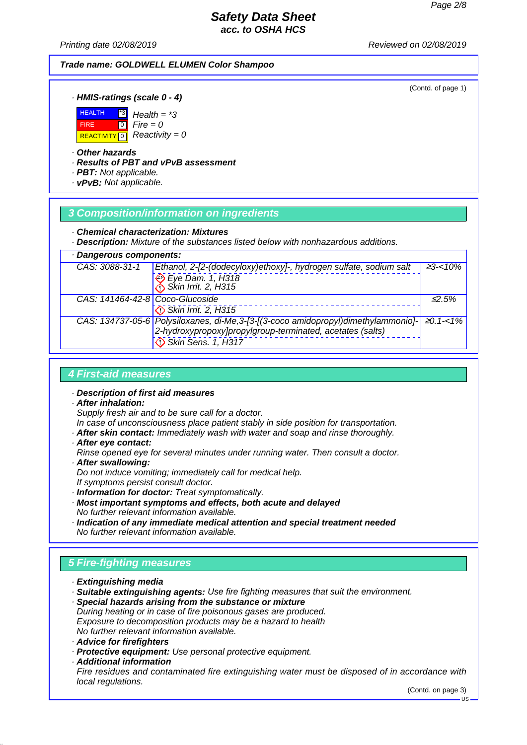*Printing date 02/08/2019 Reviewed on 02/08/2019*

### *Trade name: GOLDWELL ELUMEN Color Shampoo*

(Contd. of page 1)

### *· HMIS-ratings (scale 0 - 4)*



#### *· Other hazards*

*· Results of PBT and vPvB assessment*

*Health = \*3*  $Fire = 0$ 

*· PBT: Not applicable.*

*· vPvB: Not applicable.*

### *3 Composition/information on ingredients*

#### *· Chemical characterization: Mixtures*

*· Description: Mixture of the substances listed below with nonhazardous additions.*

| · Dangerous components:         |                                                                                                                                                                       |                  |  |  |  |
|---------------------------------|-----------------------------------------------------------------------------------------------------------------------------------------------------------------------|------------------|--|--|--|
| CAS: 3088-31-1                  | Ethanol, 2-[2-(dodecyloxy)ethoxy]-, hydrogen sulfate, sodium salt<br>Eye Dam. 1, H318<br>Skin Irrit. 2, H315                                                          | $\geq$ 3-<10%    |  |  |  |
| CAS: 141464-42-8 Coco-Glucoside | Skin Irrit. 2, H315                                                                                                                                                   | $\leq$ 2.5%      |  |  |  |
|                                 | CAS: 134737-05-6 Polysiloxanes, di-Me, 3-[3-[(3-coco amidopropyl)dimethylammonio]-<br>2-hydroxypropoxy]propylgroup-terminated, acetates (salts)<br>Skin Sens. 1, H317 | $\geq 0.1 - 1\%$ |  |  |  |

### *4 First-aid measures*

- *· Description of first aid measures*
- *· After inhalation:*

*Supply fresh air and to be sure call for a doctor.*

*In case of unconsciousness place patient stably in side position for transportation.*

- *· After skin contact: Immediately wash with water and soap and rinse thoroughly.*
- *· After eye contact:*

*Rinse opened eye for several minutes under running water. Then consult a doctor. · After swallowing:*

*Do not induce vomiting; immediately call for medical help. If symptoms persist consult doctor.*

- *· Information for doctor: Treat symptomatically.*
- *· Most important symptoms and effects, both acute and delayed No further relevant information available.*
- *· Indication of any immediate medical attention and special treatment needed No further relevant information available.*

# *5 Fire-fighting measures*

- *· Extinguishing media*
- *· Suitable extinguishing agents: Use fire fighting measures that suit the environment.*
- *· Special hazards arising from the substance or mixture During heating or in case of fire poisonous gases are produced. Exposure to decomposition products may be a hazard to health No further relevant information available.*
- *· Advice for firefighters*
- *· Protective equipment: Use personal protective equipment.*
- *· Additional information*

*Fire residues and contaminated fire extinguishing water must be disposed of in accordance with local regulations.*

(Contd. on page 3)

US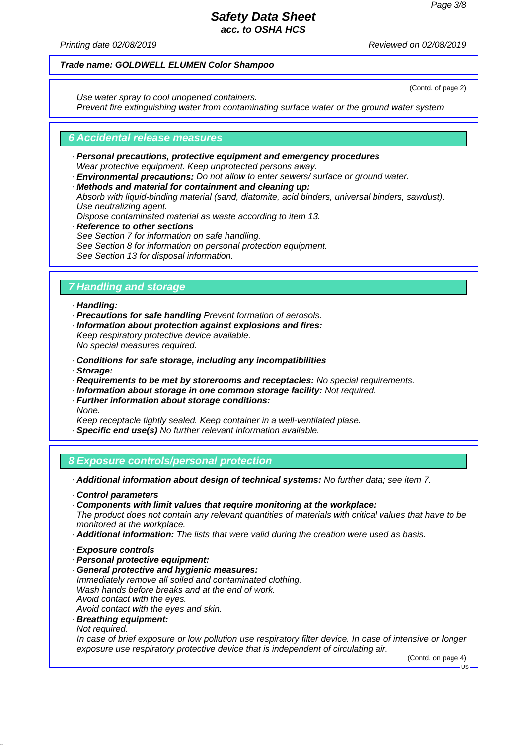*Printing date 02/08/2019 Reviewed on 02/08/2019*

### *Trade name: GOLDWELL ELUMEN Color Shampoo*

*Use water spray to cool unopened containers.*

(Contd. of page 2)

*Prevent fire extinguishing water from contaminating surface water or the ground water system*

### *6 Accidental release measures*

- *· Personal precautions, protective equipment and emergency procedures Wear protective equipment. Keep unprotected persons away.*
- *· Environmental precautions: Do not allow to enter sewers/ surface or ground water.*
- *· Methods and material for containment and cleaning up:*
- *Absorb with liquid-binding material (sand, diatomite, acid binders, universal binders, sawdust). Use neutralizing agent.*
- *Dispose contaminated material as waste according to item 13.*
- *· Reference to other sections See Section 7 for information on safe handling. See Section 8 for information on personal protection equipment. See Section 13 for disposal information.*

# *7 Handling and storage*

#### *· Handling:*

- *· Precautions for safe handling Prevent formation of aerosols.*
- *· Information about protection against explosions and fires: Keep respiratory protective device available.*

*No special measures required.*

- *· Conditions for safe storage, including any incompatibilities*
- *· Storage:*
- *· Requirements to be met by storerooms and receptacles: No special requirements.*
- *· Information about storage in one common storage facility: Not required.*
- *· Further information about storage conditions:*
- *None.*

*Keep receptacle tightly sealed. Keep container in a well-ventilated plase.*

*· Specific end use(s) No further relevant information available.*

*8 Exposure controls/personal protection*

*· Additional information about design of technical systems: No further data; see item 7.*

- *· Control parameters*
- *· Components with limit values that require monitoring at the workplace:*

*The product does not contain any relevant quantities of materials with critical values that have to be monitored at the workplace.*

- *· Additional information: The lists that were valid during the creation were used as basis.*
- *· Exposure controls*
- *· Personal protective equipment:*
- *· General protective and hygienic measures: Immediately remove all soiled and contaminated clothing. Wash hands before breaks and at the end of work. Avoid contact with the eyes.*
- *Avoid contact with the eyes and skin.*
- *· Breathing equipment: Not required.*

*In case of brief exposure or low pollution use respiratory filter device. In case of intensive or longer exposure use respiratory protective device that is independent of circulating air.*

(Contd. on page 4)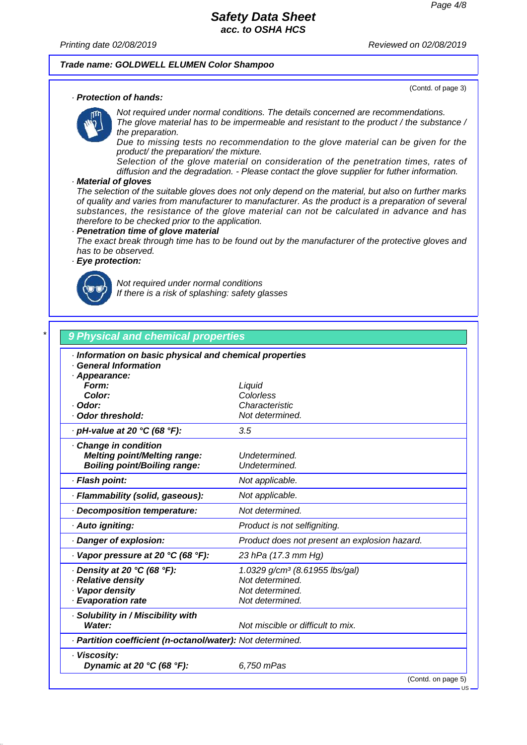(Contd. of page 3)

### *Safety Data Sheet acc. to OSHA HCS*

*Printing date 02/08/2019 Reviewed on 02/08/2019*

#### *Trade name: GOLDWELL ELUMEN Color Shampoo*

### *· Protection of hands:*

*Not required under normal conditions. The details concerned are recommendations. The glove material has to be impermeable and resistant to the product / the substance / the preparation.*

*Due to missing tests no recommendation to the glove material can be given for the product/ the preparation/ the mixture.*

*Selection of the glove material on consideration of the penetration times, rates of diffusion and the degradation. - Please contact the glove supplier for futher information.*

#### *· Material of gloves*

*The selection of the suitable gloves does not only depend on the material, but also on further marks of quality and varies from manufacturer to manufacturer. As the product is a preparation of several substances, the resistance of the glove material can not be calculated in advance and has therefore to be checked prior to the application.*

#### *· Penetration time of glove material*

*The exact break through time has to be found out by the manufacturer of the protective gloves and has to be observed.*

### *· Eye protection:*



*Not required under normal conditions If there is a risk of splashing: safety glasses*

# *\* 9 Physical and chemical properties · Information on basic physical and chemical properties · General Information · Appearance: Form: Liquid Color: Colorless · Odor: Characteristic · Odor threshold: Not determined. · pH-value at 20 °C (68 °F): 3.5 · Change in condition Melting point/Melting range: Undetermined. Boiling point/Boiling range: Undetermined. · Flash point: Not applicable. · Flammability (solid, gaseous): Not applicable. · Decomposition temperature: Not determined. · Auto igniting: Product is not selfigniting. · Danger of explosion: Product does not present an explosion hazard. · Vapor pressure at 20 °C (68 °F): 23 hPa (17.3 mm Hg) · Density at 20 °C (68 °F): 1.0329 g/cm³ (8.61955 lbs/gal) · Relative density Not determined. <i>·* **Vapor density** *Not determined. · Evaporation rate Not determined. · Solubility in / Miscibility with Water: Not miscible or difficult to mix. · Partition coefficient (n-octanol/water): Not determined. · Viscosity: Dynamic at 20 °C (68 °F): 6,750 mPas* (Contd. on page 5)

US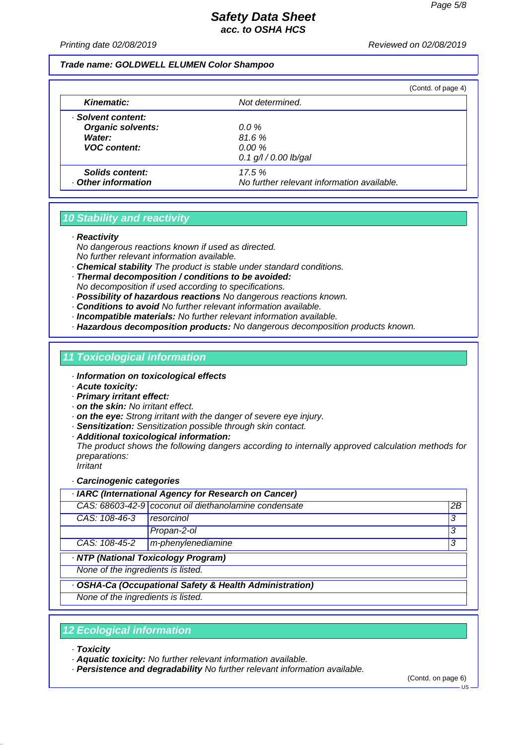*Printing date 02/08/2019 Reviewed on 02/08/2019*

#### *Trade name: GOLDWELL ELUMEN Color Shampoo*

|                          |                                            | (Contd. of page 4) |
|--------------------------|--------------------------------------------|--------------------|
| <b>Kinematic:</b>        | Not determined.                            |                    |
| · Solvent content:       |                                            |                    |
| <b>Organic solvents:</b> | $0.0 \%$                                   |                    |
| Water:                   | 81.6%                                      |                    |
| <b>VOC</b> content:      | $0.00 \%$                                  |                    |
|                          | $0.1$ g/l / 0.00 lb/gal                    |                    |
| Solids content:          | 17.5%                                      |                    |
| Other information        | No further relevant information available. |                    |

# *10 Stability and reactivity*

*· Reactivity*

- *No dangerous reactions known if used as directed. No further relevant information available.*
- *· Chemical stability The product is stable under standard conditions.*
- *· Thermal decomposition / conditions to be avoided: No decomposition if used according to specifications.*
- *· Possibility of hazardous reactions No dangerous reactions known.*
- *· Conditions to avoid No further relevant information available.*
- *· Incompatible materials: No further relevant information available.*
- *· Hazardous decomposition products: No dangerous decomposition products known.*

### *11 Toxicological information*

- *· Information on toxicological effects*
- *· Acute toxicity:*
- *· Primary irritant effect:*
- *· on the skin: No irritant effect.*
- *· on the eye: Strong irritant with the danger of severe eye injury.*
- *· Sensitization: Sensitization possible through skin contact.*
- *· Additional toxicological information:*

*The product shows the following dangers according to internally approved calculation methods for preparations: Irritant*

*· Carcinogenic categories*

| · IARC (International Agency for Research on Cancer)    |                                                       |    |
|---------------------------------------------------------|-------------------------------------------------------|----|
|                                                         | CAS: 68603-42-9 coconut oil diethanolamine condensate | 2B |
| CAS: 108-46-3                                           | resorcinol                                            | 3  |
|                                                         | Propan-2-ol                                           | 3  |
| CAS: 108-45-2                                           | m-phenylenediamine                                    | 3  |
| · NTP (National Toxicology Program)                     |                                                       |    |
| None of the ingredients is listed.                      |                                                       |    |
| · OSHA-Ca (Occupational Safety & Health Administration) |                                                       |    |
| None of the ingredients is listed.                      |                                                       |    |
|                                                         |                                                       |    |

### *12 Ecological information*

- *· Toxicity*
- *· Aquatic toxicity: No further relevant information available.*
- *· Persistence and degradability No further relevant information available.*

(Contd. on page 6)

 $-11S$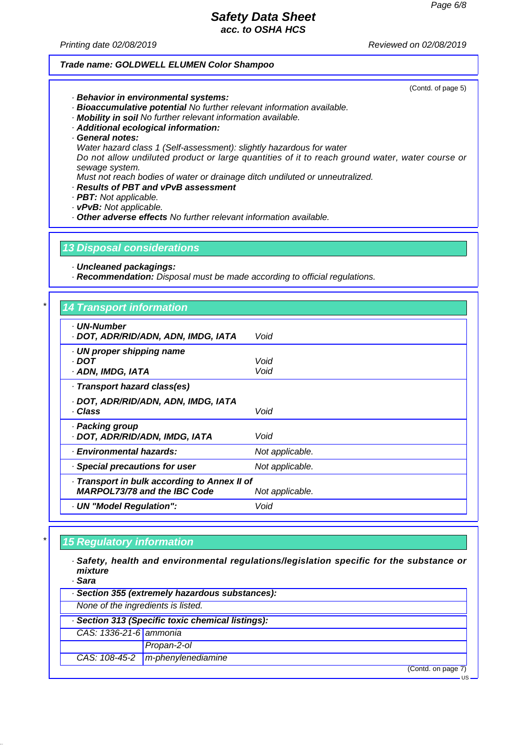*Printing date 02/08/2019 Reviewed on 02/08/2019*

### *Trade name: GOLDWELL ELUMEN Color Shampoo*

(Contd. of page 5)

- *· Behavior in environmental systems:*
- *· Bioaccumulative potential No further relevant information available.*
- *· Mobility in soil No further relevant information available.*
- *· Additional ecological information:*
- *· General notes:*
- *Water hazard class 1 (Self-assessment): slightly hazardous for water*

*Do not allow undiluted product or large quantities of it to reach ground water, water course or sewage system.*

*Must not reach bodies of water or drainage ditch undiluted or unneutralized.*

- *· Results of PBT and vPvB assessment*
- *· PBT: Not applicable.*
- *· vPvB: Not applicable.*
- *· Other adverse effects No further relevant information available.*

*13 Disposal considerations*

*· Uncleaned packagings:*

*· Recommendation: Disposal must be made according to official regulations.*

# *\* 14 Transport information*

| $17.11$ ansport monination                                                          |                 |
|-------------------------------------------------------------------------------------|-----------------|
| . UN-Number<br>· DOT, ADR/RID/ADN, ADN, IMDG, IATA                                  | Void            |
| · UN proper shipping name<br>· DOT<br>· ADN, IMDG, IATA                             | Void<br>Void    |
| · Transport hazard class(es)                                                        |                 |
| · DOT, ADR/RID/ADN, ADN, IMDG, IATA<br>· Class                                      | Void            |
| · Packing group<br>· DOT, ADR/RID/ADN, IMDG, IATA                                   | Void            |
| · Environmental hazards:                                                            | Not applicable. |
| Special precautions for user                                                        | Not applicable. |
| · Transport in bulk according to Annex II of<br><b>MARPOL73/78 and the IBC Code</b> | Not applicable. |
| · UN "Model Regulation":                                                            | Void            |

### *\* 15 Regulatory information*

*· Safety, health and environmental regulations/legislation specific for the substance or mixture*

*· Sara*

| . sara                             |                                                   |                    |
|------------------------------------|---------------------------------------------------|--------------------|
|                                    | · Section 355 (extremely hazardous substances):   |                    |
| None of the ingredients is listed. |                                                   |                    |
|                                    | · Section 313 (Specific toxic chemical listings): |                    |
| CAS: 1336-21-6 ammonia             |                                                   |                    |
|                                    | Propan-2-ol                                       |                    |
| CAS: 108-45-2                      | $m$ -phenylenediamine                             |                    |
|                                    |                                                   | (Contd. on page 7) |
|                                    |                                                   |                    |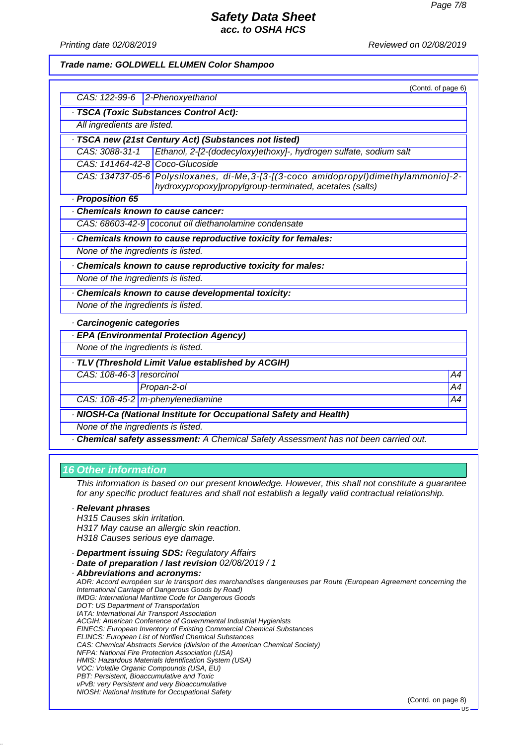*Printing date 02/08/2019 Reviewed on 02/08/2019*

#### *Trade name: GOLDWELL ELUMEN Color Shampoo*

|                                    | (Contd. of page 6)                                                                                                                              |    |
|------------------------------------|-------------------------------------------------------------------------------------------------------------------------------------------------|----|
| CAS: 122-99-6 2-Phenoxyethanol     |                                                                                                                                                 |    |
|                                    | · TSCA (Toxic Substances Control Act):                                                                                                          |    |
| All ingredients are listed.        |                                                                                                                                                 |    |
|                                    | · TSCA new (21st Century Act) (Substances not listed)                                                                                           |    |
| CAS: 3088-31-1                     | Ethanol, 2-[2-(dodecyloxy)ethoxy]-, hydrogen sulfate, sodium salt                                                                               |    |
| CAS: 141464-42-8 Coco-Glucoside    |                                                                                                                                                 |    |
|                                    | CAS: 134737-05-6 Polysiloxanes, di-Me, 3-[3-[(3-coco amidopropyl)dimethylammonio]-2-<br>hydroxypropoxy]propylgroup-terminated, acetates (salts) |    |
| · Proposition 65                   |                                                                                                                                                 |    |
| Chemicals known to cause cancer:   |                                                                                                                                                 |    |
|                                    | CAS: 68603-42-9 coconut oil diethanolamine condensate                                                                                           |    |
|                                    | Chemicals known to cause reproductive toxicity for females:                                                                                     |    |
| None of the ingredients is listed. |                                                                                                                                                 |    |
|                                    | Chemicals known to cause reproductive toxicity for males:                                                                                       |    |
| None of the ingredients is listed. |                                                                                                                                                 |    |
|                                    | Chemicals known to cause developmental toxicity:                                                                                                |    |
| None of the ingredients is listed. |                                                                                                                                                 |    |
| · Carcinogenic categories          |                                                                                                                                                 |    |
|                                    | <b>EPA (Environmental Protection Agency)</b>                                                                                                    |    |
| None of the ingredients is listed. |                                                                                                                                                 |    |
|                                    | TLV (Threshold Limit Value established by ACGIH)                                                                                                |    |
| CAS: 108-46-3 resorcinol           |                                                                                                                                                 | A4 |
|                                    | Propan-2-ol                                                                                                                                     | A4 |
|                                    | CAS: 108-45-2 m-phenylenediamine                                                                                                                | A4 |
|                                    | NIOSH-Ca (National Institute for Occupational Safety and Health)                                                                                |    |
| None of the ingredients is listed. |                                                                                                                                                 |    |

*· Chemical safety assessment: A Chemical Safety Assessment has not been carried out.*

### *16 Other information*

*This information is based on our present knowledge. However, this shall not constitute a guarantee for any specific product features and shall not establish a legally valid contractual relationship.*

#### *· Relevant phrases*

*H315 Causes skin irritation. H317 May cause an allergic skin reaction. H318 Causes serious eye damage.*

- *· Department issuing SDS: Regulatory Affairs*
- *· Date of preparation / last revision 02/08/2019 / 1*

*· Abbreviations and acronyms: ADR: Accord européen sur le transport des marchandises dangereuses par Route (European Agreement concerning the International Carriage of Dangerous Goods by Road) IMDG: International Maritime Code for Dangerous Goods DOT: US Department of Transportation IATA: International Air Transport Association ACGIH: American Conference of Governmental Industrial Hygienists EINECS: European Inventory of Existing Commercial Chemical Substances ELINCS: European List of Notified Chemical Substances CAS: Chemical Abstracts Service (division of the American Chemical Society) NFPA: National Fire Protection Association (USA) HMIS: Hazardous Materials Identification System (USA) VOC: Volatile Organic Compounds (USA, EU) PBT: Persistent, Bioaccumulative and Toxic vPvB: very Persistent and very Bioaccumulative NIOSH: National Institute for Occupational Safety*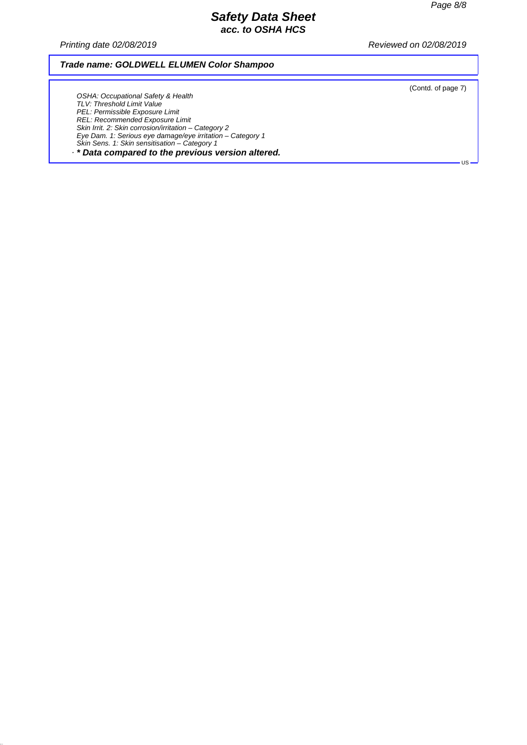*Printing date 02/08/2019 Reviewed on 02/08/2019*

### *Trade name: GOLDWELL ELUMEN Color Shampoo*

(Contd. of page 7)

US

*OSHA: Occupational Safety & Health TLV: Threshold Limit Value PEL: Permissible Exposure Limit REL: Recommended Exposure Limit Skin Irrit. 2: Skin corrosion/irritation – Category 2 Eye Dam. 1: Serious eye damage/eye irritation – Category 1 Skin Sens. 1: Skin sensitisation – Category 1*

*· \* Data compared to the previous version altered.*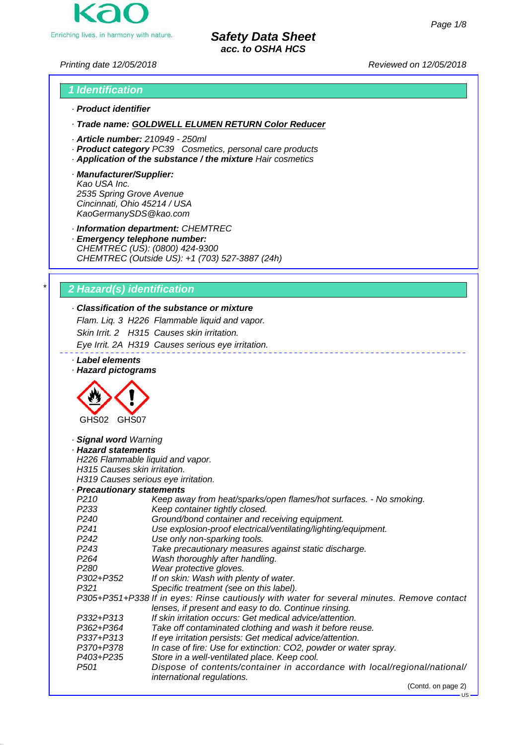

*Printing date 12/05/2018 Reviewed on 12/05/2018*

# *1 Identification · Product identifier*

*· Trade name: GOLDWELL ELUMEN RETURN Color Reducer*

- 
- *· Article number: 210949 250ml*
- *· Product category PC39 Cosmetics, personal care products*
- *· Application of the substance / the mixture Hair cosmetics*
- *· Manufacturer/Supplier: Kao USA Inc. 2535 Spring Grove Avenue Cincinnati, Ohio 45214 / USA KaoGermanySDS@kao.com*

*· Information department: CHEMTREC*

*· Emergency telephone number: CHEMTREC (US): (0800) 424-9300 CHEMTREC (Outside US): +1 (703) 527-3887 (24h)*

# *\* 2 Hazard(s) identification*

# *· Classification of the substance or mixture*

*Flam. Liq. 3 H226 Flammable liquid and vapor. Skin Irrit. 2 H315 Causes skin irritation.*

*Eye Irrit. 2A H319 Causes serious eye irritation.*

*· Label elements · Hazard pictograms*



# *· Signal word Warning · Hazard statements H226 Flammable liquid and vapor. H315 Causes skin irritation. H319 Causes serious eye irritation.*

*· Precautionary statements P210 Keep away from heat/sparks/open flames/hot surfaces. - No smoking. Keep container tightly closed. P240 Ground/bond container and receiving equipment. P241 Use explosion-proof electrical/ventilating/lighting/equipment. P242 Use only non-sparking tools. P243 Take precautionary measures against static discharge. P264 Wash thoroughly after handling. P280 Wear protective gloves. P302+P352 If on skin: Wash with plenty of water. P321 Specific treatment (see on this label). P305+P351+P338 If in eyes: Rinse cautiously with water for several minutes. Remove contact lenses, if present and easy to do. Continue rinsing. P332+P313 If skin irritation occurs: Get medical advice/attention. P362+P364 Take off contaminated clothing and wash it before reuse. P337+P313 If eye irritation persists: Get medical advice/attention. P370+P378 In case of fire: Use for extinction: CO2, powder or water spray. P403+P235 Store in a well-ventilated place. Keep cool. P501 Dispose of contents/container in accordance with local/regional/national/ international regulations.*

(Contd. on page 2)

US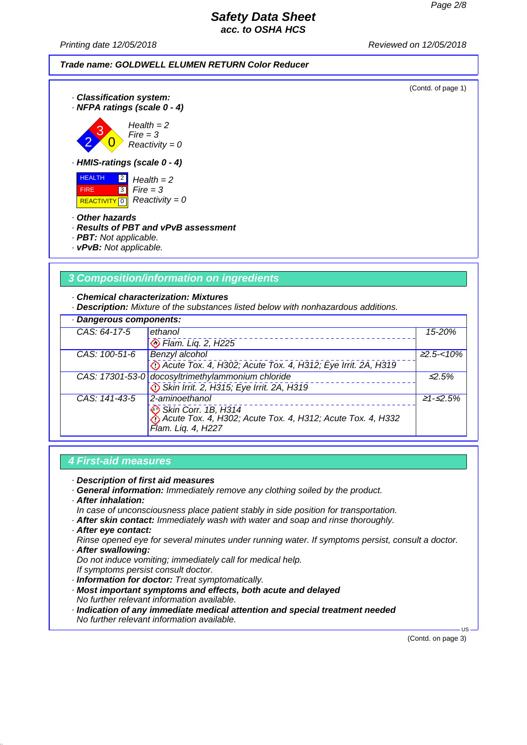(Contd. of page 1)

## *Safety Data Sheet acc. to OSHA HCS*

*Printing date 12/05/2018 Reviewed on 12/05/2018*



 HEALTH FIRE **REACTIVITY** 0  $\boxed{2}$  $\overline{3}$ *Health = 2 Fire = 3 Reactivity = 0*

#### *· Other hazards*

### *· Results of PBT and vPvB assessment*

- *· PBT: Not applicable.*
- *· vPvB: Not applicable.*

## *3 Composition/information on ingredients*

*· Chemical characterization: Mixtures*

*· Description: Mixture of the substances listed below with nonhazardous additions.*

| · Dangerous components: |                                                                                   |                   |
|-------------------------|-----------------------------------------------------------------------------------|-------------------|
| CAS: 64-17-5            | ethanol                                                                           | 15-20%            |
|                         | Ham. Lig. 2, H225                                                                 |                   |
| CAS: 100-51-6           | <b>Benzyl alcohol</b>                                                             | $\geq 2.5 - 10\%$ |
|                         | Co Acute Tox. 4, H302; Acute Tox. 4, H312; Eye Irrit. 2A, H319                    |                   |
|                         | CAS: 17301-53-0 docosyltrimethylammonium chloride                                 | $\leq 2.5\%$      |
|                         | Skin Irrit. 2, H315; Eye Irrit. 2A, H319                                          |                   |
| CAS: 141-43-5           | $2$ -aminoethanol                                                                 | $\geq 1 - 52.5\%$ |
|                         | Skin Corr. 1B, H314<br>Acute Tox. 4, H302; Acute Tox. 4, H312; Acute Tox. 4, H332 |                   |
|                         |                                                                                   |                   |
|                         | Flam. Lig. 4, H227                                                                |                   |

## *4 First-aid measures*

- *· Description of first aid measures*
- *· General information: Immediately remove any clothing soiled by the product.*
- *· After inhalation:*
- *In case of unconsciousness place patient stably in side position for transportation.*
- *· After skin contact: Immediately wash with water and soap and rinse thoroughly.*
- *· After eye contact:*
- *Rinse opened eye for several minutes under running water. If symptoms persist, consult a doctor. · After swallowing:*
- *Do not induce vomiting; immediately call for medical help. If symptoms persist consult doctor.*
- *· Information for doctor: Treat symptomatically.*
- *· Most important symptoms and effects, both acute and delayed No further relevant information available.*
- *· Indication of any immediate medical attention and special treatment needed No further relevant information available.*

(Contd. on page 3)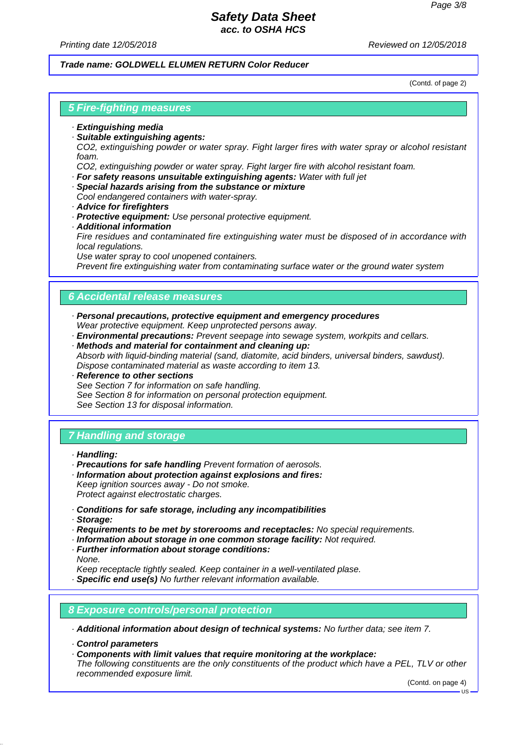*Printing date 12/05/2018 Reviewed on 12/05/2018*

#### *Trade name: GOLDWELL ELUMEN RETURN Color Reducer*

(Contd. of page 2)

# *5 Fire-fighting measures*

- *· Extinguishing media*
- *· Suitable extinguishing agents:*

*CO2, extinguishing powder or water spray. Fight larger fires with water spray or alcohol resistant foam.*

*CO2, extinguishing powder or water spray. Fight larger fire with alcohol resistant foam.*

- *· For safety reasons unsuitable extinguishing agents: Water with full jet*
- *· Special hazards arising from the substance or mixture Cool endangered containers with water-spray.*
- *· Advice for firefighters*
- *· Protective equipment: Use personal protective equipment.*
- *· Additional information*

*Fire residues and contaminated fire extinguishing water must be disposed of in accordance with local regulations.*

*Use water spray to cool unopened containers.*

*Prevent fire extinguishing water from contaminating surface water or the ground water system*

### *6 Accidental release measures*

- *· Personal precautions, protective equipment and emergency procedures Wear protective equipment. Keep unprotected persons away.*
- *· Environmental precautions: Prevent seepage into sewage system, workpits and cellars.*
- *· Methods and material for containment and cleaning up: Absorb with liquid-binding material (sand, diatomite, acid binders, universal binders, sawdust). Dispose contaminated material as waste according to item 13.*
- *· Reference to other sections See Section 7 for information on safe handling. See Section 8 for information on personal protection equipment. See Section 13 for disposal information.*

# *7 Handling and storage*

- *· Handling:*
- *· Precautions for safe handling Prevent formation of aerosols.*
- *· Information about protection against explosions and fires: Keep ignition sources away - Do not smoke.*

*Protect against electrostatic charges.*

- *· Conditions for safe storage, including any incompatibilities*
- *· Storage:*
- *· Requirements to be met by storerooms and receptacles: No special requirements.*
- *· Information about storage in one common storage facility: Not required.*
- *· Further information about storage conditions:*
- *None.*

*Keep receptacle tightly sealed. Keep container in a well-ventilated plase.*

- *· Specific end use(s) No further relevant information available.*
- *8 Exposure controls/personal protection*

*· Additional information about design of technical systems: No further data; see item 7.*

- *· Control parameters*
- *· Components with limit values that require monitoring at the workplace:*

*The following constituents are the only constituents of the product which have a PEL, TLV or other recommended exposure limit.*

(Contd. on page 4)

US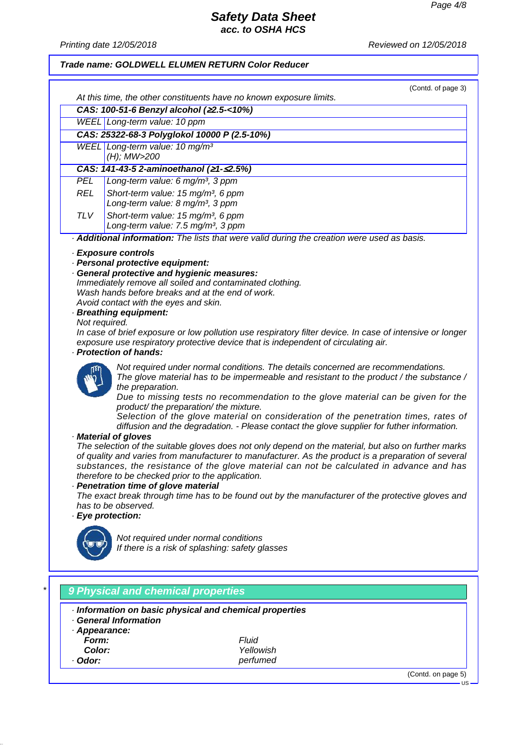*Printing date 12/05/2018 Reviewed on 12/05/2018*

### *Trade name: GOLDWELL ELUMEN RETURN Color Reducer*

|            |                                                                     | (Contd. of page 3) |
|------------|---------------------------------------------------------------------|--------------------|
|            | At this time, the other constituents have no known exposure limits. |                    |
|            | CAS: 100-51-6 Benzyl alcohol (≥2.5-<10%)                            |                    |
|            | WEEL Long-term value: 10 ppm                                        |                    |
|            | CAS: 25322-68-3 Polyglokol 10000 P (2.5-10%)                        |                    |
|            | WEEL Long-term value: 10 mg/m <sup>3</sup>                          |                    |
|            | (H); MW>200                                                         |                    |
|            | CAS: 141-43-5 2-aminoethanol (21-52.5%)                             |                    |
| <b>PEL</b> | Long-term value: 6 mg/m <sup>3</sup> , 3 ppm                        |                    |
| <b>REL</b> | Short-term value: 15 mg/m <sup>3</sup> , 6 ppm                      |                    |
|            | Long-term value: 8 mg/m <sup>3</sup> , 3 ppm                        |                    |
| TL V       | Short-term value: 15 mg/m <sup>3</sup> , 6 ppm                      |                    |
|            | Long-term value: 7.5 mg/m <sup>3</sup> , 3 ppm                      |                    |

*· Additional information: The lists that were valid during the creation were used as basis.*

#### *· Exposure controls*

- *· Personal protective equipment:*
- *· General protective and hygienic measures:*
- *Immediately remove all soiled and contaminated clothing. Wash hands before breaks and at the end of work. Avoid contact with the eyes and skin.*

*· Breathing equipment:*

*Not required.*

*In case of brief exposure or low pollution use respiratory filter device. In case of intensive or longer exposure use respiratory protective device that is independent of circulating air.*

#### *· Protection of hands:*



*Not required under normal conditions. The details concerned are recommendations. The glove material has to be impermeable and resistant to the product / the substance / the preparation.*

*Due to missing tests no recommendation to the glove material can be given for the product/ the preparation/ the mixture.*

*Selection of the glove material on consideration of the penetration times, rates of diffusion and the degradation. - Please contact the glove supplier for futher information.*

#### *· Material of gloves*

*The selection of the suitable gloves does not only depend on the material, but also on further marks of quality and varies from manufacturer to manufacturer. As the product is a preparation of several substances, the resistance of the glove material can not be calculated in advance and has therefore to be checked prior to the application.*

*· Penetration time of glove material*

*The exact break through time has to be found out by the manufacturer of the protective gloves and has to be observed.*

#### *· Eye protection:*



*Not required under normal conditions If there is a risk of splashing: safety glasses*

# *\* 9 Physical and chemical properties · Information on basic physical and chemical properties · General Information · Appearance: Form: Fluid Color: Yellowish Odor: perfumed* (Contd. on page 5)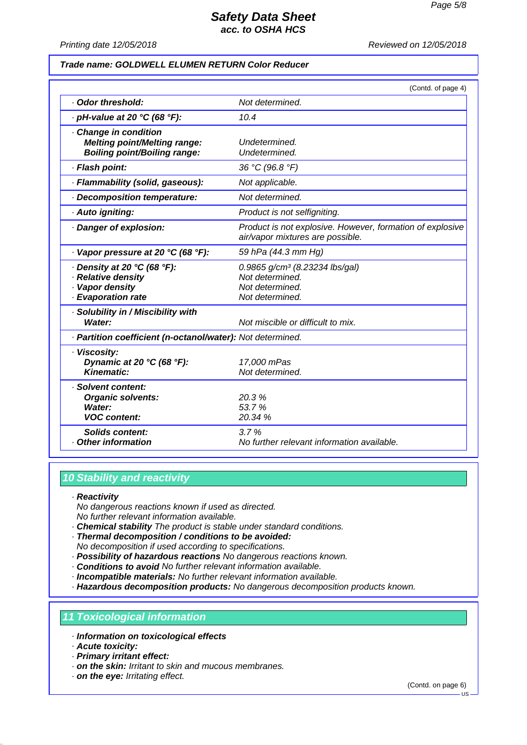*Printing date 12/05/2018 Reviewed on 12/05/2018*

#### *Trade name: GOLDWELL ELUMEN RETURN Color Reducer*

|                                                                                                   | (Contd. of page 4)                                                                                  |
|---------------------------------------------------------------------------------------------------|-----------------------------------------------------------------------------------------------------|
| Odor threshold:                                                                                   | Not determined.                                                                                     |
| $\cdot$ pH-value at 20 °C (68 °F):                                                                | 10.4                                                                                                |
| Change in condition<br><b>Melting point/Melting range:</b><br><b>Boiling point/Boiling range:</b> | Undetermined.<br>Undetermined.                                                                      |
| · Flash point:                                                                                    | 36 °C (96.8 °F)                                                                                     |
| · Flammability (solid, gaseous):                                                                  | Not applicable.                                                                                     |
| Decomposition temperature:                                                                        | Not determined.                                                                                     |
| · Auto igniting:                                                                                  | Product is not selfigniting.                                                                        |
| · Danger of explosion:                                                                            | Product is not explosive. However, formation of explosive<br>air/vapor mixtures are possible.       |
| $\cdot$ Vapor pressure at 20 °C (68 °F):                                                          | 59 hPa (44.3 mm Hg)                                                                                 |
| $\cdot$ Density at 20 °C (68 °F):<br>· Relative density<br>· Vapor density<br>· Evaporation rate  | 0.9865 g/cm <sup>3</sup> (8.23234 lbs/gal)<br>Not determined.<br>Not determined.<br>Not determined. |
| · Solubility in / Miscibility with<br>Water:                                                      | Not miscible or difficult to mix.                                                                   |
| · Partition coefficient (n-octanol/water): Not determined.                                        |                                                                                                     |
| · Viscosity:<br>Dynamic at 20 °C (68 °F):<br><b>Kinematic:</b>                                    | 17,000 mPas<br>Not determined.                                                                      |
| · Solvent content:<br><b>Organic solvents:</b><br>Water:<br><b>VOC content:</b>                   | 20.3%<br>53.7%<br>20.34 %                                                                           |
| <b>Solids content:</b><br>Other information                                                       | 3.7%<br>No further relevant information available.                                                  |

# *10 Stability and reactivity*

#### *· Reactivity*

*No dangerous reactions known if used as directed. No further relevant information available.*

- *· Chemical stability The product is stable under standard conditions.*
- *· Thermal decomposition / conditions to be avoided:*

*No decomposition if used according to specifications.*

- *· Possibility of hazardous reactions No dangerous reactions known.*
- *· Conditions to avoid No further relevant information available.*
- *· Incompatible materials: No further relevant information available.*

*· Hazardous decomposition products: No dangerous decomposition products known.*

### *11 Toxicological information*

- *· Information on toxicological effects*
- *· Acute toxicity:*
- *· Primary irritant effect:*
- *· on the skin: Irritant to skin and mucous membranes.*
- *· on the eye: Irritating effect.*

(Contd. on page 6)

 $-11S$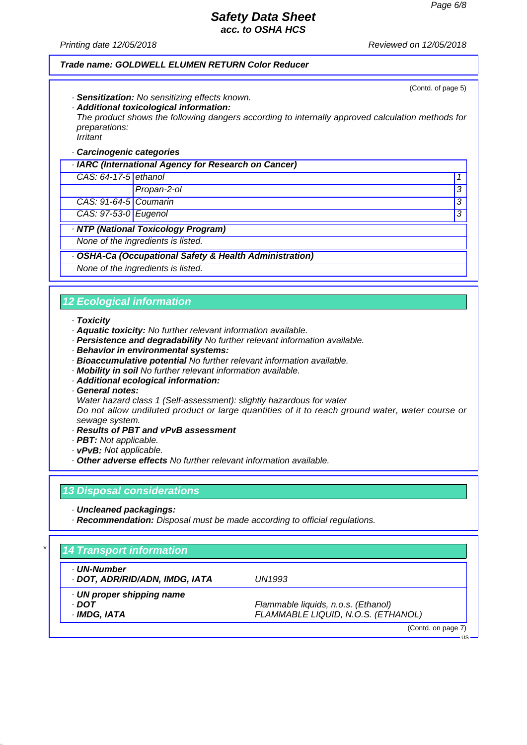(Contd. of page 5)

## *Safety Data Sheet acc. to OSHA HCS*

*Printing date 12/05/2018 Reviewed on 12/05/2018*

#### *Trade name: GOLDWELL ELUMEN RETURN Color Reducer*

- *· Sensitization: No sensitizing effects known.*
- *· Additional toxicological information:*

*The product shows the following dangers according to internally approved calculation methods for preparations: Irritant*

## *· Carcinogenic categories*

| · IARC (International Agency for Research on Cancer)    |                                    |   |
|---------------------------------------------------------|------------------------------------|---|
| CAS: 64-17-5 ethanol                                    |                                    |   |
|                                                         | Propan-2-ol                        | 3 |
| CAS: 91-64-5 Coumarin                                   |                                    | 3 |
| CAS: 97-53-0 Eugenol                                    |                                    | 3 |
|                                                         | NTP (National Toxicology Program)  |   |
|                                                         | None of the ingredients is listed. |   |
| · OSHA-Ca (Occupational Safety & Health Administration) |                                    |   |

*None of the ingredients is listed.*

# *12 Ecological information*

#### *· Toxicity*

- *· Aquatic toxicity: No further relevant information available.*
- *· Persistence and degradability No further relevant information available.*
- *· Behavior in environmental systems:*
- *· Bioaccumulative potential No further relevant information available.*
- *· Mobility in soil No further relevant information available.*
- *· Additional ecological information:*
- *· General notes:*
- *Water hazard class 1 (Self-assessment): slightly hazardous for water*

*Do not allow undiluted product or large quantities of it to reach ground water, water course or sewage system.*

- *· Results of PBT and vPvB assessment*
- *· PBT: Not applicable.*
- *· vPvB: Not applicable.*
- *· Other adverse effects No further relevant information available.*

### *13 Disposal considerations*

*· Uncleaned packagings:*

*· Recommendation: Disposal must be made according to official regulations.*

| · UN-Number                    |                                     |
|--------------------------------|-------------------------------------|
| · DOT, ADR/RID/ADN, IMDG, IATA | UN1993                              |
| UN proper shipping name        |                                     |
| · DOT                          | Flammable liquids, n.o.s. (Ethanol) |
| · IMDG, IATA                   | FLAMMABLE LIQUID, N.O.S. (ETHANOL)  |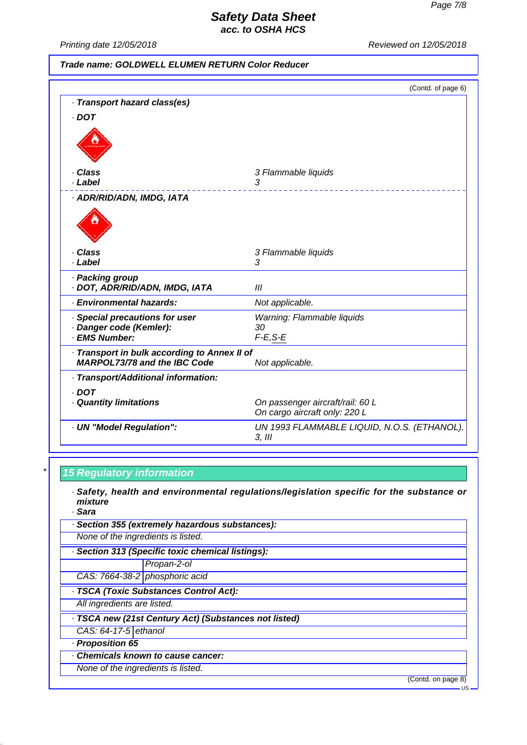*Printing date 12/05/2018 Reviewed on 12/05/2018*

| Trade name: GOLDWELL ELUMEN RETURN Color Reducer                                    |                                                                   |
|-------------------------------------------------------------------------------------|-------------------------------------------------------------------|
|                                                                                     | (Contd. of page 6)                                                |
| · Transport hazard class(es)                                                        |                                                                   |
| $\cdot$ DOT                                                                         |                                                                   |
|                                                                                     |                                                                   |
| · Class                                                                             | 3 Flammable liquids                                               |
| · Label                                                                             | 3                                                                 |
| · ADR/RID/ADN, IMDG, IATA                                                           |                                                                   |
|                                                                                     |                                                                   |
| · Class<br>· Label                                                                  | 3 Flammable liquids<br>3                                          |
| · Packing group<br>· DOT, ADR/RID/ADN, IMDG, IATA                                   | Ш                                                                 |
| · Environmental hazards:                                                            | Not applicable.                                                   |
| · Special precautions for user                                                      | Warning: Flammable liquids                                        |
| · Danger code (Kemler):<br>· EMS Number:                                            | 30<br>$F-E, S-E$                                                  |
|                                                                                     |                                                                   |
| · Transport in bulk according to Annex II of<br><b>MARPOL73/78 and the IBC Code</b> | Not applicable.                                                   |
| · Transport/Additional information:                                                 |                                                                   |
| $\cdot$ DOT                                                                         |                                                                   |
| · Quantity limitations                                                              | On passenger aircraft/rail: 60 L<br>On cargo aircraft only: 220 L |
| · UN "Model Regulation":                                                            | UN 1993 FLAMMABLE LIQUID, N.O.S. (ETHANOL),<br>$3,$ $III$         |

# *\* 15 Regulatory information*

- *· Safety, health and environmental regulations/legislation specific for the substance or mixture*
- *· Sara*

| · Section 355 (extremely hazardous substances):       |                                |  |
|-------------------------------------------------------|--------------------------------|--|
| None of the ingredients is listed.                    |                                |  |
| · Section 313 (Specific toxic chemical listings):     |                                |  |
|                                                       | Propan-2-ol                    |  |
|                                                       | CAS: 7664-38-2 phosphoric acid |  |
| · TSCA (Toxic Substances Control Act):                |                                |  |
| All ingredients are listed.                           |                                |  |
| · TSCA new (21st Century Act) (Substances not listed) |                                |  |
| CAS: 64-17-5 ethanol                                  |                                |  |
| - Proposition 65                                      |                                |  |
| Chemicals known to cause cancer:                      |                                |  |
| None of the ingredients is listed.                    |                                |  |

(Contd. on page 8)

US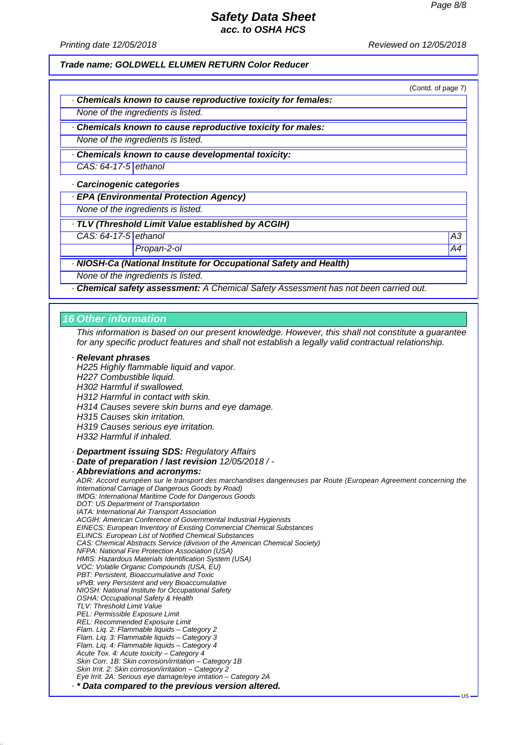*Printing date 12/05/2018 Reviewed on 12/05/2018*

*Trade name: GOLDWELL ELUMEN RETURN Color Reducer*

(Contd. of page 7)

*· Chemicals known to cause reproductive toxicity for females:*

*None of the ingredients is listed.*

*· Chemicals known to cause reproductive toxicity for males:*

*None of the ingredients is listed.*

*· Chemicals known to cause developmental toxicity:*

*CAS: 64-17-5 ethanol*

*· Carcinogenic categories*

*· EPA (Environmental Protection Agency)*

*None of the ingredients is listed.*

*· TLV (Threshold Limit Value established by ACGIH)*

*CAS: 64-17-5 ethanol A3*

*Propan-2-ol A4*

*· NIOSH-Ca (National Institute for Occupational Safety and Health)*

*None of the ingredients is listed.*

*· Chemical safety assessment: A Chemical Safety Assessment has not been carried out.*

#### *16 Other information*

*This information is based on our present knowledge. However, this shall not constitute a guarantee for any specific product features and shall not establish a legally valid contractual relationship.*

#### *· Relevant phrases*

*H225 Highly flammable liquid and vapor. H227 Combustible liquid. H302 Harmful if swallowed. H312 Harmful in contact with skin. H314 Causes severe skin burns and eye damage. H315 Causes skin irritation. H319 Causes serious eye irritation. H332 Harmful if inhaled. · Department issuing SDS: Regulatory Affairs · Date of preparation / last revision 12/05/2018 / - · Abbreviations and acronyms: ADR: Accord européen sur le transport des marchandises dangereuses par Route (European Agreement concerning the International Carriage of Dangerous Goods by Road) IMDG: International Maritime Code for Dangerous Goods DOT: US Department of Transportation IATA: International Air Transport Association ACGIH: American Conference of Governmental Industrial Hygienists EINECS: European Inventory of Existing Commercial Chemical Substances ELINCS: European List of Notified Chemical Substances CAS: Chemical Abstracts Service (division of the American Chemical Society) NFPA: National Fire Protection Association (USA)*

*HMIS: Hazardous Materials Identification System (USA)*

*VOC: Volatile Organic Compounds (USA, EU)*

*PBT: Persistent, Bioaccumulative and Toxic*

*vPvB: very Persistent and very Bioaccumulative*

*NIOSH: National Institute for Occupational Safety*

*OSHA: Occupational Safety & Health*

*TLV: Threshold Limit Value PEL: Permissible Exposure Limit*

*REL: Recommended Exposure Limit*

*Flam. Liq. 2: Flammable liquids – Category 2*

*Flam. Liq. 3: Flammable liquids – Category 3*

*Flam. Liq. 4: Flammable liquids – Category 4*

*Acute Tox. 4: Acute toxicity – Category 4*

*Skin Corr. 1B: Skin corrosion/irritation – Category 1B*

*Skin Irrit. 2: Skin corrosion/irritation – Category 2*

*Eye Irrit. 2A: Serious eye damage/eye irritation – Category 2A*

*· \* Data compared to the previous version altered.*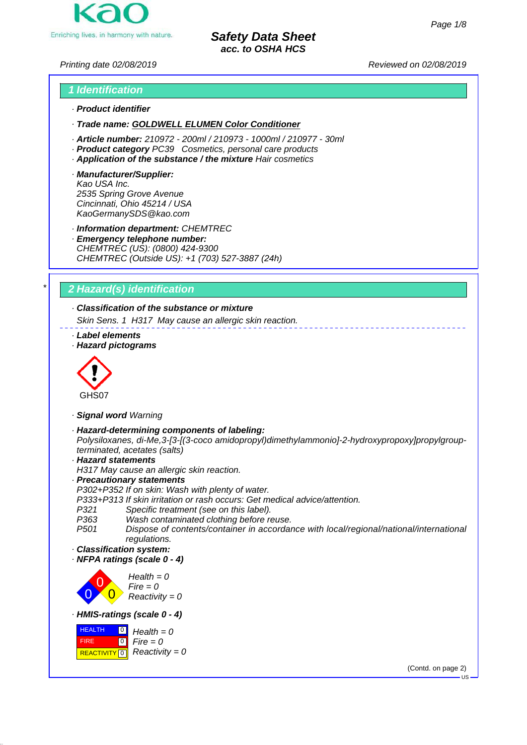

*Printing date 02/08/2019 Reviewed on 02/08/2019*

# *1 Identification · Product identifier*

*· Trade name: GOLDWELL ELUMEN Color Conditioner*

- *· Article number: 210972 200ml / 210973 1000ml / 210977 30ml*
- *· Product category PC39 Cosmetics, personal care products*
- *· Application of the substance / the mixture Hair cosmetics*
- *· Manufacturer/Supplier: Kao USA Inc. 2535 Spring Grove Avenue Cincinnati, Ohio 45214 / USA KaoGermanySDS@kao.com*

*· Information department: CHEMTREC*

*· Emergency telephone number: CHEMTREC (US): (0800) 424-9300 CHEMTREC (Outside US): +1 (703) 527-3887 (24h)*

# *\* 2 Hazard(s) identification*

# *· Classification of the substance or mixture*

*Skin Sens. 1 H317 May cause an allergic skin reaction.*

- *· Label elements*
- *· Hazard pictograms*



- *· Signal word Warning*
- *· Hazard-determining components of labeling: Polysiloxanes, di-Me,3-[3-[(3-coco amidopropyl)dimethylammonio]-2-hydroxypropoxy]propylgroupterminated, acetates (salts)*

*· Hazard statements*

*H317 May cause an allergic skin reaction.*

*· Precautionary statements*

*P302+P352 If on skin: Wash with plenty of water.*

*P333+P313 If skin irritation or rash occurs: Get medical advice/attention.*

- Specific treatment (see on this label).
- *P363 Wash contaminated clothing before reuse.*

*P501 Dispose of contents/container in accordance with local/regional/national/international regulations.*

- *· Classification system:*
- *· NFPA ratings (scale 0 4)*

0 0  $\overline{0}$ *Health = 0 Fire = 0 Reactivity = 0 · HMIS-ratings (scale 0 - 4)*



(Contd. on page 2)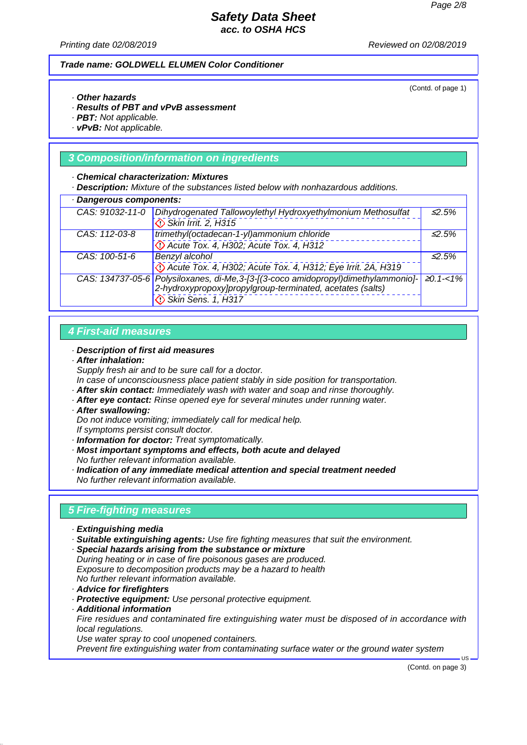*Printing date 02/08/2019 Reviewed on 02/08/2019*

#### *Trade name: GOLDWELL ELUMEN Color Conditioner*

(Contd. of page 1)

### *· Other hazards*

- *· Results of PBT and vPvB assessment*
- *· PBT: Not applicable.*
- *· vPvB: Not applicable.*

### *3 Composition/information on ingredients*

#### *· Chemical characterization: Mixtures*

*· Description: Mixture of the substances listed below with nonhazardous additions.*

| · Dangerous components: |                                                                                             |              |  |
|-------------------------|---------------------------------------------------------------------------------------------|--------------|--|
| CAS: 91032-11-0         | Dihydrogenated Tallowoylethyl Hydroxyethylmonium Methosulfat                                | $\leq 2.5\%$ |  |
|                         | Skin Irrit. 2, H315                                                                         |              |  |
| CAS: 112-03-8           | trimethyl(octadecan-1-yl)ammonium chloride                                                  | $\leq 2.5\%$ |  |
|                         | De Acute Tox. 4, H302; Acute Tox. 4, H312                                                   |              |  |
| CAS: 100-51-6           | Benzyl alcohol                                                                              | $\leq 2.5\%$ |  |
|                         | Decute Tox. 4, H302; Acute Tox. 4, H312; Eye Irrit. 2A, H319                                |              |  |
|                         | CAS: 134737-05-6 Polysiloxanes, di-Me, 3-[3-[(3-coco amidopropyl)dimethylammonio]- ≥0.1-<1% |              |  |
|                         | 2-hydroxypropoxy]propylgroup-terminated, acetates (salts)                                   |              |  |
|                         | Skin Sens. 1, H317                                                                          |              |  |

### *4 First-aid measures*

#### *· Description of first aid measures*

*· After inhalation:*

*Supply fresh air and to be sure call for a doctor.*

*In case of unconsciousness place patient stably in side position for transportation.*

- *· After skin contact: Immediately wash with water and soap and rinse thoroughly.*
- *· After eye contact: Rinse opened eye for several minutes under running water.*
- *· After swallowing:*

*Do not induce vomiting; immediately call for medical help.*

- *If symptoms persist consult doctor.*
- *· Information for doctor: Treat symptomatically.*
- *· Most important symptoms and effects, both acute and delayed No further relevant information available.*
- *· Indication of any immediate medical attention and special treatment needed*
- *No further relevant information available.*

## *5 Fire-fighting measures*

- *· Extinguishing media*
- *· Suitable extinguishing agents: Use fire fighting measures that suit the environment.*
- *· Special hazards arising from the substance or mixture During heating or in case of fire poisonous gases are produced. Exposure to decomposition products may be a hazard to health No further relevant information available.*
- *· Advice for firefighters*
- *· Protective equipment: Use personal protective equipment.*
- *· Additional information*

*Fire residues and contaminated fire extinguishing water must be disposed of in accordance with local regulations.*

*Use water spray to cool unopened containers.*

*Prevent fire extinguishing water from contaminating surface water or the ground water system*

(Contd. on page 3)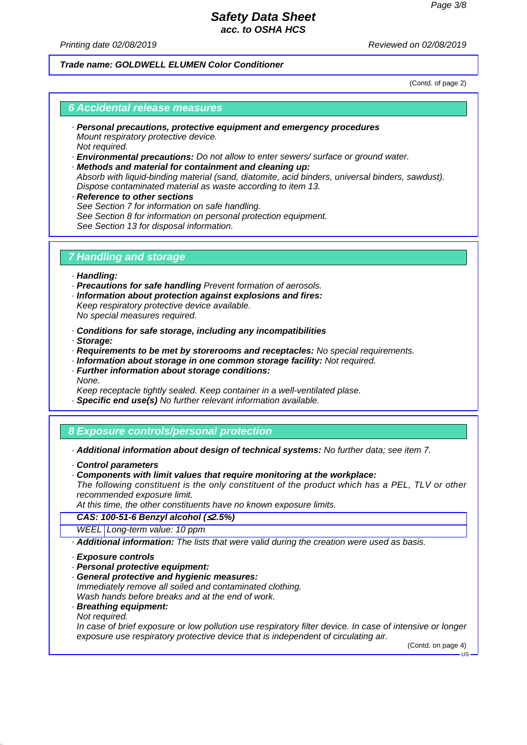*Printing date 02/08/2019 Reviewed on 02/08/2019*

### *Trade name: GOLDWELL ELUMEN Color Conditioner*

(Contd. of page 2)

### *6 Accidental release measures*

- *· Personal precautions, protective equipment and emergency procedures Mount respiratory protective device. Not required.*
- *· Environmental precautions: Do not allow to enter sewers/ surface or ground water.*
- *· Methods and material for containment and cleaning up: Absorb with liquid-binding material (sand, diatomite, acid binders, universal binders, sawdust). Dispose contaminated material as waste according to item 13.*
- *· Reference to other sections See Section 7 for information on safe handling. See Section 8 for information on personal protection equipment. See Section 13 for disposal information.*

### *7 Handling and storage*

- *· Handling:*
- *· Precautions for safe handling Prevent formation of aerosols.*
- *· Information about protection against explosions and fires: Keep respiratory protective device available.*

*No special measures required.*

- *· Conditions for safe storage, including any incompatibilities*
- *· Storage:*
- *· Requirements to be met by storerooms and receptacles: No special requirements.*
- *· Information about storage in one common storage facility: Not required.*
- *· Further information about storage conditions: None.*
- *Keep receptacle tightly sealed. Keep container in a well-ventilated plase.*
- *· Specific end use(s) No further relevant information available.*

# *8 Exposure controls/personal protection*

- *· Additional information about design of technical systems: No further data; see item 7.*
- *· Control parameters*
- *· Components with limit values that require monitoring at the workplace:*

*The following constituent is the only constituent of the product which has a PEL, TLV or other recommended exposure limit.*

*At this time, the other constituents have no known exposure limits.*

*CAS: 100-51-6 Benzyl alcohol (*≤*2.5%)*

- *WEEL Long-term value: 10 ppm*
- *· Additional information: The lists that were valid during the creation were used as basis.*
- *· Exposure controls*
- *· Personal protective equipment:*
- *· General protective and hygienic measures:*
- *Immediately remove all soiled and contaminated clothing. Wash hands before breaks and at the end of work.*
- *· Breathing equipment: Not required.*

*In case of brief exposure or low pollution use respiratory filter device. In case of intensive or longer exposure use respiratory protective device that is independent of circulating air.*

(Contd. on page 4)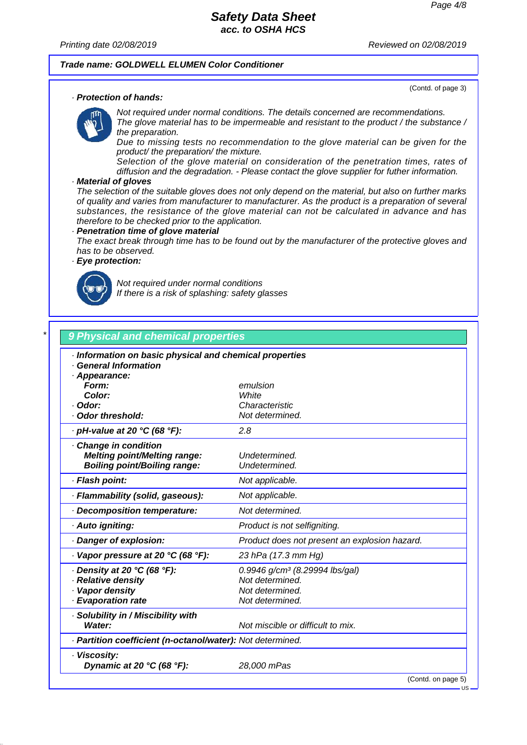(Contd. of page 3)

### *Safety Data Sheet acc. to OSHA HCS*

*Printing date 02/08/2019 Reviewed on 02/08/2019*

#### *Trade name: GOLDWELL ELUMEN Color Conditioner*

#### *· Protection of hands:*

*Not required under normal conditions. The details concerned are recommendations. The glove material has to be impermeable and resistant to the product / the substance / the preparation.*

*Due to missing tests no recommendation to the glove material can be given for the product/ the preparation/ the mixture.*

*Selection of the glove material on consideration of the penetration times, rates of diffusion and the degradation. - Please contact the glove supplier for futher information.*

#### *· Material of gloves*

*The selection of the suitable gloves does not only depend on the material, but also on further marks of quality and varies from manufacturer to manufacturer. As the product is a preparation of several substances, the resistance of the glove material can not be calculated in advance and has therefore to be checked prior to the application.*

#### *· Penetration time of glove material*

*The exact break through time has to be found out by the manufacturer of the protective gloves and has to be observed.*

### *· Eye protection:*



*Not required under normal conditions If there is a risk of splashing: safety glasses*

| <b>General Information</b>                                 |                                               |
|------------------------------------------------------------|-----------------------------------------------|
| · Appearance:                                              |                                               |
| Form:                                                      | emulsion                                      |
| Color:                                                     | White                                         |
| · Odor:                                                    | Characteristic                                |
| Odor threshold:                                            | Not determined.                               |
| · pH-value at 20 °C (68 °F):                               | 2.8                                           |
| Change in condition                                        |                                               |
| <b>Melting point/Melting range:</b>                        | Undetermined.                                 |
| <b>Boiling point/Boiling range:</b>                        | Undetermined.                                 |
| · Flash point:                                             | Not applicable.                               |
| · Flammability (solid, gaseous):                           | Not applicable.                               |
| Decomposition temperature:                                 | Not determined.                               |
| · Auto igniting:                                           | Product is not selfigniting.                  |
| · Danger of explosion:                                     | Product does not present an explosion hazard. |
| $\cdot$ Vapor pressure at 20 °C (68 °F):                   | 23 hPa (17.3 mm Hg)                           |
| $\cdot$ Density at 20 °C (68 °F):                          | 0.9946 g/cm <sup>3</sup> (8.29994 lbs/gal)    |
| · Relative density                                         | Not determined.                               |
| · Vapor density                                            | Not determined.                               |
| · Evaporation rate                                         | Not determined.                               |
| · Solubility in / Miscibility with                         |                                               |
| Water:                                                     | Not miscible or difficult to mix.             |
| · Partition coefficient (n-octanol/water): Not determined. |                                               |

(Contd. on page 5)

US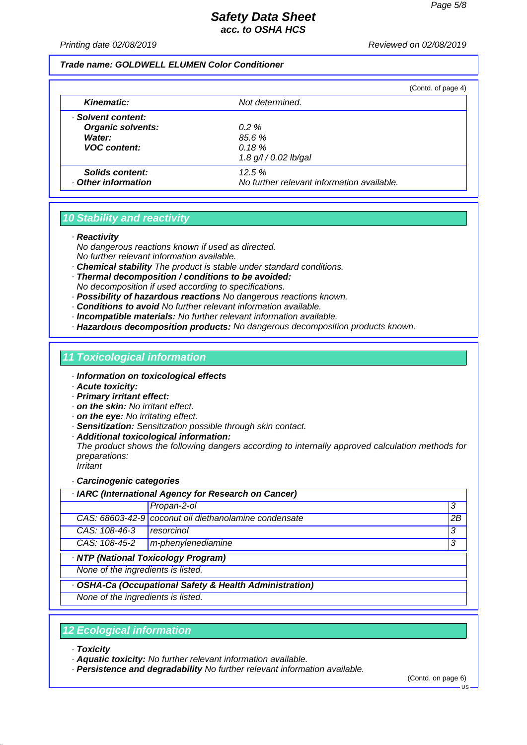*Printing date 02/08/2019 Reviewed on 02/08/2019*

#### *Trade name: GOLDWELL ELUMEN Color Conditioner*

|                          |                                            | (Contd. of page 4) |
|--------------------------|--------------------------------------------|--------------------|
| <b>Kinematic:</b>        | Not determined.                            |                    |
| · Solvent content:       |                                            |                    |
| <b>Organic solvents:</b> | $0.2 \%$                                   |                    |
| Water:                   | 85.6 %                                     |                    |
| <b>VOC content:</b>      | 0.18%                                      |                    |
|                          | 1.8 g/l / 0.02 lb/gal                      |                    |
| Solids content:          | 12.5%                                      |                    |
| Other information        | No further relevant information available. |                    |

# *10 Stability and reactivity*

*· Reactivity*

- *No dangerous reactions known if used as directed. No further relevant information available.*
- *· Chemical stability The product is stable under standard conditions.*
- *· Thermal decomposition / conditions to be avoided: No decomposition if used according to specifications.*
- *· Possibility of hazardous reactions No dangerous reactions known.*
- *· Conditions to avoid No further relevant information available.*
- *· Incompatible materials: No further relevant information available.*
- *· Hazardous decomposition products: No dangerous decomposition products known.*

### *11 Toxicological information*

- *· Information on toxicological effects*
- *· Acute toxicity:*
- *· Primary irritant effect:*
- *· on the skin: No irritant effect.*
- *· on the eye: No irritating effect.*
- *· Sensitization: Sensitization possible through skin contact.*
- *· Additional toxicological information:*

*The product shows the following dangers according to internally approved calculation methods for preparations: Irritant*

#### *· Carcinogenic categories*

|                                    | <b>IARC</b> (International Agency for Research on Cancer) |    |
|------------------------------------|-----------------------------------------------------------|----|
|                                    | Propan-2-ol                                               | 3  |
|                                    | CAS: 68603-42-9 coconut oil diethanolamine condensate     | 2B |
| CAS: 108-46-3                      | resorcinol                                                | 3  |
| CAS: 108-45-2                      | m-phenylenediamine                                        | 3  |
|                                    | · NTP (National Toxicology Program)                       |    |
| None of the ingredients is listed. |                                                           |    |
|                                    | · OSHA-Ca (Occupational Safety & Health Administration)   |    |
| None of the ingredients is listed. |                                                           |    |
|                                    |                                                           |    |

### *12 Ecological information*

- *· Toxicity*
- *· Aquatic toxicity: No further relevant information available.*
- *· Persistence and degradability No further relevant information available.*

(Contd. on page 6)

 $-18$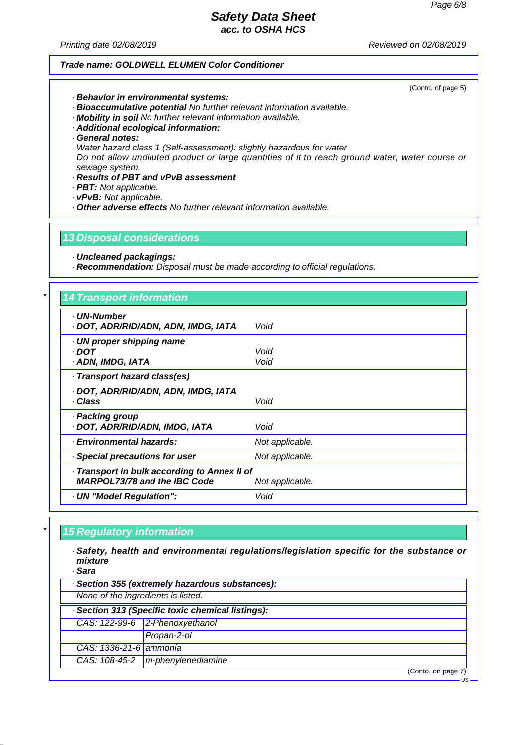*Printing date 02/08/2019 Reviewed on 02/08/2019*

#### *Trade name: GOLDWELL ELUMEN Color Conditioner*

(Contd. of page 5)

US

- *· Behavior in environmental systems:*
- *· Bioaccumulative potential No further relevant information available.*
- *· Mobility in soil No further relevant information available.*
- *· Additional ecological information:*
- *· General notes:*
- *Water hazard class 1 (Self-assessment): slightly hazardous for water*

*Do not allow undiluted product or large quantities of it to reach ground water, water course or sewage system.*

- *· Results of PBT and vPvB assessment*
- *· PBT: Not applicable.*
- *· vPvB: Not applicable.*
- *· Other adverse effects No further relevant information available.*

### *13 Disposal considerations*

*· Uncleaned packagings:*

*· Recommendation: Disposal must be made according to official regulations.*

# *\* 14 Transport information*

| <b>UN-Number</b><br>· DOT, ADR/RID/ADN, ADN, IMDG, IATA | Void            |
|---------------------------------------------------------|-----------------|
| · UN proper shipping name<br>· DOT                      | Void            |
| · ADN, IMDG, IATA                                       | Void            |
| · Transport hazard class(es)                            |                 |
| · DOT, ADR/RID/ADN, ADN, IMDG, IATA                     |                 |
| · Class                                                 | Void            |
| · Packing group                                         |                 |
| · DOT, ADR/RID/ADN, IMDG, IATA                          | Void            |
| · Environmental hazards:                                | Not applicable. |
| · Special precautions for user                          | Not applicable. |
| · Transport in bulk according to Annex II of            |                 |
| <b>MARPOL73/78 and the IBC Code</b>                     | Not applicable. |
| · UN "Model Regulation":                                | Void            |
|                                                         |                 |

### *\* 15 Regulatory information*

*· Safety, health and environmental regulations/legislation specific for the substance or mixture*

*· Sara · Section 355 (extremely hazardous substances): None of the ingredients is listed. · Section 313 (Specific toxic chemical listings): CAS: 122-99-6 2-Phenoxyethanol Propan-2-ol CAS: 1336-21-6 ammonia CAS: 108-45-2 m-phenylenediamine* (Contd. on page 7)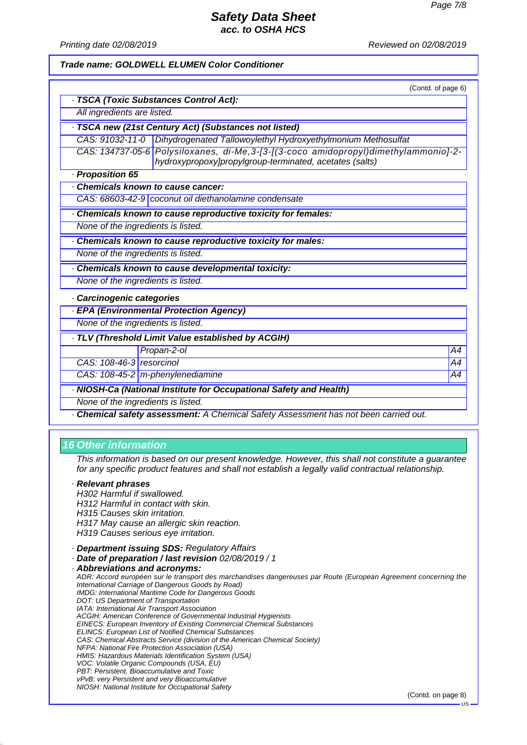*Printing date 02/08/2019 Reviewed on 02/08/2019*

#### *Trade name: GOLDWELL ELUMEN Color Conditioner*

|                                    | (Contd. of page 6)                                                                                                                              |    |
|------------------------------------|-------------------------------------------------------------------------------------------------------------------------------------------------|----|
|                                    | · TSCA (Toxic Substances Control Act):                                                                                                          |    |
| All ingredients are listed.        |                                                                                                                                                 |    |
|                                    | TSCA new (21st Century Act) (Substances not listed)                                                                                             |    |
|                                    | CAS: 91032-11-0   Dihydrogenated Tallowoylethyl Hydroxyethylmonium Methosulfat                                                                  |    |
|                                    | CAS: 134737-05-6 Polysiloxanes, di-Me, 3-[3-[(3-coco amidopropyl)dimethylammonio]-2-<br>hydroxypropoxy]propylgroup-terminated, acetates (salts) |    |
| · Proposition 65                   |                                                                                                                                                 |    |
| Chemicals known to cause cancer:   |                                                                                                                                                 |    |
|                                    | CAS: 68603-42-9 coconut oil diethanolamine condensate                                                                                           |    |
|                                    | Chemicals known to cause reproductive toxicity for females:                                                                                     |    |
| None of the ingredients is listed. |                                                                                                                                                 |    |
|                                    | Chemicals known to cause reproductive toxicity for males:                                                                                       |    |
| None of the ingredients is listed. |                                                                                                                                                 |    |
|                                    | Chemicals known to cause developmental toxicity:                                                                                                |    |
| None of the ingredients is listed. |                                                                                                                                                 |    |
| Carcinogenic categories            |                                                                                                                                                 |    |
|                                    | · EPA (Environmental Protection Agency)                                                                                                         |    |
| None of the ingredients is listed. |                                                                                                                                                 |    |
|                                    | TLV (Threshold Limit Value established by ACGIH)                                                                                                |    |
|                                    | Propan-2-ol                                                                                                                                     | A4 |
| CAS: 108-46-3 resorcinol           |                                                                                                                                                 | A4 |
| CAS: 108-45-2 m-phenylenediamine   |                                                                                                                                                 | A4 |
|                                    | · NIOSH-Ca (National Institute for Occupational Safety and Health)                                                                              |    |

*None of the ingredients is listed.*

*· Chemical safety assessment: A Chemical Safety Assessment has not been carried out.*

### *16 Other information*

*This information is based on our present knowledge. However, this shall not constitute a guarantee for any specific product features and shall not establish a legally valid contractual relationship.*

#### *· Relevant phrases*

*H302 Harmful if swallowed. H312 Harmful in contact with skin. H315 Causes skin irritation. H317 May cause an allergic skin reaction. H319 Causes serious eye irritation.*

*· Department issuing SDS: Regulatory Affairs*

*· Date of preparation / last revision 02/08/2019 / 1*

*· Abbreviations and acronyms: ADR: Accord européen sur le transport des marchandises dangereuses par Route (European Agreement concerning the International Carriage of Dangerous Goods by Road) IMDG: International Maritime Code for Dangerous Goods DOT: US Department of Transportation IATA: International Air Transport Association ACGIH: American Conference of Governmental Industrial Hygienists EINECS: European Inventory of Existing Commercial Chemical Substances ELINCS: European List of Notified Chemical Substances CAS: Chemical Abstracts Service (division of the American Chemical Society) NFPA: National Fire Protection Association (USA) HMIS: Hazardous Materials Identification System (USA) VOC: Volatile Organic Compounds (USA, EU) PBT: Persistent, Bioaccumulative and Toxic vPvB: very Persistent and very Bioaccumulative NIOSH: National Institute for Occupational Safety*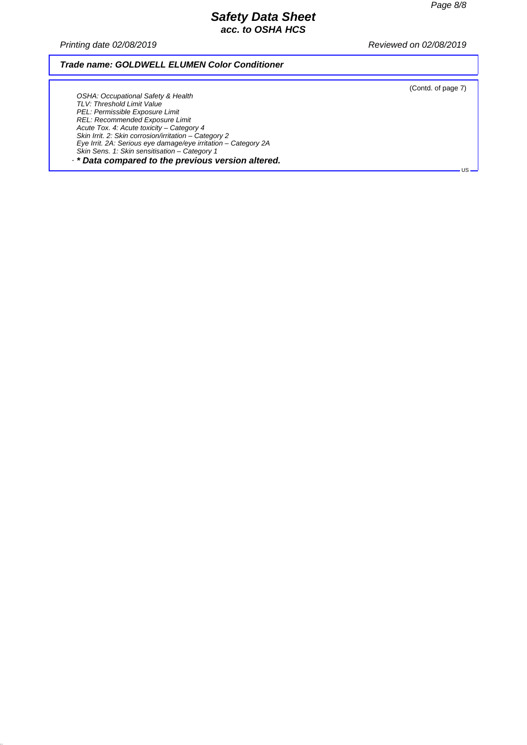*Printing date 02/08/2019 Reviewed on 02/08/2019*

### *Trade name: GOLDWELL ELUMEN Color Conditioner*

(Contd. of page 7)

US

*OSHA: Occupational Safety & Health TLV: Threshold Limit Value PEL: Permissible Exposure Limit REL: Recommended Exposure Limit Acute Tox. 4: Acute toxicity – Category 4 Skin Irrit. 2: Skin corrosion/irritation – Category 2 Eye Irrit. 2A: Serious eye damage/eye irritation – Category 2A Skin Sens. 1: Skin sensitisation – Category 1 · \* Data compared to the previous version altered.*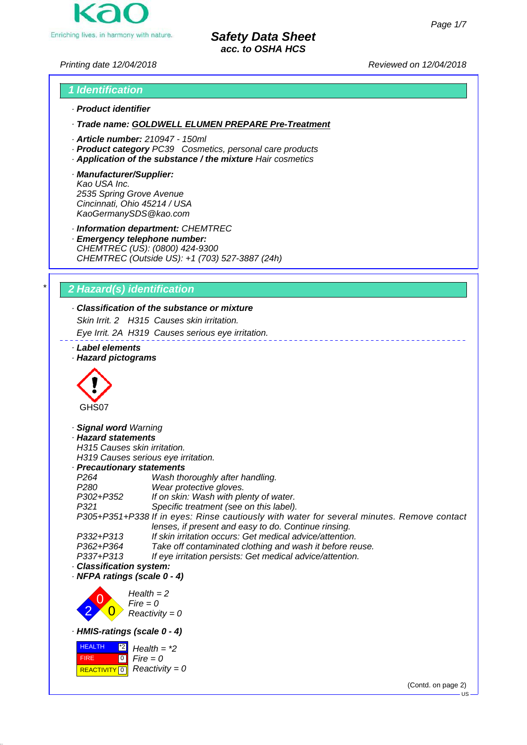

*Printing date 12/04/2018 Reviewed on 12/04/2018*

# *1 Identification · Product identifier*

*· Trade name: GOLDWELL ELUMEN PREPARE Pre-Treatment*

- *· Article number: 210947 150ml*
- *· Product category PC39 Cosmetics, personal care products*
- *· Application of the substance / the mixture Hair cosmetics*
- *· Manufacturer/Supplier: Kao USA Inc. 2535 Spring Grove Avenue Cincinnati, Ohio 45214 / USA KaoGermanySDS@kao.com*

*· Information department: CHEMTREC*

*· Emergency telephone number: CHEMTREC (US): (0800) 424-9300 CHEMTREC (Outside US): +1 (703) 527-3887 (24h)*

# *\* 2 Hazard(s) identification*

# *· Classification of the substance or mixture*

*Skin Irrit. 2 H315 Causes skin irritation.*

*Eye Irrit. 2A H319 Causes serious eye irritation.*

- *· Label elements*
- *· Hazard pictograms*



*· Signal word Warning · Hazard statements H315 Causes skin irritation. H319 Causes serious eye irritation. · Precautionary statements P264 Wash thoroughly after handling. P280 Wear protective gloves. P302+P352 If on skin: Wash with plenty of water. P321 Specific treatment (see on this label). P305+P351+P338 If in eyes: Rinse cautiously with water for several minutes. Remove contact lenses, if present and easy to do. Continue rinsing. P332+P313 If skin irritation occurs: Get medical advice/attention. P362+P364 Take off contaminated clothing and wash it before reuse. P337+P313 If eye irritation persists: Get medical advice/attention. · Classification system: · NFPA ratings (scale 0 - 4)*

2 0  $\overline{0}$ *Health = 2 Fire = 0 Reactivity = 0 · HMIS-ratings (scale 0 - 4)*



(Contd. on page 2)

 $\overline{18}$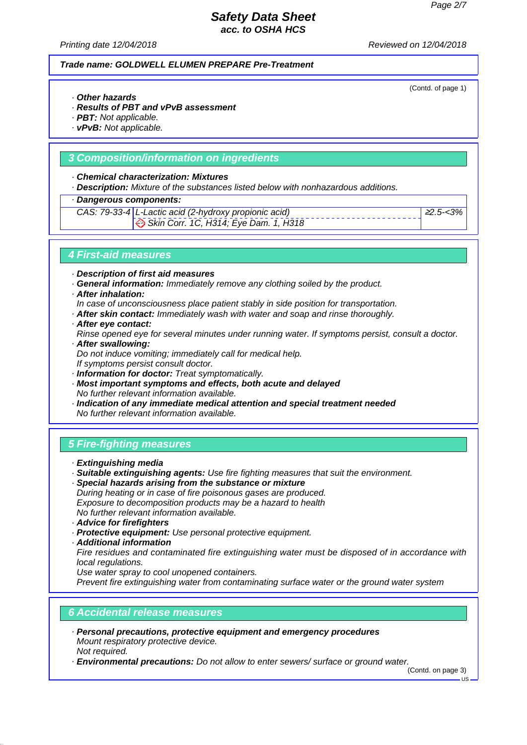*Printing date 12/04/2018 Reviewed on 12/04/2018*

### *Trade name: GOLDWELL ELUMEN PREPARE Pre-Treatment*

(Contd. of page 1)

- *· Other hazards*
- *· Results of PBT and vPvB assessment*
- *· PBT: Not applicable.*
- *· vPvB: Not applicable.*

### *3 Composition/information on ingredients*

#### *· Chemical characterization: Mixtures*

*· Description: Mixture of the substances listed below with nonhazardous additions.*

### *· Dangerous components:*

#### *CAS: 79-33-4 L-Lactic acid (2-hydroxy propionic acid)*

 *Skin Corr. 1C, H314; Eye Dam. 1, H318*

<sup>≥</sup>*2.5-<3%*

### *4 First-aid measures*

*· Description of first aid measures*

- *· General information: Immediately remove any clothing soiled by the product.*
- *· After inhalation:*
- *In case of unconsciousness place patient stably in side position for transportation.*
- *· After skin contact: Immediately wash with water and soap and rinse thoroughly.*
- *· After eye contact:*
- *Rinse opened eye for several minutes under running water. If symptoms persist, consult a doctor. · After swallowing:*
- *Do not induce vomiting; immediately call for medical help.*
	- *If symptoms persist consult doctor.*
- *· Information for doctor: Treat symptomatically.*
- *· Most important symptoms and effects, both acute and delayed No further relevant information available.*
- *· Indication of any immediate medical attention and special treatment needed No further relevant information available.*

# *5 Fire-fighting measures*

- *· Extinguishing media*
- *· Suitable extinguishing agents: Use fire fighting measures that suit the environment.*
- *· Special hazards arising from the substance or mixture During heating or in case of fire poisonous gases are produced. Exposure to decomposition products may be a hazard to health No further relevant information available.*
- *· Advice for firefighters*
- *· Protective equipment: Use personal protective equipment.*
- *· Additional information*

*Fire residues and contaminated fire extinguishing water must be disposed of in accordance with local regulations.*

*Use water spray to cool unopened containers.*

*Prevent fire extinguishing water from contaminating surface water or the ground water system*

#### *6 Accidental release measures*

- *· Personal precautions, protective equipment and emergency procedures Mount respiratory protective device. Not required.*
- *· Environmental precautions: Do not allow to enter sewers/ surface or ground water.*

(Contd. on page 3)

 $IB$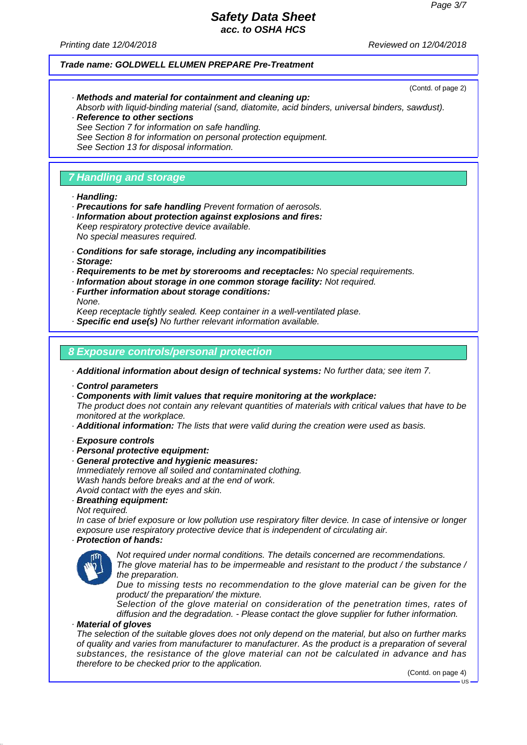(Contd. of page 2)

## *Safety Data Sheet acc. to OSHA HCS*

*Printing date 12/04/2018 Reviewed on 12/04/2018*

#### *Trade name: GOLDWELL ELUMEN PREPARE Pre-Treatment*

- *· Methods and material for containment and cleaning up:*
- *Absorb with liquid-binding material (sand, diatomite, acid binders, universal binders, sawdust). · Reference to other sections*
- *See Section 7 for information on safe handling.*
- *See Section 8 for information on personal protection equipment.*
- *See Section 13 for disposal information.*

### *7 Handling and storage*

#### *· Handling:*

- *· Precautions for safe handling Prevent formation of aerosols.*
- *· Information about protection against explosions and fires: Keep respiratory protective device available. No special measures required.*
- *· Conditions for safe storage, including any incompatibilities*
- *· Storage:*
- *· Requirements to be met by storerooms and receptacles: No special requirements.*
- *· Information about storage in one common storage facility: Not required.*
- *· Further information about storage conditions:*

*None.*

*Keep receptacle tightly sealed. Keep container in a well-ventilated plase.*

*· Specific end use(s) No further relevant information available.*

### *8 Exposure controls/personal protection*

*· Additional information about design of technical systems: No further data; see item 7.*

- *· Control parameters*
- *· Components with limit values that require monitoring at the workplace:*

*The product does not contain any relevant quantities of materials with critical values that have to be monitored at the workplace.*

- *· Additional information: The lists that were valid during the creation were used as basis.*
- *· Exposure controls*
- *· Personal protective equipment:*
- *· General protective and hygienic measures: Immediately remove all soiled and contaminated clothing. Wash hands before breaks and at the end of work. Avoid contact with the eyes and skin.*
- *· Breathing equipment:*

*Not required.*

*In case of brief exposure or low pollution use respiratory filter device. In case of intensive or longer exposure use respiratory protective device that is independent of circulating air.*

# *· Protection of hands:*



*Not required under normal conditions. The details concerned are recommendations. The glove material has to be impermeable and resistant to the product / the substance / the preparation.*

*Due to missing tests no recommendation to the glove material can be given for the product/ the preparation/ the mixture.*

*Selection of the glove material on consideration of the penetration times, rates of diffusion and the degradation. - Please contact the glove supplier for futher information.*

# *· Material of gloves*

*The selection of the suitable gloves does not only depend on the material, but also on further marks of quality and varies from manufacturer to manufacturer. As the product is a preparation of several substances, the resistance of the glove material can not be calculated in advance and has therefore to be checked prior to the application.*

(Contd. on page 4)

 $\overline{18}$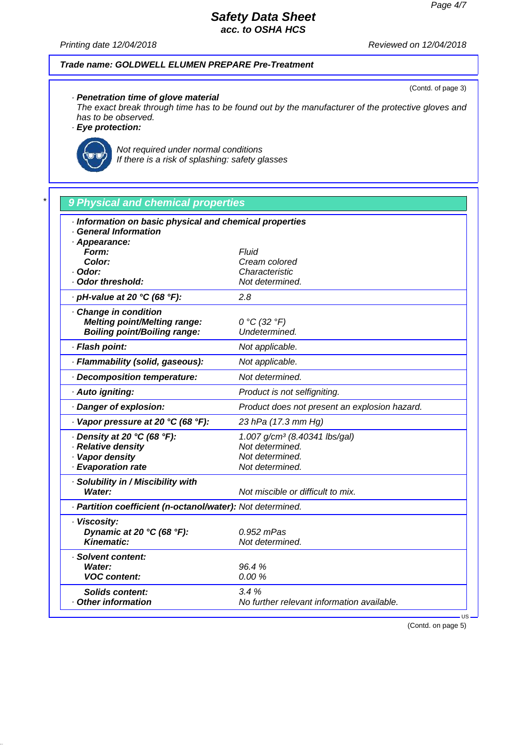(Contd. of page 3)

# *Safety Data Sheet acc. to OSHA HCS*

*Printing date 12/04/2018 Reviewed on 12/04/2018*

### *Trade name: GOLDWELL ELUMEN PREPARE Pre-Treatment*

*· Penetration time of glove material*

*The exact break through time has to be found out by the manufacturer of the protective gloves and has to be observed.*

*· Eye protection:*



*Not required under normal conditions If there is a risk of splashing: safety glasses*

| · Information on basic physical and chemical properties    |                                               |
|------------------------------------------------------------|-----------------------------------------------|
| <b>General Information</b>                                 |                                               |
| · Appearance:                                              |                                               |
| Form:<br>Color:                                            | Fluid                                         |
| · Odor:                                                    | Cream colored<br>Characteristic               |
| Odor threshold:                                            | Not determined.                               |
| · pH-value at 20 °C (68 °F):                               | 2.8                                           |
| Change in condition                                        |                                               |
| <b>Melting point/Melting range:</b>                        | 0 °C (32 °F)                                  |
| <b>Boiling point/Boiling range:</b>                        | Undetermined.                                 |
| · Flash point:                                             | Not applicable.                               |
| · Flammability (solid, gaseous):                           | Not applicable.                               |
| · Decomposition temperature:                               | Not determined.                               |
| · Auto igniting:                                           | Product is not selfigniting.                  |
| · Danger of explosion:                                     | Product does not present an explosion hazard. |
| $\cdot$ Vapor pressure at 20 °C (68 °F):                   | 23 hPa (17.3 mm Hg)                           |
| $\cdot$ Density at 20 °C (68 °F):                          | 1.007 g/cm <sup>3</sup> (8.40341 lbs/gal)     |
| · Relative density                                         | Not determined.                               |
| · Vapor density                                            | Not determined.                               |
| · Evaporation rate                                         | Not determined.                               |
| · Solubility in / Miscibility with                         |                                               |
| Water:                                                     | Not miscible or difficult to mix.             |
| · Partition coefficient (n-octanol/water): Not determined. |                                               |
| · Viscosity:                                               |                                               |
| Dynamic at 20 °C (68 °F):                                  | 0.952 mPas                                    |
| <b>Kinematic:</b>                                          | Not determined.                               |
| · Solvent content:                                         |                                               |
| Water:                                                     | 96.4%                                         |
| <b>VOC content:</b>                                        | 0.00%                                         |
| <b>Solids content:</b>                                     | 3.4%                                          |
| <b>Other information</b>                                   | No further relevant information available.    |

(Contd. on page 5)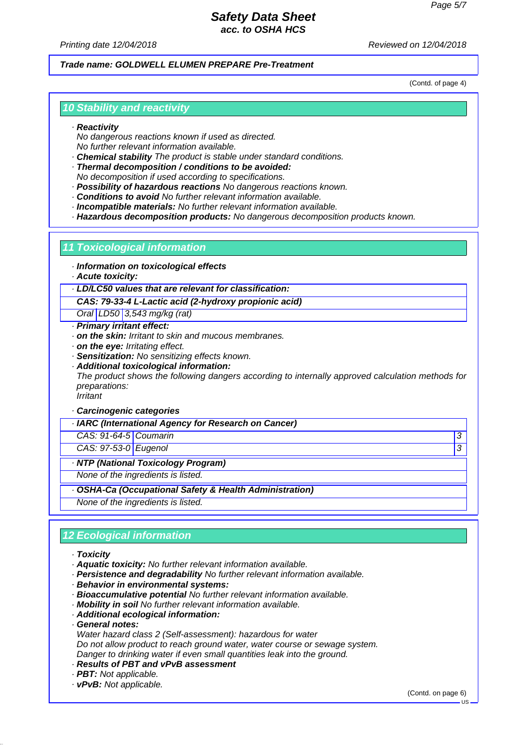*Printing date 12/04/2018 Reviewed on 12/04/2018*

### *Trade name: GOLDWELL ELUMEN PREPARE Pre-Treatment*

(Contd. of page 4)

### *10 Stability and reactivity*

#### *· Reactivity*

*No dangerous reactions known if used as directed. No further relevant information available.*

- *· Chemical stability The product is stable under standard conditions.*
- *· Thermal decomposition / conditions to be avoided:*
- *No decomposition if used according to specifications.*
- *· Possibility of hazardous reactions No dangerous reactions known.*
- *· Conditions to avoid No further relevant information available.*
- *· Incompatible materials: No further relevant information available.*
- *· Hazardous decomposition products: No dangerous decomposition products known.*

#### *11 Toxicological information*

- *· Information on toxicological effects*
- *· Acute toxicity:*

### *· LD/LC50 values that are relevant for classification:*

#### *CAS: 79-33-4 L-Lactic acid (2-hydroxy propionic acid)*

*Oral LD50 3,543 mg/kg (rat)*

- *· Primary irritant effect:*
- *· on the skin: Irritant to skin and mucous membranes.*
- *· on the eye: Irritating effect.*
- *· Sensitization: No sensitizing effects known.*
- *· Additional toxicological information:*

*The product shows the following dangers according to internally approved calculation methods for preparations:*

*Irritant*

### *· Carcinogenic categories*

*· IARC (International Agency for Research on Cancer)*

*CAS: 91-64-5 Coumarin 3* 

*CAS: 97-53-0 Eugenol 3* 

*· NTP (National Toxicology Program)*

*None of the ingredients is listed.*

#### *· OSHA-Ca (Occupational Safety & Health Administration)*

*None of the ingredients is listed.*

### *12 Ecological information*

- *· Toxicity*
- *· Aquatic toxicity: No further relevant information available.*
- *· Persistence and degradability No further relevant information available.*
- *· Behavior in environmental systems:*
- *· Bioaccumulative potential No further relevant information available.*
- *· Mobility in soil No further relevant information available.*
- *· Additional ecological information:*
- *· General notes:*
- *Water hazard class 2 (Self-assessment): hazardous for water*
- *Do not allow product to reach ground water, water course or sewage system.*
- *Danger to drinking water if even small quantities leak into the ground.*
- *· Results of PBT and vPvB assessment*
- *· PBT: Not applicable.*
- *· vPvB: Not applicable.*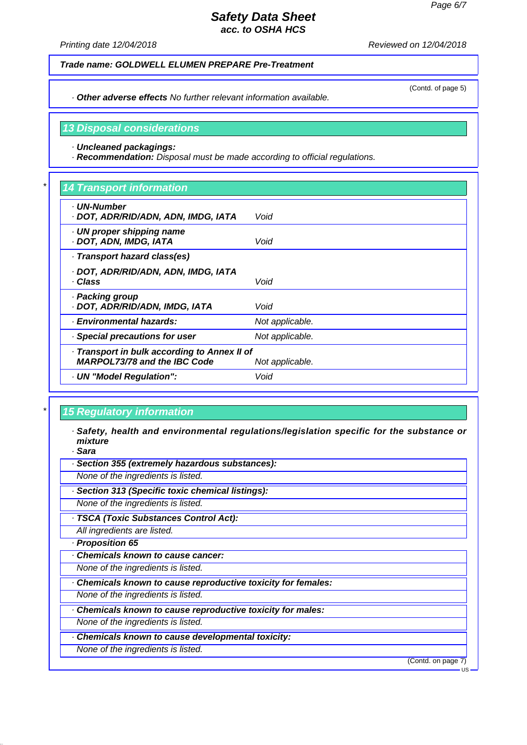(Contd. of page 5)

### *Safety Data Sheet acc. to OSHA HCS*

*Printing date 12/04/2018 Reviewed on 12/04/2018*

*Trade name: GOLDWELL ELUMEN PREPARE Pre-Treatment*

*· Other adverse effects No further relevant information available.*

*13 Disposal considerations*

*· Uncleaned packagings:*

*· Recommendation: Disposal must be made according to official regulations.*

# *\* 14 Transport information*

| <b>UN-Number</b><br>· DOT, ADR/RID/ADN, ADN, IMDG, IATA | Void            |
|---------------------------------------------------------|-----------------|
| · UN proper shipping name<br>· DOT, ADN, IMDG, IATA     | Void            |
| · Transport hazard class(es)                            |                 |
| · DOT, ADR/RID/ADN, ADN, IMDG, IATA<br>· Class          | Void            |
|                                                         |                 |
| · Packing group<br>· DOT, ADR/RID/ADN, IMDG, IATA       | Void            |
| · Environmental hazards:                                | Not applicable. |
| · Special precautions for user                          | Not applicable. |
| · Transport in bulk according to Annex II of            |                 |
| <b>MARPOL73/78 and the IBC Code</b>                     | Not applicable. |
| · UN "Model Regulation":                                | Void            |
|                                                         |                 |

# *\* 15 Regulatory information*

*· Safety, health and environmental regulations/legislation specific for the substance or mixture*

*· Sara*

*· Section 355 (extremely hazardous substances):*

*None of the ingredients is listed.*

*· Section 313 (Specific toxic chemical listings):*

*None of the ingredients is listed.*

*· TSCA (Toxic Substances Control Act):*

*All ingredients are listed.*

*· Proposition 65*

*· Chemicals known to cause cancer:*

*None of the ingredients is listed.*

*· Chemicals known to cause reproductive toxicity for females:*

*None of the ingredients is listed.*

*· Chemicals known to cause reproductive toxicity for males:*

*None of the ingredients is listed.*

*· Chemicals known to cause developmental toxicity:*

*None of the ingredients is listed.*

(Contd. on page 7)

US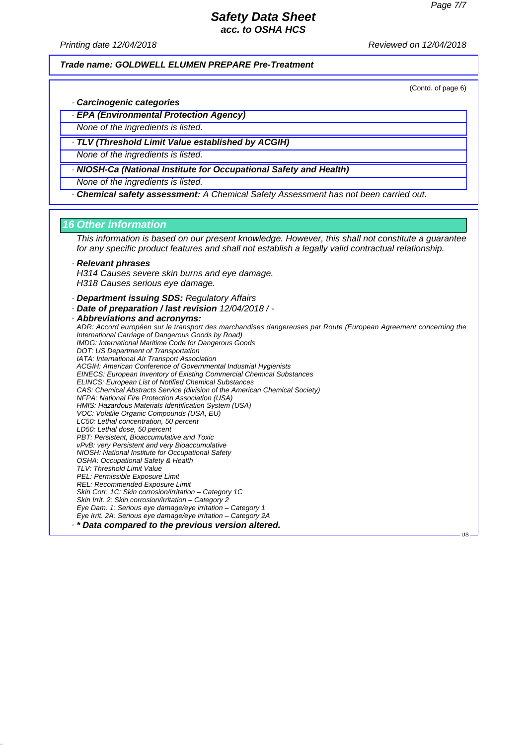*Printing date 12/04/2018 Reviewed on 12/04/2018*

*Trade name: GOLDWELL ELUMEN PREPARE Pre-Treatment*

(Contd. of page 6)

US

- *· Carcinogenic categories*
- *· EPA (Environmental Protection Agency)*
- *None of the ingredients is listed.*
- *· TLV (Threshold Limit Value established by ACGIH)*
- *None of the ingredients is listed.*
- *· NIOSH-Ca (National Institute for Occupational Safety and Health)*
- *None of the ingredients is listed.*
- *· Chemical safety assessment: A Chemical Safety Assessment has not been carried out.*

#### *16 Other information*

*This information is based on our present knowledge. However, this shall not constitute a guarantee for any specific product features and shall not establish a legally valid contractual relationship.*

### *· Relevant phrases*

*H314 Causes severe skin burns and eye damage. H318 Causes serious eye damage.*

- *· Department issuing SDS: Regulatory Affairs*
- *· Date of preparation / last revision 12/04/2018 / -*

*· Abbreviations and acronyms: ADR: Accord européen sur le transport des marchandises dangereuses par Route (European Agreement concerning the International Carriage of Dangerous Goods by Road) IMDG: International Maritime Code for Dangerous Goods DOT: US Department of Transportation IATA: International Air Transport Association ACGIH: American Conference of Governmental Industrial Hygienists EINECS: European Inventory of Existing Commercial Chemical Substances ELINCS: European List of Notified Chemical Substances CAS: Chemical Abstracts Service (division of the American Chemical Society) NFPA: National Fire Protection Association (USA) HMIS: Hazardous Materials Identification System (USA) VOC: Volatile Organic Compounds (USA, EU) LC50: Lethal concentration, 50 percent LD50: Lethal dose, 50 percent PBT: Persistent, Bioaccumulative and Toxic vPvB: very Persistent and very Bioaccumulative NIOSH: National Institute for Occupational Safety OSHA: Occupational Safety & Health TLV: Threshold Limit Value PEL: Permissible Exposure Limit REL: Recommended Exposure Limit Skin Corr. 1C: Skin corrosion/irritation – Category 1C Skin Irrit. 2: Skin corrosion/irritation – Category 2 Eye Dam. 1: Serious eye damage/eye irritation – Category 1 Eye Irrit. 2A: Serious eye damage/eye irritation – Category 2A · \* Data compared to the previous version altered.*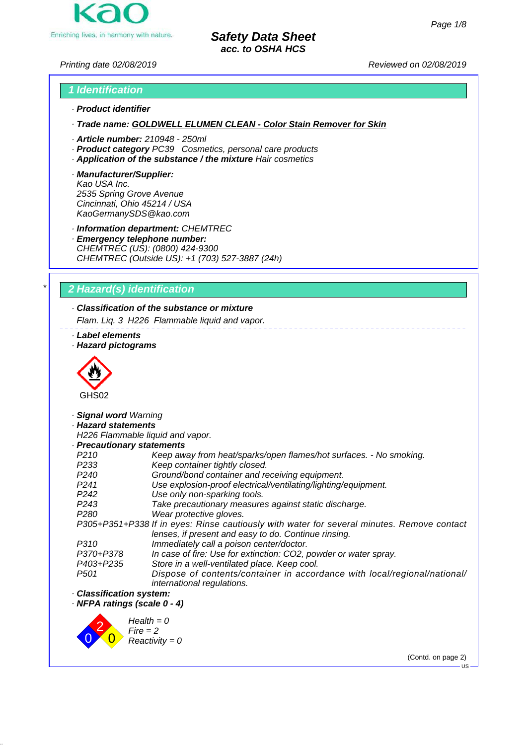

*Printing date 02/08/2019 Reviewed on 02/08/2019*

# *1 Identification · Product identifier*

*· Trade name: GOLDWELL ELUMEN CLEAN - Color Stain Remover for Skin*

- *· Article number: 210948 250ml*
- *· Product category PC39 Cosmetics, personal care products*
- *· Application of the substance / the mixture Hair cosmetics*
- *· Manufacturer/Supplier: Kao USA Inc. 2535 Spring Grove Avenue Cincinnati, Ohio 45214 / USA KaoGermanySDS@kao.com*

*· Information department: CHEMTREC*

*· Emergency telephone number: CHEMTREC (US): (0800) 424-9300 CHEMTREC (Outside US): +1 (703) 527-3887 (24h)*

# *\* 2 Hazard(s) identification*

*· Classification of the substance or mixture Flam. Liq. 3 H226 Flammable liquid and vapor.*

### *· Label elements*

*· Hazard pictograms*



*· Signal word Warning*

### *· Hazard statements*

*H226 Flammable liquid and vapor.*

### *· Precautionary statements*

| <b>Precautionary statements</b> |                                                                                            |
|---------------------------------|--------------------------------------------------------------------------------------------|
| P <sub>210</sub>                | Keep away from heat/sparks/open flames/hot surfaces. - No smoking.                         |
| P <sub>233</sub>                | Keep container tightly closed.                                                             |
| P <sub>240</sub>                | Ground/bond container and receiving equipment.                                             |
| P <sub>241</sub>                | Use explosion-proof electrical/ventilating/lighting/equipment.                             |
| P <sub>242</sub>                | Use only non-sparking tools.                                                               |
| P <sub>243</sub>                | Take precautionary measures against static discharge.                                      |
| P <sub>280</sub>                | Wear protective gloves.                                                                    |
|                                 | P305+P351+P338 If in eyes: Rinse cautiously with water for several minutes. Remove contact |
|                                 | lenses, if present and easy to do. Continue rinsing.                                       |
| P310                            | Immediately call a poison center/doctor.                                                   |
| P370+P378                       | In case of fire: Use for extinction: CO2, powder or water spray.                           |
| P403+P235                       | Store in a well-ventilated place. Keep cool.                                               |
| P <sub>501</sub>                | Dispose of contents/container in accordance with local/regional/national/                  |
|                                 | international regulations.                                                                 |
|                                 |                                                                                            |

*· Classification system:*

*· NFPA ratings (scale 0 - 4)*



(Contd. on page 2)

 $\overline{18}$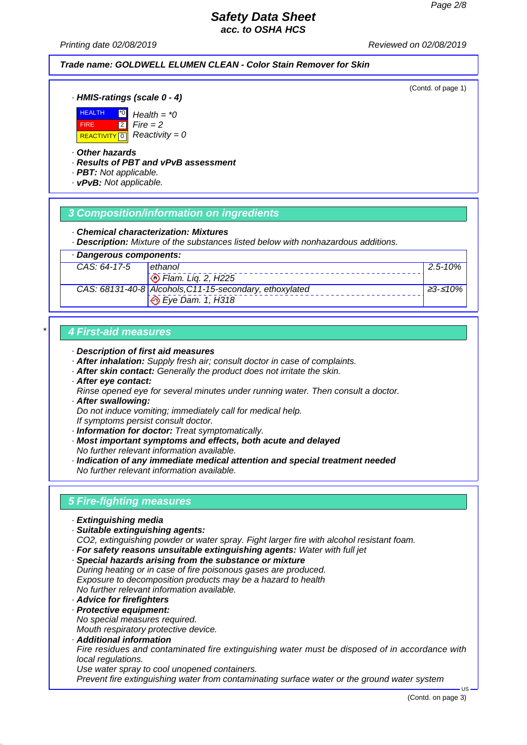*Printing date 02/08/2019 Reviewed on 02/08/2019*

# *Trade name: GOLDWELL ELUMEN CLEAN - Color Stain Remover for Skin*

(Contd. of page 1)

*· HMIS-ratings (scale 0 - 4)*



*· Other hazards*

*· Results of PBT and vPvB assessment*

*Health = \*0 Fire = 2 Reactivity = 0*

*· PBT: Not applicable.*

*· vPvB: Not applicable.*

# *3 Composition/information on ingredients*

#### *· Chemical characterization: Mixtures*

*· Description: Mixture of the substances listed below with nonhazardous additions.*

| Dangerous components: |                                                         |                  |
|-----------------------|---------------------------------------------------------|------------------|
| CAS: 64-17-5          | <b>Lethanol</b>                                         | $\vert$ 2.5-10%  |
|                       | $\odot$ Flam. Lig. 2, H225                              |                  |
|                       | CAS: 68131-40-8 Alcohols, C11-15-secondary, ethoxylated | <u> </u> ≥3-≤10% |
|                       | $\Diamond$ Eye Dam. 1, H318                             |                  |

## *\* 4 First-aid measures*

#### *· Description of first aid measures*

- *· After inhalation: Supply fresh air; consult doctor in case of complaints.*
- *· After skin contact: Generally the product does not irritate the skin.*
- *· After eye contact:*
- *Rinse opened eye for several minutes under running water. Then consult a doctor. · After swallowing:*
- *Do not induce vomiting; immediately call for medical help.*
- *If symptoms persist consult doctor.*
- *· Information for doctor: Treat symptomatically.*
- *· Most important symptoms and effects, both acute and delayed No further relevant information available.*
- *· Indication of any immediate medical attention and special treatment needed No further relevant information available.*

# *5 Fire-fighting measures*

- *· Extinguishing media*
- *· Suitable extinguishing agents:*
- *CO2, extinguishing powder or water spray. Fight larger fire with alcohol resistant foam.*
- *· For safety reasons unsuitable extinguishing agents: Water with full jet*
- *· Special hazards arising from the substance or mixture During heating or in case of fire poisonous gases are produced. Exposure to decomposition products may be a hazard to health No further relevant information available.*
- *· Advice for firefighters*
- *· Protective equipment:*
- *No special measures required. Mouth respiratory protective device.*
- *· Additional information Fire residues and contaminated fire extinguishing water must be disposed of in accordance with local regulations. Use water spray to cool unopened containers.*

*Prevent fire extinguishing water from contaminating surface water or the ground water system*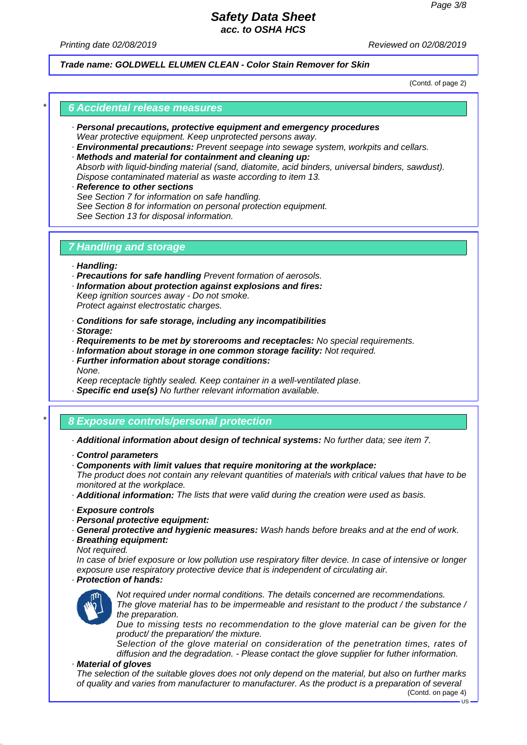*Printing date 02/08/2019 Reviewed on 02/08/2019*

*Trade name: GOLDWELL ELUMEN CLEAN - Color Stain Remover for Skin*

(Contd. of page 2)

### *\* 6 Accidental release measures*

- *· Personal precautions, protective equipment and emergency procedures Wear protective equipment. Keep unprotected persons away.*
- *· Environmental precautions: Prevent seepage into sewage system, workpits and cellars.*
- *· Methods and material for containment and cleaning up: Absorb with liquid-binding material (sand, diatomite, acid binders, universal binders, sawdust).*
- *Dispose contaminated material as waste according to item 13. · Reference to other sections See Section 7 for information on safe handling.*
- *See Section 8 for information on personal protection equipment. See Section 13 for disposal information.*

### *7 Handling and storage*

- *· Handling:*
- *· Precautions for safe handling Prevent formation of aerosols.*
- *· Information about protection against explosions and fires:*
- *Keep ignition sources away Do not smoke. Protect against electrostatic charges.*
- *· Conditions for safe storage, including any incompatibilities*
- *· Storage:*
- *· Requirements to be met by storerooms and receptacles: No special requirements.*
- *· Information about storage in one common storage facility: Not required.*
- *· Further information about storage conditions: None.*

*Keep receptacle tightly sealed. Keep container in a well-ventilated plase.*

*· Specific end use(s) No further relevant information available.*

# *\* 8 Exposure controls/personal protection*

- *· Additional information about design of technical systems: No further data; see item 7.*
- *· Control parameters*
- *· Components with limit values that require monitoring at the workplace:*

*The product does not contain any relevant quantities of materials with critical values that have to be monitored at the workplace.*

*· Additional information: The lists that were valid during the creation were used as basis.*

- *· Exposure controls*
- *· Personal protective equipment:*
- *· General protective and hygienic measures: Wash hands before breaks and at the end of work.*
- *· Breathing equipment:*

*Not required.*

*In case of brief exposure or low pollution use respiratory filter device. In case of intensive or longer exposure use respiratory protective device that is independent of circulating air.*

*· Protection of hands:*



*Not required under normal conditions. The details concerned are recommendations. The glove material has to be impermeable and resistant to the product / the substance /*

*the preparation.*

*Due to missing tests no recommendation to the glove material can be given for the product/ the preparation/ the mixture.*

*Selection of the glove material on consideration of the penetration times, rates of diffusion and the degradation. - Please contact the glove supplier for futher information.*

### *· Material of gloves*

*The selection of the suitable gloves does not only depend on the material, but also on further marks of quality and varies from manufacturer to manufacturer. As the product is a preparation of several*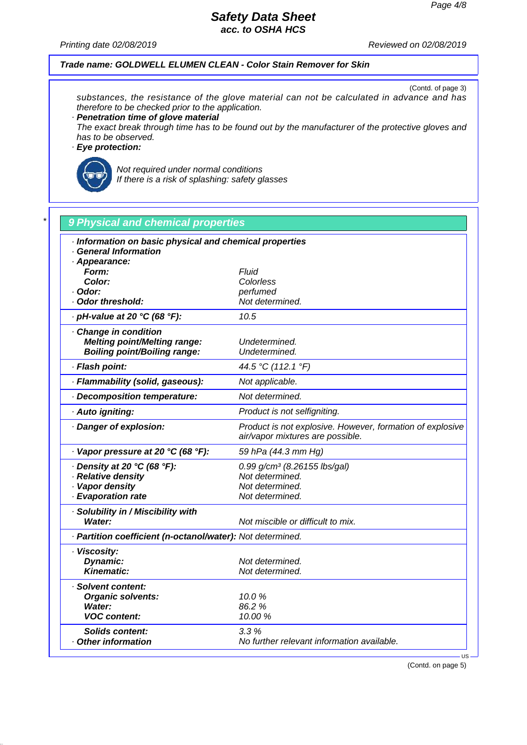*Printing date 02/08/2019 Reviewed on 02/08/2019*

### *Trade name: GOLDWELL ELUMEN CLEAN - Color Stain Remover for Skin*

(Contd. of page 3) *substances, the resistance of the glove material can not be calculated in advance and has therefore to be checked prior to the application.*

*· Penetration time of glove material*

*The exact break through time has to be found out by the manufacturer of the protective gloves and has to be observed.*

*· Eye protection:*



*Not required under normal conditions If there is a risk of splashing: safety glasses*

| · Information on basic physical and chemical properties    |                                                                                               |
|------------------------------------------------------------|-----------------------------------------------------------------------------------------------|
| · General Information                                      |                                                                                               |
| · Appearance:                                              |                                                                                               |
| Form:                                                      | Fluid                                                                                         |
| <b>Color:</b>                                              | Colorless                                                                                     |
| · Odor:                                                    | perfumed                                                                                      |
| · Odor threshold:                                          | Not determined.                                                                               |
| $\cdot$ pH-value at 20 °C (68 °F):                         | 10.5                                                                                          |
| Change in condition                                        |                                                                                               |
| <b>Melting point/Melting range:</b>                        | Undetermined.                                                                                 |
| <b>Boiling point/Boiling range:</b>                        | Undetermined.                                                                                 |
| · Flash point:                                             | 44.5 °C (112.1 °F)                                                                            |
| · Flammability (solid, gaseous):                           | Not applicable.                                                                               |
| Decomposition temperature:                                 | Not determined.                                                                               |
| · Auto igniting:                                           | Product is not selfigniting.                                                                  |
| Danger of explosion:                                       | Product is not explosive. However, formation of explosive<br>air/vapor mixtures are possible. |
| · Vapor pressure at 20 °C (68 °F):                         | 59 hPa (44.3 mm Hg)                                                                           |
| $\cdot$ Density at 20 °C (68 °F):                          | 0.99 g/cm <sup>3</sup> (8.26155 lbs/gal)                                                      |
| · Relative density                                         | Not determined.                                                                               |
| · Vapor density                                            | Not determined.                                                                               |
| · Evaporation rate                                         | Not determined.                                                                               |
| · Solubility in / Miscibility with                         |                                                                                               |
| Water:                                                     | Not miscible or difficult to mix.                                                             |
| · Partition coefficient (n-octanol/water): Not determined. |                                                                                               |
| · Viscosity:                                               |                                                                                               |
| Dynamic:                                                   | Not determined.                                                                               |
| <b>Kinematic:</b>                                          | Not determined.                                                                               |
| · Solvent content:                                         |                                                                                               |
| <b>Organic solvents:</b>                                   | 10.0%                                                                                         |
| Water:                                                     | 86.2 %                                                                                        |
| <b>VOC content:</b>                                        | 10.00 %                                                                                       |
| <b>Solids content:</b>                                     | 3.3%                                                                                          |
| <b>Other information</b>                                   | No further relevant information available.                                                    |

(Contd. on page 5)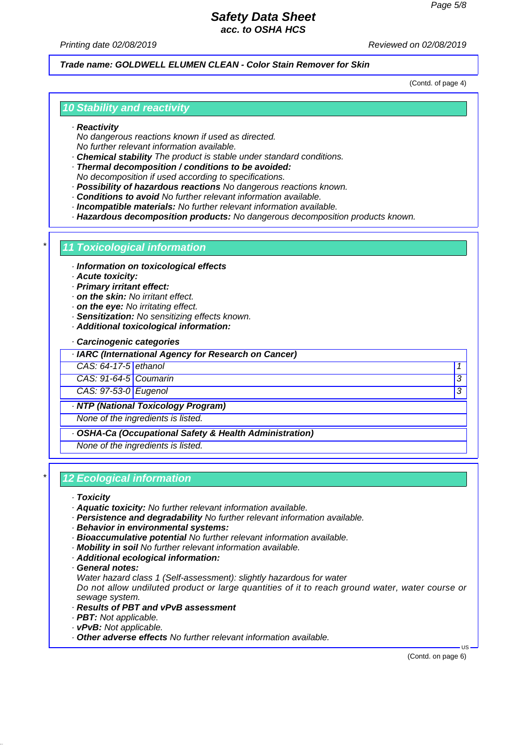*Printing date 02/08/2019 Reviewed on 02/08/2019*

### *Trade name: GOLDWELL ELUMEN CLEAN - Color Stain Remover for Skin*

(Contd. of page 4)

### *10 Stability and reactivity*

#### *· Reactivity*

*No dangerous reactions known if used as directed. No further relevant information available.*

*· Chemical stability The product is stable under standard conditions.*

*· Thermal decomposition / conditions to be avoided: No decomposition if used according to specifications.*

- *· Possibility of hazardous reactions No dangerous reactions known.*
- *· Conditions to avoid No further relevant information available.*
- *· Incompatible materials: No further relevant information available.*

*· Hazardous decomposition products: No dangerous decomposition products known.*

### *\* 11 Toxicological information*

- *· Information on toxicological effects*
- *· Acute toxicity:*
- *· Primary irritant effect:*
- *· on the skin: No irritant effect.*
- *· on the eye: No irritating effect.*
- *· Sensitization: No sensitizing effects known.*
- *· Additional toxicological information:*

#### *· Carcinogenic categories*

*· IARC (International Agency for Research on Cancer)*

- *CAS: 64-17-5 ethanol 1*
- *CAS: 91-64-5 Coumarin 3*

*CAS: 97-53-0 Eugenol 3* 

*· NTP (National Toxicology Program)*

*None of the ingredients is listed.*

*· OSHA-Ca (Occupational Safety & Health Administration)*

*None of the ingredients is listed.*

### *\* 12 Ecological information*

#### *· Toxicity*

- *· Aquatic toxicity: No further relevant information available.*
- *· Persistence and degradability No further relevant information available.*
- *· Behavior in environmental systems:*
- *· Bioaccumulative potential No further relevant information available.*
- *· Mobility in soil No further relevant information available.*
- *· Additional ecological information:*
- *· General notes:*

*Water hazard class 1 (Self-assessment): slightly hazardous for water*

*Do not allow undiluted product or large quantities of it to reach ground water, water course or sewage system.*

- *· Results of PBT and vPvB assessment*
- *· PBT: Not applicable.*
- *· vPvB: Not applicable.*
- *· Other adverse effects No further relevant information available.*

(Contd. on page 6)

 $\overline{18}$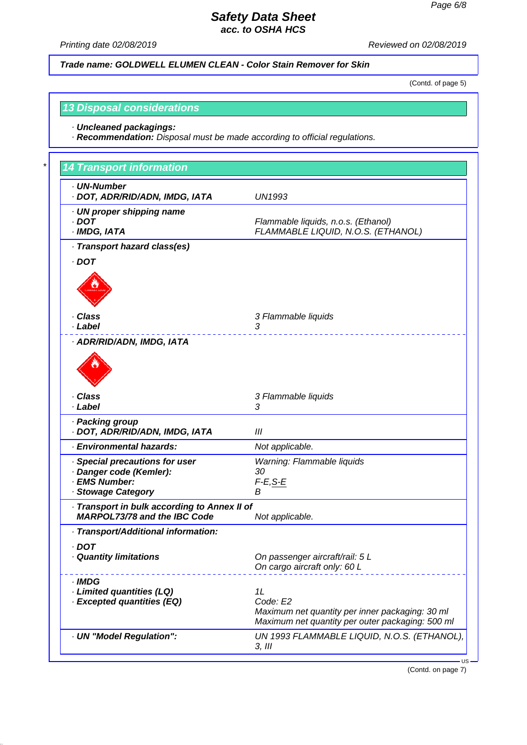*Printing date 02/08/2019 Reviewed on 02/08/2019*

*Trade name: GOLDWELL ELUMEN CLEAN - Color Stain Remover for Skin*

(Contd. of page 5)

## *13 Disposal considerations*

*· Uncleaned packagings:*

*· Recommendation: Disposal must be made according to official regulations.*

| · UN-Number                                       |                                                                                                     |
|---------------------------------------------------|-----------------------------------------------------------------------------------------------------|
| · DOT, ADR/RID/ADN, IMDG, IATA                    | <b>UN1993</b>                                                                                       |
| · UN proper shipping name                         |                                                                                                     |
| $.$ DOT                                           | Flammable liquids, n.o.s. (Ethanol)                                                                 |
| · IMDG, IATA                                      | FLAMMABLE LIQUID, N.O.S. (ETHANOL)                                                                  |
| · Transport hazard class(es)                      |                                                                                                     |
| $.$ DOT                                           |                                                                                                     |
|                                                   |                                                                                                     |
| · Class                                           | 3 Flammable liquids                                                                                 |
| · Label                                           | 3                                                                                                   |
| · ADR/RID/ADN, IMDG, IATA                         |                                                                                                     |
| · Class                                           | 3 Flammable liquids                                                                                 |
| · Label                                           | 3                                                                                                   |
| · Packing group<br>· DOT, ADR/RID/ADN, IMDG, IATA | Ш                                                                                                   |
| · Environmental hazards:                          | Not applicable.                                                                                     |
| Special precautions for user                      | Warning: Flammable liquids                                                                          |
| · Danger code (Kemler):                           | 30                                                                                                  |
| · EMS Number:                                     | $F-E, S-E$                                                                                          |
| · Stowage Category                                | В                                                                                                   |
| Transport in bulk according to Annex II of        |                                                                                                     |
| <b>MARPOL73/78 and the IBC Code</b>               | Not applicable.                                                                                     |
| · Transport/Additional information:               |                                                                                                     |
| $\cdot$ DOT                                       |                                                                                                     |
| · Quantity limitations                            | On passenger aircraft/rail: 5 L                                                                     |
|                                                   | On cargo aircraft only: 60 L                                                                        |
| $\cdot$ IMDG                                      |                                                                                                     |
| · Limited quantities (LQ)                         | 1L                                                                                                  |
| · Excepted quantities (EQ)                        | Code: E2                                                                                            |
|                                                   | Maximum net quantity per inner packaging: 30 ml<br>Maximum net quantity per outer packaging: 500 ml |
| · UN "Model Regulation":                          | UN 1993 FLAMMABLE LIQUID, N.O.S. (ETHANOL),                                                         |

(Contd. on page 7)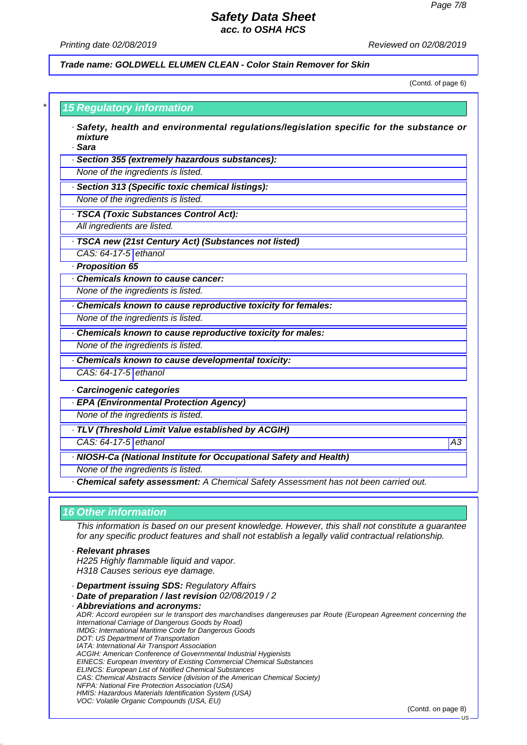#### *Printing date 02/08/2019 Reviewed on 02/08/2019*

*Trade name: GOLDWELL ELUMEN CLEAN - Color Stain Remover for Skin*

(Contd. of page 6)

| · Section 355 (extremely hazardous substances):<br>None of the ingredients is listed.<br>· Section 313 (Specific toxic chemical listings):<br>None of the ingredients is listed.<br>All ingredients are listed. |                 |
|-----------------------------------------------------------------------------------------------------------------------------------------------------------------------------------------------------------------|-----------------|
| · TSCA (Toxic Substances Control Act):                                                                                                                                                                          |                 |
|                                                                                                                                                                                                                 |                 |
|                                                                                                                                                                                                                 |                 |
|                                                                                                                                                                                                                 |                 |
|                                                                                                                                                                                                                 |                 |
|                                                                                                                                                                                                                 |                 |
| · TSCA new (21st Century Act) (Substances not listed)                                                                                                                                                           |                 |
| CAS: 64-17-5 ethanol                                                                                                                                                                                            |                 |
| · Proposition 65                                                                                                                                                                                                |                 |
| Chemicals known to cause cancer:                                                                                                                                                                                |                 |
| None of the ingredients is listed.                                                                                                                                                                              |                 |
| Chemicals known to cause reproductive toxicity for females:                                                                                                                                                     |                 |
| None of the ingredients is listed.                                                                                                                                                                              |                 |
| Chemicals known to cause reproductive toxicity for males:                                                                                                                                                       |                 |
| None of the ingredients is listed.                                                                                                                                                                              |                 |
| Chemicals known to cause developmental toxicity:                                                                                                                                                                |                 |
| CAS: 64-17-5 ethanol                                                                                                                                                                                            |                 |
| Carcinogenic categories                                                                                                                                                                                         |                 |
| · EPA (Environmental Protection Agency)                                                                                                                                                                         |                 |
| None of the ingredients is listed.                                                                                                                                                                              |                 |
| · TLV (Threshold Limit Value established by ACGIH)                                                                                                                                                              |                 |
| CAS: 64-17-5 ethanol                                                                                                                                                                                            | $\overline{A3}$ |
| · NIOSH-Ca (National Institute for Occupational Safety and Health)                                                                                                                                              |                 |
| None of the ingredients is listed.                                                                                                                                                                              |                 |
| · Chemical safety assessment: A Chemical Safety Assessment has not been carried out.                                                                                                                            |                 |

- *· Department issuing SDS: Regulatory Affairs*
- *· Date of preparation / last revision 02/08/2019 / 2*
- *· Abbreviations and acronyms: ADR: Accord européen sur le transport des marchandises dangereuses par Route (European Agreement concerning the International Carriage of Dangerous Goods by Road) IMDG: International Maritime Code for Dangerous Goods DOT: US Department of Transportation IATA: International Air Transport Association ACGIH: American Conference of Governmental Industrial Hygienists EINECS: European Inventory of Existing Commercial Chemical Substances ELINCS: European List of Notified Chemical Substances CAS: Chemical Abstracts Service (division of the American Chemical Society) NFPA: National Fire Protection Association (USA) HMIS: Hazardous Materials Identification System (USA) VOC: Volatile Organic Compounds (USA, EU)*

(Contd. on page 8)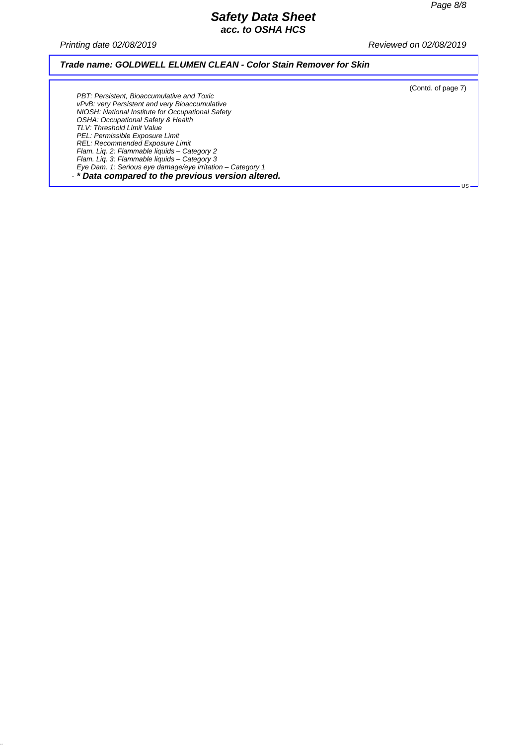*Printing date 02/08/2019 Reviewed on 02/08/2019*

### *Trade name: GOLDWELL ELUMEN CLEAN - Color Stain Remover for Skin*

(Contd. of page 7)

US

*PBT: Persistent, Bioaccumulative and Toxic vPvB: very Persistent and very Bioaccumulative NIOSH: National Institute for Occupational Safety OSHA: Occupational Safety & Health TLV: Threshold Limit Value PEL: Permissible Exposure Limit REL: Recommended Exposure Limit Flam. Liq. 2: Flammable liquids – Category 2 Flam. Liq. 3: Flammable liquids – Category 3 Eye Dam. 1: Serious eye damage/eye irritation – Category 1 · \* Data compared to the previous version altered.*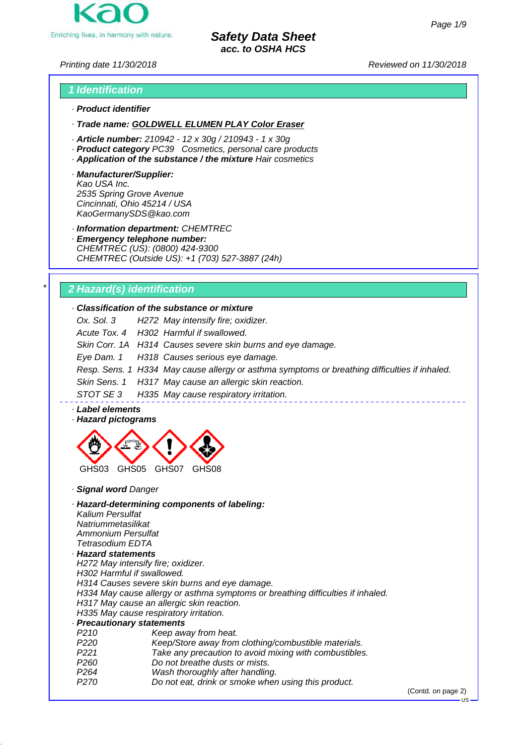

*Printing date 11/30/2018 Reviewed on 11/30/2018*

# *1 Identification · Product identifier*

*· Trade name: GOLDWELL ELUMEN PLAY Color Eraser*

- *· Article number: 210942 12 x 30g / 210943 1 x 30g*
- *· Product category PC39 Cosmetics, personal care products*
- *· Application of the substance / the mixture Hair cosmetics*
- *· Manufacturer/Supplier: Kao USA Inc. 2535 Spring Grove Avenue Cincinnati, Ohio 45214 / USA KaoGermanySDS@kao.com*

*· Information department: CHEMTREC*

*· Emergency telephone number: CHEMTREC (US): (0800) 424-9300 CHEMTREC (Outside US): +1 (703) 527-3887 (24h)*

# *\* 2 Hazard(s) identification*

### *· Classification of the substance or mixture*

|  | Ox. Sol. 3 H272 May intensify fire; oxidizer.                                                 |
|--|-----------------------------------------------------------------------------------------------|
|  | Acute Tox. 4 H302 Harmful if swallowed.                                                       |
|  | Skin Corr. 1A H314 Causes severe skin burns and eye damage.                                   |
|  | Eye Dam. 1 H318 Causes serious eye damage.                                                    |
|  | Resp. Sens. 1 H334 May cause allergy or asthma symptoms or breathing difficulties if inhaled. |
|  | Skin Sens. 1 H317 May cause an allergic skin reaction.                                        |
|  | STOT SE 3 H335 May cause respiratory irritation.                                              |

*· Label elements*

#### *· Hazard pictograms*



*· Signal word Danger*

#### *· Hazard-determining components of labeling:*

*Kalium Persulfat Natriummetasilikat Ammonium Persulfat Tetrasodium EDTA*

### *· Hazard statements*

*H272 May intensify fire; oxidizer. H302 Harmful if swallowed. H314 Causes severe skin burns and eye damage. H334 May cause allergy or asthma symptoms or breathing difficulties if inhaled. H317 May cause an allergic skin reaction. H335 May cause respiratory irritation.*

- *· Precautionary statements*
- *P210 Keep away from heat.*
- *P220 Keep/Store away from clothing/combustible materials.*
- *P221 Take any precaution to avoid mixing with combustibles.*
- *P260 Do not breathe dusts or mists.*
- *P264 Wash thoroughly after handling.*
- *P270 Do not eat, drink or smoke when using this product.*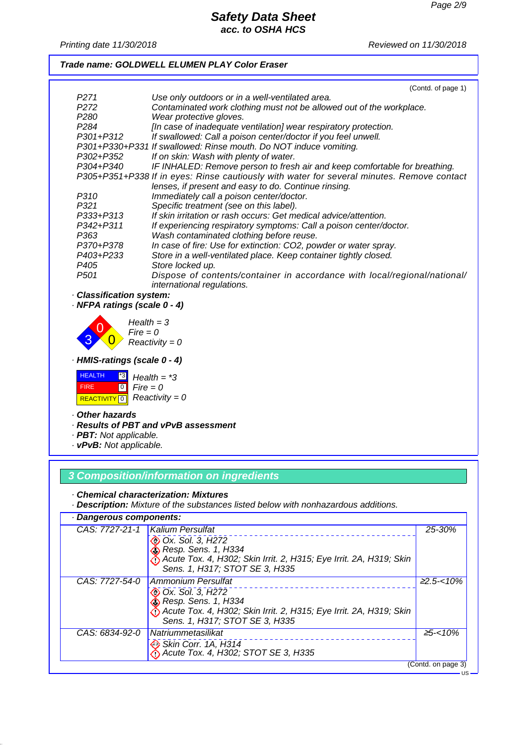*Printing date 11/30/2018 Reviewed on 11/30/2018*

## *Trade name: GOLDWELL ELUMEN PLAY Color Eraser*

|                               | (Contd. of page 1)                                                                         |
|-------------------------------|--------------------------------------------------------------------------------------------|
| P271                          | Use only outdoors or in a well-ventilated area.                                            |
| P <sub>2</sub> 72             | Contaminated work clothing must not be allowed out of the workplace.                       |
| P280                          | Wear protective gloves.                                                                    |
| P <sub>284</sub>              | [In case of inadequate ventilation] wear respiratory protection.                           |
| P301+P312                     | If swallowed: Call a poison center/doctor if you feel unwell.                              |
|                               | P301+P330+P331 If swallowed: Rinse mouth. Do NOT induce vomiting.                          |
| P302+P352                     | If on skin: Wash with plenty of water.                                                     |
| P304+P340                     | IF INHALED: Remove person to fresh air and keep comfortable for breathing.                 |
|                               | P305+P351+P338 If in eyes: Rinse cautiously with water for several minutes. Remove contact |
|                               | lenses, if present and easy to do. Continue rinsing.                                       |
| P310                          | Immediately call a poison center/doctor.                                                   |
| P321                          | Specific treatment (see on this label).                                                    |
| P333+P313                     | If skin irritation or rash occurs: Get medical advice/attention.                           |
| P342+P311                     | If experiencing respiratory symptoms: Call a poison center/doctor.                         |
| P363                          | Wash contaminated clothing before reuse.                                                   |
| P370+P378                     | In case of fire: Use for extinction: CO2, powder or water spray.                           |
| P403+P233                     | Store in a well-ventilated place. Keep container tightly closed.                           |
| P405                          | Store locked up.                                                                           |
| P <sub>501</sub>              | Dispose of contents/container in accordance with local/regional/national/                  |
|                               | international regulations.                                                                 |
| <b>Classification system:</b> |                                                                                            |

*· NFPA ratings (scale 0 - 4)*



*· HMIS-ratings (scale 0 - 4)*

| <b>HEALTH</b> | $^*3$ | Health = $*3$                                 |
|---------------|-------|-----------------------------------------------|
| <b>FIRE</b>   |       | $\begin{bmatrix} 0 \\ \end{bmatrix}$ Fire = 0 |
|               |       | <b>REACTIVITY 6</b> Reactivity = 0            |

#### *· Other hazards*

- *· Results of PBT and vPvB assessment*
- *· PBT: Not applicable.*
- *· vPvB: Not applicable.*

## *3 Composition/information on ingredients*

*· Chemical characterization: Mixtures*

*· Description: Mixture of the substances listed below with nonhazardous additions.*

| · Dangerous components: |                                                                                                                                                                                                    |                    |
|-------------------------|----------------------------------------------------------------------------------------------------------------------------------------------------------------------------------------------------|--------------------|
|                         | CAS: 7727-21-1   Kalium Persulfat<br>Ox. Sol. 3, H272<br>$\&$ Resp. Sens. 1, H334<br>Acute Tox. 4, H302; Skin Irrit. 2, H315; Eye Irrit. 2A, H319; Skin<br>Sens. 1, H317; STOT SE 3, H335          | 25-30%             |
| CAS: 7727-54-0          | <b>Ammonium Persulfat</b><br><b>E</b> Ox. Sol. 3, H272<br><b>&amp;</b> Resp. Sens. 1, H334<br>Acute Tox. 4, H302; Skin Irrit. 2, H315; Eye Irrit. 2A, H319; Skin<br>Sens. 1, H317; STOT SE 3, H335 | $22.5 - 10\%$      |
| CAS: 6834-92-0          | Natriummetasilikat<br>Skin Corr. 1A, H314<br>Acute Tox. 4, H302; STOT SE 3, H335                                                                                                                   | $\geq 5 - <10\%$   |
|                         |                                                                                                                                                                                                    | (Contd. on page 3) |
|                         |                                                                                                                                                                                                    |                    |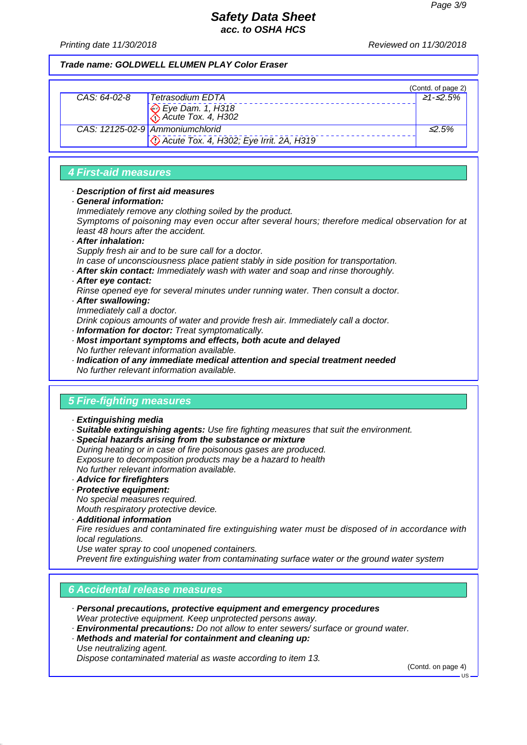*Printing date 11/30/2018 Reviewed on 11/30/2018*

## *Trade name: GOLDWELL ELUMEN PLAY Color Eraser*

|              |                                                  | (Contd. of page 2) |
|--------------|--------------------------------------------------|--------------------|
| CAS: 64-02-8 | Tetrasodium EDTA                                 | 21-≤2.5%           |
|              | Eye Dam. 1, H318                                 |                    |
|              | CAS: 12125-02-9 Ammoniumchlorid                  | $\leq$ 5%          |
|              | <b>C</b> Acute Tox. 4, H302; Eye Irrit. 2A, H319 |                    |

## *4 First-aid measures*

### *· Description of first aid measures*

- *· General information:*
- *Immediately remove any clothing soiled by the product.*

*Symptoms of poisoning may even occur after several hours; therefore medical observation for at least 48 hours after the accident.*

#### *· After inhalation:*

*Supply fresh air and to be sure call for a doctor.*

- *In case of unconsciousness place patient stably in side position for transportation.*
- *· After skin contact: Immediately wash with water and soap and rinse thoroughly.*

### *· After eye contact:*

*Rinse opened eye for several minutes under running water. Then consult a doctor.*

- *· After swallowing:*
- *Immediately call a doctor.*

*Drink copious amounts of water and provide fresh air. Immediately call a doctor.*

- *· Information for doctor: Treat symptomatically.*
- *· Most important symptoms and effects, both acute and delayed No further relevant information available.*
- *· Indication of any immediate medical attention and special treatment needed No further relevant information available.*

## *5 Fire-fighting measures*

- *· Extinguishing media*
- *· Suitable extinguishing agents: Use fire fighting measures that suit the environment.*
- *· Special hazards arising from the substance or mixture During heating or in case of fire poisonous gases are produced. Exposure to decomposition products may be a hazard to health No further relevant information available.*
- *· Advice for firefighters*
- *· Protective equipment:*

*No special measures required. Mouth respiratory protective device.*

- *· Additional information*
- *Fire residues and contaminated fire extinguishing water must be disposed of in accordance with*

*local regulations.*

*Use water spray to cool unopened containers.*

*Prevent fire extinguishing water from contaminating surface water or the ground water system*

## *6 Accidental release measures*

- *· Personal precautions, protective equipment and emergency procedures Wear protective equipment. Keep unprotected persons away.*
- *· Environmental precautions: Do not allow to enter sewers/ surface or ground water.*
- *· Methods and material for containment and cleaning up: Use neutralizing agent.*

*Dispose contaminated material as waste according to item 13.*

(Contd. on page 4)

 $-18$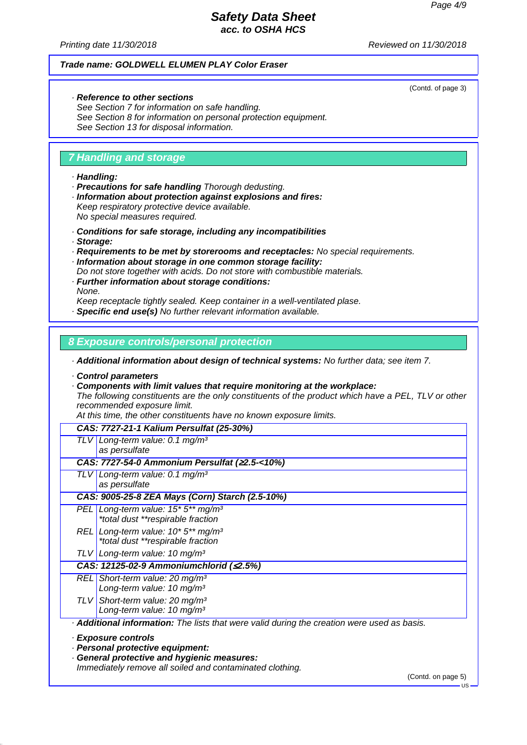(Contd. of page 3)

## *Safety Data Sheet acc. to OSHA HCS*

*Printing date 11/30/2018 Reviewed on 11/30/2018*

### *Trade name: GOLDWELL ELUMEN PLAY Color Eraser*

#### *· Reference to other sections*

*See Section 7 for information on safe handling. See Section 8 for information on personal protection equipment. See Section 13 for disposal information.*

## *7 Handling and storage*

#### *· Handling:*

- *· Precautions for safe handling Thorough dedusting.*
- *· Information about protection against explosions and fires: Keep respiratory protective device available.*

*No special measures required.*

- *· Conditions for safe storage, including any incompatibilities*
- *· Storage:*
- *· Requirements to be met by storerooms and receptacles: No special requirements.*
- *· Information about storage in one common storage facility:*
- *Do not store together with acids. Do not store with combustible materials.*
- *· Further information about storage conditions: None.*

*Keep receptacle tightly sealed. Keep container in a well-ventilated plase.*

*· Specific end use(s) No further relevant information available.*

## *8 Exposure controls/personal protection*

*· Additional information about design of technical systems: No further data; see item 7.*

*· Control parameters*

*· Components with limit values that require monitoring at the workplace:*

*The following constituents are the only constituents of the product which have a PEL, TLV or other recommended exposure limit.*

*At this time, the other constituents have no known exposure limits.*

|                                                          | CAS: 7727-21-1 Kalium Persulfat (25-30%)                                                         |  |
|----------------------------------------------------------|--------------------------------------------------------------------------------------------------|--|
| TLVI                                                     | Long-term value: 0.1 mg/m <sup>3</sup><br>as persulfate                                          |  |
|                                                          | CAS: 7727-54-0 Ammonium Persulfat (22.5-<10%)                                                    |  |
| ILV I                                                    | Long-term value: 0.1 mg/m <sup>3</sup>                                                           |  |
|                                                          | as persulfate                                                                                    |  |
|                                                          | CAS: 9005-25-8 ZEA Mays (Corn) Starch (2.5-10%)                                                  |  |
|                                                          | PEL Long-term value: $15*5**mg/m^3$                                                              |  |
|                                                          | *total dust **respirable fraction                                                                |  |
|                                                          | REL Long-term value: 10* 5** mg/m <sup>3</sup>                                                   |  |
|                                                          | *total dust **respirable fraction                                                                |  |
|                                                          | TLV Long-term value: 10 mg/m <sup>3</sup>                                                        |  |
|                                                          | CAS: 12125-02-9 Ammoniumchlorid (≤2.5%)                                                          |  |
|                                                          | $REL$ Short-term value: 20 mg/m <sup>3</sup>                                                     |  |
|                                                          | Long-term value: 10 mg/m <sup>3</sup>                                                            |  |
|                                                          | TLV Short-term value: 20 mg/m <sup>3</sup>                                                       |  |
|                                                          | Long-term value: 10 mg/m <sup>3</sup>                                                            |  |
|                                                          | <b>Additional information:</b> The lists that were valid during the creation were used as basis. |  |
|                                                          | · Exposure controls<br>· Personal protective equipment:                                          |  |
|                                                          | <b>General protective and hygienic measures:</b>                                                 |  |
| Immediately remove all soiled and contaminated clothing. |                                                                                                  |  |

(Contd. on page 5)

US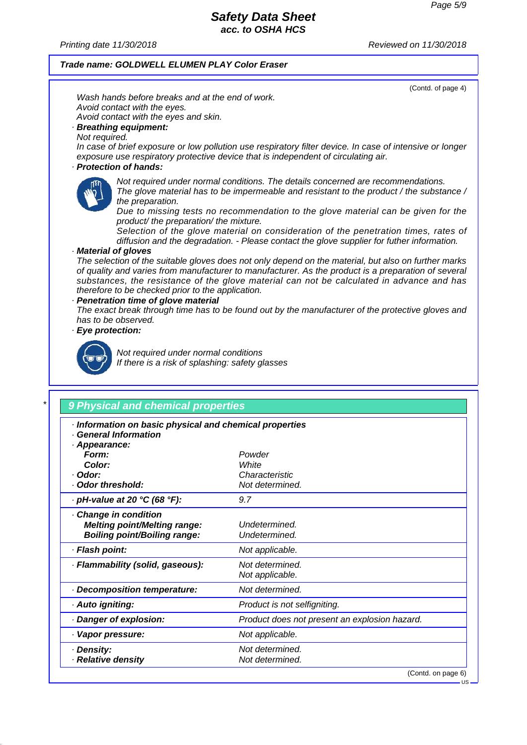*Printing date 11/30/2018 Reviewed on 11/30/2018*

## *Trade name: GOLDWELL ELUMEN PLAY Color Eraser*

(Contd. of page 4)

US

*Wash hands before breaks and at the end of work. Avoid contact with the eyes. Avoid contact with the eyes and skin. · Breathing equipment:*

*Not required.*

*In case of brief exposure or low pollution use respiratory filter device. In case of intensive or longer exposure use respiratory protective device that is independent of circulating air.*

## *· Protection of hands:*



*Not required under normal conditions. The details concerned are recommendations. The glove material has to be impermeable and resistant to the product / the substance / the preparation.*

*Due to missing tests no recommendation to the glove material can be given for the product/ the preparation/ the mixture.*

*Selection of the glove material on consideration of the penetration times, rates of diffusion and the degradation. - Please contact the glove supplier for futher information.*

*· Material of gloves*

*The selection of the suitable gloves does not only depend on the material, but also on further marks of quality and varies from manufacturer to manufacturer. As the product is a preparation of several substances, the resistance of the glove material can not be calculated in advance and has therefore to be checked prior to the application.*

#### *· Penetration time of glove material*

*The exact break through time has to be found out by the manufacturer of the protective gloves and has to be observed.*

*· Eye protection:*



*Not required under normal conditions*

*If there is a risk of splashing: safety glasses*

## *\* 9 Physical and chemical properties*

| Information on basic physical and chemical properties |                                               |  |
|-------------------------------------------------------|-----------------------------------------------|--|
| · General Information                                 |                                               |  |
| · Appearance:                                         |                                               |  |
| Form:<br>Color:                                       | Powder<br>White                               |  |
| · Odor:                                               | Characteristic                                |  |
| Odor threshold:                                       | Not determined.                               |  |
| $\cdot$ pH-value at 20 °C (68 °F):                    | 9.7                                           |  |
| Change in condition                                   |                                               |  |
| <b>Melting point/Melting range:</b>                   | Undetermined.                                 |  |
| <b>Boiling point/Boiling range:</b>                   | Undetermined.                                 |  |
| · Flash point:                                        | Not applicable.                               |  |
| · Flammability (solid, gaseous):                      | Not determined.                               |  |
|                                                       | Not applicable.                               |  |
| Decomposition temperature:                            | Not determined.                               |  |
| · Auto igniting:                                      | Product is not selfigniting.                  |  |
| Danger of explosion:                                  | Product does not present an explosion hazard. |  |
| · Vapor pressure:                                     | Not applicable.                               |  |
| · Density:                                            | Not determined.                               |  |
| · Relative density                                    | Not determined.                               |  |
|                                                       | (Contd. on page 6)                            |  |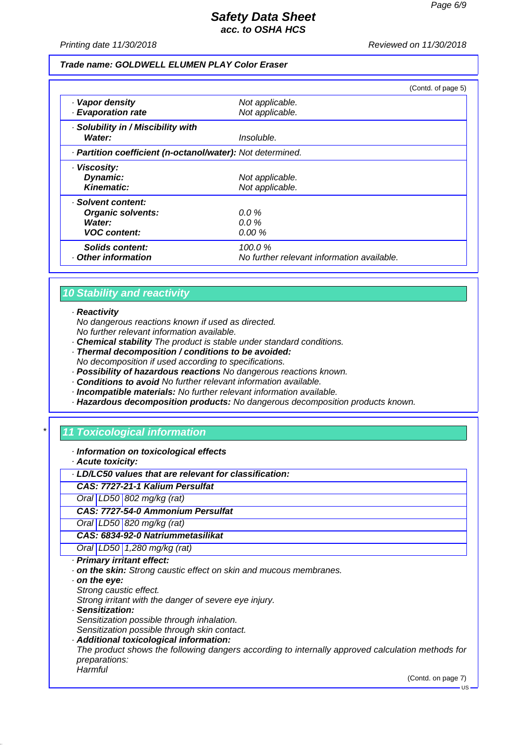*Printing date 11/30/2018 Reviewed on 11/30/2018*

#### *Trade name: GOLDWELL ELUMEN PLAY Color Eraser*

|                                                            |                                            | (Contd. of page 5) |
|------------------------------------------------------------|--------------------------------------------|--------------------|
| · Vapor density<br>· Evaporation rate                      | Not applicable.<br>Not applicable.         |                    |
| · Solubility in / Miscibility with<br>Water:               | Insoluble.                                 |                    |
| · Partition coefficient (n-octanol/water): Not determined. |                                            |                    |
| · Viscosity:                                               |                                            |                    |
| Dynamic:                                                   | Not applicable.                            |                    |
| Kinematic:                                                 | Not applicable.                            |                    |
| · Solvent content:                                         |                                            |                    |
| <b>Organic solvents:</b>                                   | $0.0\%$                                    |                    |
| Water:                                                     | $0.0\%$                                    |                    |
| <b>VOC</b> content:                                        | $0.00 \%$                                  |                    |
| Solids content:                                            | 100.0%                                     |                    |
| Other information                                          | No further relevant information available. |                    |

## *10 Stability and reactivity*

#### *· Reactivity*

*No dangerous reactions known if used as directed. No further relevant information available.*

*· Chemical stability The product is stable under standard conditions.*

- *· Thermal decomposition / conditions to be avoided:*
- *No decomposition if used according to specifications.*
- *· Possibility of hazardous reactions No dangerous reactions known.*
- *· Conditions to avoid No further relevant information available.*
- *· Incompatible materials: No further relevant information available.*

## *· Hazardous decomposition products: No dangerous decomposition products known.*

## *\* 11 Toxicological information*

- *· Information on toxicological effects*
- *· Acute toxicity:*

*· LD/LC50 values that are relevant for classification:*

*CAS: 7727-21-1 Kalium Persulfat*

*Oral LD50 802 mg/kg (rat)*

*CAS: 7727-54-0 Ammonium Persulfat*

*Oral LD50 820 mg/kg (rat)*

*CAS: 6834-92-0 Natriummetasilikat*

*Oral LD50 1,280 mg/kg (rat)*

- *· Primary irritant effect:*
- *· on the skin: Strong caustic effect on skin and mucous membranes.*
- *· on the eye:*
- *Strong caustic effect.*

*Strong irritant with the danger of severe eye injury.*

*· Sensitization:*

*Sensitization possible through inhalation. Sensitization possible through skin contact.*

*· Additional toxicological information:*

*The product shows the following dangers according to internally approved calculation methods for preparations: Harmful*

(Contd. on page 7)

 $H<sub>S</sub>$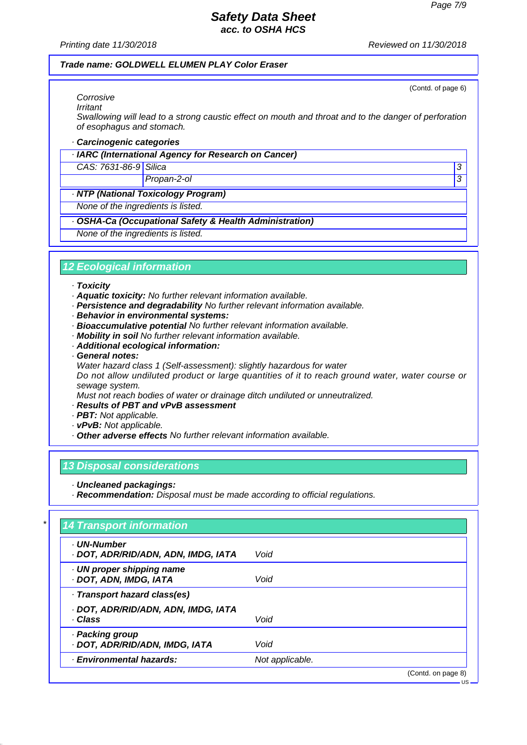(Contd. of page 6)

## *Safety Data Sheet acc. to OSHA HCS*

*Printing date 11/30/2018 Reviewed on 11/30/2018*

#### *Trade name: GOLDWELL ELUMEN PLAY Color Eraser*

*Corrosive Irritant*

*Swallowing will lead to a strong caustic effect on mouth and throat and to the danger of perforation of esophagus and stomach.*

#### *· Carcinogenic categories*

*· IARC (International Agency for Research on Cancer)*

### *CAS: 7631-86-9 Silica 3*

*Propan-2-ol 3* 

### *· NTP (National Toxicology Program)*

*None of the ingredients is listed.*

### *· OSHA-Ca (Occupational Safety & Health Administration)*

*None of the ingredients is listed.*

## *12 Ecological information*

#### *· Toxicity*

- *· Aquatic toxicity: No further relevant information available.*
- *· Persistence and degradability No further relevant information available.*
- *· Behavior in environmental systems:*
- *· Bioaccumulative potential No further relevant information available.*
- *· Mobility in soil No further relevant information available.*
- *· Additional ecological information:*
- *· General notes:*
- *Water hazard class 1 (Self-assessment): slightly hazardous for water*

*Do not allow undiluted product or large quantities of it to reach ground water, water course or sewage system.*

*Must not reach bodies of water or drainage ditch undiluted or unneutralized.*

- *· Results of PBT and vPvB assessment*
- *· PBT: Not applicable.*
- *· vPvB: Not applicable.*
- *· Other adverse effects No further relevant information available.*

## *13 Disposal considerations*

- *· Uncleaned packagings:*
- *· Recommendation: Disposal must be made according to official regulations.*

| · UN-Number<br>· DOT, ADR/RID/ADN, ADN, IMDG, IATA | Void            |  |
|----------------------------------------------------|-----------------|--|
| UN proper shipping name<br>· DOT, ADN, IMDG, IATA  | Void            |  |
| · Transport hazard class(es)                       |                 |  |
| · DOT, ADR/RID/ADN, ADN, IMDG, IATA<br>· Class     | Void            |  |
| · Packing group<br>· DOT, ADR/RID/ADN, IMDG, IATA  | Void            |  |
| · Environmental hazards:                           | Not applicable. |  |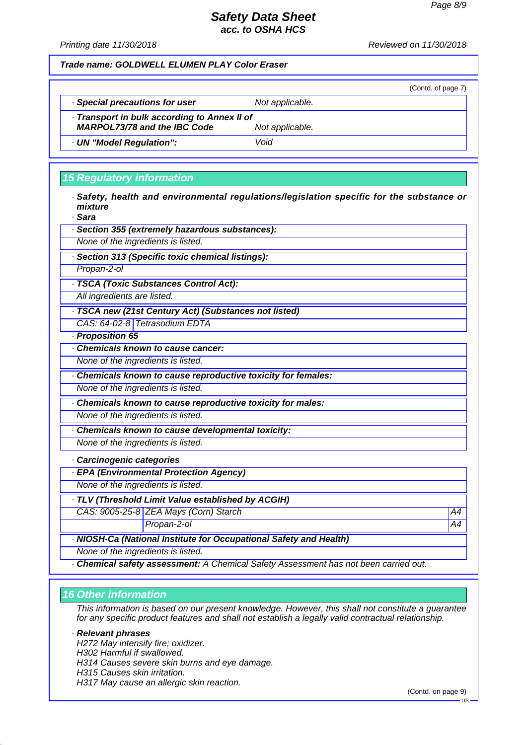*Printing date 11/30/2018 Reviewed on 11/30/2018*

*Trade name: GOLDWELL ELUMEN PLAY Color Eraser*

(Contd. of page 7) *· Special precautions for user Not applicable. · Transport in bulk according to Annex II of MARPOL73/78 and the IBC Code Not applicable. · UN "Model Regulation": Void*

## *15 Regulatory information*

*· Safety, health and environmental regulations/legislation specific for the substance or mixture*

*· Sara*

| uara                               |                                                                                    |    |
|------------------------------------|------------------------------------------------------------------------------------|----|
|                                    | · Section 355 (extremely hazardous substances):                                    |    |
| None of the ingredients is listed. |                                                                                    |    |
|                                    | · Section 313 (Specific toxic chemical listings):                                  |    |
| Propan-2-ol                        |                                                                                    |    |
|                                    | · TSCA (Toxic Substances Control Act):                                             |    |
| All ingredients are listed.        |                                                                                    |    |
|                                    | · TSCA new (21st Century Act) (Substances not listed)                              |    |
|                                    | CAS: 64-02-8 Tetrasodium EDTA                                                      |    |
| · Proposition 65                   |                                                                                    |    |
|                                    | <b>Chemicals known to cause cancer:</b>                                            |    |
| None of the ingredients is listed. |                                                                                    |    |
|                                    | Chemicals known to cause reproductive toxicity for females:                        |    |
| None of the ingredients is listed. |                                                                                    |    |
|                                    | Chemicals known to cause reproductive toxicity for males:                          |    |
| None of the ingredients is listed. |                                                                                    |    |
|                                    | Chemicals known to cause developmental toxicity:                                   |    |
| None of the ingredients is listed. |                                                                                    |    |
| · Carcinogenic categories          |                                                                                    |    |
|                                    | · EPA (Environmental Protection Agency)                                            |    |
| None of the ingredients is listed. |                                                                                    |    |
|                                    | · TLV (Threshold Limit Value established by ACGIH)                                 |    |
|                                    | CAS: 9005-25-8 ZEA Mays (Corn) Starch                                              | A4 |
|                                    | Propan-2-ol                                                                        | A4 |
|                                    | · NIOSH-Ca (National Institute for Occupational Safety and Health)                 |    |
| None of the ingredients is listed. |                                                                                    |    |
|                                    | Chemical safety assessment: A Chemical Safety Assessment has not been carried out. |    |

## *16 Other information*

*This information is based on our present knowledge. However, this shall not constitute a guarantee for any specific product features and shall not establish a legally valid contractual relationship.*

## *· Relevant phrases*

*H272 May intensify fire; oxidizer.*

- *H302 Harmful if swallowed.*
- *H314 Causes severe skin burns and eye damage.*
- *H315 Causes skin irritation.*
- *H317 May cause an allergic skin reaction.*

(Contd. on page 9)

US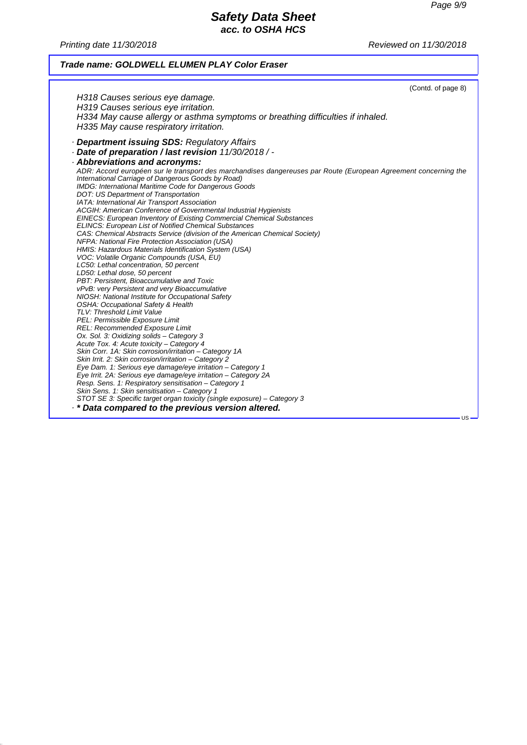*Printing date 11/30/2018 Reviewed on 11/30/2018*

## *Trade name: GOLDWELL ELUMEN PLAY Color Eraser*

|                                                                                                                 | (Contd. of page 8) |
|-----------------------------------------------------------------------------------------------------------------|--------------------|
| H318 Causes serious eye damage.                                                                                 |                    |
| H319 Causes serious eye irritation.                                                                             |                    |
| H334 May cause allergy or asthma symptoms or breathing difficulties if inhaled.                                 |                    |
|                                                                                                                 |                    |
| H335 May cause respiratory irritation.                                                                          |                    |
| · <b>Department issuing SDS: Regulatory Affairs</b>                                                             |                    |
| - Date of preparation / last revision 11/30/2018 / -                                                            |                    |
| · Abbreviations and acronyms:                                                                                   |                    |
| ADR: Accord européen sur le transport des marchandises dangereuses par Route (European Agreement concerning the |                    |
| International Carriage of Dangerous Goods by Road)                                                              |                    |
| IMDG: International Maritime Code for Dangerous Goods                                                           |                    |
| DOT: US Department of Transportation                                                                            |                    |
| IATA: International Air Transport Association                                                                   |                    |
| ACGIH: American Conference of Governmental Industrial Hygienists                                                |                    |
| <b>EINECS: European Inventory of Existing Commercial Chemical Substances</b>                                    |                    |
| <b>ELINCS: European List of Notified Chemical Substances</b>                                                    |                    |
| CAS: Chemical Abstracts Service (division of the American Chemical Society)                                     |                    |
| NFPA: National Fire Protection Association (USA)                                                                |                    |
| HMIS: Hazardous Materials Identification System (USA)                                                           |                    |
| VOC: Volatile Organic Compounds (USA, EU)                                                                       |                    |
| LC50: Lethal concentration, 50 percent                                                                          |                    |
| LD50: Lethal dose, 50 percent                                                                                   |                    |
| PBT: Persistent, Bioaccumulative and Toxic                                                                      |                    |
| vPvB: very Persistent and very Bioaccumulative<br>NIOSH: National Institute for Occupational Safety             |                    |
| <b>OSHA: Occupational Safety &amp; Health</b>                                                                   |                    |
| TLV: Threshold Limit Value                                                                                      |                    |
| PEL: Permissible Exposure Limit                                                                                 |                    |
| REL: Recommended Exposure Limit                                                                                 |                    |
| Ox. Sol. 3: Oxidizing solids - Category 3                                                                       |                    |
| Acute Tox. 4: Acute toxicity - Category 4                                                                       |                    |
| Skin Corr. 1A: Skin corrosion/irritation - Category 1A                                                          |                    |
| Skin Irrit. 2: Skin corrosion/irritation - Category 2                                                           |                    |
| Eye Dam. 1: Serious eye damage/eye irritation - Category 1                                                      |                    |
| Eye Irrit. 2A: Serious eye damage/eye irritation - Category 2A                                                  |                    |
| Resp. Sens. 1: Respiratory sensitisation - Category 1                                                           |                    |
| Skin Sens. 1: Skin sensitisation - Category 1                                                                   |                    |
| STOT SE 3: Specific target organ toxicity (single exposure) - Category 3                                        |                    |
| . * Data compared to the previous version altered.                                                              |                    |
|                                                                                                                 | US –               |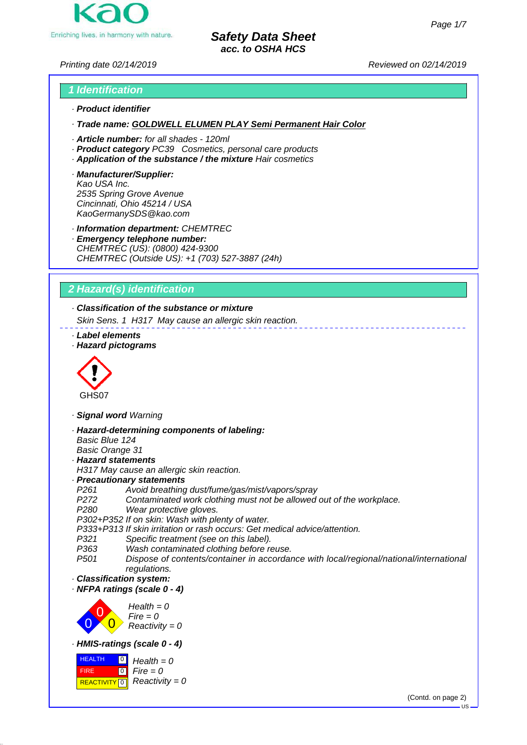

*Printing date 02/14/2019 Reviewed on 02/14/2019*

## *1 Identification · Product identifier*

*· Trade name: GOLDWELL ELUMEN PLAY Semi Permanent Hair Color*

- *· Article number: for all shades 120ml*
- *· Product category PC39 Cosmetics, personal care products*
- *· Application of the substance / the mixture Hair cosmetics*
- *· Manufacturer/Supplier: Kao USA Inc. 2535 Spring Grove Avenue Cincinnati, Ohio 45214 / USA KaoGermanySDS@kao.com*

*· Information department: CHEMTREC*

*· Emergency telephone number: CHEMTREC (US): (0800) 424-9300 CHEMTREC (Outside US): +1 (703) 527-3887 (24h)*

## *2 Hazard(s) identification*

*· Classification of the substance or mixture*

*Skin Sens. 1 H317 May cause an allergic skin reaction.*

- *· Label elements*
- *· Hazard pictograms*



- *· Signal word Warning*
- *· Hazard-determining components of labeling:*
- *Basic Blue 124*

*Basic Orange 31 · Hazard statements*

- *H317 May cause an allergic skin reaction.*
- *· Precautionary statements*
- *P261 Avoid breathing dust/fume/gas/mist/vapors/spray*
- *P272 Contaminated work clothing must not be allowed out of the workplace.*
- *P280 Wear protective gloves.*

*P302+P352 If on skin: Wash with plenty of water.*

- *P333+P313 If skin irritation or rash occurs: Get medical advice/attention.*
- *Specific treatment (see on this label).*
- *P363 Wash contaminated clothing before reuse.*
- *P501 Dispose of contents/container in accordance with local/regional/national/international regulations.*
- *· Classification system:*
- *· NFPA ratings (scale 0 4)*



*· HMIS-ratings (scale 0 - 4)*



(Contd. on page 2)

 $\overline{\mathbf{R}}$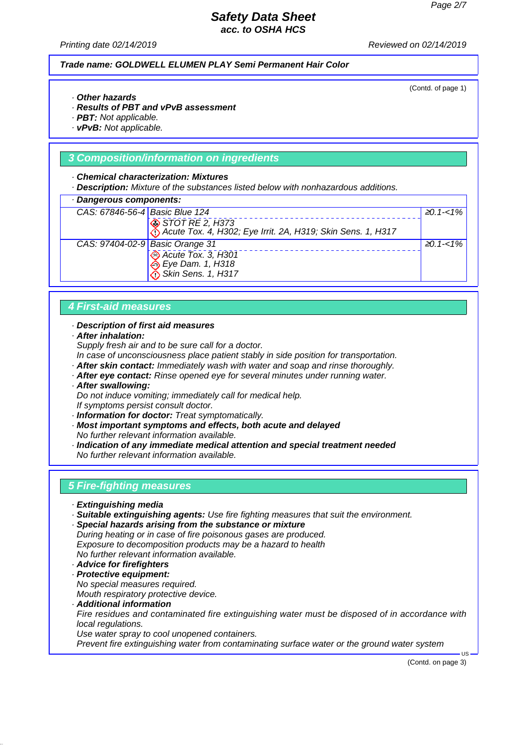*Printing date 02/14/2019 Reviewed on 02/14/2019*

*Trade name: GOLDWELL ELUMEN PLAY Semi Permanent Hair Color*

(Contd. of page 1)

<sup>≥</sup>*0.1-<1%*

<sup>≥</sup>*0.1-<1%*

- *· Other hazards*
- *· Results of PBT and vPvB assessment*
- *· PBT: Not applicable.*
- *· vPvB: Not applicable.*

### *3 Composition/information on ingredients*

#### *· Chemical characterization: Mixtures*

*· Description: Mixture of the substances listed below with nonhazardous additions.*

| Dangerous components:           |                                                                                |  |
|---------------------------------|--------------------------------------------------------------------------------|--|
| CAS: 67846-56-4 Basic Blue 124  |                                                                                |  |
|                                 | STOT RE 2, H373<br>Acute Tox. 4, H302; Eye Irrit. 2A, H319; Skin Sens. 1, H317 |  |
| CAS: 97404-02-9 Basic Orange 31 |                                                                                |  |

 *Acute Tox. 3, H301 Eye Dam. 1, H318 Skin Sens. 1, H317*

## *4 First-aid measures*

#### *· Description of first aid measures*

*· After inhalation:*

*Supply fresh air and to be sure call for a doctor.*

- *In case of unconsciousness place patient stably in side position for transportation.*
- *· After skin contact: Immediately wash with water and soap and rinse thoroughly.*
- *· After eye contact: Rinse opened eye for several minutes under running water.*
- *· After swallowing:*

*Do not induce vomiting; immediately call for medical help. If symptoms persist consult doctor.*

- *· Information for doctor: Treat symptomatically.*
- *· Most important symptoms and effects, both acute and delayed No further relevant information available.*
- *· Indication of any immediate medical attention and special treatment needed No further relevant information available.*

## *5 Fire-fighting measures*

- *· Extinguishing media*
- *· Suitable extinguishing agents: Use fire fighting measures that suit the environment.*

*· Special hazards arising from the substance or mixture During heating or in case of fire poisonous gases are produced. Exposure to decomposition products may be a hazard to health No further relevant information available.*

- *· Advice for firefighters*
- *· Protective equipment: No special measures required. Mouth respiratory protective device.*
- *· Additional information Fire residues and contaminated fire extinguishing water must be disposed of in accordance with local regulations. Use water spray to cool unopened containers. Prevent fire extinguishing water from contaminating surface water or the ground water system*

(Contd. on page 3)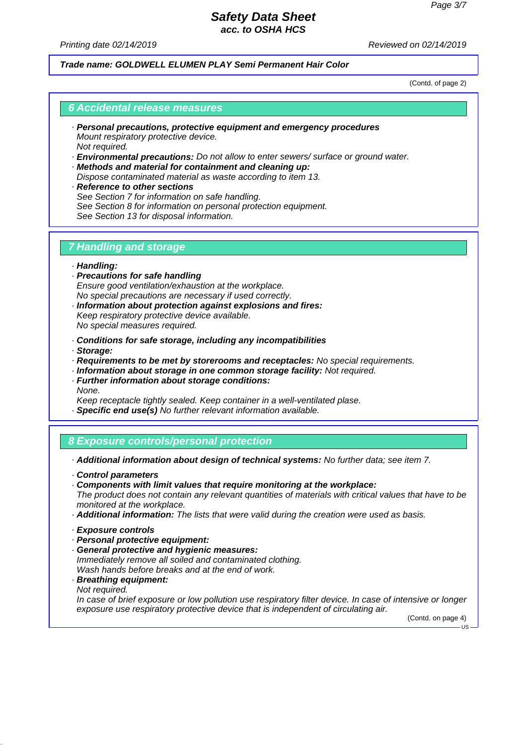*Printing date 02/14/2019 Reviewed on 02/14/2019*

### *Trade name: GOLDWELL ELUMEN PLAY Semi Permanent Hair Color*

(Contd. of page 2)

#### *6 Accidental release measures*

- *· Personal precautions, protective equipment and emergency procedures Mount respiratory protective device. Not required.*
- *· Environmental precautions: Do not allow to enter sewers/ surface or ground water.*
- *· Methods and material for containment and cleaning up: Dispose contaminated material as waste according to item 13.*
- *· Reference to other sections See Section 7 for information on safe handling. See Section 8 for information on personal protection equipment. See Section 13 for disposal information.*

## *7 Handling and storage*

#### *· Handling:*

- *· Precautions for safe handling Ensure good ventilation/exhaustion at the workplace. No special precautions are necessary if used correctly.*
- *· Information about protection against explosions and fires: Keep respiratory protective device available. No special measures required.*
- *· Conditions for safe storage, including any incompatibilities*
- *· Storage:*
- *· Requirements to be met by storerooms and receptacles: No special requirements.*
- *· Information about storage in one common storage facility: Not required.*
- *· Further information about storage conditions: None.*
- *Keep receptacle tightly sealed. Keep container in a well-ventilated plase.*
- *· Specific end use(s) No further relevant information available.*

## *8 Exposure controls/personal protection*

- *· Additional information about design of technical systems: No further data; see item 7.*
- *· Control parameters*
- *· Components with limit values that require monitoring at the workplace: The product does not contain any relevant quantities of materials with critical values that have to be monitored at the workplace.*
- *· Additional information: The lists that were valid during the creation were used as basis.*
- *· Exposure controls*
- *· Personal protective equipment:*
- *· General protective and hygienic measures: Immediately remove all soiled and contaminated clothing. Wash hands before breaks and at the end of work.*
- *· Breathing equipment: Not required.*

*In case of brief exposure or low pollution use respiratory filter device. In case of intensive or longer exposure use respiratory protective device that is independent of circulating air.*

(Contd. on page 4)

 $\overline{118}$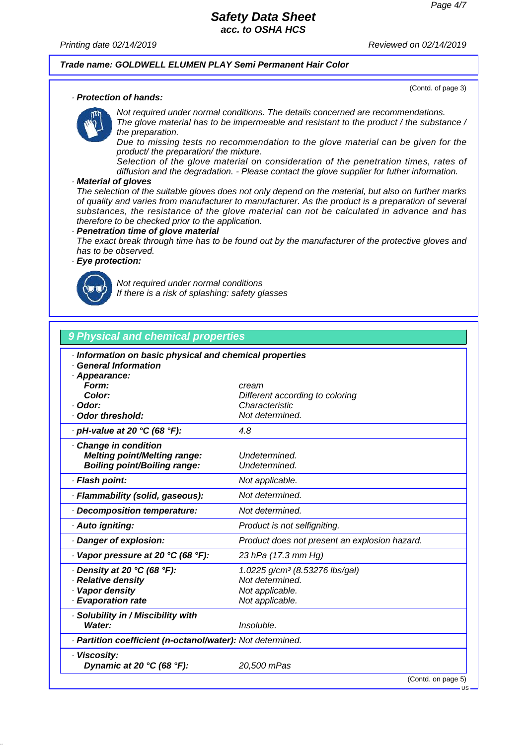*Printing date 02/14/2019 Reviewed on 02/14/2019*

## *Trade name: GOLDWELL ELUMEN PLAY Semi Permanent Hair Color*

(Contd. of page 3)

#### *· Protection of hands:*

*Not required under normal conditions. The details concerned are recommendations. The glove material has to be impermeable and resistant to the product / the substance / the preparation.*

*Due to missing tests no recommendation to the glove material can be given for the product/ the preparation/ the mixture.*

*Selection of the glove material on consideration of the penetration times, rates of diffusion and the degradation. - Please contact the glove supplier for futher information.*

#### *· Material of gloves*

*The selection of the suitable gloves does not only depend on the material, but also on further marks of quality and varies from manufacturer to manufacturer. As the product is a preparation of several substances, the resistance of the glove material can not be calculated in advance and has therefore to be checked prior to the application.*

#### *· Penetration time of glove material*

*The exact break through time has to be found out by the manufacturer of the protective gloves and has to be observed.*

### *· Eye protection:*



*Not required under normal conditions If there is a risk of splashing: safety glasses*

## *9 Physical and chemical properties*

| · Information on basic physical and chemical properties<br>· General Information<br>· Appearance:<br>Form:<br>Color: | cream<br>Different according to coloring                                                            |  |
|----------------------------------------------------------------------------------------------------------------------|-----------------------------------------------------------------------------------------------------|--|
| · Odor:                                                                                                              | Characteristic                                                                                      |  |
| Odor threshold:                                                                                                      | Not determined.                                                                                     |  |
| · pH-value at 20 °C (68 °F):                                                                                         | 4.8                                                                                                 |  |
| Change in condition<br><b>Melting point/Melting range:</b><br><b>Boiling point/Boiling range:</b>                    | Undetermined.<br>Undetermined.                                                                      |  |
| · Flash point:                                                                                                       | Not applicable.                                                                                     |  |
| · Flammability (solid, gaseous):                                                                                     | Not determined.                                                                                     |  |
| Decomposition temperature:                                                                                           | Not determined.                                                                                     |  |
| · Auto igniting:                                                                                                     | Product is not selfigniting.                                                                        |  |
| · Danger of explosion:                                                                                               | Product does not present an explosion hazard.                                                       |  |
| $\cdot$ Vapor pressure at 20 °C (68 °F):                                                                             | 23 hPa (17.3 mm Hg)                                                                                 |  |
| $\cdot$ Density at 20 °C (68 °F):<br>· Relative density<br>· Vapor density<br>· Evaporation rate                     | 1.0225 g/cm <sup>3</sup> (8.53276 lbs/gal)<br>Not determined.<br>Not applicable.<br>Not applicable. |  |
| · Solubility in / Miscibility with<br>Water:                                                                         | Insoluble.                                                                                          |  |
| · Partition coefficient (n-octanol/water): Not determined.                                                           |                                                                                                     |  |
| · Viscosity:<br>Dynamic at 20 °C (68 °F):                                                                            | 20,500 mPas                                                                                         |  |
|                                                                                                                      | (Contd. on page 5)                                                                                  |  |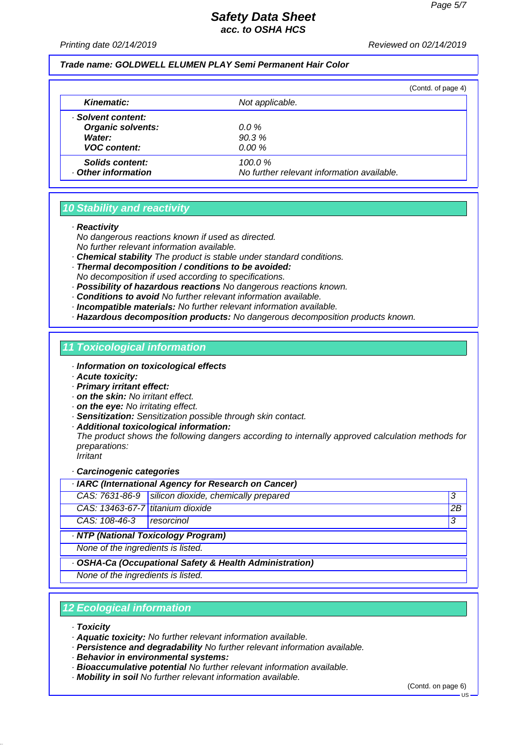#### *Printing date 02/14/2019 Reviewed on 02/14/2019*

### *Trade name: GOLDWELL ELUMEN PLAY Semi Permanent Hair Color*

|                                      |                                                      | (Contd. of page 4) |
|--------------------------------------|------------------------------------------------------|--------------------|
| <b>Kinematic:</b>                    | Not applicable.                                      |                    |
| · Solvent content:                   |                                                      |                    |
| <b>Organic solvents:</b>             | $0.0 \%$                                             |                    |
| Water:                               | 90.3%                                                |                    |
| <b>VOC content:</b>                  | 0.00%                                                |                    |
| Solids content:<br>Other information | 100.0%<br>No further relevant information available. |                    |

## *10 Stability and reactivity*

*· Reactivity*

*No dangerous reactions known if used as directed. No further relevant information available.*

- *· Chemical stability The product is stable under standard conditions.*
- *· Thermal decomposition / conditions to be avoided: No decomposition if used according to specifications.*
- *· Possibility of hazardous reactions No dangerous reactions known.*
- *· Conditions to avoid No further relevant information available.*
- *· Incompatible materials: No further relevant information available.*
- *· Hazardous decomposition products: No dangerous decomposition products known.*

#### *11 Toxicological information*

- *· Information on toxicological effects*
- *· Acute toxicity:*
- *· Primary irritant effect:*
- *· on the skin: No irritant effect.*
- *· on the eye: No irritating effect.*
- *· Sensitization: Sensitization possible through skin contact.*
- *· Additional toxicological information:*

*The product shows the following dangers according to internally approved calculation methods for preparations:*

*Irritant*

#### *· Carcinogenic categories*

| · IARC (International Agency for Research on Cancer)    |                                                       |    |
|---------------------------------------------------------|-------------------------------------------------------|----|
|                                                         | CAS: 7631-86-9   silicon dioxide, chemically prepared | 3  |
| CAS: 13463-67-7 titanium dioxide                        |                                                       | 2B |
| CAS: 108-46-3                                           | <i>resorcinol</i>                                     | 3  |
| · NTP (National Toxicology Program)                     |                                                       |    |
| None of the ingredients is listed.                      |                                                       |    |
| · OSHA-Ca (Occupational Safety & Health Administration) |                                                       |    |
| None of the ingredients is listed.                      |                                                       |    |

## *12 Ecological information*

- *· Toxicity*
- *· Aquatic toxicity: No further relevant information available.*
- *· Persistence and degradability No further relevant information available.*
- *· Behavior in environmental systems:*
- *· Bioaccumulative potential No further relevant information available.*
- *· Mobility in soil No further relevant information available.*

(Contd. on page 6)

US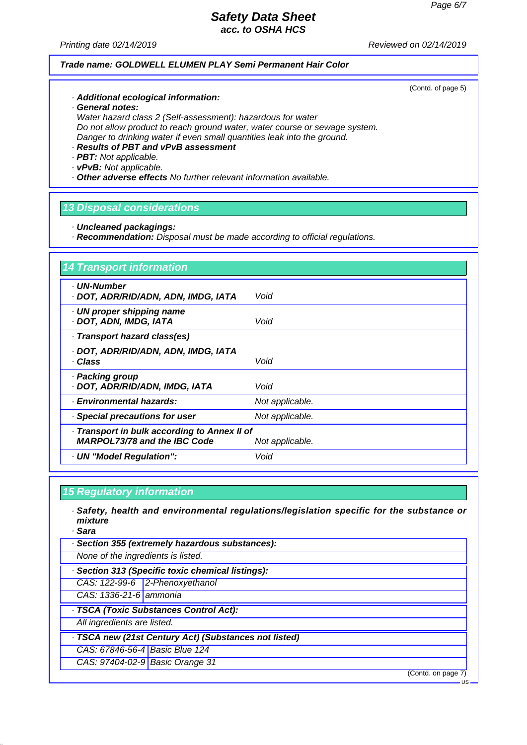*Printing date 02/14/2019 Reviewed on 02/14/2019*

## *Trade name: GOLDWELL ELUMEN PLAY Semi Permanent Hair Color*

(Contd. of page 5)

- *· Additional ecological information:*
- *· General notes:*

*Water hazard class 2 (Self-assessment): hazardous for water Do not allow product to reach ground water, water course or sewage system. Danger to drinking water if even small quantities leak into the ground.*

- *· Results of PBT and vPvB assessment*
- *· PBT: Not applicable.*
- *· vPvB: Not applicable.*

*· Other adverse effects No further relevant information available.*

## *13 Disposal considerations*

- *· Uncleaned packagings:*
- *· Recommendation: Disposal must be made according to official regulations.*

| · UN-Number                                  |                 |
|----------------------------------------------|-----------------|
| · DOT, ADR/RID/ADN, ADN, IMDG, IATA          | Void            |
| · UN proper shipping name                    |                 |
| · DOT, ADN, IMDG, IATA                       | Void            |
| · Transport hazard class(es)                 |                 |
| · DOT, ADR/RID/ADN, ADN, IMDG, IATA          |                 |
| · Class                                      | Void            |
| · Packing group                              |                 |
| · DOT, ADR/RID/ADN, IMDG, IATA               | Void            |
| · Environmental hazards:                     | Not applicable. |
| · Special precautions for user               | Not applicable. |
| · Transport in bulk according to Annex II of |                 |
| <b>MARPOL73/78 and the IBC Code</b>          | Not applicable. |
| · UN "Model Regulation":                     | Void            |

## *15 Regulatory information*

- *· Safety, health and environmental regulations/legislation specific for the substance or mixture*
- *· Sara*
- *· Section 355 (extremely hazardous substances):*
- *None of the ingredients is listed.*
- *· Section 313 (Specific toxic chemical listings):*
- *CAS: 122-99-6 2-Phenoxyethanol*
- *CAS: 1336-21-6 ammonia*
- *· TSCA (Toxic Substances Control Act):*
- *All ingredients are listed.*
- *· TSCA new (21st Century Act) (Substances not listed)*
- *CAS: 67846-56-4 Basic Blue 124*
- *CAS: 97404-02-9 Basic Orange 31*

(Contd. on page 7)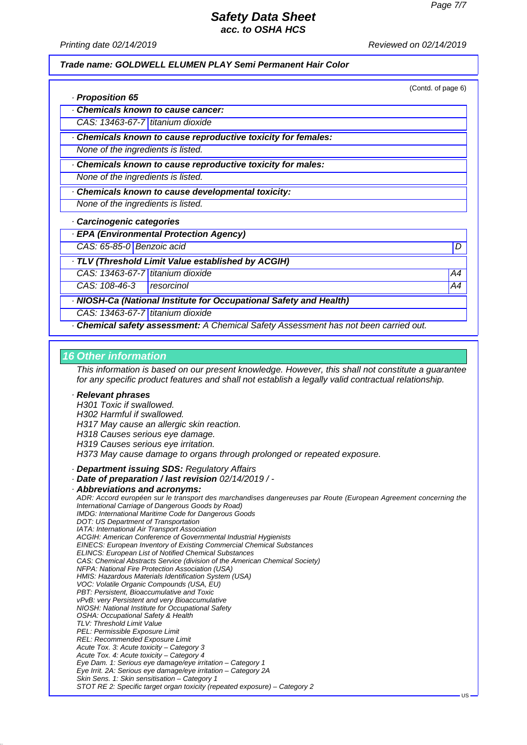*Printing date 02/14/2019 Reviewed on 02/14/2019*

#### *Trade name: GOLDWELL ELUMEN PLAY Semi Permanent Hair Color*

(Contd. of page 6)

| · Proposition 65 |  |
|------------------|--|
|------------------|--|

*· Chemicals known to cause cancer:*

*CAS: 13463-67-7 titanium dioxide*

*· Chemicals known to cause reproductive toxicity for females:*

*None of the ingredients is listed.*

*· Chemicals known to cause reproductive toxicity for males:*

*None of the ingredients is listed.*

*· Chemicals known to cause developmental toxicity:*

*None of the ingredients is listed.*

*· Carcinogenic categories*

*· EPA (Environmental Protection Agency)*

*CAS: 65-85-0 Benzoic acid D* 

*· TLV (Threshold Limit Value established by ACGIH)*

*CAS: 13463-67-7 titanium dioxide A4*

*CAS: 108-46-3 resorcinol A4*

*· NIOSH-Ca (National Institute for Occupational Safety and Health)*

*CAS: 13463-67-7 titanium dioxide*

*· Chemical safety assessment: A Chemical Safety Assessment has not been carried out.*

#### *16 Other information*

*This information is based on our present knowledge. However, this shall not constitute a guarantee for any specific product features and shall not establish a legally valid contractual relationship.*

#### *· Relevant phrases*

*H301 Toxic if swallowed. H302 Harmful if swallowed. H317 May cause an allergic skin reaction. H318 Causes serious eye damage. H319 Causes serious eye irritation.*

*H373 May cause damage to organs through prolonged or repeated exposure.*

*· Department issuing SDS: Regulatory Affairs*

*· Date of preparation / last revision 02/14/2019 / -*

*· Abbreviations and acronyms:*

*ADR: Accord européen sur le transport des marchandises dangereuses par Route (European Agreement concerning the International Carriage of Dangerous Goods by Road) IMDG: International Maritime Code for Dangerous Goods DOT: US Department of Transportation IATA: International Air Transport Association ACGIH: American Conference of Governmental Industrial Hygienists EINECS: European Inventory of Existing Commercial Chemical Substances ELINCS: European List of Notified Chemical Substances CAS: Chemical Abstracts Service (division of the American Chemical Society) NFPA: National Fire Protection Association (USA) HMIS: Hazardous Materials Identification System (USA) VOC: Volatile Organic Compounds (USA, EU) PBT: Persistent, Bioaccumulative and Toxic vPvB: very Persistent and very Bioaccumulative NIOSH: National Institute for Occupational Safety OSHA: Occupational Safety & Health TLV: Threshold Limit Value PEL: Permissible Exposure Limit REL: Recommended Exposure Limit Acute Tox. 3: Acute toxicity – Category 3 Acute Tox. 4: Acute toxicity – Category 4 Eye Dam. 1: Serious eye damage/eye irritation – Category 1 Eye Irrit. 2A: Serious eye damage/eye irritation – Category 2A Skin Sens. 1: Skin sensitisation – Category 1 STOT RE 2: Specific target organ toxicity (repeated exposure) – Category 2*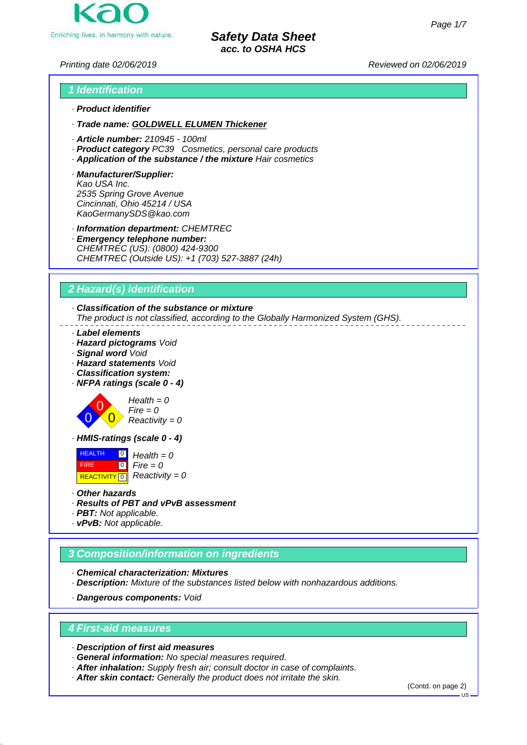Enriching lives, in harmony with nature.

*Safety Data Sheet acc. to OSHA HCS*

*Printing date 02/06/2019 Reviewed on 02/06/2019*

## *1 Identification · Product identifier*

- *· Trade name: GOLDWELL ELUMEN Thickener*
- *· Article number: 210945 100ml*
- *· Product category PC39 Cosmetics, personal care products*
- *· Application of the substance / the mixture Hair cosmetics*
- *· Manufacturer/Supplier: Kao USA Inc. 2535 Spring Grove Avenue Cincinnati, Ohio 45214 / USA KaoGermanySDS@kao.com*
- *· Information department: CHEMTREC*
- *· Emergency telephone number: CHEMTREC (US): (0800) 424-9300 CHEMTREC (Outside US): +1 (703) 527-3887 (24h)*

## *2 Hazard(s) identification*

## *· Classification of the substance or mixture*

*The product is not classified, according to the Globally Harmonized System (GHS).*

- *· Label elements*
- *· Hazard pictograms Void*
- *· Signal word Void*
- *· Hazard statements Void*
- *· Classification system:*
- *· NFPA ratings (scale 0 4)*



*Health = 0 Fire = 0 Reactivity = 0*

*· HMIS-ratings (scale 0 - 4)*

 HEALTH FIRE **REACTIVITY** 0  $\overline{10}$  $\overline{0}$ *Health = 0 Fire = 0 Reactivity = 0*

- *· Other hazards*
- *· Results of PBT and vPvB assessment*
- *· PBT: Not applicable.*
- *· vPvB: Not applicable.*

## *3 Composition/information on ingredients*

*· Chemical characterization: Mixtures*

*· Description: Mixture of the substances listed below with nonhazardous additions.*

*· Dangerous components: Void*

## *4 First-aid measures*

*· Description of first aid measures*

- *· General information: No special measures required.*
- *· After inhalation: Supply fresh air; consult doctor in case of complaints.*
- *· After skin contact: Generally the product does not irritate the skin.*

(Contd. on page 2)

US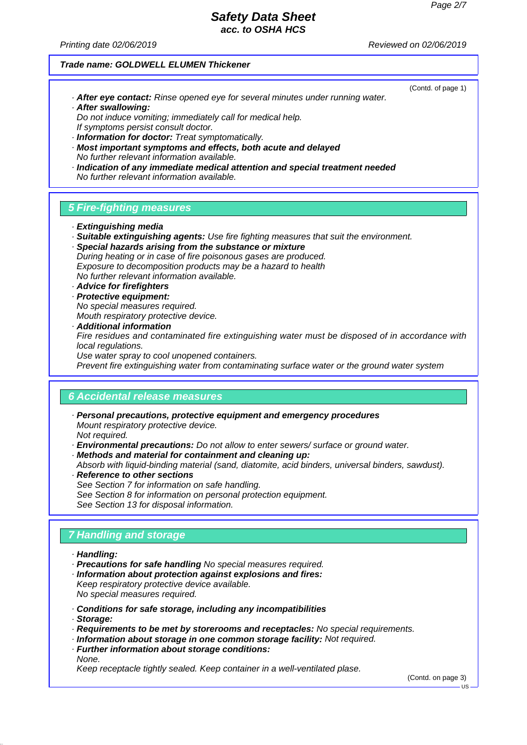(Contd. of page 1)

## *Safety Data Sheet acc. to OSHA HCS*

*Printing date 02/06/2019 Reviewed on 02/06/2019*

#### *Trade name: GOLDWELL ELUMEN Thickener*

- *· After eye contact: Rinse opened eye for several minutes under running water. · After swallowing:*
- *Do not induce vomiting; immediately call for medical help. If symptoms persist consult doctor.*
- *· Information for doctor: Treat symptomatically.*
- *· Most important symptoms and effects, both acute and delayed No further relevant information available.*
- *· Indication of any immediate medical attention and special treatment needed No further relevant information available.*

#### *5 Fire-fighting measures*

- *· Extinguishing media*
- *· Suitable extinguishing agents: Use fire fighting measures that suit the environment.*
- *· Special hazards arising from the substance or mixture During heating or in case of fire poisonous gases are produced. Exposure to decomposition products may be a hazard to health No further relevant information available.*
- *· Advice for firefighters*
- *· Protective equipment:*
- *No special measures required. Mouth respiratory protective device.*
- *· Additional information*

*Fire residues and contaminated fire extinguishing water must be disposed of in accordance with local regulations.*

*Use water spray to cool unopened containers.*

*Prevent fire extinguishing water from contaminating surface water or the ground water system*

#### *6 Accidental release measures*

- *· Personal precautions, protective equipment and emergency procedures Mount respiratory protective device. Not required.*
- *· Environmental precautions: Do not allow to enter sewers/ surface or ground water.*
- *· Methods and material for containment and cleaning up:*
- *Absorb with liquid-binding material (sand, diatomite, acid binders, universal binders, sawdust). · Reference to other sections*
- *See Section 7 for information on safe handling. See Section 8 for information on personal protection equipment. See Section 13 for disposal information.*

## *7 Handling and storage*

- *· Handling:*
- *· Precautions for safe handling No special measures required.*
- *· Information about protection against explosions and fires: Keep respiratory protective device available.*

*No special measures required.*

- *· Conditions for safe storage, including any incompatibilities*
- *· Storage:*
- *· Requirements to be met by storerooms and receptacles: No special requirements.*
- *· Information about storage in one common storage facility: Not required.*
- *· Further information about storage conditions:*
- *None.*

*Keep receptacle tightly sealed. Keep container in a well-ventilated plase.*

(Contd. on page 3)

 $H<sub>S</sub>$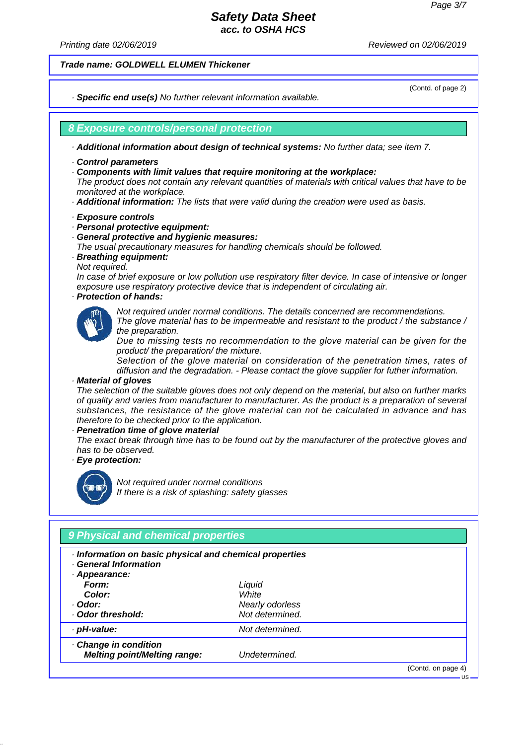*Printing date 02/06/2019 Reviewed on 02/06/2019*

*Trade name: GOLDWELL ELUMEN Thickener*

*· Specific end use(s) No further relevant information available.*

(Contd. of page 2)

### *8 Exposure controls/personal protection*

*· Additional information about design of technical systems: No further data; see item 7.*

- *· Control parameters*
- *· Components with limit values that require monitoring at the workplace:*

*The product does not contain any relevant quantities of materials with critical values that have to be monitored at the workplace.*

- *· Additional information: The lists that were valid during the creation were used as basis.*
- *· Exposure controls*
- *· Personal protective equipment:*
- *· General protective and hygienic measures:*
- *The usual precautionary measures for handling chemicals should be followed.*
- *· Breathing equipment:*
- *Not required.*

*In case of brief exposure or low pollution use respiratory filter device. In case of intensive or longer exposure use respiratory protective device that is independent of circulating air.*

*· Protection of hands:*



*Not required under normal conditions. The details concerned are recommendations. The glove material has to be impermeable and resistant to the product / the substance /*

*the preparation.*

*Due to missing tests no recommendation to the glove material can be given for the product/ the preparation/ the mixture.*

*Selection of the glove material on consideration of the penetration times, rates of diffusion and the degradation. - Please contact the glove supplier for futher information.*

#### *· Material of gloves*

*The selection of the suitable gloves does not only depend on the material, but also on further marks of quality and varies from manufacturer to manufacturer. As the product is a preparation of several substances, the resistance of the glove material can not be calculated in advance and has therefore to be checked prior to the application.*

*· Penetration time of glove material*

*The exact break through time has to be found out by the manufacturer of the protective gloves and has to be observed.*

*· Eye protection:*



*Not required under normal conditions If there is a risk of splashing: safety glasses*

| · Information on basic physical and chemical properties<br>· General Information<br>Appearance: |                 |  |
|-------------------------------------------------------------------------------------------------|-----------------|--|
| Form:                                                                                           | Liquid          |  |
| Color:                                                                                          | White           |  |
| · Odor:                                                                                         | Nearly odorless |  |
| · Odor threshold:                                                                               | Not determined. |  |
| · pH-value:                                                                                     | Not determined. |  |
| · Change in condition                                                                           |                 |  |
| <b>Melting point/Melting range:</b>                                                             | Undetermined.   |  |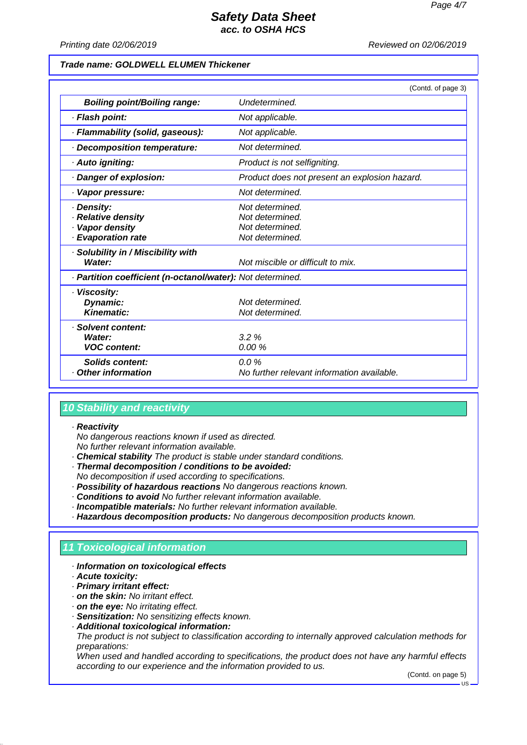*Printing date 02/06/2019 Reviewed on 02/06/2019*

#### *Trade name: GOLDWELL ELUMEN Thickener*

|                                                                         | (Contd. of page 3)                                                       |
|-------------------------------------------------------------------------|--------------------------------------------------------------------------|
| <b>Boiling point/Boiling range:</b>                                     | Undetermined.                                                            |
| · Flash point:                                                          | Not applicable.                                                          |
| · Flammability (solid, gaseous):                                        | Not applicable.                                                          |
| · Decomposition temperature:                                            | Not determined.                                                          |
| · Auto igniting:                                                        | Product is not selfigniting.                                             |
| Danger of explosion:                                                    | Product does not present an explosion hazard.                            |
| · Vapor pressure:                                                       | Not determined.                                                          |
| · Density:<br>· Relative density<br>Vapor density<br>· Evaporation rate | Not determined.<br>Not determined.<br>Not determined.<br>Not determined. |
| · Solubility in / Miscibility with<br>Water:                            | Not miscible or difficult to mix.                                        |
| · Partition coefficient (n-octanol/water): Not determined.              |                                                                          |
| · Viscosity:<br>Dynamic:<br>Kinematic:                                  | Not determined.<br>Not determined.                                       |
| · Solvent content:<br>Water:<br><b>VOC content:</b>                     | 3.2%<br>0.00%                                                            |
| <b>Solids content:</b><br><b>Other information</b>                      | $0.0 \%$<br>No further relevant information available.                   |

## *10 Stability and reactivity*

#### *· Reactivity*

*No dangerous reactions known if used as directed. No further relevant information available.*

- *· Chemical stability The product is stable under standard conditions.*
- *· Thermal decomposition / conditions to be avoided:*
- *No decomposition if used according to specifications.*
- *· Possibility of hazardous reactions No dangerous reactions known.*
- *· Conditions to avoid No further relevant information available.*
- *· Incompatible materials: No further relevant information available.*
- *· Hazardous decomposition products: No dangerous decomposition products known.*

## *11 Toxicological information*

#### *· Information on toxicological effects*

*· Acute toxicity:*

- *· Primary irritant effect:*
- *· on the skin: No irritant effect.*
- *· on the eye: No irritating effect.*
- *· Sensitization: No sensitizing effects known.*
- *· Additional toxicological information:*

*The product is not subject to classification according to internally approved calculation methods for preparations:*

*When used and handled according to specifications, the product does not have any harmful effects according to our experience and the information provided to us.*

(Contd. on page 5)

US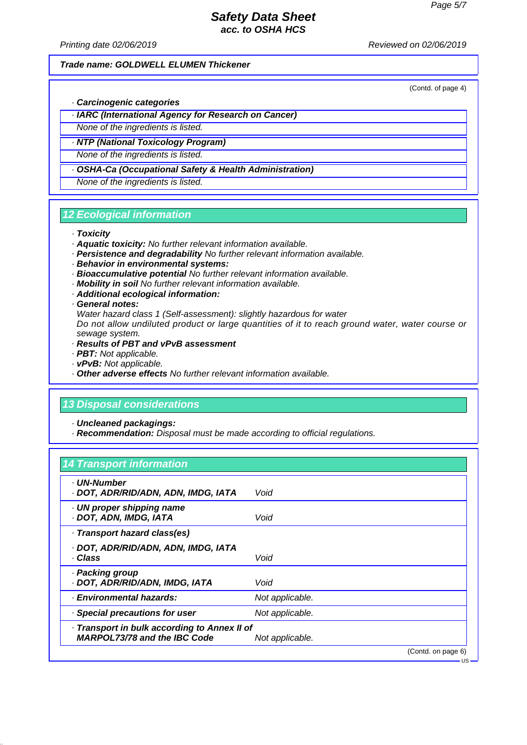*Printing date 02/06/2019 Reviewed on 02/06/2019*

#### *Trade name: GOLDWELL ELUMEN Thickener*

(Contd. of page 4)

US

- *· Carcinogenic categories*
- *· IARC (International Agency for Research on Cancer)*
- *None of the ingredients is listed.*
- *· NTP (National Toxicology Program)*

*None of the ingredients is listed.*

*· OSHA-Ca (Occupational Safety & Health Administration)*

*None of the ingredients is listed.*

### *12 Ecological information*

#### *· Toxicity*

- *· Aquatic toxicity: No further relevant information available.*
- *· Persistence and degradability No further relevant information available.*
- *· Behavior in environmental systems:*
- *· Bioaccumulative potential No further relevant information available.*
- *· Mobility in soil No further relevant information available.*
- *· Additional ecological information:*
- *· General notes:*

*Water hazard class 1 (Self-assessment): slightly hazardous for water*

*Do not allow undiluted product or large quantities of it to reach ground water, water course or sewage system.*

- *· Results of PBT and vPvB assessment*
- *· PBT: Not applicable.*
- *· vPvB: Not applicable.*
- *· Other adverse effects No further relevant information available.*

## *13 Disposal considerations*

*· Uncleaned packagings:*

*· Recommendation: Disposal must be made according to official regulations.*

## *14 Transport information*

| · UN-Number<br>· DOT, ADR/RID/ADN, ADN, IMDG, IATA                                  | Void               |
|-------------------------------------------------------------------------------------|--------------------|
| · UN proper shipping name<br>· DOT, ADN, IMDG, IATA                                 | Void               |
| · Transport hazard class(es)                                                        |                    |
| · DOT, ADR/RID/ADN, ADN, IMDG, IATA<br>· Class                                      | Void               |
| · Packing group<br>· DOT, ADR/RID/ADN, IMDG, IATA                                   | Void               |
| · Environmental hazards:                                                            | Not applicable.    |
| · Special precautions for user                                                      | Not applicable.    |
| · Transport in bulk according to Annex II of<br><b>MARPOL73/78 and the IBC Code</b> | Not applicable.    |
|                                                                                     | (Contd. on page 6) |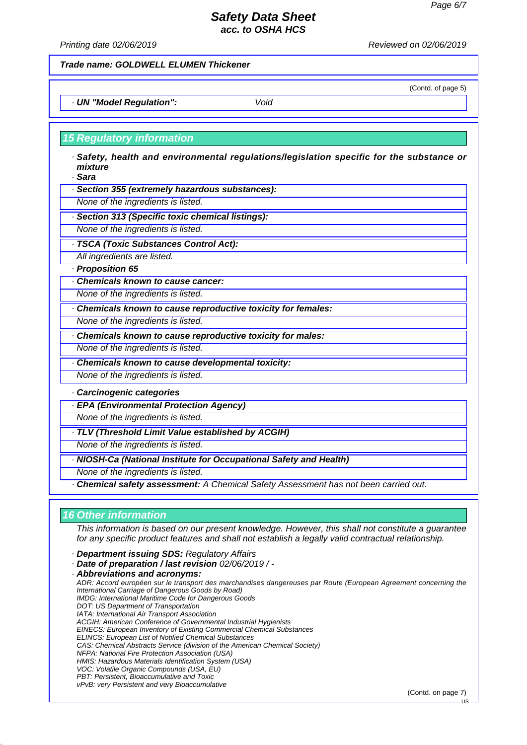*Printing date 02/06/2019 Reviewed on 02/06/2019*

## *Trade name: GOLDWELL ELUMEN Thickener*

*· UN "Model Regulation": Void*

## *15 Regulatory information*

- *· Safety, health and environmental regulations/legislation specific for the substance or mixture*
- *· Sara*
- *· Section 355 (extremely hazardous substances):*

*None of the ingredients is listed.*

- *· Section 313 (Specific toxic chemical listings):*
- *None of the ingredients is listed.*
- *· TSCA (Toxic Substances Control Act):*

*All ingredients are listed.*

- *· Proposition 65*
- *· Chemicals known to cause cancer:*

*None of the ingredients is listed.*

- *· Chemicals known to cause reproductive toxicity for females:*
- *None of the ingredients is listed.*
- *· Chemicals known to cause reproductive toxicity for males:*

*None of the ingredients is listed.*

- *· Chemicals known to cause developmental toxicity:*
- *None of the ingredients is listed.*

*· Carcinogenic categories*

*· EPA (Environmental Protection Agency)*

*None of the ingredients is listed.*

*· TLV (Threshold Limit Value established by ACGIH)*

*None of the ingredients is listed.*

*· NIOSH-Ca (National Institute for Occupational Safety and Health)*

*None of the ingredients is listed.*

*· Chemical safety assessment: A Chemical Safety Assessment has not been carried out.*

## *16 Other information*

*This information is based on our present knowledge. However, this shall not constitute a guarantee for any specific product features and shall not establish a legally valid contractual relationship.*

- *· Department issuing SDS: Regulatory Affairs*
- *· Date of preparation / last revision 02/06/2019 / -*

*· Abbreviations and acronyms: ADR: Accord européen sur le transport des marchandises dangereuses par Route (European Agreement concerning the International Carriage of Dangerous Goods by Road) IMDG: International Maritime Code for Dangerous Goods DOT: US Department of Transportation IATA: International Air Transport Association ACGIH: American Conference of Governmental Industrial Hygienists EINECS: European Inventory of Existing Commercial Chemical Substances ELINCS: European List of Notified Chemical Substances CAS: Chemical Abstracts Service (division of the American Chemical Society) NFPA: National Fire Protection Association (USA) HMIS: Hazardous Materials Identification System (USA) VOC: Volatile Organic Compounds (USA, EU) PBT: Persistent, Bioaccumulative and Toxic vPvB: very Persistent and very Bioaccumulative*

(Contd. on page 7)

(Contd. of page 5)

US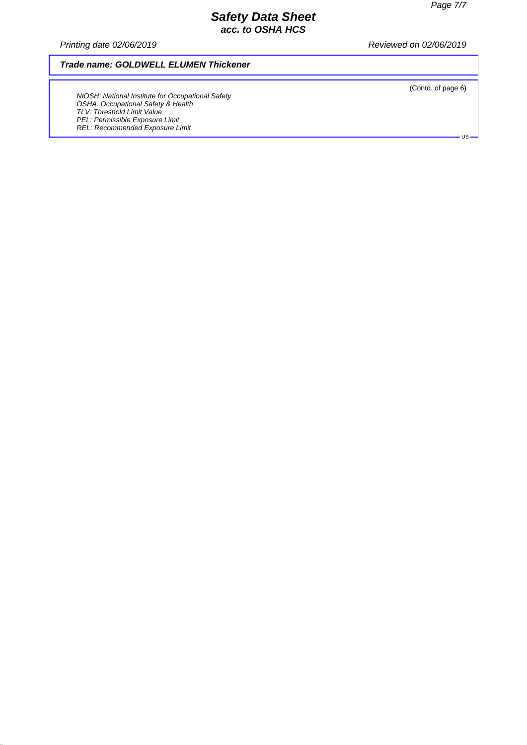*Printing date 02/06/2019 Reviewed on 02/06/2019*

## *Trade name: GOLDWELL ELUMEN Thickener*

*NIOSH: National Institute for Occupational Safety OSHA: Occupational Safety & Health TLV: Threshold Limit Value PEL: Permissible Exposure Limit REL: Recommended Exposure Limit*

(Contd. of page 6)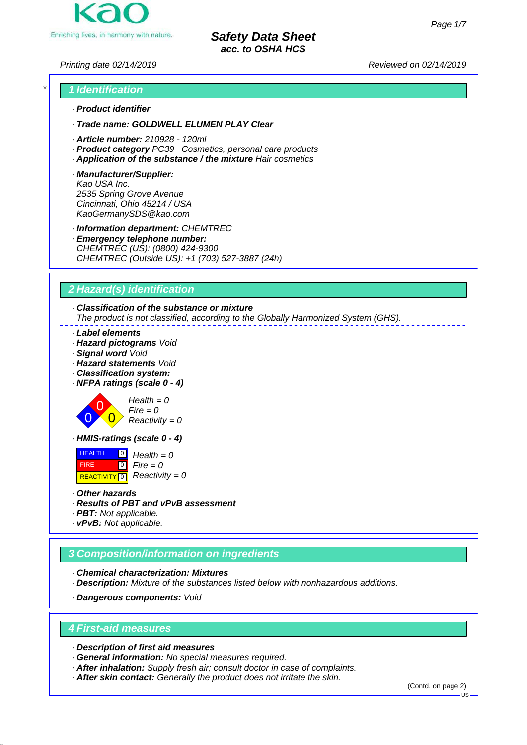

*Printing date 02/14/2019 Reviewed on 02/14/2019*

## *\* 1 Identification · Product identifier*

- *· Trade name: GOLDWELL ELUMEN PLAY Clear*
- *· Article number: 210928 120ml*
- *· Product category PC39 Cosmetics, personal care products*
- *· Application of the substance / the mixture Hair cosmetics*
- *· Manufacturer/Supplier: Kao USA Inc. 2535 Spring Grove Avenue Cincinnati, Ohio 45214 / USA KaoGermanySDS@kao.com*
- *· Information department: CHEMTREC*
- *· Emergency telephone number: CHEMTREC (US): (0800) 424-9300 CHEMTREC (Outside US): +1 (703) 527-3887 (24h)*

## *2 Hazard(s) identification*

## *· Classification of the substance or mixture*

*The product is not classified, according to the Globally Harmonized System (GHS).*

- *· Label elements*
- *· Hazard pictograms Void*
- *· Signal word Void*
- *· Hazard statements Void*
- *· Classification system:*
- *· NFPA ratings (scale 0 4)*



*Health = 0 Fire = 0 Reactivity = 0*

*· HMIS-ratings (scale 0 - 4)*

 HEALTH FIRE **REACTIVITY** 0  $\overline{10}$  $\overline{0}$ *Health = 0 Fire = 0 Reactivity = 0*

- *· Other hazards*
- *· Results of PBT and vPvB assessment*
- *· PBT: Not applicable.*
- *· vPvB: Not applicable.*

## *3 Composition/information on ingredients*

*· Chemical characterization: Mixtures*

*· Description: Mixture of the substances listed below with nonhazardous additions.*

*· Dangerous components: Void*

## *4 First-aid measures*

*· Description of first aid measures*

- *· General information: No special measures required.*
- *· After inhalation: Supply fresh air; consult doctor in case of complaints.*
- *· After skin contact: Generally the product does not irritate the skin.*

(Contd. on page 2)

US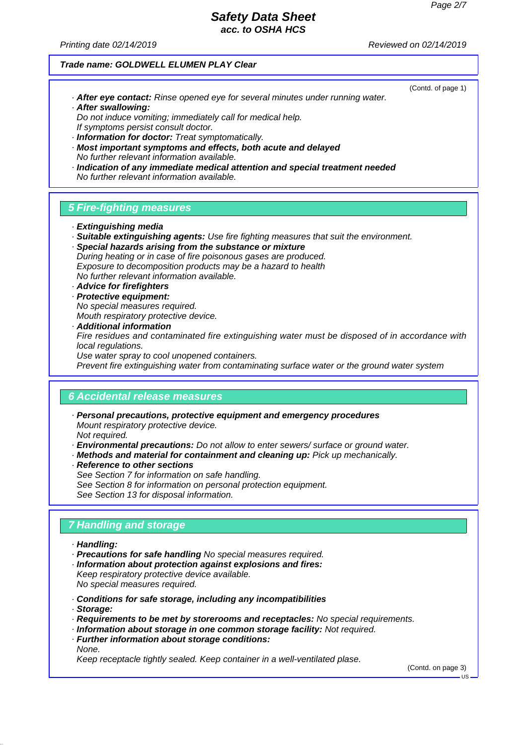(Contd. of page 1)

# *Safety Data Sheet*

*acc. to OSHA HCS*

*Printing date 02/14/2019 Reviewed on 02/14/2019*

#### *Trade name: GOLDWELL ELUMEN PLAY Clear*

- *· After eye contact: Rinse opened eye for several minutes under running water. · After swallowing:*
- *Do not induce vomiting; immediately call for medical help. If symptoms persist consult doctor.*
- *· Information for doctor: Treat symptomatically.*
- *· Most important symptoms and effects, both acute and delayed No further relevant information available.*
- *· Indication of any immediate medical attention and special treatment needed No further relevant information available.*

### *5 Fire-fighting measures*

- *· Extinguishing media*
- *· Suitable extinguishing agents: Use fire fighting measures that suit the environment.*
- *· Special hazards arising from the substance or mixture During heating or in case of fire poisonous gases are produced. Exposure to decomposition products may be a hazard to health No further relevant information available.*

## *· Advice for firefighters*

- *· Protective equipment:*
- *No special measures required. Mouth respiratory protective device.*
- *· Additional information*

*Fire residues and contaminated fire extinguishing water must be disposed of in accordance with local regulations.*

*Use water spray to cool unopened containers.*

*Prevent fire extinguishing water from contaminating surface water or the ground water system*

#### *6 Accidental release measures*

- *· Personal precautions, protective equipment and emergency procedures Mount respiratory protective device. Not required.*
- *· Environmental precautions: Do not allow to enter sewers/ surface or ground water.*
- *· Methods and material for containment and cleaning up: Pick up mechanically.*
- *· Reference to other sections See Section 7 for information on safe handling. See Section 8 for information on personal protection equipment. See Section 13 for disposal information.*

## *7 Handling and storage*

- *· Handling:*
- *· Precautions for safe handling No special measures required.*
- *· Information about protection against explosions and fires:*
- *Keep respiratory protective device available. No special measures required.*
- *· Conditions for safe storage, including any incompatibilities*
- *· Storage:*
- *· Requirements to be met by storerooms and receptacles: No special requirements.*
- *· Information about storage in one common storage facility: Not required.*
- *· Further information about storage conditions: None.*

*Keep receptacle tightly sealed. Keep container in a well-ventilated plase.*

(Contd. on page 3)

 $\overline{118}$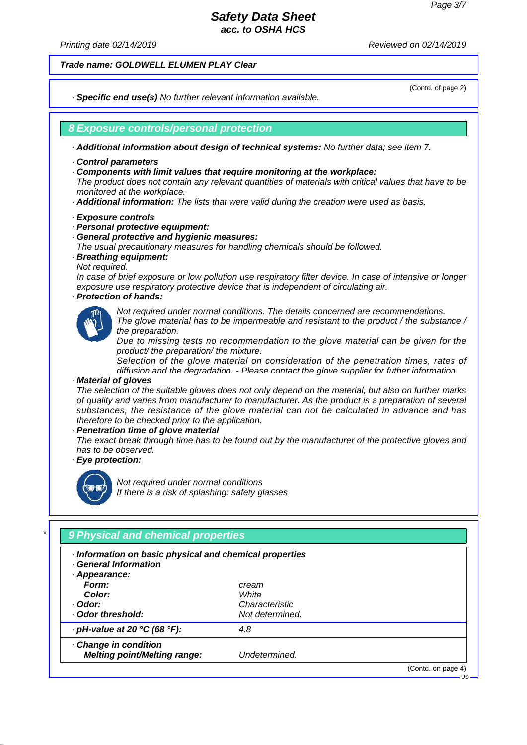*Printing date 02/14/2019 Reviewed on 02/14/2019*

*Trade name: GOLDWELL ELUMEN PLAY Clear*

*· Specific end use(s) No further relevant information available.*

(Contd. of page 2)

#### *8 Exposure controls/personal protection*

*· Additional information about design of technical systems: No further data; see item 7.*

- *· Control parameters*
- *· Components with limit values that require monitoring at the workplace:*

*The product does not contain any relevant quantities of materials with critical values that have to be monitored at the workplace.*

- *· Additional information: The lists that were valid during the creation were used as basis.*
- *· Exposure controls*
- *· Personal protective equipment:*
- *· General protective and hygienic measures:*
- *The usual precautionary measures for handling chemicals should be followed.*
- *· Breathing equipment:*
- *Not required.*

*In case of brief exposure or low pollution use respiratory filter device. In case of intensive or longer exposure use respiratory protective device that is independent of circulating air.*

*· Protection of hands:*



*Not required under normal conditions. The details concerned are recommendations. The glove material has to be impermeable and resistant to the product / the substance /*

*the preparation.*

*Due to missing tests no recommendation to the glove material can be given for the product/ the preparation/ the mixture.*

*Selection of the glove material on consideration of the penetration times, rates of diffusion and the degradation. - Please contact the glove supplier for futher information.*

#### *· Material of gloves*

*The selection of the suitable gloves does not only depend on the material, but also on further marks of quality and varies from manufacturer to manufacturer. As the product is a preparation of several substances, the resistance of the glove material can not be calculated in advance and has therefore to be checked prior to the application.*

*· Penetration time of glove material*

*The exact break through time has to be found out by the manufacturer of the protective gloves and has to be observed.*

*· Eye protection:*



*Not required under normal conditions If there is a risk of splashing: safety glasses*

| · Information on basic physical and chemical properties<br>· General Information<br>Appearance: |                 |  |
|-------------------------------------------------------------------------------------------------|-----------------|--|
| Form:                                                                                           | cream           |  |
| Color:                                                                                          | White           |  |
| · Odor:                                                                                         | Characteristic  |  |
| Odor threshold:                                                                                 | Not determined. |  |
| $\cdot$ pH-value at 20 °C (68 °F):                                                              | 4.8             |  |
| · Change in condition                                                                           |                 |  |
| <b>Melting point/Melting range:</b>                                                             | Undetermined.   |  |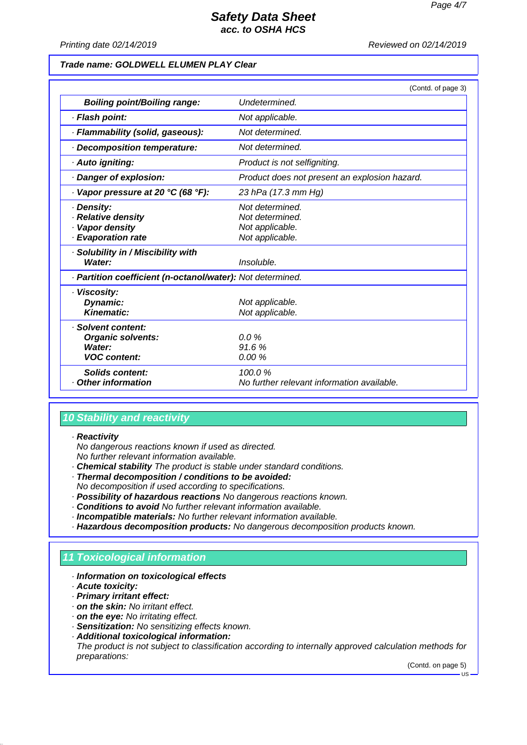*Printing date 02/14/2019 Reviewed on 02/14/2019*

### *Trade name: GOLDWELL ELUMEN PLAY Clear*

|                                                                                 | (Contd. of page 3)                                                       |
|---------------------------------------------------------------------------------|--------------------------------------------------------------------------|
| <b>Boiling point/Boiling range:</b>                                             | Undetermined.                                                            |
| · Flash point:                                                                  | Not applicable.                                                          |
| · Flammability (solid, gaseous):                                                | Not determined.                                                          |
| · Decomposition temperature:                                                    | Not determined.                                                          |
| · Auto igniting:                                                                | Product is not selfigniting.                                             |
| · Danger of explosion:                                                          | Product does not present an explosion hazard.                            |
| $\cdot$ Vapor pressure at 20 °C (68 °F):                                        | 23 hPa (17.3 mm Hg)                                                      |
| · Density:<br>· Relative density<br>· Vapor density<br>· Evaporation rate       | Not determined.<br>Not determined.<br>Not applicable.<br>Not applicable. |
| · Solubility in / Miscibility with<br>Water:                                    | Insoluble.                                                               |
| · Partition coefficient (n-octanol/water): Not determined.                      |                                                                          |
| · Viscosity:<br>Dynamic:<br>Kinematic:                                          | Not applicable.<br>Not applicable.                                       |
| · Solvent content:<br><b>Organic solvents:</b><br>Water:<br><b>VOC content:</b> | $0.0\%$<br>91.6%<br>0.00%                                                |
| Solids content:<br>Other information                                            | 100.0%<br>No further relevant information available.                     |

## *10 Stability and reactivity*

*· Reactivity*

*No dangerous reactions known if used as directed. No further relevant information available.*

- *· Chemical stability The product is stable under standard conditions.*
- *· Thermal decomposition / conditions to be avoided:*
- *No decomposition if used according to specifications.*
- *· Possibility of hazardous reactions No dangerous reactions known.*
- *· Conditions to avoid No further relevant information available.*
- *· Incompatible materials: No further relevant information available.*
- *· Hazardous decomposition products: No dangerous decomposition products known.*

## *11 Toxicological information*

- *· Information on toxicological effects*
- *· Acute toxicity:*
- *· Primary irritant effect:*
- *· on the skin: No irritant effect.*
- *· on the eye: No irritating effect.*
- *· Sensitization: No sensitizing effects known.*
- *· Additional toxicological information:*

*The product is not subject to classification according to internally approved calculation methods for preparations:*

(Contd. on page 5) US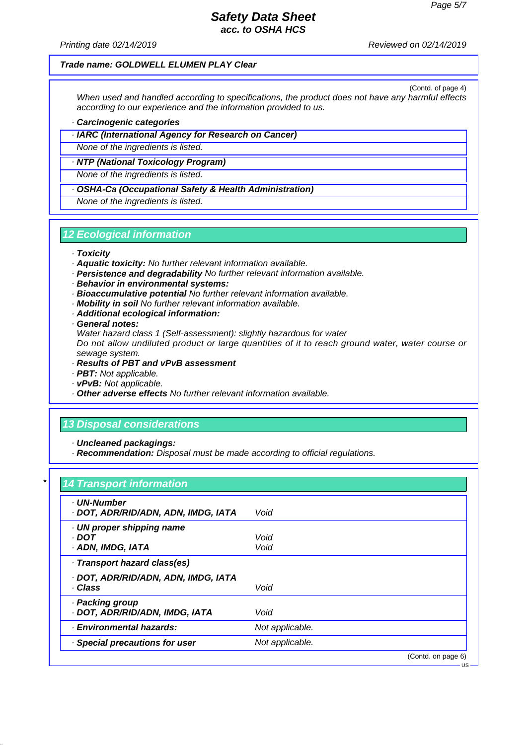*Printing date 02/14/2019 Reviewed on 02/14/2019*

#### *Trade name: GOLDWELL ELUMEN PLAY Clear*

(Contd. of page 4) *When used and handled according to specifications, the product does not have any harmful effects according to our experience and the information provided to us.*

*· Carcinogenic categories*

*· IARC (International Agency for Research on Cancer)*

*None of the ingredients is listed.*

*· NTP (National Toxicology Program)*

*None of the ingredients is listed.*

*· OSHA-Ca (Occupational Safety & Health Administration)*

*None of the ingredients is listed.*

## *12 Ecological information*

- *· Toxicity*
- *· Aquatic toxicity: No further relevant information available.*
- *· Persistence and degradability No further relevant information available.*
- *· Behavior in environmental systems:*
- *· Bioaccumulative potential No further relevant information available.*
- *· Mobility in soil No further relevant information available.*
- *· Additional ecological information:*

*· General notes:*

*Water hazard class 1 (Self-assessment): slightly hazardous for water*

*Do not allow undiluted product or large quantities of it to reach ground water, water course or sewage system.*

- *· Results of PBT and vPvB assessment*
- *· PBT: Not applicable.*
- *· vPvB: Not applicable.*
- *· Other adverse effects No further relevant information available.*

## *13 Disposal considerations*

*· Uncleaned packagings:*

*· Recommendation: Disposal must be made according to official regulations.*

## *\* 14 Transport information*

| <b>UN-Number</b><br>· DOT, ADR/RID/ADN, ADN, IMDG, IATA | Void            |                    |
|---------------------------------------------------------|-----------------|--------------------|
| · UN proper shipping name<br>· DOT<br>· ADN, IMDG, IATA | Void<br>Void    |                    |
| · Transport hazard class(es)                            |                 |                    |
| · DOT, ADR/RID/ADN, ADN, IMDG, IATA<br>· Class          | Void            |                    |
| · Packing group<br>· DOT, ADR/RID/ADN, IMDG, IATA       | Void            |                    |
| · Environmental hazards:                                | Not applicable. |                    |
| · Special precautions for user                          | Not applicable. |                    |
|                                                         |                 | (Contd. on page 6) |
|                                                         |                 |                    |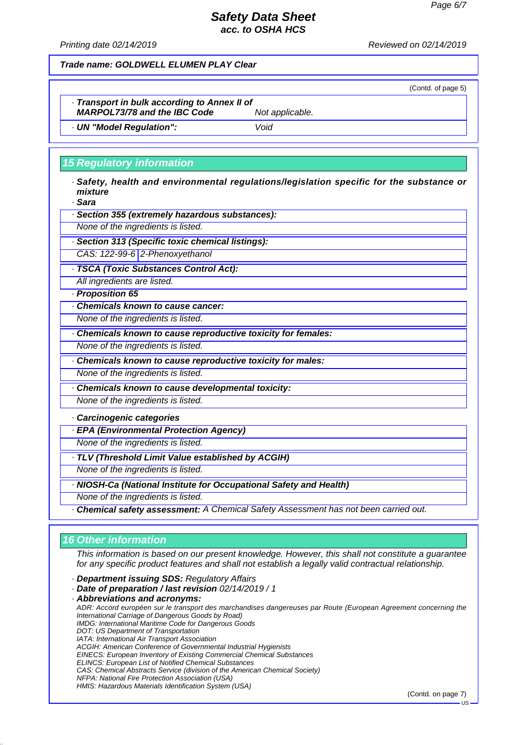(Contd. of page 5)

## *Safety Data Sheet acc. to OSHA HCS*

*Printing date 02/14/2019 Reviewed on 02/14/2019*

*Trade name: GOLDWELL ELUMEN PLAY Clear*

*· Transport in bulk according to Annex II of MARPOL73/78 and the IBC Code Not applicable.*

*· UN "Model Regulation": Void*

## *15 Regulatory information*

*· Safety, health and environmental regulations/legislation specific for the substance or mixture*

*· Sara*

*· Section 355 (extremely hazardous substances):*

*None of the ingredients is listed.*

*· Section 313 (Specific toxic chemical listings):*

*CAS: 122-99-6 2-Phenoxyethanol*

*· TSCA (Toxic Substances Control Act):*

*All ingredients are listed.*

*· Proposition 65*

*· Chemicals known to cause cancer:*

*None of the ingredients is listed.*

*· Chemicals known to cause reproductive toxicity for females:*

*None of the ingredients is listed.*

*· Chemicals known to cause reproductive toxicity for males:*

*None of the ingredients is listed.*

*· Chemicals known to cause developmental toxicity:*

*None of the ingredients is listed.*

*· Carcinogenic categories*

*· EPA (Environmental Protection Agency)*

*None of the ingredients is listed.*

*· TLV (Threshold Limit Value established by ACGIH)*

*None of the ingredients is listed.*

*· NIOSH-Ca (National Institute for Occupational Safety and Health)*

*None of the ingredients is listed.*

*· Chemical safety assessment: A Chemical Safety Assessment has not been carried out.*

## *16 Other information*

*This information is based on our present knowledge. However, this shall not constitute a guarantee for any specific product features and shall not establish a legally valid contractual relationship.*

*· Department issuing SDS: Regulatory Affairs*

*· Date of preparation / last revision 02/14/2019 / 1*

*· Abbreviations and acronyms:*

*ADR: Accord européen sur le transport des marchandises dangereuses par Route (European Agreement concerning the International Carriage of Dangerous Goods by Road) IMDG: International Maritime Code for Dangerous Goods DOT: US Department of Transportation IATA: International Air Transport Association ACGIH: American Conference of Governmental Industrial Hygienists EINECS: European Inventory of Existing Commercial Chemical Substances ELINCS: European List of Notified Chemical Substances CAS: Chemical Abstracts Service (division of the American Chemical Society) NFPA: National Fire Protection Association (USA) HMIS: Hazardous Materials Identification System (USA)*

(Contd. on page 7)

US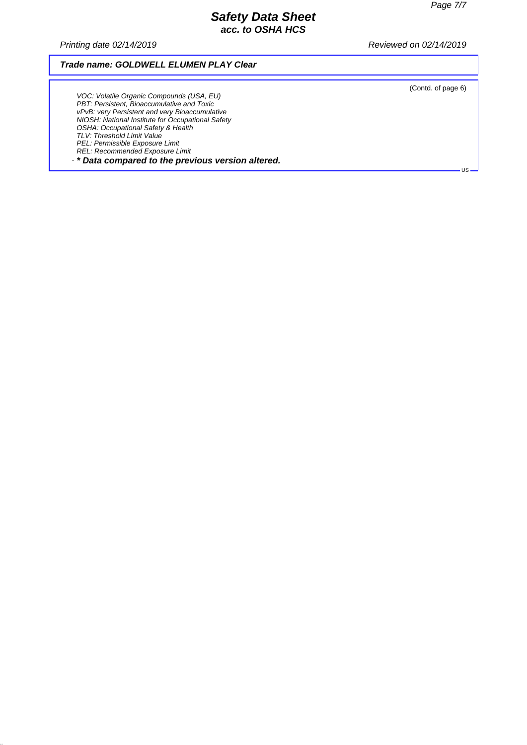*Printing date 02/14/2019 Reviewed on 02/14/2019*

## *Trade name: GOLDWELL ELUMEN PLAY Clear*

(Contd. of page 6)

US

*VOC: Volatile Organic Compounds (USA, EU) PBT: Persistent, Bioaccumulative and Toxic vPvB: very Persistent and very Bioaccumulative NIOSH: National Institute for Occupational Safety OSHA: Occupational Safety & Health TLV: Threshold Limit Value PEL: Permissible Exposure Limit REL: Recommended Exposure Limit · \* Data compared to the previous version altered.*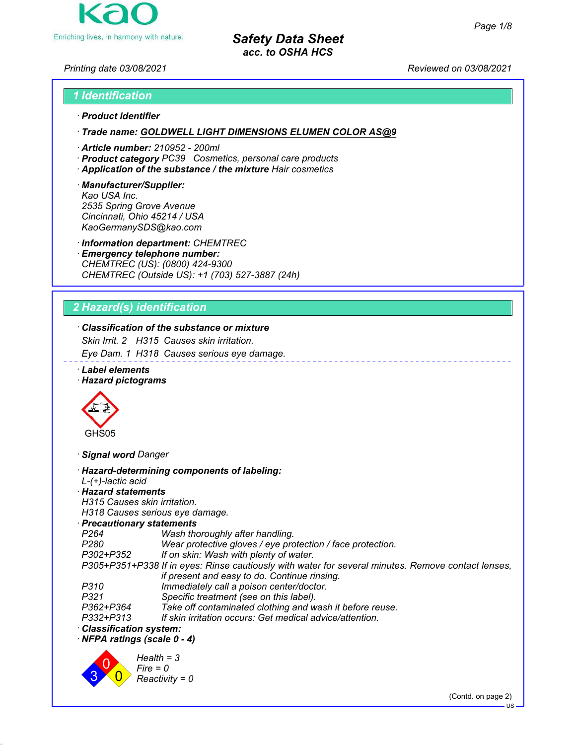

*Printing date 03/08/2021 Reviewed on 03/08/2021*

# *1 Identification*

# *ꞏ Product identifier*

*ꞏ Trade name: GOLDWELL LIGHT DIMENSIONS ELUMEN COLOR AS@9*

- *ꞏ Article number: 210952 200ml*
- *ꞏ Product category PC39 Cosmetics, personal care products*
- *ꞏ Application of the substance / the mixture Hair cosmetics*

#### *ꞏ Manufacturer/Supplier: Kao USA Inc. 2535 Spring Grove Avenue Cincinnati, Ohio 45214 / USA KaoGermanySDS@kao.com*

*ꞏ Information department: CHEMTREC*

*ꞏ Emergency telephone number: CHEMTREC (US): (0800) 424-9300 CHEMTREC (Outside US): +1 (703) 527-3887 (24h)*

## *2 Hazard(s) identification*

## *ꞏ Classification of the substance or mixture*

*Skin Irrit. 2 H315 Causes skin irritation.*

*Eye Dam. 1 H318 Causes serious eye damage.*

*ꞏ Label elements*

## *ꞏ Hazard pictograms*



*ꞏ Signal word Danger*

| · Hazard-determining components of labeling:<br>$L-(+)$ -lactic acid                               |
|----------------------------------------------------------------------------------------------------|
| · Hazard statements                                                                                |
| H315 Causes skin irritation.                                                                       |
| H318 Causes serious eye damage.                                                                    |
| $\cdot$ Precautionary statements                                                                   |
| Wash thoroughly after handling.<br>P264                                                            |
| P280<br>Wear protective gloves / eye protection / face protection.                                 |
| If on skin: Wash with plenty of water.<br>P302+P352                                                |
| P305+P351+P338 If in eyes: Rinse cautiously with water for several minutes. Remove contact lenses, |
| if present and easy to do. Continue rinsing.                                                       |
| Immediately call a poison center/doctor.<br>P310                                                   |
| P321<br>Specific treatment (see on this label).                                                    |
| Take off contaminated clothing and wash it before reuse.<br>P362+P364                              |
| If skin irritation occurs: Get medical advice/attention.<br>P332+P313                              |
| $\cdot$ Classification system:                                                                     |
| $\cdot$ NFPA ratings (scale 0 - 4)                                                                 |
| $Health = 3$<br>$Fire = 0$<br>$Reactivity = 0$                                                     |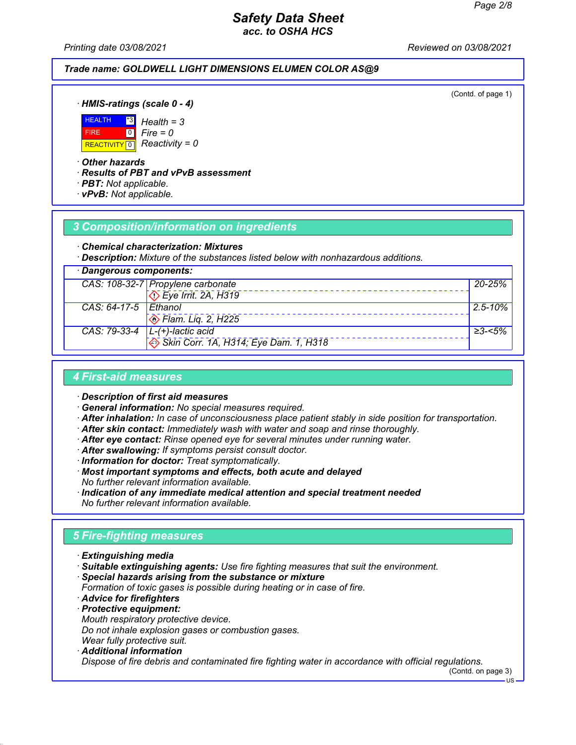*Printing date 03/08/2021 Reviewed on 03/08/2021*

## *Trade name: GOLDWELL LIGHT DIMENSIONS ELUMEN COLOR AS@9*

(Contd. of page 1)

*ꞏ HMIS-ratings (scale 0 - 4)*



*Fire = 0*

*ꞏ Other hazards*

*ꞏ Results of PBT and vPvB assessment*

- *ꞏ PBT: Not applicable.*
- *ꞏ vPvB: Not applicable.*

## *3 Composition/information on ingredients*

#### *ꞏ Chemical characterization: Mixtures*

*ꞏ Description: Mixture of the substances listed below with nonhazardous additions.*

| · Dangerous components: |                                                         |              |
|-------------------------|---------------------------------------------------------|--------------|
|                         | CAS: 108-32-7 Propylene carbonate                       | 20-25%       |
|                         | $\overline{\langle}$ Eye Irrit. 2A, H319                |              |
| CAS: 64-17-5 Ethanol    |                                                         | $2.5 - 10\%$ |
|                         | $\otimes$ Flam. Lig. 2, H225                            |              |
|                         | CAS: 79-33-4 $\vert$ L-(+)-lactic acid                  | ≥3-<5%       |
|                         | $\leftrightarrow$ Skin Corr. 1A, H314; Eye Dam. 1, H318 |              |

## *4 First-aid measures*

*ꞏ Description of first aid measures*

- *ꞏ General information: No special measures required.*
- *ꞏ After inhalation: In case of unconsciousness place patient stably in side position for transportation.*
- *ꞏ After skin contact: Immediately wash with water and soap and rinse thoroughly.*
- *ꞏ After eye contact: Rinse opened eye for several minutes under running water.*
- *ꞏ After swallowing: If symptoms persist consult doctor.*
- *ꞏ Information for doctor: Treat symptomatically.*
- *ꞏ Most important symptoms and effects, both acute and delayed No further relevant information available.*
- *ꞏ Indication of any immediate medical attention and special treatment needed No further relevant information available.*

## *5 Fire-fighting measures*

- *ꞏ Extinguishing media*
- *ꞏ Suitable extinguishing agents: Use fire fighting measures that suit the environment.*
- *ꞏ Special hazards arising from the substance or mixture*
- *Formation of toxic gases is possible during heating or in case of fire.*
- *ꞏ Advice for firefighters*
- *ꞏ Protective equipment: Mouth respiratory protective device. Do not inhale explosion gases or combustion gases.*
- *Wear fully protective suit.*
- *ꞏ Additional information Dispose of fire debris and contaminated fire fighting water in accordance with official regulations.*

(Contd. on page 3)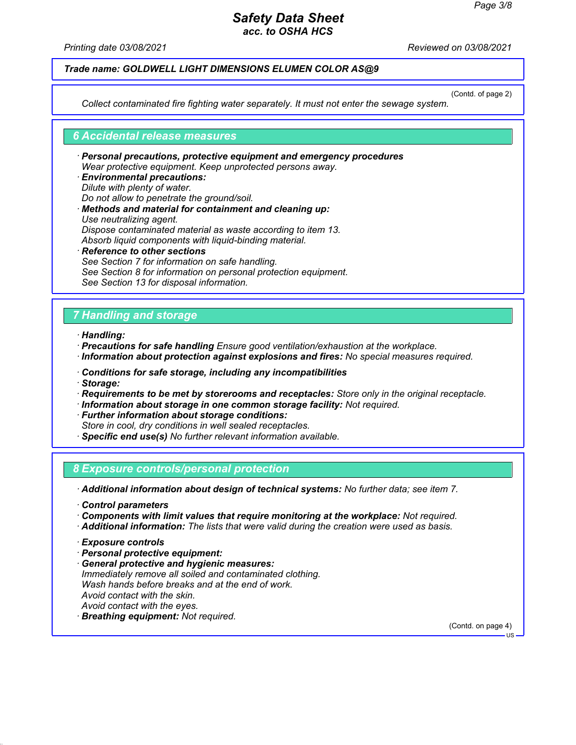*Printing date 03/08/2021 Reviewed on 03/08/2021*

### *Trade name: GOLDWELL LIGHT DIMENSIONS ELUMEN COLOR AS@9*

(Contd. of page 2)

*Collect contaminated fire fighting water separately. It must not enter the sewage system.*

#### *6 Accidental release measures*

- *ꞏ Personal precautions, protective equipment and emergency procedures Wear protective equipment. Keep unprotected persons away.*
- *ꞏ Environmental precautions: Dilute with plenty of water. Do not allow to penetrate the ground/soil. ꞏ Methods and material for containment and cleaning up: Use neutralizing agent. Dispose contaminated material as waste according to item 13. Absorb liquid components with liquid-binding material. ꞏ Reference to other sections*
- *See Section 7 for information on safe handling. See Section 8 for information on personal protection equipment. See Section 13 for disposal information.*

## *7 Handling and storage*

*ꞏ Handling:*

- *ꞏ Precautions for safe handling Ensure good ventilation/exhaustion at the workplace. ꞏ Information about protection against explosions and fires: No special measures required.*
- *ꞏ Conditions for safe storage, including any incompatibilities*
- *ꞏ Storage:*
- *ꞏ Requirements to be met by storerooms and receptacles: Store only in the original receptacle.*
- *ꞏ Information about storage in one common storage facility: Not required.*
- *ꞏ Further information about storage conditions:*
- *Store in cool, dry conditions in well sealed receptacles.*
- *ꞏ Specific end use(s) No further relevant information available.*

### *8 Exposure controls/personal protection*

*ꞏ Additional information about design of technical systems: No further data; see item 7.*

- *ꞏ Control parameters*
- *ꞏ Components with limit values that require monitoring at the workplace: Not required.*
- *ꞏ Additional information: The lists that were valid during the creation were used as basis.*

- *ꞏ Personal protective equipment:*
- *ꞏ General protective and hygienic measures: Immediately remove all soiled and contaminated clothing. Wash hands before breaks and at the end of work. Avoid contact with the skin. Avoid contact with the eyes. ꞏ Breathing equipment: Not required.*

(Contd. on page 4)

*ꞏ Exposure controls*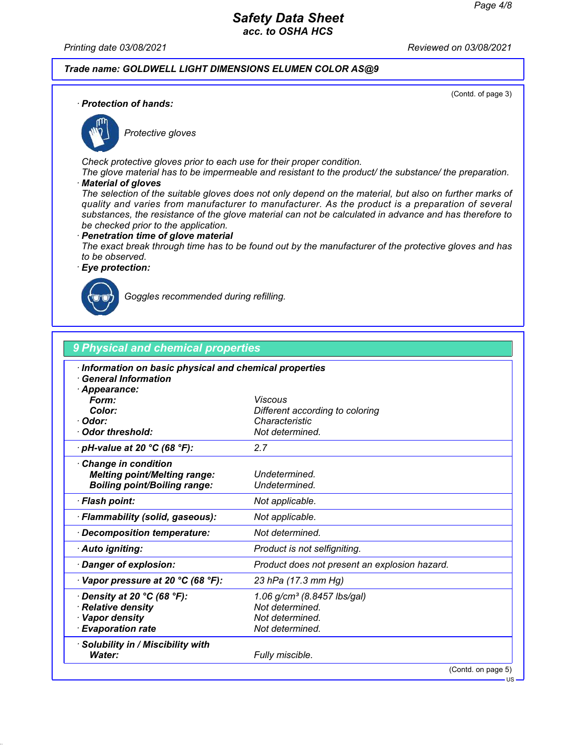*Printing date 03/08/2021 Reviewed on 03/08/2021*

## *Trade name: GOLDWELL LIGHT DIMENSIONS ELUMEN COLOR AS@9*

(Contd. of page 3)

US

*ꞏ Protection of hands:*



*Protective gloves*

*Check protective gloves prior to each use for their proper condition.*

*The glove material has to be impermeable and resistant to the product/ the substance/ the preparation. ꞏ Material of gloves*

*The selection of the suitable gloves does not only depend on the material, but also on further marks of quality and varies from manufacturer to manufacturer. As the product is a preparation of several substances, the resistance of the glove material can not be calculated in advance and has therefore to be checked prior to the application.*

#### *ꞏ Penetration time of glove material*

*The exact break through time has to be found out by the manufacturer of the protective gloves and has to be observed.*

*ꞏ Eye protection:*



*Goggles recommended during refilling.*

| Information on basic physical and chemical properties |                                                   |
|-------------------------------------------------------|---------------------------------------------------|
| $\cdot$ General Information                           |                                                   |
| · Appearance:                                         |                                                   |
| Form:<br>Color:                                       | <b>Viscous</b>                                    |
| · Odor:                                               | Different according to coloring<br>Characteristic |
| Odor threshold:                                       | Not determined.                                   |
| $\cdot$ pH-value at 20 °C (68 °F):                    | 2.7                                               |
| <b>Change in condition</b>                            |                                                   |
| <b>Melting point/Melting range:</b>                   | Undetermined.                                     |
| <b>Boiling point/Boiling range:</b>                   | Undetermined.                                     |
| · Flash point:                                        | Not applicable.                                   |
| · Flammability (solid, gaseous):                      | Not applicable.                                   |
| · Decomposition temperature:                          | Not determined.                                   |
| · Auto igniting:                                      | Product is not selfigniting.                      |
| Danger of explosion:                                  | Product does not present an explosion hazard.     |
| $\cdot$ Vapor pressure at 20 °C (68 °F):              | 23 hPa (17.3 mm Hg)                               |
| $\cdot$ Density at 20 °C (68 °F):                     | 1.06 g/cm <sup>3</sup> (8.8457 lbs/gal)           |
| Relative density                                      | Not determined.                                   |
| · Vapor density                                       | Not determined.                                   |
| · Evaporation rate                                    | Not determined.                                   |
| · Solubility in / Miscibility with                    |                                                   |
| Water:                                                | Fully miscible.                                   |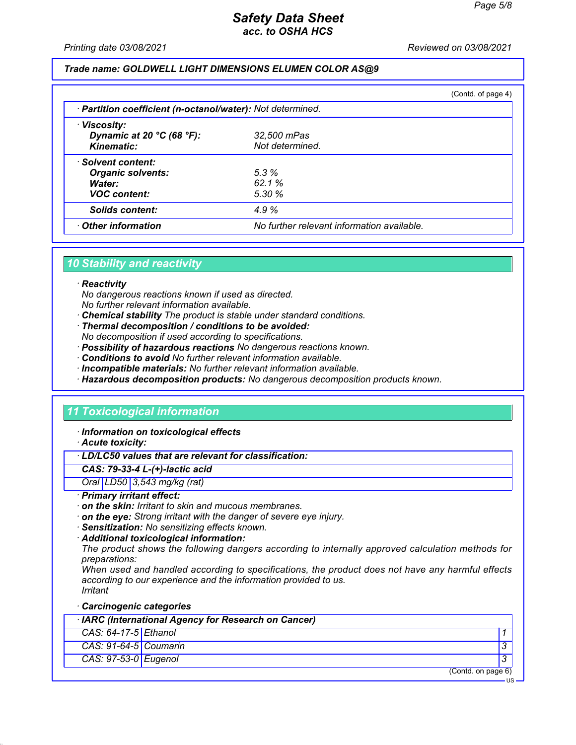US

## *Safety Data Sheet acc. to OSHA HCS*

*Printing date 03/08/2021 Reviewed on 03/08/2021*

### *Trade name: GOLDWELL LIGHT DIMENSIONS ELUMEN COLOR AS@9*

|                                                            |                                            | (Contd. of page $4$ ) |  |  |
|------------------------------------------------------------|--------------------------------------------|-----------------------|--|--|
| · Partition coefficient (n-octanol/water): Not determined. |                                            |                       |  |  |
| · Viscosity:                                               |                                            |                       |  |  |
| Dynamic at 20 $^{\circ}$ C (68 $^{\circ}$ F):              | 32,500 mPas                                |                       |  |  |
| <b>Kinematic:</b>                                          | Not determined.                            |                       |  |  |
| · Solvent content:                                         |                                            |                       |  |  |
| <b>Organic solvents:</b>                                   | 5.3%                                       |                       |  |  |
| Water:                                                     | 62.1%                                      |                       |  |  |
| <b>VOC content:</b>                                        | 5.30%                                      |                       |  |  |
| <b>Solids content:</b>                                     | 4.9%                                       |                       |  |  |
| Other information                                          | No further relevant information available. |                       |  |  |

## *10 Stability and reactivity*

#### *ꞏ Reactivity*

*No dangerous reactions known if used as directed.*

- *No further relevant information available.*
- *ꞏ Chemical stability The product is stable under standard conditions.*
- *ꞏ Thermal decomposition / conditions to be avoided:*
- *No decomposition if used according to specifications.*
- *ꞏ Possibility of hazardous reactions No dangerous reactions known.*
- *ꞏ Conditions to avoid No further relevant information available.*
- *ꞏ Incompatible materials: No further relevant information available.*
- *ꞏ Hazardous decomposition products: No dangerous decomposition products known.*

## *11 Toxicological information*

*ꞏ Information on toxicological effects*

*ꞏ Acute toxicity:*

#### *ꞏ LD/LC50 values that are relevant for classification:*

#### *CAS: 79-33-4 L-(+)-lactic acid*

*Oral LD50 3,543 mg/kg (rat)*

#### *ꞏ Primary irritant effect:*

- *ꞏ on the skin: Irritant to skin and mucous membranes.*
- *ꞏ on the eye: Strong irritant with the danger of severe eye injury.*
- *ꞏ Sensitization: No sensitizing effects known.*
- *ꞏ Additional toxicological information:*

*The product shows the following dangers according to internally approved calculation methods for preparations:*

*When used and handled according to specifications, the product does not have any harmful effects according to our experience and the information provided to us. Irritant*

*ꞏ Carcinogenic categories*

| · IARC (International Agency for Research on Cancer) |  |                    |
|------------------------------------------------------|--|--------------------|
| $CAS: 64-17-5$ Ethanol                               |  |                    |
| $CAS: 91-64-5$ Coumarin                              |  |                    |
| CAS: 97-53-0 Eugenol                                 |  |                    |
|                                                      |  | (Contd. on page 6) |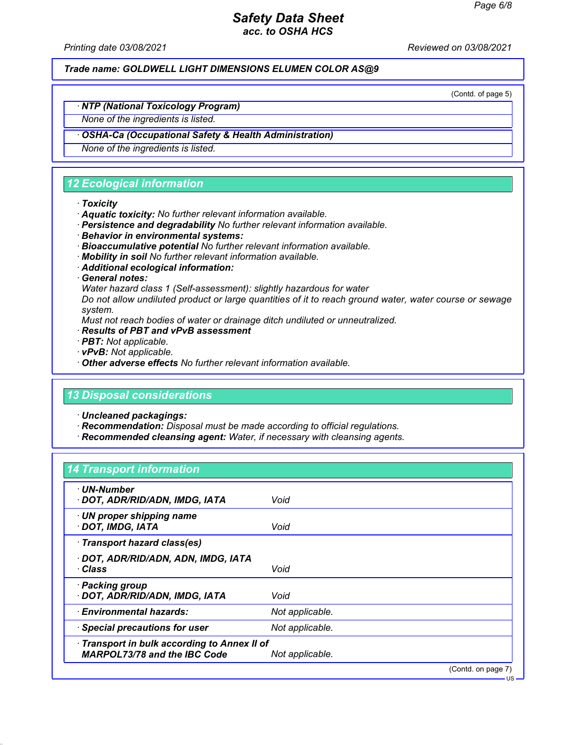*Printing date 03/08/2021 Reviewed on 03/08/2021*

*Trade name: GOLDWELL LIGHT DIMENSIONS ELUMEN COLOR AS@9*

(Contd. of page 5)

US

## *ꞏ NTP (National Toxicology Program)*

*None of the ingredients is listed.*

### *ꞏ OSHA-Ca (Occupational Safety & Health Administration)*

*None of the ingredients is listed.*

## *12 Ecological information*

#### *ꞏ Toxicity*

- *ꞏ Aquatic toxicity: No further relevant information available.*
- *ꞏ Persistence and degradability No further relevant information available.*
- *ꞏ Behavior in environmental systems:*
- *ꞏ Bioaccumulative potential No further relevant information available.*
- *ꞏ Mobility in soil No further relevant information available.*
- *ꞏ Additional ecological information:*
- *ꞏ General notes:*

*Water hazard class 1 (Self-assessment): slightly hazardous for water*

*Do not allow undiluted product or large quantities of it to reach ground water, water course or sewage system.*

*Must not reach bodies of water or drainage ditch undiluted or unneutralized.*

- *ꞏ Results of PBT and vPvB assessment*
- *ꞏ PBT: Not applicable.*
- *ꞏ vPvB: Not applicable.*
- *ꞏ Other adverse effects No further relevant information available.*

## *13 Disposal considerations*

*ꞏ Uncleaned packagings:*

- *ꞏ Recommendation: Disposal must be made according to official regulations.*
- *ꞏ Recommended cleansing agent: Water, if necessary with cleansing agents.*

## *14 Transport information*

| · UN-Number<br>· DOT, ADR/RID/ADN, IMDG, IATA                                       | Void            |                    |
|-------------------------------------------------------------------------------------|-----------------|--------------------|
| · UN proper shipping name<br>DOT, IMDG, IATA                                        | Void            |                    |
| Transport hazard class(es)                                                          |                 |                    |
| · DOT, ADR/RID/ADN, ADN, IMDG, IATA<br>∙ Class                                      | Void            |                    |
| · Packing group<br>· DOT, ADR/RID/ADN, IMDG, IATA                                   | Void            |                    |
| · Environmental hazards:                                                            | Not applicable. |                    |
| · Special precautions for user                                                      | Not applicable. |                    |
| · Transport in bulk according to Annex II of<br><b>MARPOL73/78 and the IBC Code</b> | Not applicable. |                    |
|                                                                                     |                 | (Contd. on page 7) |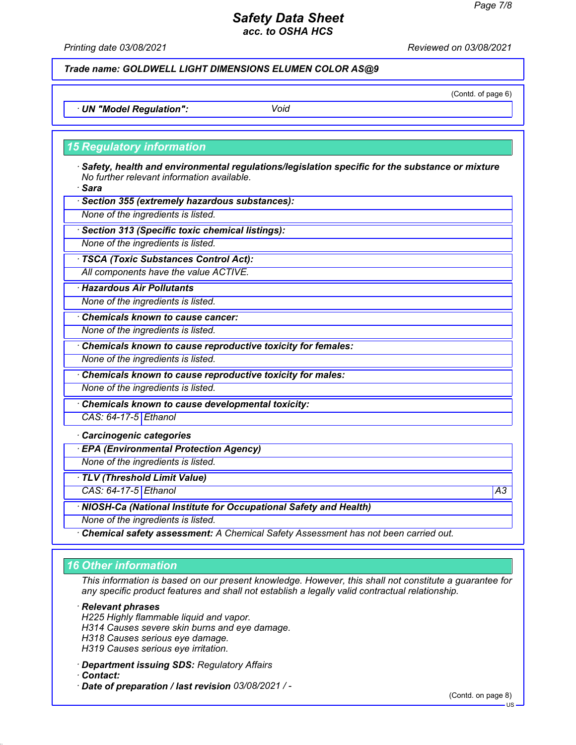*Printing date 03/08/2021 Reviewed on 03/08/2021*

*Trade name: GOLDWELL LIGHT DIMENSIONS ELUMEN COLOR AS@9*

(Contd. of page 6)

*ꞏ UN "Model Regulation": Void*

#### *15 Regulatory information*

*ꞏ Safety, health and environmental regulations/legislation specific for the substance or mixture No further relevant information available.*

*ꞏ Sara*

*ꞏ Section 355 (extremely hazardous substances):*

*None of the ingredients is listed.*

*ꞏ Section 313 (Specific toxic chemical listings):*

*None of the ingredients is listed.*

*ꞏ TSCA (Toxic Substances Control Act):*

*All components have the value ACTIVE.*

*ꞏ Hazardous Air Pollutants*

*None of the ingredients is listed.*

*ꞏ Chemicals known to cause cancer:*

*None of the ingredients is listed.*

*ꞏ Chemicals known to cause reproductive toxicity for females:*

*None of the ingredients is listed.*

*ꞏ Chemicals known to cause reproductive toxicity for males:*

*None of the ingredients is listed.*

*ꞏ Chemicals known to cause developmental toxicity:*

*CAS: 64-17-5 Ethanol*

*ꞏ Carcinogenic categories*

*ꞏ EPA (Environmental Protection Agency)*

*None of the ingredients is listed.*

*ꞏ TLV (Threshold Limit Value)*

*CAS: 64-17-5 Ethanol A3*

*ꞏ NIOSH-Ca (National Institute for Occupational Safety and Health)*

*None of the ingredients is listed.*

*ꞏ Chemical safety assessment: A Chemical Safety Assessment has not been carried out.*

## *16 Other information*

*This information is based on our present knowledge. However, this shall not constitute a guarantee for any specific product features and shall not establish a legally valid contractual relationship.*

*ꞏ Relevant phrases*

*H225 Highly flammable liquid and vapor.*

*H314 Causes severe skin burns and eye damage.*

*H318 Causes serious eye damage.*

*H319 Causes serious eye irritation.*

*ꞏ Department issuing SDS: Regulatory Affairs*

*ꞏ Contact:*

*ꞏ Date of preparation / last revision 03/08/2021 / -*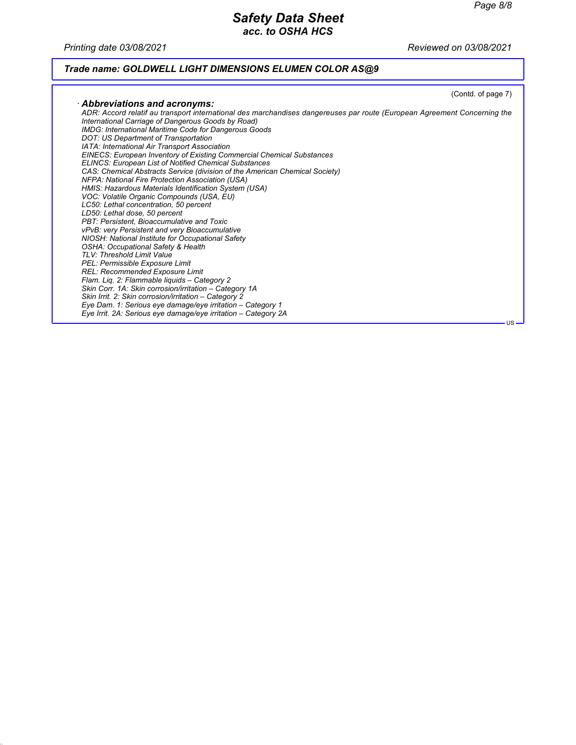*Printing date 03/08/2021 Reviewed on 03/08/2021*

# *Trade name: GOLDWELL LIGHT DIMENSIONS ELUMEN COLOR AS@9*

|                                                                                                                                                                                                                                                                                                                                                                                                                                                                                                                                                                                                                                                                                                                                                                                                                                                                                                                                                                                                                                                          | (Contd. of page 7) |
|----------------------------------------------------------------------------------------------------------------------------------------------------------------------------------------------------------------------------------------------------------------------------------------------------------------------------------------------------------------------------------------------------------------------------------------------------------------------------------------------------------------------------------------------------------------------------------------------------------------------------------------------------------------------------------------------------------------------------------------------------------------------------------------------------------------------------------------------------------------------------------------------------------------------------------------------------------------------------------------------------------------------------------------------------------|--------------------|
|                                                                                                                                                                                                                                                                                                                                                                                                                                                                                                                                                                                                                                                                                                                                                                                                                                                                                                                                                                                                                                                          |                    |
| $\cdot$ Abbreviations and acronyms:<br>ADR: Accord relatif au transport international des marchandises dangereuses par route (European Agreement Concerning the<br>International Carriage of Dangerous Goods by Road)<br><b>IMDG: International Maritime Code for Dangerous Goods</b><br>DOT: US Department of Transportation<br>IATA: International Air Transport Association<br><b>EINECS: European Inventory of Existing Commercial Chemical Substances</b><br><b>ELINCS: European List of Notified Chemical Substances</b><br>CAS: Chemical Abstracts Service (division of the American Chemical Society)<br>NFPA: National Fire Protection Association (USA)<br>HMIS: Hazardous Materials Identification System (USA)<br>VOC: Volatile Organic Compounds (USA, EU)<br>LC50: Lethal concentration, 50 percent<br>LD50: Lethal dose, 50 percent<br>PBT: Persistent. Bioaccumulative and Toxic<br>vPvB: very Persistent and very Bioaccumulative<br>NIOSH: National Institute for Occupational Safety<br><b>OSHA: Occupational Safety &amp; Health</b> |                    |
| TLV: Threshold Limit Value                                                                                                                                                                                                                                                                                                                                                                                                                                                                                                                                                                                                                                                                                                                                                                                                                                                                                                                                                                                                                               |                    |
| PEL: Permissible Exposure Limit                                                                                                                                                                                                                                                                                                                                                                                                                                                                                                                                                                                                                                                                                                                                                                                                                                                                                                                                                                                                                          |                    |
| REL: Recommended Exposure Limit                                                                                                                                                                                                                                                                                                                                                                                                                                                                                                                                                                                                                                                                                                                                                                                                                                                                                                                                                                                                                          |                    |
| Flam. Lig. 2: Flammable liguids - Category 2<br>Skin Corr. 1A: Skin corrosion/irritation - Category 1A                                                                                                                                                                                                                                                                                                                                                                                                                                                                                                                                                                                                                                                                                                                                                                                                                                                                                                                                                   |                    |
| Skin Irrit. 2: Skin corrosion/irritation - Category 2                                                                                                                                                                                                                                                                                                                                                                                                                                                                                                                                                                                                                                                                                                                                                                                                                                                                                                                                                                                                    |                    |
| Eye Dam. 1: Serious eye damage/eye irritation – Category 1                                                                                                                                                                                                                                                                                                                                                                                                                                                                                                                                                                                                                                                                                                                                                                                                                                                                                                                                                                                               |                    |
| Eye Irrit. 2A: Serious eye damage/eye irritation – Category 2A                                                                                                                                                                                                                                                                                                                                                                                                                                                                                                                                                                                                                                                                                                                                                                                                                                                                                                                                                                                           |                    |
|                                                                                                                                                                                                                                                                                                                                                                                                                                                                                                                                                                                                                                                                                                                                                                                                                                                                                                                                                                                                                                                          | - US -             |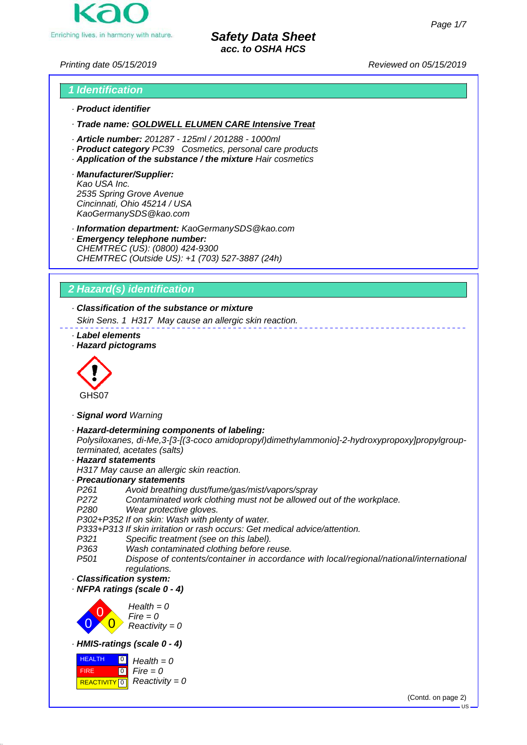

*Printing date 05/15/2019 Reviewed on 05/15/2019*

# *1 Identification*

- *· Product identifier*
- *· Trade name: GOLDWELL ELUMEN CARE Intensive Treat*
- *· Article number: 201287 125ml / 201288 1000ml*
- *· Product category PC39 Cosmetics, personal care products*
- *· Application of the substance / the mixture Hair cosmetics*
- *· Manufacturer/Supplier: Kao USA Inc. 2535 Spring Grove Avenue Cincinnati, Ohio 45214 / USA KaoGermanySDS@kao.com*

*· Information department: KaoGermanySDS@kao.com*

*· Emergency telephone number: CHEMTREC (US): (0800) 424-9300 CHEMTREC (Outside US): +1 (703) 527-3887 (24h)*

# *2 Hazard(s) identification*

*· Classification of the substance or mixture*

*Skin Sens. 1 H317 May cause an allergic skin reaction.*

- *· Label elements*
- *· Hazard pictograms*



- *· Signal word Warning*
- *· Hazard-determining components of labeling: Polysiloxanes, di-Me,3-[3-[(3-coco amidopropyl)dimethylammonio]-2-hydroxypropoxy]propylgroup-*
- *terminated, acetates (salts)*
- *· Hazard statements*
- *H317 May cause an allergic skin reaction.*
- *· Precautionary statements*
- *P261 Avoid breathing dust/fume/gas/mist/vapors/spray*
- *P272 Contaminated work clothing must not be allowed out of the workplace.*
- *P280 Wear protective gloves.*

*P302+P352 If on skin: Wash with plenty of water.*

- *P333+P313 If skin irritation or rash occurs: Get medical advice/attention.*
- *Specific treatment (see on this label).*
- *P363 Wash contaminated clothing before reuse.*
- *P501 Dispose of contents/container in accordance with local/regional/national/international regulations.*
- *· Classification system:*
- *· NFPA ratings (scale 0 4)*



*· HMIS-ratings (scale 0 - 4)*



(Contd. on page 2)

 $\overline{\mathbf{R}}$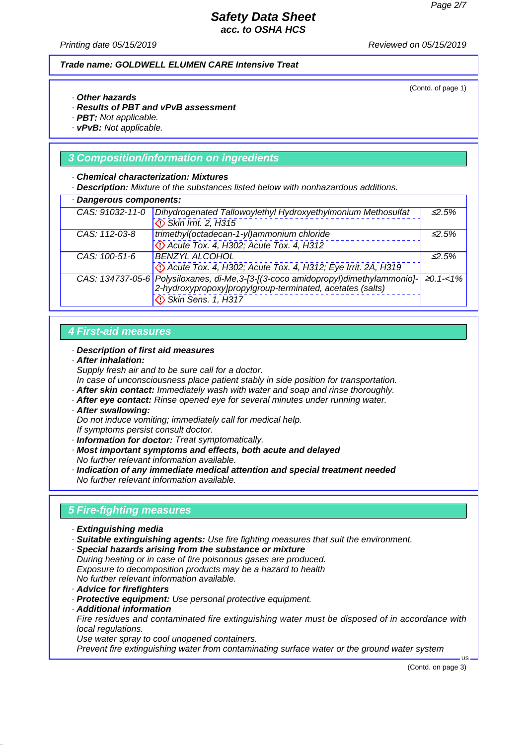*Printing date 05/15/2019 Reviewed on 05/15/2019*

### *Trade name: GOLDWELL ELUMEN CARE Intensive Treat*

(Contd. of page 1)

- *· Other hazards*
- *· Results of PBT and vPvB assessment*
- *· PBT: Not applicable.*
- *· vPvB: Not applicable.*

### *3 Composition/information on ingredients*

#### *· Chemical characterization: Mixtures*

*· Description: Mixture of the substances listed below with nonhazardous additions.*

| · Dangerous components: |                                                                                    |                  |
|-------------------------|------------------------------------------------------------------------------------|------------------|
| CAS: 91032-11-0         | Dihydrogenated Tallowoylethyl Hydroxyethylmonium Methosulfat                       | $\leq 2.5\%$     |
|                         | Skin Irrit. 2, H315                                                                |                  |
| CAS: 112-03-8           | trimethyl(octadecan-1-yl)ammonium chloride                                         | $\leq 2.5\%$     |
|                         | Decute Tox. 4, H302; Acute Tox. 4, H312                                            |                  |
| CAS: 100-51-6           | <b>BENZYL ALCOHOL</b>                                                              | $\leq$ 5%        |
|                         | Decree Tox. 4, H302; Acute Tox. 4, H312; Eye Irrit. 2A, H319                       |                  |
|                         | CAS: 134737-05-6 Polysiloxanes, di-Me, 3-[3-[(3-coco amidopropyl)dimethylammonio]- | $\geq 0.1 - 1\%$ |
|                         | 2-hydroxypropoxy]propylgroup-terminated, acetates (salts)                          |                  |
|                         | Skin Sens. 1, H317                                                                 |                  |

### *4 First-aid measures*

#### *· Description of first aid measures*

*· After inhalation:*

*Supply fresh air and to be sure call for a doctor.*

- *In case of unconsciousness place patient stably in side position for transportation.*
- *· After skin contact: Immediately wash with water and soap and rinse thoroughly. · After eye contact: Rinse opened eye for several minutes under running water.*
- 
- *· After swallowing:*

*Do not induce vomiting; immediately call for medical help.*

- *If symptoms persist consult doctor.*
- *· Information for doctor: Treat symptomatically.*
- *· Most important symptoms and effects, both acute and delayed No further relevant information available.*
- *· Indication of any immediate medical attention and special treatment needed No further relevant information available.*

### *5 Fire-fighting measures*

- *· Extinguishing media*
- *· Suitable extinguishing agents: Use fire fighting measures that suit the environment.*
- *· Special hazards arising from the substance or mixture During heating or in case of fire poisonous gases are produced. Exposure to decomposition products may be a hazard to health No further relevant information available.*
- *· Advice for firefighters*
- *· Protective equipment: Use personal protective equipment.*
- *· Additional information*

*Fire residues and contaminated fire extinguishing water must be disposed of in accordance with local regulations.*

*Use water spray to cool unopened containers.*

*Prevent fire extinguishing water from contaminating surface water or the ground water system*

(Contd. on page 3)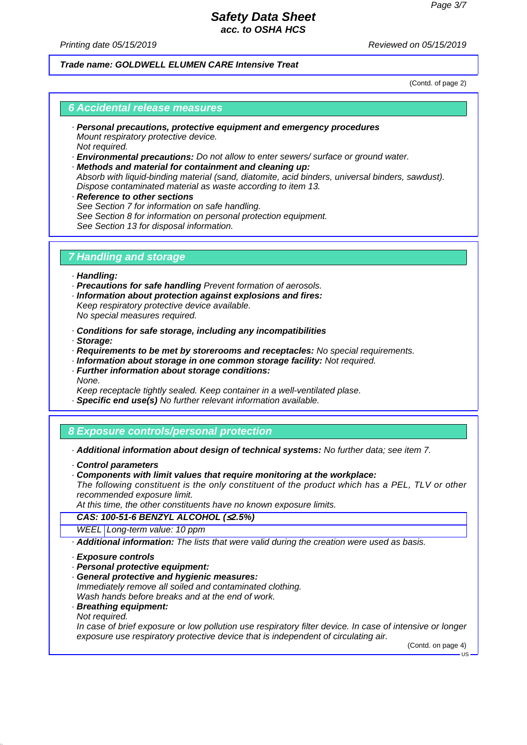*Printing date 05/15/2019 Reviewed on 05/15/2019*

### *Trade name: GOLDWELL ELUMEN CARE Intensive Treat*

(Contd. of page 2)

#### *6 Accidental release measures*

- *· Personal precautions, protective equipment and emergency procedures Mount respiratory protective device. Not required.*
- *· Environmental precautions: Do not allow to enter sewers/ surface or ground water.*
- *· Methods and material for containment and cleaning up: Absorb with liquid-binding material (sand, diatomite, acid binders, universal binders, sawdust). Dispose contaminated material as waste according to item 13.*
- *· Reference to other sections See Section 7 for information on safe handling. See Section 8 for information on personal protection equipment. See Section 13 for disposal information.*

### *7 Handling and storage*

- *· Handling:*
- *· Precautions for safe handling Prevent formation of aerosols.*
- *· Information about protection against explosions and fires: Keep respiratory protective device available.*

*No special measures required.*

- *· Conditions for safe storage, including any incompatibilities*
- *· Storage:*
- *· Requirements to be met by storerooms and receptacles: No special requirements.*
- *· Information about storage in one common storage facility: Not required.*
- *· Further information about storage conditions: None.*
- *Keep receptacle tightly sealed. Keep container in a well-ventilated plase.*
- *· Specific end use(s) No further relevant information available.*

### *8 Exposure controls/personal protection*

- *· Additional information about design of technical systems: No further data; see item 7.*
- *· Control parameters*
- *· Components with limit values that require monitoring at the workplace:*

*The following constituent is the only constituent of the product which has a PEL, TLV or other recommended exposure limit.*

*At this time, the other constituents have no known exposure limits.*

### *CAS: 100-51-6 BENZYL ALCOHOL (*≤*2.5%)*

- *WEEL Long-term value: 10 ppm*
- *· Additional information: The lists that were valid during the creation were used as basis.*
- *· Exposure controls*
- *· Personal protective equipment:*
- *· General protective and hygienic measures:*
- *Immediately remove all soiled and contaminated clothing. Wash hands before breaks and at the end of work.*
- *· Breathing equipment: Not required.*

*In case of brief exposure or low pollution use respiratory filter device. In case of intensive or longer exposure use respiratory protective device that is independent of circulating air.*

(Contd. on page 4)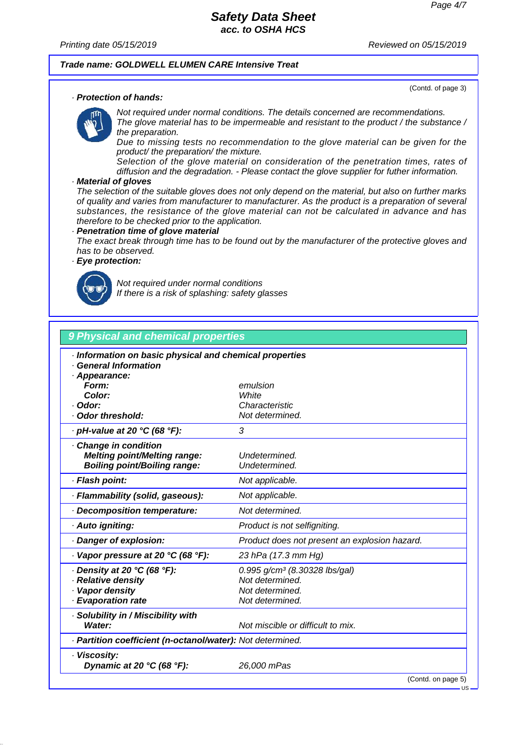*Printing date 05/15/2019 Reviewed on 05/15/2019*

(Contd. of page 3)

#### *Trade name: GOLDWELL ELUMEN CARE Intensive Treat*

*· Protection of hands:*

*Not required under normal conditions. The details concerned are recommendations. The glove material has to be impermeable and resistant to the product / the substance / the preparation.*

*Due to missing tests no recommendation to the glove material can be given for the product/ the preparation/ the mixture.*

*Selection of the glove material on consideration of the penetration times, rates of diffusion and the degradation. - Please contact the glove supplier for futher information.*

#### *· Material of gloves*

*The selection of the suitable gloves does not only depend on the material, but also on further marks of quality and varies from manufacturer to manufacturer. As the product is a preparation of several substances, the resistance of the glove material can not be calculated in advance and has therefore to be checked prior to the application.*

#### *· Penetration time of glove material*

*The exact break through time has to be found out by the manufacturer of the protective gloves and has to be observed.*

### *· Eye protection:*



*Not required under normal conditions If there is a risk of splashing: safety glasses*

# *9 Physical and chemical properties · Information on basic physical and chemical properties · General Information · Appearance: Form: emulsion Color: White · Odor: Characteristic · Odor threshold: Not determined. · pH-value at 20 °C (68 °F): 3 · Change in condition Melting point/Melting range: Undetermined. Boiling point/Boiling range: Undetermined. · Flash point: Not applicable. · Flammability (solid, gaseous): Not applicable. · Decomposition temperature: Not determined. · Auto igniting: Product is not selfigniting. · Danger of explosion: Product does not present an explosion hazard. · Vapor pressure at 20 °C (68 °F): 23 hPa (17.3 mm Hg) · Density at 20 °C (68 °F): 0.995 g/cm³ (8.30328 lbs/gal) · Relative density Not determined. · Vapor density Not determined. · Evaporation rate Not determined. · Solubility in / Miscibility with Water: Not miscible or difficult to mix. · Partition coefficient (n-octanol/water): Not determined. · Viscosity: Dynamic at 20 °C (68 °F): 26,000 mPas* (Contd. on page 5)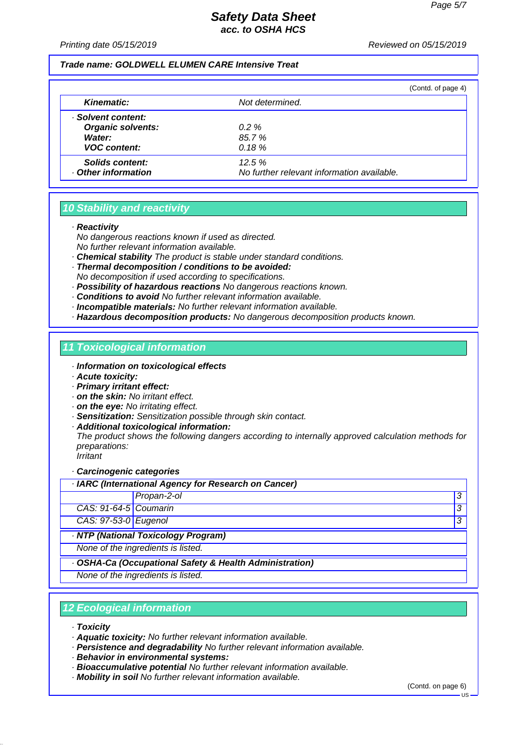*Printing date 05/15/2019 Reviewed on 05/15/2019*

#### *Trade name: GOLDWELL ELUMEN CARE Intensive Treat*

|                                      |                                                     | (Contd. of page 4) |
|--------------------------------------|-----------------------------------------------------|--------------------|
| <b>Kinematic:</b>                    | Not determined.                                     |                    |
| · Solvent content:                   |                                                     |                    |
| <b>Organic solvents:</b>             | $0.2 \%$                                            |                    |
| Water:                               | 85.7%                                               |                    |
| <b>VOC content:</b>                  | 0.18%                                               |                    |
| Solids content:<br>Other information | 12.5%<br>No further relevant information available. |                    |

### *10 Stability and reactivity*

*· Reactivity*

*No dangerous reactions known if used as directed.*

*No further relevant information available.*

- *· Chemical stability The product is stable under standard conditions.*
- *· Thermal decomposition / conditions to be avoided: No decomposition if used according to specifications.*
- *· Possibility of hazardous reactions No dangerous reactions known.*
- *· Conditions to avoid No further relevant information available.*
- *· Incompatible materials: No further relevant information available.*
- *· Hazardous decomposition products: No dangerous decomposition products known.*

### *11 Toxicological information*

- *· Information on toxicological effects*
- *· Acute toxicity:*
- *· Primary irritant effect:*
- *· on the skin: No irritant effect.*
- *· on the eye: No irritating effect.*
- *· Sensitization: Sensitization possible through skin contact.*
- *· Additional toxicological information:*

*The product shows the following dangers according to internally approved calculation methods for preparations:*

*Irritant*

*· Carcinogenic categories*

|                       | · IARC (International Agency for Research on Cancer)    |   |
|-----------------------|---------------------------------------------------------|---|
|                       | Propan-2-ol                                             | 3 |
| CAS: 91-64-5 Coumarin |                                                         | 3 |
| CAS: 97-53-0 Eugenol  |                                                         | 3 |
|                       | · NTP (National Toxicology Program)                     |   |
|                       | None of the ingredients is listed.                      |   |
|                       | · OSHA-Ca (Occupational Safety & Health Administration) |   |
|                       | None of the ingredients is listed.                      |   |

# *12 Ecological information*

- *· Toxicity*
- *· Aquatic toxicity: No further relevant information available.*
- *· Persistence and degradability No further relevant information available.*
- *· Behavior in environmental systems:*
- *· Bioaccumulative potential No further relevant information available.*
- *· Mobility in soil No further relevant information available.*

(Contd. on page 6)

US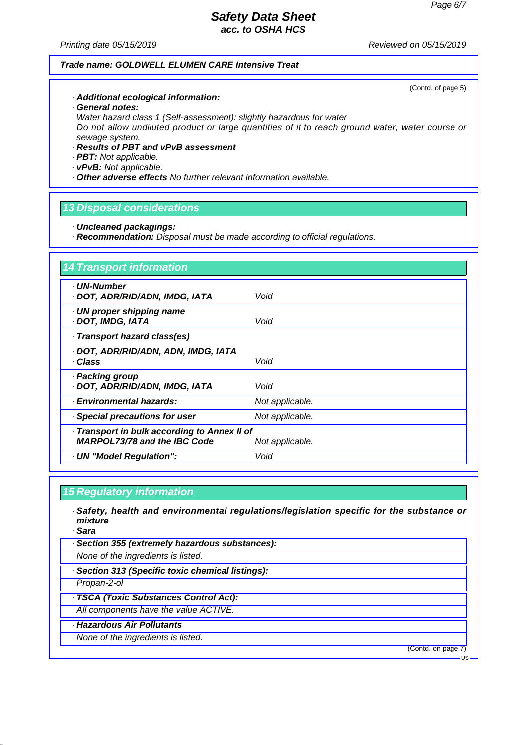*Printing date 05/15/2019 Reviewed on 05/15/2019*

### *Trade name: GOLDWELL ELUMEN CARE Intensive Treat*

(Contd. of page 5)

- *· Additional ecological information:*
- *· General notes: Water hazard class 1 (Self-assessment): slightly hazardous for water*

*Do not allow undiluted product or large quantities of it to reach ground water, water course or sewage system.*

- *· Results of PBT and vPvB assessment*
- *· PBT: Not applicable.*
- *· vPvB: Not applicable.*
- *· Other adverse effects No further relevant information available.*

# *13 Disposal considerations*

- *· Uncleaned packagings:*
- *· Recommendation: Disposal must be made according to official regulations.*

| <b>14 Transport information</b>                                                     |                 |
|-------------------------------------------------------------------------------------|-----------------|
| · UN-Number<br>· DOT, ADR/RID/ADN, IMDG, IATA                                       | Void            |
| · UN proper shipping name<br><b>DOT, IMDG, IATA</b>                                 | Void            |
| · Transport hazard class(es)                                                        |                 |
| · DOT, ADR/RID/ADN, ADN, IMDG, IATA<br>· Class                                      | Void            |
| · Packing group<br>· DOT, ADR/RID/ADN, IMDG, IATA                                   | Void            |
| · Environmental hazards:                                                            | Not applicable. |
| · Special precautions for user                                                      | Not applicable. |
| · Transport in bulk according to Annex II of<br><b>MARPOL73/78 and the IBC Code</b> | Not applicable. |
| · UN "Model Regulation":                                                            | Void            |

### *15 Regulatory information*

- *· Safety, health and environmental regulations/legislation specific for the substance or mixture*
- *· Sara*
- *· Section 355 (extremely hazardous substances):*
- *None of the ingredients is listed.*
- *· Section 313 (Specific toxic chemical listings):*
- *Propan-2-ol*
- *· TSCA (Toxic Substances Control Act):*
- *All components have the value ACTIVE.*
- *· Hazardous Air Pollutants*
- *None of the ingredients is listed.*

(Contd. on page 7)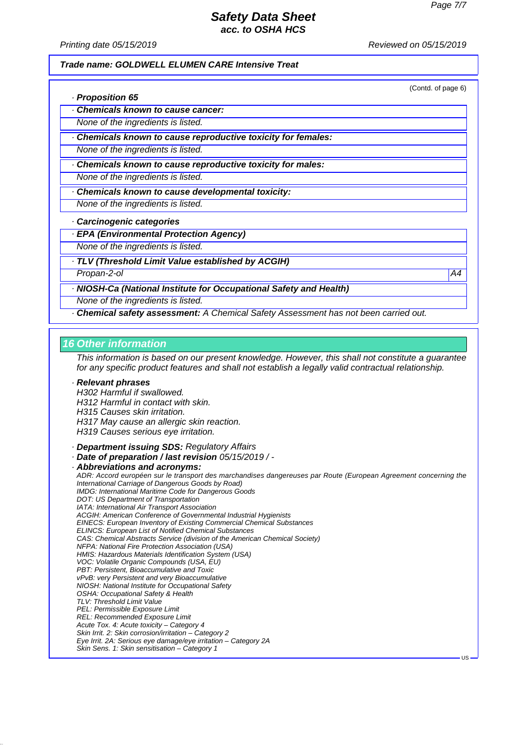(Contd. of page 6)

US

### *Safety Data Sheet acc. to OSHA HCS*

*Printing date 05/15/2019 Reviewed on 05/15/2019*

#### *Trade name: GOLDWELL ELUMEN CARE Intensive Treat*

*· Proposition 65*

*· Chemicals known to cause cancer:*

*None of the ingredients is listed.*

*· Chemicals known to cause reproductive toxicity for females:*

*None of the ingredients is listed.*

*· Chemicals known to cause reproductive toxicity for males:*

*None of the ingredients is listed.*

*· Chemicals known to cause developmental toxicity:*

*None of the ingredients is listed.*

*· Carcinogenic categories*

*· EPA (Environmental Protection Agency)*

*None of the ingredients is listed.*

*· TLV (Threshold Limit Value established by ACGIH)*

*Propan-2-ol A4*

*· NIOSH-Ca (National Institute for Occupational Safety and Health)*

*None of the ingredients is listed.*

*· Chemical safety assessment: A Chemical Safety Assessment has not been carried out.*

#### *16 Other information*

*This information is based on our present knowledge. However, this shall not constitute a guarantee for any specific product features and shall not establish a legally valid contractual relationship.*

#### *· Relevant phrases*

*H302 Harmful if swallowed. H312 Harmful in contact with skin. H315 Causes skin irritation. H317 May cause an allergic skin reaction.*

*H319 Causes serious eye irritation.*

*· Department issuing SDS: Regulatory Affairs*

*· Date of preparation / last revision 05/15/2019 / -*

#### *· Abbreviations and acronyms:*

*ADR: Accord européen sur le transport des marchandises dangereuses par Route (European Agreement concerning the International Carriage of Dangerous Goods by Road) IMDG: International Maritime Code for Dangerous Goods DOT: US Department of Transportation IATA: International Air Transport Association ACGIH: American Conference of Governmental Industrial Hygienists EINECS: European Inventory of Existing Commercial Chemical Substances ELINCS: European List of Notified Chemical Substances CAS: Chemical Abstracts Service (division of the American Chemical Society) NFPA: National Fire Protection Association (USA) HMIS: Hazardous Materials Identification System (USA) VOC: Volatile Organic Compounds (USA, EU) PBT: Persistent, Bioaccumulative and Toxic vPvB: very Persistent and very Bioaccumulative NIOSH: National Institute for Occupational Safety OSHA: Occupational Safety & Health TLV: Threshold Limit Value PEL: Permissible Exposure Limit REL: Recommended Exposure Limit Acute Tox. 4: Acute toxicity – Category 4 Skin Irrit. 2: Skin corrosion/irritation – Category 2 Eye Irrit. 2A: Serious eye damage/eye irritation – Category 2A Skin Sens. 1: Skin sensitisation – Category 1*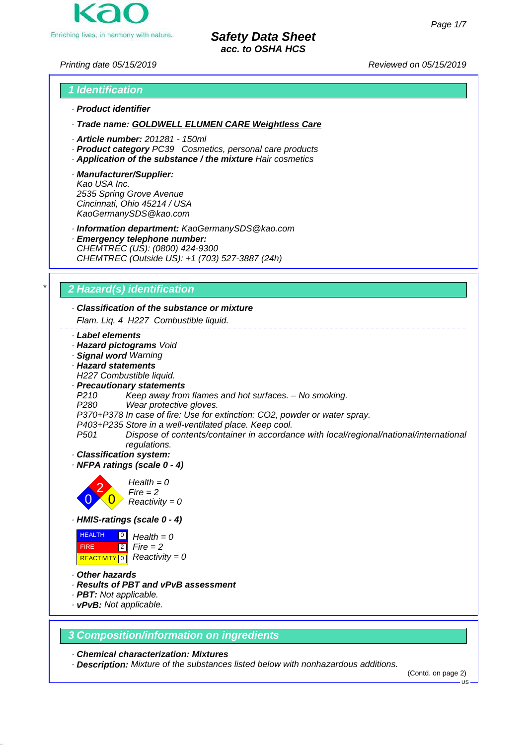

*Printing date 05/15/2019 Reviewed on 05/15/2019*

# *1 Identification · Product identifier*

*· Trade name: GOLDWELL ELUMEN CARE Weightless Care*

- *· Article number: 201281 150ml*
- *· Product category PC39 Cosmetics, personal care products*
- *· Application of the substance / the mixture Hair cosmetics*
- *· Manufacturer/Supplier: Kao USA Inc. 2535 Spring Grove Avenue Cincinnati, Ohio 45214 / USA KaoGermanySDS@kao.com*

*· Information department: KaoGermanySDS@kao.com*

*· Emergency telephone number: CHEMTREC (US): (0800) 424-9300 CHEMTREC (Outside US): +1 (703) 527-3887 (24h)*

# *\* 2 Hazard(s) identification*

# *· Classification of the substance or mixture*

*Flam. Liq. 4 H227 Combustible liquid.*

#### *· Label elements*

- *· Hazard pictograms Void*
- *· Signal word Warning*
- *· Hazard statements*
- *H227 Combustible liquid.*

### *· Precautionary statements*

- *P210 Keep away from flames and hot surfaces. No smoking.*
- *Wear protective gloves.*
- *P370+P378 In case of fire: Use for extinction: CO2, powder or water spray.*
- *P403+P235 Store in a well-ventilated place. Keep cool.*
- *P501 Dispose of contents/container in accordance with local/regional/national/international regulations.*
- *· Classification system:*
- *· NFPA ratings (scale 0 4)*



*· HMIS-ratings (scale 0 - 4)*

| <b>HEALTH</b><br>$\overline{\phantom{0}}$ | $Health = 0$                           |
|-------------------------------------------|----------------------------------------|
| <b>FIRE</b>                               | $2$ Fire = 2                           |
|                                           | REACTIVITY 0 $\sqrt{8}$ Reactivity = 0 |

- *· Other hazards*
- *· Results of PBT and vPvB assessment*
- *· PBT: Not applicable.*
- *· vPvB: Not applicable.*

### *3 Composition/information on ingredients*

*· Chemical characterization: Mixtures*

*· Description: Mixture of the substances listed below with nonhazardous additions.*

(Contd. on page 2)

US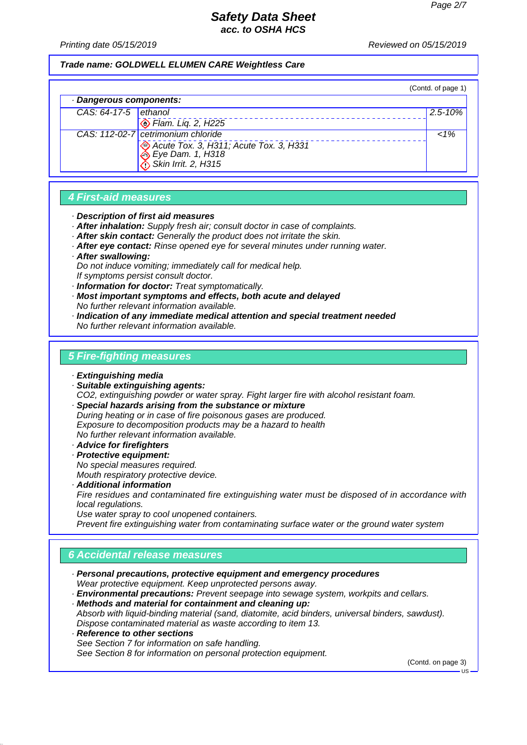*Printing date 05/15/2019 Reviewed on 05/15/2019*

#### *Trade name: GOLDWELL ELUMEN CARE Weightless Care*

|                         |                                                                                   | (Contd. of page 1) |
|-------------------------|-----------------------------------------------------------------------------------|--------------------|
| · Dangerous components: |                                                                                   |                    |
| CAS: $64-17-5$ ethanol  |                                                                                   | $2.5 - 10\%$       |
|                         | $\bigotimes$ Flam. Liq. 2, H225                                                   |                    |
|                         | CAS: 112-02-7 cetrimonium chloride                                                | $1\%$              |
|                         | Acute Tox. 3, H311; Acute Tox. 3, H331<br>Eye Dam. 1, H318<br>Skin Irrit. 2, H315 |                    |

### *4 First-aid measures*

- *· Description of first aid measures*
- *· After inhalation: Supply fresh air; consult doctor in case of complaints.*
- *· After skin contact: Generally the product does not irritate the skin.*
- *· After eye contact: Rinse opened eye for several minutes under running water.*
- *· After swallowing:*

*Do not induce vomiting; immediately call for medical help. If symptoms persist consult doctor.*

- *· Information for doctor: Treat symptomatically.*
- *· Most important symptoms and effects, both acute and delayed No further relevant information available.*
- *· Indication of any immediate medical attention and special treatment needed No further relevant information available.*

### *5 Fire-fighting measures*

- *· Extinguishing media*
- *· Suitable extinguishing agents: CO2, extinguishing powder or water spray. Fight larger fire with alcohol resistant foam.*
- *· Special hazards arising from the substance or mixture During heating or in case of fire poisonous gases are produced. Exposure to decomposition products may be a hazard to health No further relevant information available.*
- *· Advice for firefighters*
- *· Protective equipment: No special measures required.*

*Mouth respiratory protective device.*

*· Additional information Fire residues and contaminated fire extinguishing water must be disposed of in accordance with local regulations.*

*Use water spray to cool unopened containers.*

*Prevent fire extinguishing water from contaminating surface water or the ground water system*

# *6 Accidental release measures*

- *· Personal precautions, protective equipment and emergency procedures Wear protective equipment. Keep unprotected persons away.*
- *· Environmental precautions: Prevent seepage into sewage system, workpits and cellars.*
- *· Methods and material for containment and cleaning up: Absorb with liquid-binding material (sand, diatomite, acid binders, universal binders, sawdust). Dispose contaminated material as waste according to item 13. · Reference to other sections*
- *See Section 7 for information on safe handling. See Section 8 for information on personal protection equipment.*

(Contd. on page 3)

US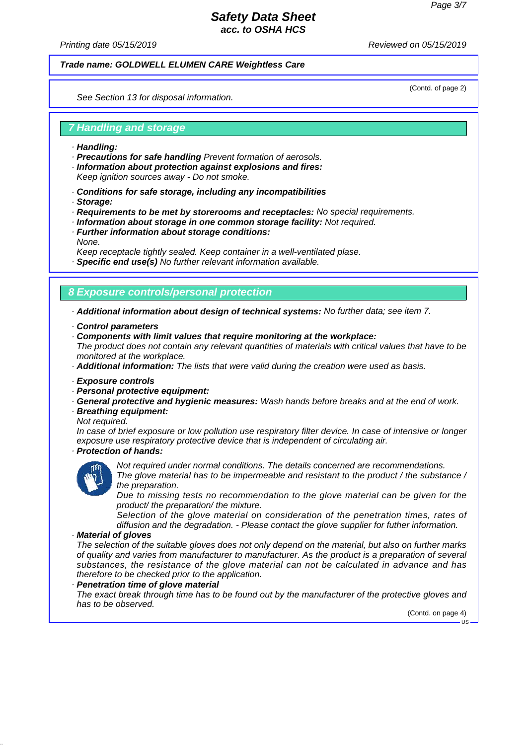(Contd. of page 2)

### *Safety Data Sheet acc. to OSHA HCS*

*Printing date 05/15/2019 Reviewed on 05/15/2019*

#### *Trade name: GOLDWELL ELUMEN CARE Weightless Care*

*See Section 13 for disposal information.*

### *7 Handling and storage*

- *· Handling:*
- *· Precautions for safe handling Prevent formation of aerosols.*
- *· Information about protection against explosions and fires: Keep ignition sources away - Do not smoke.*
- *· Conditions for safe storage, including any incompatibilities*
- *· Storage:*
- *· Requirements to be met by storerooms and receptacles: No special requirements.*
- *· Information about storage in one common storage facility: Not required.*
- *· Further information about storage conditions:*
- *None.*

*Keep receptacle tightly sealed. Keep container in a well-ventilated plase.*

*· Specific end use(s) No further relevant information available.*

### *8 Exposure controls/personal protection*

*· Additional information about design of technical systems: No further data; see item 7.*

- *· Control parameters*
- *· Components with limit values that require monitoring at the workplace:*

*The product does not contain any relevant quantities of materials with critical values that have to be monitored at the workplace.*

- *· Additional information: The lists that were valid during the creation were used as basis.*
- *· Exposure controls*
- *· Personal protective equipment:*
- *· General protective and hygienic measures: Wash hands before breaks and at the end of work.*

#### *· Breathing equipment:*

*Not required.*

*In case of brief exposure or low pollution use respiratory filter device. In case of intensive or longer exposure use respiratory protective device that is independent of circulating air.*

# *· Protection of hands:*



*Not required under normal conditions. The details concerned are recommendations. The glove material has to be impermeable and resistant to the product / the substance / the preparation.*

*Due to missing tests no recommendation to the glove material can be given for the product/ the preparation/ the mixture.*

*Selection of the glove material on consideration of the penetration times, rates of diffusion and the degradation. - Please contact the glove supplier for futher information.*

### *· Material of gloves*

*The selection of the suitable gloves does not only depend on the material, but also on further marks of quality and varies from manufacturer to manufacturer. As the product is a preparation of several substances, the resistance of the glove material can not be calculated in advance and has therefore to be checked prior to the application.*

#### *· Penetration time of glove material*

*The exact break through time has to be found out by the manufacturer of the protective gloves and has to be observed.*

(Contd. on page 4)

 $\overline{11S}$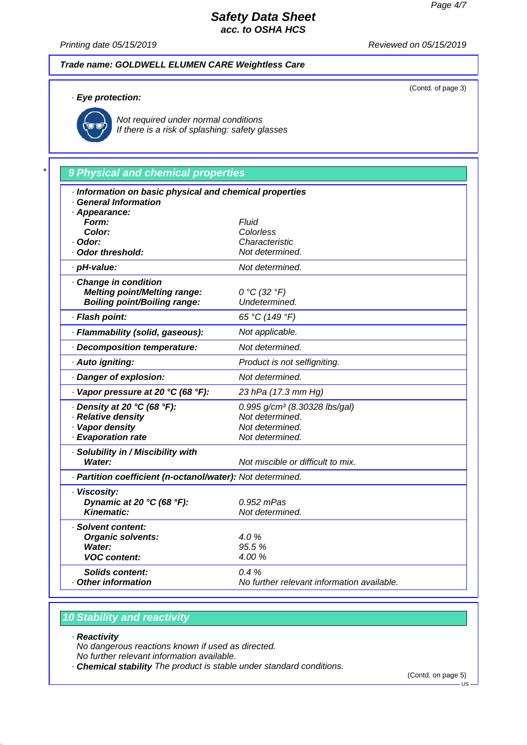(Contd. of page 3)

# *Safety Data Sheet acc. to OSHA HCS*

*Printing date 05/15/2019 Reviewed on 05/15/2019*

### *Trade name: GOLDWELL ELUMEN CARE Weightless Care*

### *· Eye protection:*



*Not required under normal conditions If there is a risk of splashing: safety glasses*

# *\* 9 Physical and chemical properties*

| Information on basic physical and chemical properties<br><b>General Information</b><br>· Appearance: |                                                            |  |  |
|------------------------------------------------------------------------------------------------------|------------------------------------------------------------|--|--|
| Form:                                                                                                | Fluid                                                      |  |  |
| Color:                                                                                               | Colorless                                                  |  |  |
| · Odor:                                                                                              | Characteristic                                             |  |  |
| · Odor threshold:                                                                                    | Not determined.                                            |  |  |
| · pH-value:                                                                                          | Not determined.                                            |  |  |
| Change in condition<br><b>Melting point/Melting range:</b><br><b>Boiling point/Boiling range:</b>    | 0 °C (32 °F)<br>Undetermined.                              |  |  |
| · Flash point:                                                                                       | 65 °C (149 °F)                                             |  |  |
| · Flammability (solid, gaseous):                                                                     | Not applicable.                                            |  |  |
| · Decomposition temperature:                                                                         | Not determined.                                            |  |  |
| · Auto igniting:                                                                                     | Product is not selfigniting.                               |  |  |
| · Danger of explosion:                                                                               | Not determined.                                            |  |  |
| $\cdot$ Vapor pressure at 20 °C (68 °F):                                                             | 23 hPa (17.3 mm Hg)                                        |  |  |
| $\cdot$ Density at 20 °C (68 °F):                                                                    | 0.995 g/cm <sup>3</sup> (8.30328 lbs/gal)                  |  |  |
| · Relative density                                                                                   | Not determined.                                            |  |  |
| · Vapor density                                                                                      | Not determined.                                            |  |  |
| · Evaporation rate                                                                                   | Not determined.                                            |  |  |
| · Solubility in / Miscibility with                                                                   |                                                            |  |  |
| <b>Water:</b>                                                                                        | Not miscible or difficult to mix.                          |  |  |
|                                                                                                      | · Partition coefficient (n-octanol/water): Not determined. |  |  |
| · Viscosity:                                                                                         |                                                            |  |  |
| Dynamic at 20 °C (68 °F):                                                                            | $0.952$ mPas                                               |  |  |
| Kinematic:                                                                                           | Not determined.                                            |  |  |
| · Solvent content:                                                                                   |                                                            |  |  |
| <b>Organic solvents:</b>                                                                             | 4.0%                                                       |  |  |
| Water:                                                                                               | 95.5%                                                      |  |  |
| <b>VOC content:</b>                                                                                  | 4.00 %                                                     |  |  |
| Solids content:                                                                                      | 0.4%                                                       |  |  |
| Other information                                                                                    | No further relevant information available.                 |  |  |

### *10 Stability and reactivity*

*· Reactivity*

*No dangerous reactions known if used as directed.*

*No further relevant information available.*

*· Chemical stability The product is stable under standard conditions.*

(Contd. on page 5)

 $-1$ IS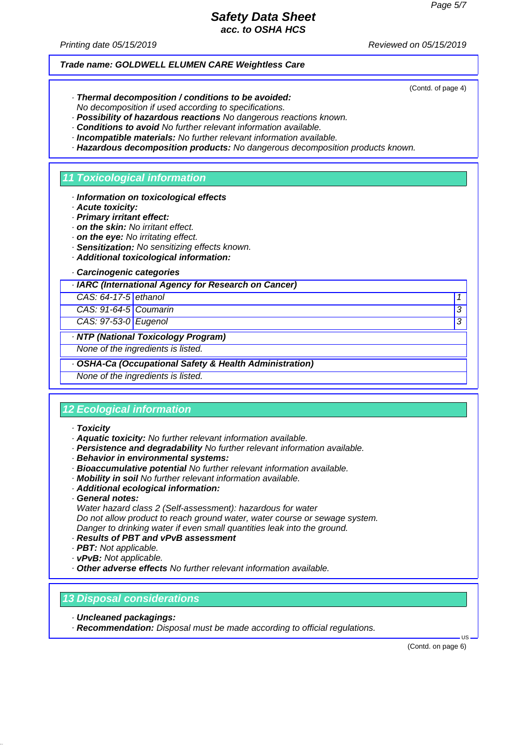(Contd. of page 4)

### *Safety Data Sheet acc. to OSHA HCS*

*Printing date 05/15/2019 Reviewed on 05/15/2019*

#### *Trade name: GOLDWELL ELUMEN CARE Weightless Care*

*· Thermal decomposition / conditions to be avoided:*

*No decomposition if used according to specifications.*

- *· Possibility of hazardous reactions No dangerous reactions known.*
- *· Conditions to avoid No further relevant information available.*
- *· Incompatible materials: No further relevant information available.*
- *· Hazardous decomposition products: No dangerous decomposition products known.*

#### *11 Toxicological information*

- *· Information on toxicological effects*
- *· Acute toxicity:*
- *· Primary irritant effect:*
- *· on the skin: No irritant effect.*
- *· on the eye: No irritating effect.*
- *· Sensitization: No sensitizing effects known.*
- *· Additional toxicological information:*

### *· Carcinogenic categories*

*· IARC (International Agency for Research on Cancer)*

*CAS: 64-17-5 ethanol* 

*CAS: 91-64-5 Coumarin 3* 

*CAS: 97-53-0 Eugenol 3* 

### *· NTP (National Toxicology Program)*

*None of the ingredients is listed.*

### *· OSHA-Ca (Occupational Safety & Health Administration)*

*None of the ingredients is listed.*

### *12 Ecological information*

- *· Toxicity*
- *· Aquatic toxicity: No further relevant information available.*
- *· Persistence and degradability No further relevant information available.*
- *· Behavior in environmental systems:*
- *· Bioaccumulative potential No further relevant information available.*
- *· Mobility in soil No further relevant information available.*
- *· Additional ecological information:*
- *· General notes:*

*Water hazard class 2 (Self-assessment): hazardous for water Do not allow product to reach ground water, water course or sewage system. Danger to drinking water if even small quantities leak into the ground.*

- *· Results of PBT and vPvB assessment*
- *· PBT: Not applicable.*
- *· vPvB: Not applicable.*
- *· Other adverse effects No further relevant information available.*

### *13 Disposal considerations*

- *· Uncleaned packagings:*
- *· Recommendation: Disposal must be made according to official regulations.*

(Contd. on page 6)

 $\overline{18}$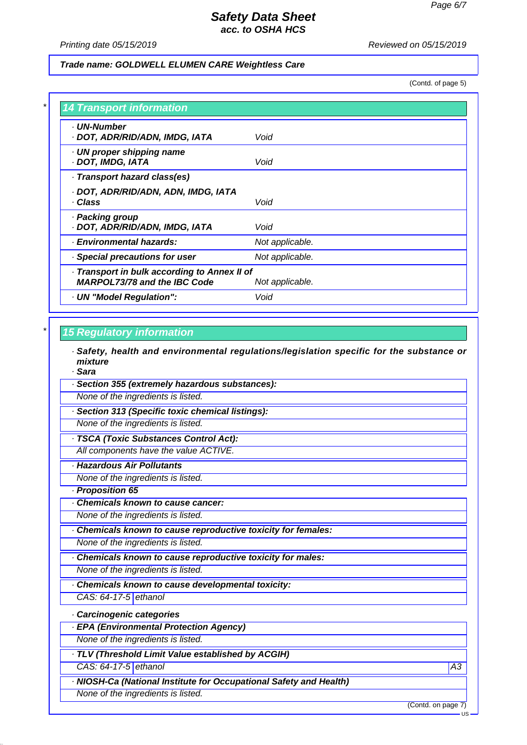*Printing date 05/15/2019 Reviewed on 05/15/2019*

#### *Trade name: GOLDWELL ELUMEN CARE Weightless Care*

(Contd. of page 5)

| . UN-Number<br>· DOT, ADR/RID/ADN, IMDG, IATA                                       | Void            |
|-------------------------------------------------------------------------------------|-----------------|
| · UN proper shipping name<br>· DOT, IMDG, IATA                                      | Void            |
| · Transport hazard class(es)                                                        |                 |
| · DOT, ADR/RID/ADN, ADN, IMDG, IATA<br>· Class                                      | Void            |
| · Packing group<br>· DOT, ADR/RID/ADN, IMDG, IATA                                   | Void            |
| · Environmental hazards:                                                            | Not applicable. |
| · Special precautions for user                                                      | Not applicable. |
| · Transport in bulk according to Annex II of<br><b>MARPOL73/78 and the IBC Code</b> | Not applicable. |
| · UN "Model Regulation":                                                            | Void            |

### *\* 15 Regulatory information*

*· Safety, health and environmental regulations/legislation specific for the substance or mixture*

*· Sara*

*· Section 355 (extremely hazardous substances):*

*None of the ingredients is listed.*

*· Section 313 (Specific toxic chemical listings):*

*None of the ingredients is listed.*

*· TSCA (Toxic Substances Control Act):*

*All components have the value ACTIVE.*

- *· Hazardous Air Pollutants*
- *None of the ingredients is listed.*

*· Proposition 65*

*· Chemicals known to cause cancer:*

*None of the ingredients is listed.*

*· Chemicals known to cause reproductive toxicity for females:*

*None of the ingredients is listed.*

*· Chemicals known to cause reproductive toxicity for males:*

*None of the ingredients is listed.*

*· Chemicals known to cause developmental toxicity:*

*CAS: 64-17-5 ethanol*

*· Carcinogenic categories*

*· EPA (Environmental Protection Agency)*

*None of the ingredients is listed.*

*· TLV (Threshold Limit Value established by ACGIH) CAS: 64-17-5 ethanol A3*

*· NIOSH-Ca (National Institute for Occupational Safety and Health) None of the ingredients is listed.*

(Contd. on page 7)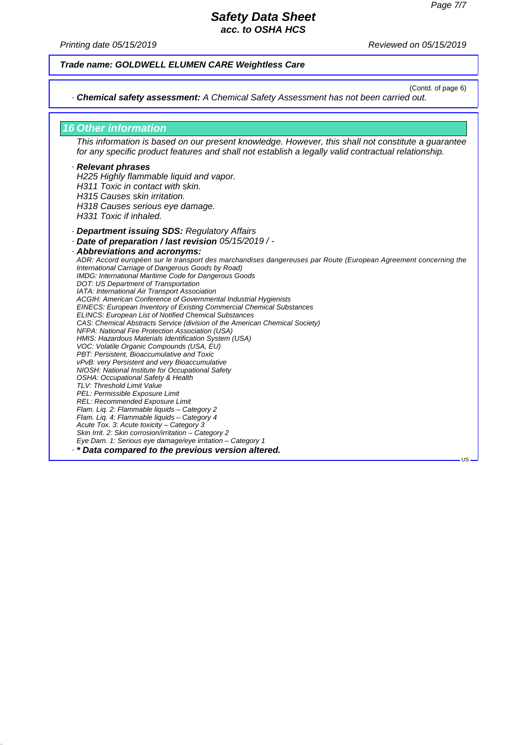*Printing date 05/15/2019 Reviewed on 05/15/2019*

#### *Trade name: GOLDWELL ELUMEN CARE Weightless Care*

(Contd. of page 6)

US

*· Chemical safety assessment: A Chemical Safety Assessment has not been carried out.*

### *16 Other information*

*This information is based on our present knowledge. However, this shall not constitute a guarantee for any specific product features and shall not establish a legally valid contractual relationship.*

#### *· Relevant phrases*

*H225 Highly flammable liquid and vapor. H311 Toxic in contact with skin. H315 Causes skin irritation. H318 Causes serious eye damage. H331 Toxic if inhaled.*

- *· Department issuing SDS: Regulatory Affairs*
- *· Date of preparation / last revision 05/15/2019 / -*

*· Abbreviations and acronyms: ADR: Accord européen sur le transport des marchandises dangereuses par Route (European Agreement concerning the International Carriage of Dangerous Goods by Road) IMDG: International Maritime Code for Dangerous Goods DOT: US Department of Transportation IATA: International Air Transport Association ACGIH: American Conference of Governmental Industrial Hygienists EINECS: European Inventory of Existing Commercial Chemical Substances ELINCS: European List of Notified Chemical Substances CAS: Chemical Abstracts Service (division of the American Chemical Society) NFPA: National Fire Protection Association (USA) HMIS: Hazardous Materials Identification System (USA) VOC: Volatile Organic Compounds (USA, EU) PBT: Persistent, Bioaccumulative and Toxic vPvB: very Persistent and very Bioaccumulative NIOSH: National Institute for Occupational Safety OSHA: Occupational Safety & Health TLV: Threshold Limit Value PEL: Permissible Exposure Limit REL: Recommended Exposure Limit Flam. Liq. 2: Flammable liquids – Category 2 Flam. Liq. 4: Flammable liquids – Category 4 Acute Tox. 3: Acute toxicity – Category 3 Skin Irrit. 2: Skin corrosion/irritation – Category 2 Eye Dam. 1: Serious eye damage/eye irritation – Category 1 · \* Data compared to the previous version altered.*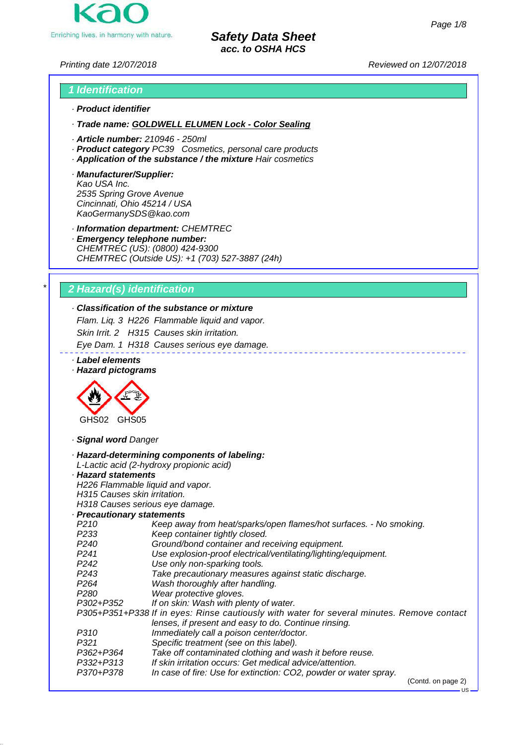

*Printing date 12/07/2018 Reviewed on 12/07/2018*

# *1 Identification · Product identifier*

*· Trade name: GOLDWELL ELUMEN Lock - Color Sealing*

- *· Article number: 210946 250ml*
- *· Product category PC39 Cosmetics, personal care products*
- *· Application of the substance / the mixture Hair cosmetics*
- *· Manufacturer/Supplier: Kao USA Inc. 2535 Spring Grove Avenue Cincinnati, Ohio 45214 / USA KaoGermanySDS@kao.com*

*· Information department: CHEMTREC*

*· Emergency telephone number: CHEMTREC (US): (0800) 424-9300 CHEMTREC (Outside US): +1 (703) 527-3887 (24h)*

# *\* 2 Hazard(s) identification*

# *· Classification of the substance or mixture*

*Flam. Liq. 3 H226 Flammable liquid and vapor. Skin Irrit. 2 H315 Causes skin irritation.*

*Eye Dam. 1 H318 Causes serious eye damage.*

*· Label elements*

*· Hazard pictograms*



*· Signal word Danger*

|                                  | · Hazard-determining components of labeling:                                               |
|----------------------------------|--------------------------------------------------------------------------------------------|
|                                  | L-Lactic acid (2-hydroxy propionic acid)                                                   |
| · Hazard statements              |                                                                                            |
| H226 Flammable liquid and vapor. |                                                                                            |
| H315 Causes skin irritation.     |                                                                                            |
| H318 Causes serious eye damage.  |                                                                                            |
| · Precautionary statements       |                                                                                            |
| P <sub>210</sub>                 | Keep away from heat/sparks/open flames/hot surfaces. - No smoking.                         |
| P <sub>2</sub> 33                | Keep container tightly closed.                                                             |
| P <sub>240</sub>                 | Ground/bond container and receiving equipment.                                             |
| P <sub>241</sub>                 | Use explosion-proof electrical/ventilating/lighting/equipment.                             |
| P <sub>242</sub>                 | Use only non-sparking tools.                                                               |
| P <sub>243</sub>                 | Take precautionary measures against static discharge.                                      |
| P <sub>264</sub>                 | Wash thoroughly after handling.                                                            |
| P <sub>280</sub>                 | Wear protective gloves.                                                                    |
| P302+P352                        | If on skin: Wash with plenty of water.                                                     |
|                                  | P305+P351+P338 If in eyes: Rinse cautiously with water for several minutes. Remove contact |
|                                  | lenses, if present and easy to do. Continue rinsing.                                       |
| P310                             | Immediately call a poison center/doctor.                                                   |
| P321                             | Specific treatment (see on this label).                                                    |
| P362+P364                        | Take off contaminated clothing and wash it before reuse.                                   |
| P332+P313                        | If skin irritation occurs: Get medical advice/attention.                                   |
| P370+P378                        | In case of fire: Use for extinction: CO2, powder or water spray.                           |
|                                  | $(0.001)$ an none $(0)$                                                                    |

US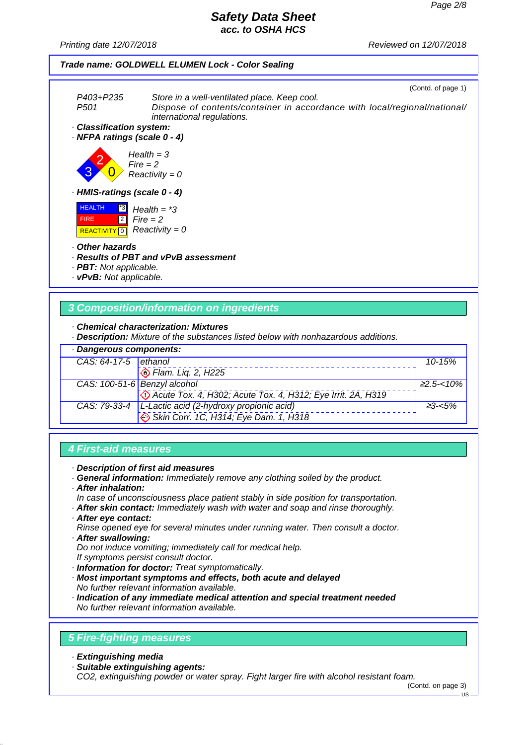*Printing date 12/07/2018 Reviewed on 12/07/2018*

# *Trade name: GOLDWELL ELUMEN Lock - Color Sealing*

|                                                                                                    |                                                                                                                                                         | (Contd. of page 1) |
|----------------------------------------------------------------------------------------------------|---------------------------------------------------------------------------------------------------------------------------------------------------------|--------------------|
| P403+P235<br>P <sub>501</sub>                                                                      | Store in a well-ventilated place. Keep cool.<br>Dispose of contents/container in accordance with local/regional/national/<br>international regulations. |                    |
| · Classification system:<br>· NFPA ratings (scale 0 - 4)                                           |                                                                                                                                                         |                    |
| $Fire = 2$                                                                                         | $Health = 3$<br>$Reactivity = 0$                                                                                                                        |                    |
| · HMIS-ratings (scale 0 - 4)                                                                       |                                                                                                                                                         |                    |
| <b>HEALTH</b><br> 3 <br>$\sqrt{2}$<br><b>FIRE</b><br>$\overline{\phantom{0}}$<br><b>REACTIVITY</b> | Health $=$ *3<br>$Fire = 2$<br>$Reactivity = 0$                                                                                                         |                    |
| · Other hazards<br>· <b>PBT</b> : Not applicable.<br>· vPvB: Not applicable.                       | · Results of PBT and vPvB assessment                                                                                                                    |                    |
|                                                                                                    |                                                                                                                                                         |                    |

### *3 Composition/information on ingredients*

*· Chemical characterization: Mixtures*

*· Description: Mixture of the substances listed below with nonhazardous additions.*

| · Dangerous components: |                                                                                                |                 |
|-------------------------|------------------------------------------------------------------------------------------------|-----------------|
| CAS: $64-17-5$ ethanol  |                                                                                                | $10 - 15%$      |
|                         | <b>Exam.</b> Liq. 2, H225                                                                      |                 |
|                         | CAS: 100-51-6 Benzyl alcohol                                                                   | $\geq$ 2.5-<10% |
|                         | Co Acute Tox. 4, H302; Acute Tox. 4, H312; Eye Irrit. 2A, H319                                 |                 |
|                         |                                                                                                | $23 - 5\%$      |
|                         | CAS: 79-33-4 L-Lactic acid (2-hydroxy propionic acid)<br>Skin Corr. 1C, H314; Eye Dam. 1, H318 |                 |

# *4 First-aid measures*

- *· Description of first aid measures*
- *· General information: Immediately remove any clothing soiled by the product.*
- *· After inhalation:*
- *In case of unconsciousness place patient stably in side position for transportation.*
- *· After skin contact: Immediately wash with water and soap and rinse thoroughly.*
- *· After eye contact:*
- *Rinse opened eye for several minutes under running water. Then consult a doctor. · After swallowing:*
- *Do not induce vomiting; immediately call for medical help. If symptoms persist consult doctor.*
- *· Information for doctor: Treat symptomatically.*
- *· Most important symptoms and effects, both acute and delayed No further relevant information available.*
- *· Indication of any immediate medical attention and special treatment needed No further relevant information available.*

### *5 Fire-fighting measures*

- *· Extinguishing media*
- *· Suitable extinguishing agents:*

*CO2, extinguishing powder or water spray. Fight larger fire with alcohol resistant foam.*

(Contd. on page 3)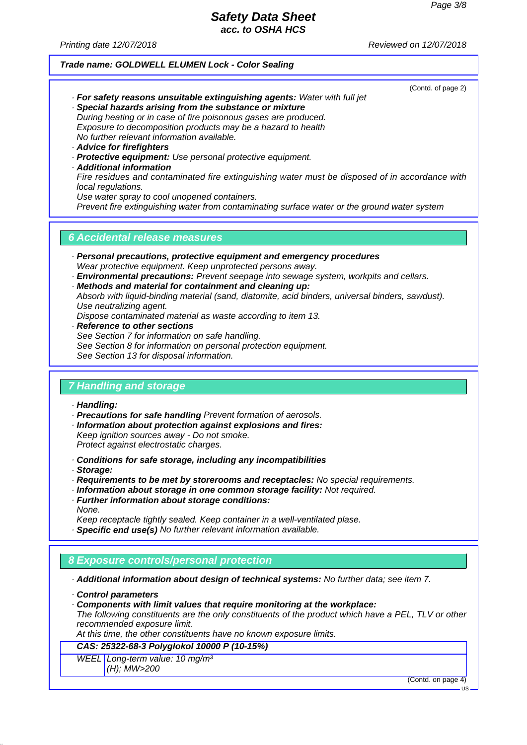(Contd. of page 2)

### *Safety Data Sheet acc. to OSHA HCS*

*Printing date 12/07/2018 Reviewed on 12/07/2018*

#### *Trade name: GOLDWELL ELUMEN Lock - Color Sealing*

*· For safety reasons unsuitable extinguishing agents: Water with full jet · Special hazards arising from the substance or mixture*

*During heating or in case of fire poisonous gases are produced. Exposure to decomposition products may be a hazard to health No further relevant information available.*

- *· Advice for firefighters*
- *· Protective equipment: Use personal protective equipment.*
- *· Additional information*

*Fire residues and contaminated fire extinguishing water must be disposed of in accordance with local regulations.*

*Use water spray to cool unopened containers.*

*Prevent fire extinguishing water from contaminating surface water or the ground water system*

### *6 Accidental release measures*

- *· Personal precautions, protective equipment and emergency procedures Wear protective equipment. Keep unprotected persons away.*
- *· Environmental precautions: Prevent seepage into sewage system, workpits and cellars.*
- *· Methods and material for containment and cleaning up:*

*Absorb with liquid-binding material (sand, diatomite, acid binders, universal binders, sawdust). Use neutralizing agent.*

*Dispose contaminated material as waste according to item 13.*

- *· Reference to other sections See Section 7 for information on safe handling.*
- *See Section 8 for information on personal protection equipment.*

*See Section 13 for disposal information.*

### *7 Handling and storage*

- *· Handling:*
- *· Precautions for safe handling Prevent formation of aerosols.*
- *· Information about protection against explosions and fires:*
- *Keep ignition sources away Do not smoke.*

*Protect against electrostatic charges.*

- *· Conditions for safe storage, including any incompatibilities*
- *· Storage:*
- *· Requirements to be met by storerooms and receptacles: No special requirements.*
- *· Information about storage in one common storage facility: Not required.*
- *· Further information about storage conditions: None.*

*Keep receptacle tightly sealed. Keep container in a well-ventilated plase.*

*· Specific end use(s) No further relevant information available.*

### *8 Exposure controls/personal protection*

*· Additional information about design of technical systems: No further data; see item 7.*

*· Components with limit values that require monitoring at the workplace: The following constituents are the only constituents of the product which have a PEL, TLV or other recommended exposure limit.*

*At this time, the other constituents have no known exposure limits.*

#### *CAS: 25322-68-3 Polyglokol 10000 P (10-15%)*

*WEEL Long-term value: 10 mg/m³*

*(H); MW>200*

(Contd. on page 4)

*<sup>·</sup> Control parameters*

US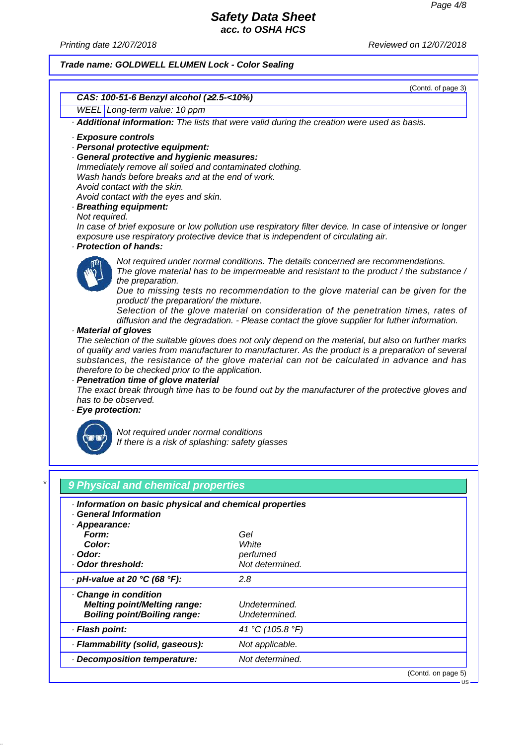US

### *Safety Data Sheet acc. to OSHA HCS*

*Printing date 12/07/2018 Reviewed on 12/07/2018*

#### *Trade name: GOLDWELL ELUMEN Lock - Color Sealing*



| · Information on basic physical and chemical properties<br>· General Information                  |                                |                    |
|---------------------------------------------------------------------------------------------------|--------------------------------|--------------------|
| Appearance:                                                                                       |                                |                    |
| Form:                                                                                             | Gel                            |                    |
| Color:                                                                                            | White                          |                    |
| · Odor:                                                                                           | perfumed                       |                    |
| Odor threshold:                                                                                   | Not determined.                |                    |
| $\cdot$ pH-value at 20 °C (68 °F):                                                                | 2.8                            |                    |
| Change in condition<br><b>Melting point/Melting range:</b><br><b>Boiling point/Boiling range:</b> | Undetermined.<br>Undetermined. |                    |
| · Flash point:                                                                                    | 41 °C (105.8 °F)               |                    |
| · Flammability (solid, gaseous):                                                                  | Not applicable.                |                    |
| Decomposition temperature:                                                                        | Not determined.                |                    |
|                                                                                                   |                                | (Contd. on page 5) |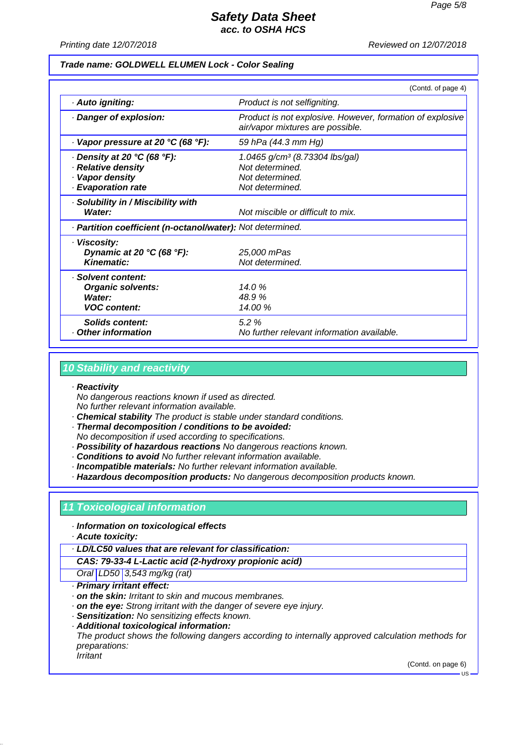*Printing date 12/07/2018 Reviewed on 12/07/2018*

#### *Trade name: GOLDWELL ELUMEN Lock - Color Sealing*

|                                                                                                  | (Contd. of page 4)                                                                                  |  |
|--------------------------------------------------------------------------------------------------|-----------------------------------------------------------------------------------------------------|--|
| · Auto igniting:                                                                                 | Product is not selfigniting.                                                                        |  |
| Danger of explosion:                                                                             | Product is not explosive. However, formation of explosive<br>air/vapor mixtures are possible.       |  |
| $\cdot$ Vapor pressure at 20 °C (68 °F):                                                         | 59 hPa (44.3 mm Hg)                                                                                 |  |
| $\cdot$ Density at 20 °C (68 °F):<br>· Relative density<br>· Vapor density<br>· Evaporation rate | 1.0465 g/cm <sup>3</sup> (8.73304 lbs/gal)<br>Not determined.<br>Not determined.<br>Not determined. |  |
| · Solubility in / Miscibility with<br>Water:                                                     | Not miscible or difficult to mix.                                                                   |  |
| · Partition coefficient (n-octanol/water): Not determined.                                       |                                                                                                     |  |
| · Viscosity:<br>Dynamic at 20 $°C$ (68 $°F$ ):<br><b>Kinematic:</b>                              | 25,000 mPas<br>Not determined.                                                                      |  |
| · Solvent content:<br><b>Organic solvents:</b><br>Water:<br><b>VOC content:</b>                  | 14.0%<br>48.9%<br>14.00 %                                                                           |  |
| Solids content:<br>Other information                                                             | 5.2%<br>No further relevant information available.                                                  |  |

### *10 Stability and reactivity*

#### *· Reactivity*

*No dangerous reactions known if used as directed.*

*No further relevant information available.*

- *· Chemical stability The product is stable under standard conditions.*
- *· Thermal decomposition / conditions to be avoided:*
- *No decomposition if used according to specifications.*
- *· Possibility of hazardous reactions No dangerous reactions known.*
- *· Conditions to avoid No further relevant information available.*
- *· Incompatible materials: No further relevant information available.*

*· Hazardous decomposition products: No dangerous decomposition products known.*

### *11 Toxicological information*

- *· Information on toxicological effects*
- *· Acute toxicity:*

*· LD/LC50 values that are relevant for classification:*

*CAS: 79-33-4 L-Lactic acid (2-hydroxy propionic acid)*

*Oral LD50 3,543 mg/kg (rat)*

- *· Primary irritant effect:*
- *· on the skin: Irritant to skin and mucous membranes.*
- *· on the eye: Strong irritant with the danger of severe eye injury.*
- *· Sensitization: No sensitizing effects known.*
- *· Additional toxicological information:*

*The product shows the following dangers according to internally approved calculation methods for preparations:*

*Irritant*

(Contd. on page 6)

US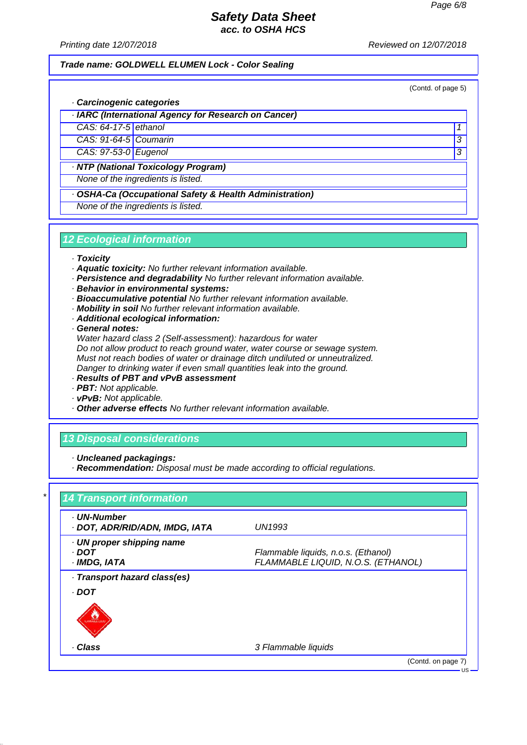*Printing date 12/07/2018 Reviewed on 12/07/2018*

#### *Trade name: GOLDWELL ELUMEN Lock - Color Sealing*

(Contd. of page 5)

### *· Carcinogenic categories*

*· IARC (International Agency for Research on Cancer)*

*CAS: 64-17-5 ethanol 1* 

*CAS: 91-64-5 Coumarin 3* 

*CAS: 97-53-0 Eugenol 3* 

*· NTP (National Toxicology Program)*

*None of the ingredients is listed.*

*· OSHA-Ca (Occupational Safety & Health Administration)*

*None of the ingredients is listed.*

### *12 Ecological information*

#### *· Toxicity*

- *· Aquatic toxicity: No further relevant information available.*
- *· Persistence and degradability No further relevant information available.*
- *· Behavior in environmental systems:*
- *· Bioaccumulative potential No further relevant information available.*
- *· Mobility in soil No further relevant information available.*
- *· Additional ecological information:*

*· General notes:*

*Water hazard class 2 (Self-assessment): hazardous for water Do not allow product to reach ground water, water course or sewage system. Must not reach bodies of water or drainage ditch undiluted or unneutralized. Danger to drinking water if even small quantities leak into the ground.*

- *· Results of PBT and vPvB assessment*
- *· PBT: Not applicable.*
- *· vPvB: Not applicable.*
- *· Other adverse effects No further relevant information available.*

### *13 Disposal considerations*

*· Uncleaned packagings:*

*· Recommendation: Disposal must be made according to official regulations.*

| · UN-Number<br>· DOT, ADR/RID/ADN, IMDG, IATA | <b>UN1993</b>                       |
|-----------------------------------------------|-------------------------------------|
| · UN proper shipping name                     |                                     |
| · DOT                                         | Flammable liquids, n.o.s. (Ethanol) |
| · IMDG, IATA                                  | FLAMMABLE LIQUID, N.O.S. (ETHANOL)  |
| · Transport hazard class(es)                  |                                     |
| . DOT                                         |                                     |
|                                               |                                     |
|                                               |                                     |
| · Class                                       | 3 Flammable liquids                 |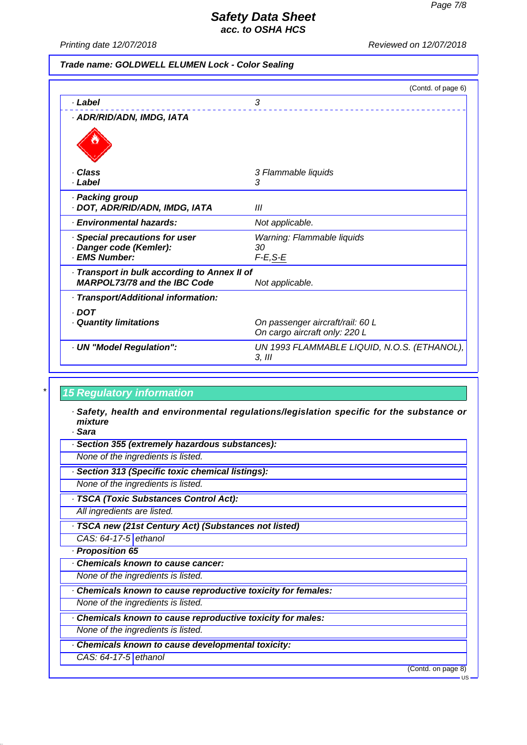*Printing date 12/07/2018 Reviewed on 12/07/2018*

### *Trade name: GOLDWELL ELUMEN Lock - Color Sealing*

|                                              | (Contd. of page 6)                          |
|----------------------------------------------|---------------------------------------------|
| · Label                                      | 3                                           |
| · ADR/RID/ADN, IMDG, IATA                    |                                             |
|                                              |                                             |
|                                              |                                             |
| · Class                                      | 3 Flammable liquids                         |
| · Label                                      | 3                                           |
| · Packing group                              |                                             |
| · DOT, ADR/RID/ADN, IMDG, IATA               | Ш                                           |
| · Environmental hazards:                     | Not applicable.                             |
| Special precautions for user                 | Warning: Flammable liquids                  |
| · Danger code (Kemler):                      | 30                                          |
| · EMS Number:                                | $F-E$ , $S-E$                               |
| · Transport in bulk according to Annex II of |                                             |
| <b>MARPOL73/78 and the IBC Code</b>          | Not applicable.                             |
| · Transport/Additional information:          |                                             |
| $\cdot$ DOT                                  |                                             |
| · Quantity limitations                       | On passenger aircraft/rail: 60 L            |
|                                              | On cargo aircraft only: 220 L               |
| · UN "Model Regulation":                     | UN 1993 FLAMMABLE LIQUID, N.O.S. (ETHANOL), |
|                                              | $3,$ III                                    |

### *\* 15 Regulatory information*

*· Safety, health and environmental regulations/legislation specific for the substance or mixture*

*· Sara*

- *· Section 355 (extremely hazardous substances):*
- *None of the ingredients is listed.*
- *· Section 313 (Specific toxic chemical listings):*
- *None of the ingredients is listed.*
- *· TSCA (Toxic Substances Control Act):*
- *All ingredients are listed.*
- *· TSCA new (21st Century Act) (Substances not listed)*

*CAS: 64-17-5 ethanol*

- *· Proposition 65*
- *· Chemicals known to cause cancer:*

*None of the ingredients is listed.*

*· Chemicals known to cause reproductive toxicity for females:*

*None of the ingredients is listed.*

- *· Chemicals known to cause reproductive toxicity for males: None of the ingredients is listed.*
- *· Chemicals known to cause developmental toxicity:*
	- *CAS: 64-17-5 ethanol*

(Contd. on page 8)

 $\overline{18}$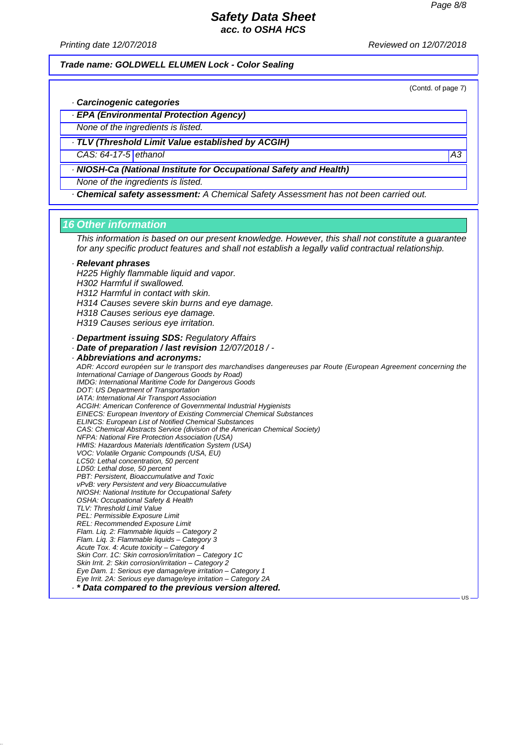*Printing date 12/07/2018 Reviewed on 12/07/2018*

#### *Trade name: GOLDWELL ELUMEN Lock - Color Sealing*

(Contd. of page 7)

US

- *· Carcinogenic categories*
- *· EPA (Environmental Protection Agency)*
- *None of the ingredients is listed.*
- *· TLV (Threshold Limit Value established by ACGIH)*
- *CAS: 64-17-5 ethanol A3*
- *· NIOSH-Ca (National Institute for Occupational Safety and Health)*
- *None of the ingredients is listed.*
- *· Chemical safety assessment: A Chemical Safety Assessment has not been carried out.*

#### *16 Other information*

*This information is based on our present knowledge. However, this shall not constitute a guarantee for any specific product features and shall not establish a legally valid contractual relationship.*

#### *· Relevant phrases*

*H225 Highly flammable liquid and vapor.*

*H302 Harmful if swallowed.*

*H312 Harmful in contact with skin.*

- *H314 Causes severe skin burns and eye damage.*
- *H318 Causes serious eye damage.*
- *H319 Causes serious eye irritation.*
- *· Department issuing SDS: Regulatory Affairs*
- *· Date of preparation / last revision 12/07/2018 / -*

#### *· Abbreviations and acronyms: ADR: Accord européen sur le transport des marchandises dangereuses par Route (European Agreement concerning the International Carriage of Dangerous Goods by Road) IMDG: International Maritime Code for Dangerous Goods DOT: US Department of Transportation IATA: International Air Transport Association ACGIH: American Conference of Governmental Industrial Hygienists EINECS: European Inventory of Existing Commercial Chemical Substances ELINCS: European List of Notified Chemical Substances CAS: Chemical Abstracts Service (division of the American Chemical Society) NFPA: National Fire Protection Association (USA) HMIS: Hazardous Materials Identification System (USA) VOC: Volatile Organic Compounds (USA, EU) LC50: Lethal concentration, 50 percent LD50: Lethal dose, 50 percent PBT: Persistent, Bioaccumulative and Toxic vPvB: very Persistent and very Bioaccumulative NIOSH: National Institute for Occupational Safety OSHA: Occupational Safety & Health TLV: Threshold Limit Value PEL: Permissible Exposure Limit REL: Recommended Exposure Limit Flam. Liq. 2: Flammable liquids – Category 2 Flam. Liq. 3: Flammable liquids – Category 3 Acute Tox. 4: Acute toxicity – Category 4 Skin Corr. 1C: Skin corrosion/irritation – Category 1C Skin Irrit. 2: Skin corrosion/irritation – Category 2 Eye Dam. 1: Serious eye damage/eye irritation – Category 1 Eye Irrit. 2A: Serious eye damage/eye irritation – Category 2A · \* Data compared to the previous version altered.*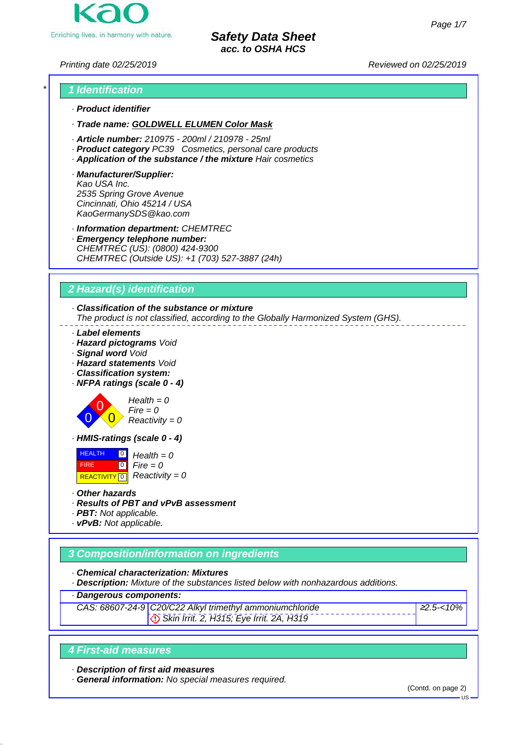Enriching lives, in harmony with nature.

*Safety Data Sheet acc. to OSHA HCS*

*Printing date 02/25/2019 Reviewed on 02/25/2019*



- *· Trade name: GOLDWELL ELUMEN Color Mask*
- *· Article number: 210975 200ml / 210978 25ml*
- *· Product category PC39 Cosmetics, personal care products*
- *· Application of the substance / the mixture Hair cosmetics*
- *· Manufacturer/Supplier: Kao USA Inc. 2535 Spring Grove Avenue Cincinnati, Ohio 45214 / USA KaoGermanySDS@kao.com*
- *· Information department: CHEMTREC*
- *· Emergency telephone number: CHEMTREC (US): (0800) 424-9300 CHEMTREC (Outside US): +1 (703) 527-3887 (24h)*

# *2 Hazard(s) identification*

### *· Classification of the substance or mixture*

*The product is not classified, according to the Globally Harmonized System (GHS).*

- *· Label elements*
- *· Hazard pictograms Void*
- *· Signal word Void*
- *· Hazard statements Void*
- *· Classification system:*
- *· NFPA ratings (scale 0 4)*



*Health = 0 Fire = 0 Reactivity = 0*

*· HMIS-ratings (scale 0 - 4)*

 HEALTH FIRE **REACTIVITY** 0  $\overline{10}$  $\overline{0}$ *Health = 0 Fire = 0 Reactivity = 0*

- *· Other hazards*
- *· Results of PBT and vPvB assessment*
- *· PBT: Not applicable.*
- *· vPvB: Not applicable.*

# *3 Composition/information on ingredients*

*· Chemical characterization: Mixtures*

*· Description: Mixture of the substances listed below with nonhazardous additions.*

*· Dangerous components:*

*CAS: 68607-24-9 C20/C22 Alkyl trimethyl ammoniumchloride Skin Irrit. 2, H315; Eye Irrit. 2A, H319*

# <sup>≥</sup>*2.5-<10%*

### *4 First-aid measures*

*· Description of first aid measures*

*· General information: No special measures required.*

(Contd. on page 2)

 $H<sub>S</sub>$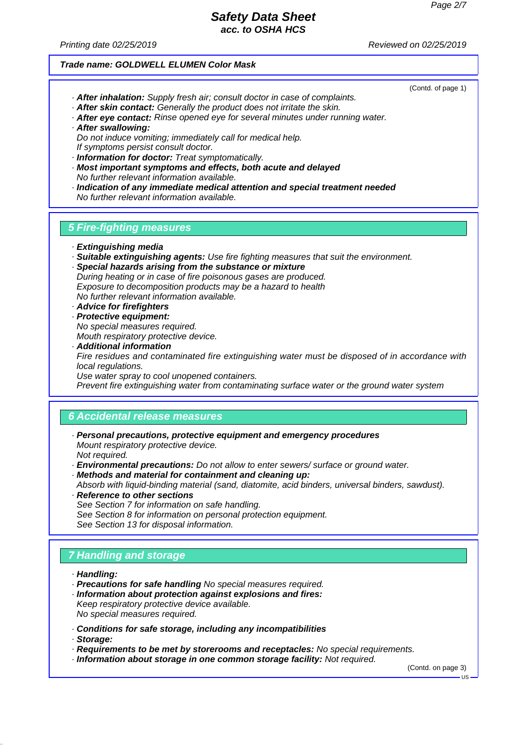*Printing date 02/25/2019 Reviewed on 02/25/2019*

#### *Trade name: GOLDWELL ELUMEN Color Mask*

(Contd. of page 1)

- *· After inhalation: Supply fresh air; consult doctor in case of complaints.*
- *· After skin contact: Generally the product does not irritate the skin.*
- *· After eye contact: Rinse opened eye for several minutes under running water. · After swallowing:*
- *Do not induce vomiting; immediately call for medical help. If symptoms persist consult doctor.*
- *· Information for doctor: Treat symptomatically.*
- *· Most important symptoms and effects, both acute and delayed No further relevant information available.*
- *· Indication of any immediate medical attention and special treatment needed No further relevant information available.*

### *5 Fire-fighting measures*

- *· Extinguishing media*
- *· Suitable extinguishing agents: Use fire fighting measures that suit the environment.*
- *· Special hazards arising from the substance or mixture During heating or in case of fire poisonous gases are produced. Exposure to decomposition products may be a hazard to health No further relevant information available.*
- *· Advice for firefighters*
- *· Protective equipment: No special measures required. Mouth respiratory protective device.*
- *· Additional information Fire residues and contaminated fire extinguishing water must be disposed of in accordance with local regulations. Use water spray to cool unopened containers.*

*Prevent fire extinguishing water from contaminating surface water or the ground water system*

#### *6 Accidental release measures*

- *· Personal precautions, protective equipment and emergency procedures Mount respiratory protective device. Not required.*
- *· Environmental precautions: Do not allow to enter sewers/ surface or ground water.*
- *· Methods and material for containment and cleaning up:*

*Absorb with liquid-binding material (sand, diatomite, acid binders, universal binders, sawdust). · Reference to other sections*

*See Section 7 for information on safe handling. See Section 8 for information on personal protection equipment. See Section 13 for disposal information.*

# *7 Handling and storage*

- *· Handling:*
- *· Precautions for safe handling No special measures required.*
- *· Information about protection against explosions and fires: Keep respiratory protective device available. No special measures required.*
- *· Conditions for safe storage, including any incompatibilities*
- *· Storage:*
- *· Requirements to be met by storerooms and receptacles: No special requirements.*
- *· Information about storage in one common storage facility: Not required.*

(Contd. on page 3)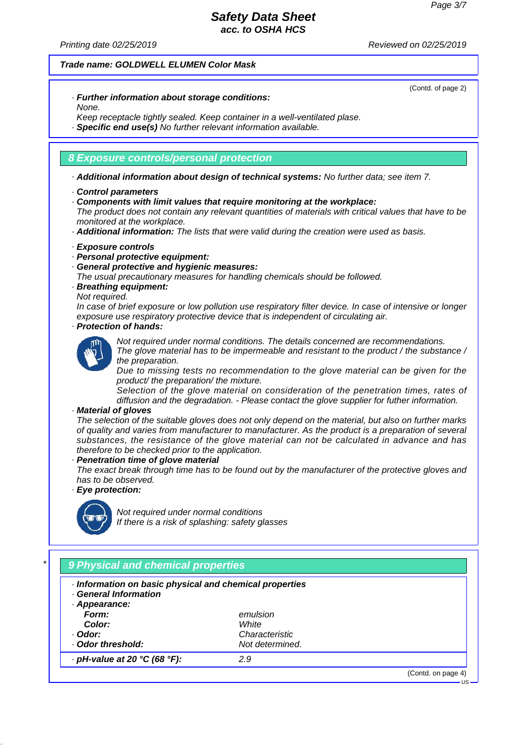(Contd. of page 2)

### *Safety Data Sheet acc. to OSHA HCS*

*Printing date 02/25/2019 Reviewed on 02/25/2019*

#### *Trade name: GOLDWELL ELUMEN Color Mask*

*· Further information about storage conditions: None.*

*Keep receptacle tightly sealed. Keep container in a well-ventilated plase.*

*· Specific end use(s) No further relevant information available.*

### *8 Exposure controls/personal protection*

*· Additional information about design of technical systems: No further data; see item 7.*

*· Components with limit values that require monitoring at the workplace:*

*The product does not contain any relevant quantities of materials with critical values that have to be monitored at the workplace.*

*· Additional information: The lists that were valid during the creation were used as basis.*

#### *· Exposure controls*

- *· Personal protective equipment:*
- *· General protective and hygienic measures:*
- *The usual precautionary measures for handling chemicals should be followed.*
- *· Breathing equipment:*

#### *Not required.*

*In case of brief exposure or low pollution use respiratory filter device. In case of intensive or longer exposure use respiratory protective device that is independent of circulating air.*

### *· Protection of hands:*



*Not required under normal conditions. The details concerned are recommendations. The glove material has to be impermeable and resistant to the product / the substance /*

*the preparation. Due to missing tests no recommendation to the glove material can be given for the product/ the preparation/ the mixture.*

*Selection of the glove material on consideration of the penetration times, rates of diffusion and the degradation. - Please contact the glove supplier for futher information.*

### *· Material of gloves*

*The selection of the suitable gloves does not only depend on the material, but also on further marks of quality and varies from manufacturer to manufacturer. As the product is a preparation of several substances, the resistance of the glove material can not be calculated in advance and has therefore to be checked prior to the application.*

*· Penetration time of glove material*

*The exact break through time has to be found out by the manufacturer of the protective gloves and has to be observed.*

### *· Eye protection:*



*Not required under normal conditions If there is a risk of splashing: safety glasses*

| · Information on basic physical and chemical properties<br><b>General Information</b> |                 |  |
|---------------------------------------------------------------------------------------|-----------------|--|
| · Appearance:                                                                         |                 |  |
| Form:                                                                                 | emulsion        |  |
| Color:                                                                                | White           |  |
| · Odor:                                                                               | Characteristic  |  |
| Odor threshold:                                                                       | Not determined. |  |
| $\cdot$ pH-value at 20 °C (68 °F):                                                    | 2.9             |  |

*<sup>·</sup> Control parameters*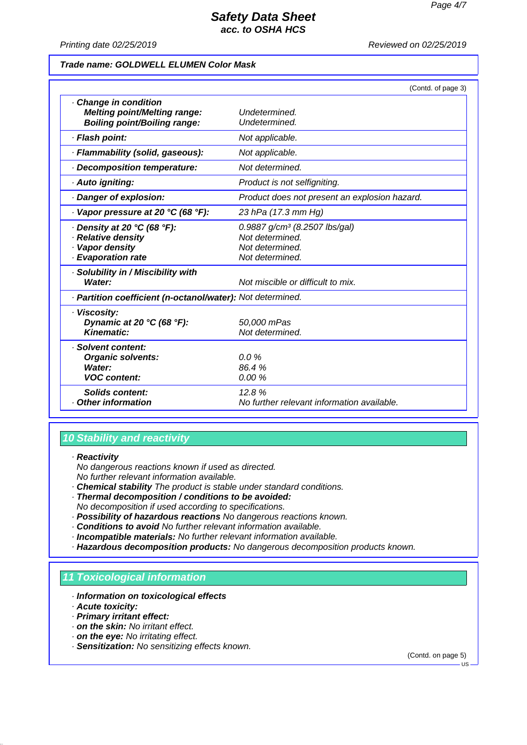*Printing date 02/25/2019 Reviewed on 02/25/2019*

#### *Trade name: GOLDWELL ELUMEN Color Mask*

|                                                                                                   | (Contd. of page 3)                                                                                 |  |
|---------------------------------------------------------------------------------------------------|----------------------------------------------------------------------------------------------------|--|
| Change in condition<br><b>Melting point/Melting range:</b><br><b>Boiling point/Boiling range:</b> | Undetermined.<br>Undetermined.                                                                     |  |
| · Flash point:                                                                                    | Not applicable.                                                                                    |  |
| · Flammability (solid, gaseous):                                                                  | Not applicable.                                                                                    |  |
| Decomposition temperature:                                                                        | Not determined.                                                                                    |  |
| · Auto igniting:                                                                                  | Product is not selfigniting.                                                                       |  |
| Danger of explosion:                                                                              | Product does not present an explosion hazard.                                                      |  |
| $\cdot$ Vapor pressure at 20 °C (68 °F):                                                          | 23 hPa (17.3 mm Hg)                                                                                |  |
| · Density at 20 °C (68 °F):<br>· Relative density<br>· Vapor density<br>· Evaporation rate        | 0.9887 g/cm <sup>3</sup> (8.2507 lbs/gal)<br>Not determined.<br>Not determined.<br>Not determined. |  |
| · Solubility in / Miscibility with<br>Water:                                                      | Not miscible or difficult to mix.                                                                  |  |
| · Partition coefficient (n-octanol/water): Not determined.                                        |                                                                                                    |  |
| · Viscosity:<br>Dynamic at 20 $°C$ (68 $°F$ ):<br>Kinematic:                                      | 50,000 mPas<br>Not determined.                                                                     |  |
| · Solvent content:<br><b>Organic solvents:</b><br><b>Water:</b><br><b>VOC content:</b>            | $0.0\%$<br>86.4%<br>0.00%                                                                          |  |
| Solids content:<br>Other information                                                              | 12.8%<br>No further relevant information available.                                                |  |

### *10 Stability and reactivity*

*· Reactivity*

*No dangerous reactions known if used as directed. No further relevant information available.*

- *· Chemical stability The product is stable under standard conditions.*
- *· Thermal decomposition / conditions to be avoided: No decomposition if used according to specifications.*
- *· Possibility of hazardous reactions No dangerous reactions known.*
- *· Conditions to avoid No further relevant information available.*
- *· Incompatible materials: No further relevant information available.*
- *· Hazardous decomposition products: No dangerous decomposition products known.*

### *11 Toxicological information*

- *· Information on toxicological effects*
- *· Acute toxicity:*
- *· Primary irritant effect:*
- *· on the skin: No irritant effect.*
- *· on the eye: No irritating effect.*
- *· Sensitization: No sensitizing effects known.*

(Contd. on page 5)

 $-1$ <sub>S</sub>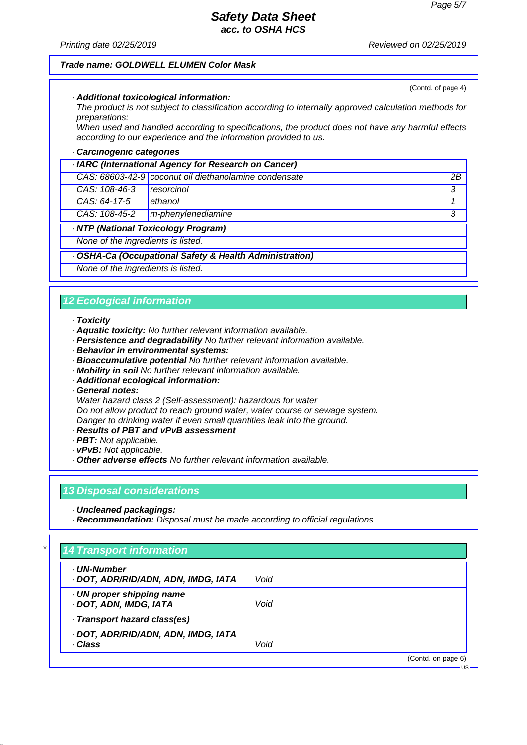(Contd. of page 4)

### *Safety Data Sheet acc. to OSHA HCS*

*Printing date 02/25/2019 Reviewed on 02/25/2019*

#### *Trade name: GOLDWELL ELUMEN Color Mask*

*· Additional toxicological information:*

*The product is not subject to classification according to internally approved calculation methods for preparations:*

*When used and handled according to specifications, the product does not have any harmful effects according to our experience and the information provided to us.*

#### *· Carcinogenic categories*

| · IARC (International Agency for Research on Cancer) |                                                       |    |
|------------------------------------------------------|-------------------------------------------------------|----|
|                                                      | CAS: 68603-42-9 coconut oil diethanolamine condensate | 2B |
| CAS: 108-46-3                                        | resorcinol                                            | 3  |
| $CAS: 64-17-5$                                       | ethanol                                               |    |
| CAS: 108-45-2                                        | m-phenylenediamine                                    | 3  |
| · NTP (National Toxicology Program)                  |                                                       |    |
| None of the ingredients is listed.                   |                                                       |    |

#### *· OSHA-Ca (Occupational Safety & Health Administration)*

*None of the ingredients is listed.*

### *12 Ecological information*

#### *· Toxicity*

- *· Aquatic toxicity: No further relevant information available.*
- *· Persistence and degradability No further relevant information available.*
- *· Behavior in environmental systems:*
- *· Bioaccumulative potential No further relevant information available.*
- *· Mobility in soil No further relevant information available.*
- *· Additional ecological information:*
- *· General notes:*

*Water hazard class 2 (Self-assessment): hazardous for water Do not allow product to reach ground water, water course or sewage system. Danger to drinking water if even small quantities leak into the ground.*

- *· Results of PBT and vPvB assessment*
- *· PBT: Not applicable.*
- *· vPvB: Not applicable.*
- *· Other adverse effects No further relevant information available.*

### *13 Disposal considerations*

*· Uncleaned packagings:*

*· Recommendation: Disposal must be made according to official regulations.*

| · UN-Number<br>· DOT, ADR/RID/ADN, ADN, IMDG, IATA  | Void |  |
|-----------------------------------------------------|------|--|
| · UN proper shipping name<br>· DOT, ADN, IMDG, IATA | Void |  |
| Transport hazard class(es)                          |      |  |
| · DOT, ADR/RID/ADN, ADN, IMDG, IATA<br>· Class      | Void |  |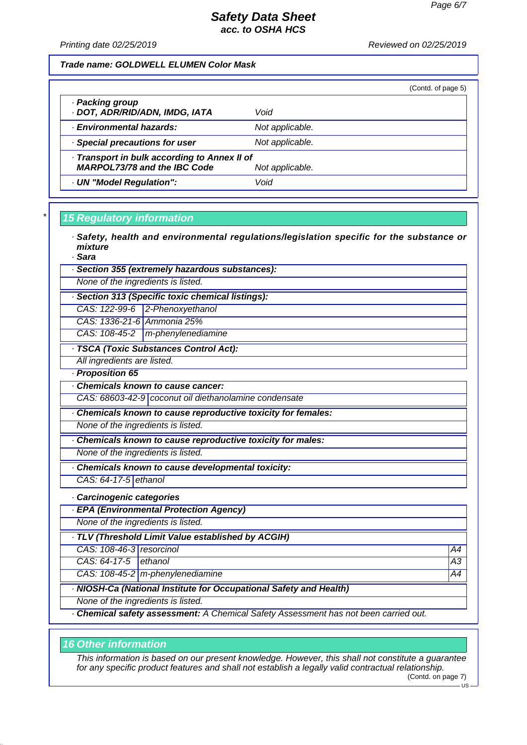*Printing date 02/25/2019 Reviewed on 02/25/2019*

#### *Trade name: GOLDWELL ELUMEN Color Mask*

|                                                                                                        |                 | (Contd. of page 5) |
|--------------------------------------------------------------------------------------------------------|-----------------|--------------------|
| · Packing group<br>· DOT, ADR/RID/ADN, IMDG, IATA                                                      | Void            |                    |
| · Environmental hazards:                                                                               | Not applicable. |                    |
| · Special precautions for user                                                                         | Not applicable. |                    |
| · Transport in bulk according to Annex II of<br><b>MARPOL73/78 and the IBC Code</b><br>Not applicable. |                 |                    |
| · UN "Model Regulation":                                                                               | Void            |                    |

### *\* 15 Regulatory information*

- *· Safety, health and environmental regulations/legislation specific for the substance or mixture*
- *· Sara*
- *· Section 355 (extremely hazardous substances):*
- *None of the ingredients is listed.*
- *· Section 313 (Specific toxic chemical listings):*
- *CAS: 122-99-6 2-Phenoxyethanol*
- *CAS: 1336-21-6 Ammonia 25%*
- *CAS: 108-45-2 m-phenylenediamine*
- *· TSCA (Toxic Substances Control Act):*
- *All ingredients are listed.*
- *· Proposition 65*
- *· Chemicals known to cause cancer:*
- *CAS: 68603-42-9 coconut oil diethanolamine condensate*
- *· Chemicals known to cause reproductive toxicity for females:*
- *None of the ingredients is listed.*
- *· Chemicals known to cause reproductive toxicity for males:*
- *None of the ingredients is listed.*
- *· Chemicals known to cause developmental toxicity:*
- *CAS: 64-17-5 ethanol*
- *· Carcinogenic categories*
- *· EPA (Environmental Protection Agency)*
- *None of the ingredients is listed.*
- *· TLV (Threshold Limit Value established by ACGIH)*
- *CAS: 108-46-3 resorcinol A4*
- *CAS: 64-17-5 ethanol A3*
- *CAS: 108-45-2 m-phenylenediamine* A4<sup>2</sup>
- *· NIOSH-Ca (National Institute for Occupational Safety and Health)*
- *None of the ingredients is listed.*
- *· Chemical safety assessment: A Chemical Safety Assessment has not been carried out.*

### *16 Other information*

*This information is based on our present knowledge. However, this shall not constitute a guarantee for any specific product features and shall not establish a legally valid contractual relationship.*